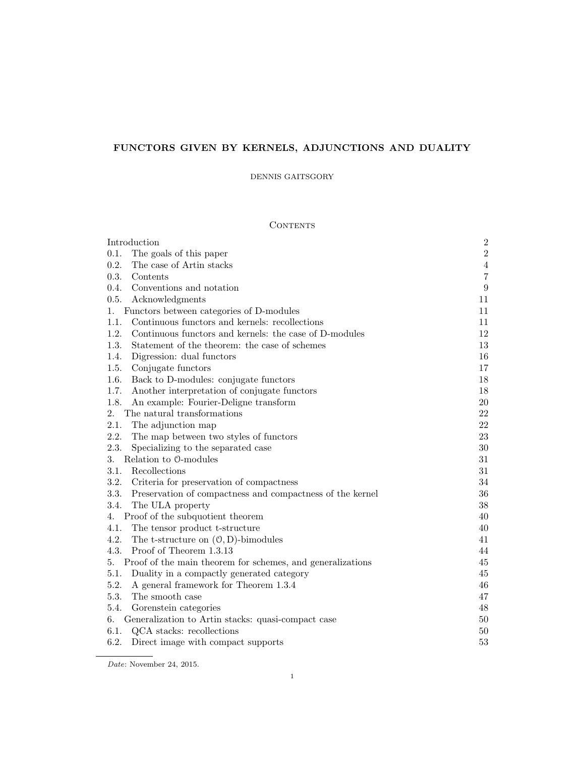# FUNCTORS GIVEN BY KERNELS, ADJUNCTIONS AND DUALITY

# DENNIS GAITSGORY

# **CONTENTS**

| Introduction                                                      | $\sqrt{2}$       |
|-------------------------------------------------------------------|------------------|
| 0.1.<br>The goals of this paper                                   | $\,2$            |
| 0.2.<br>The case of Artin stacks                                  | $\,4\,$          |
| 0.3.<br>Contents                                                  | $\overline{7}$   |
| 0.4.<br>Conventions and notation                                  | $\boldsymbol{9}$ |
| 0.5.<br>Acknowledgments                                           | 11               |
| Functors between categories of D-modules<br>1.                    | 11               |
| 1.1.<br>Continuous functors and kernels: recollections            | 11               |
| 1.2.<br>Continuous functors and kernels: the case of D-modules    | 12               |
| 1.3.<br>Statement of the theorem: the case of schemes             | 13               |
| Digression: dual functors<br>1.4.                                 | 16               |
| 1.5.<br>Conjugate functors                                        | 17               |
| 1.6.<br>Back to D-modules: conjugate functors                     | 18               |
| 1.7.<br>Another interpretation of conjugate functors              | 18               |
| 1.8.<br>An example: Fourier-Deligne transform                     | 20               |
| The natural transformations<br>2.                                 | 22               |
| 2.1.<br>The adjunction map                                        | 22               |
| 2.2.<br>The map between two styles of functors                    | 23               |
| 2.3.<br>Specializing to the separated case                        | $30\,$           |
| 3.<br>Relation to 0-modules                                       | $31\,$           |
| 3.1.<br>Recollections                                             | 31               |
| 3.2.<br>Criteria for preservation of compactness                  | 34               |
| 3.3.<br>Preservation of compactness and compactness of the kernel | 36               |
| 3.4.<br>The ULA property                                          | $38\,$           |
| Proof of the subquotient theorem<br>4.                            | 40               |
| 4.1.<br>The tensor product t-structure                            | 40               |
| 4.2.<br>The t-structure on $(0, D)$ -bimodules                    | 41               |
| 4.3.<br>Proof of Theorem 1.3.13                                   | 44               |
| Proof of the main theorem for schemes, and generalizations<br>5.  | 45               |
| 5.1.<br>Duality in a compactly generated category                 | 45               |
| 5.2.<br>A general framework for Theorem 1.3.4                     | 46               |
| 5.3.<br>The smooth case                                           | 47               |
| 5.4.<br>Gorenstein categories                                     | 48               |
| Generalization to Artin stacks: quasi-compact case<br>6.          | 50               |
| 6.1.<br>QCA stacks: recollections                                 | 50               |
| 6.2.<br>Direct image with compact supports                        | 53               |

Date: November 24, 2015.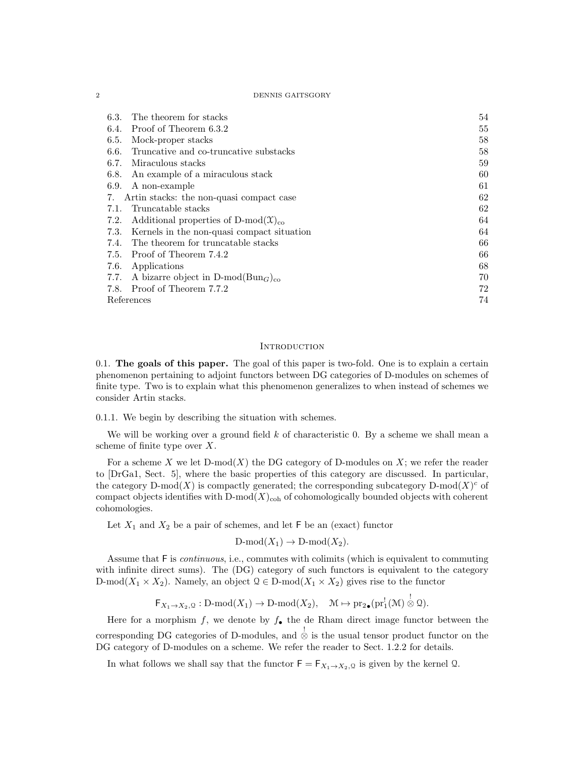2 DENNIS GAITSGORY

| 6.3.       | The theorem for stacks                                            | 54 |
|------------|-------------------------------------------------------------------|----|
| 6.4.       | Proof of Theorem 6.3.2                                            | 55 |
| 6.5.       | Mock-proper stacks                                                | 58 |
| 6.6.       | Truncative and co-truncative substacks                            | 58 |
| 6.7.       | Miraculous stacks                                                 | 59 |
| 6.8.       | An example of a miraculous stack                                  | 60 |
| 6.9.       | A non-example                                                     | 61 |
| 7.         | Artin stacks: the non-quasi compact case                          | 62 |
| 7.1.       | Truncatable stacks                                                | 62 |
| 7.2.       | Additional properties of $D\text{-mod}(\mathfrak{X})_{\text{co}}$ | 64 |
| 7.3.       | Kernels in the non-quasi compact situation                        | 64 |
| 7.4.       | The theorem for truncatable stacks                                | 66 |
| 7.5.       | Proof of Theorem 7.4.2                                            | 66 |
| 7.6.       | Applications                                                      | 68 |
| 7.7.       | A bizarre object in D-mod $(\text{Bun}_G)_{co}$                   | 70 |
| 7.8.       | Proof of Theorem 7.7.2                                            | 72 |
| References |                                                                   | 74 |

### **INTRODUCTION**

0.1. The goals of this paper. The goal of this paper is two-fold. One is to explain a certain phenomenon pertaining to adjoint functors between DG categories of D-modules on schemes of finite type. Two is to explain what this phenomenon generalizes to when instead of schemes we consider Artin stacks.

0.1.1. We begin by describing the situation with schemes.

We will be working over a ground field  $k$  of characteristic 0. By a scheme we shall mean a scheme of finite type over  $X$ .

For a scheme X we let  $D\text{-mod}(X)$  the DG category of D-modules on X; we refer the reader to [DrGa1, Sect. 5], where the basic properties of this category are discussed. In particular, the category  $D\text{-mod}(X)$  is compactly generated; the corresponding subcategory  $D\text{-mod}(X)^c$  of compact objects identifies with D-mod $(X)_{coh}$  of cohomologically bounded objects with coherent cohomologies.

Let  $X_1$  and  $X_2$  be a pair of schemes, and let  $\mathsf F$  be an (exact) functor

$$
D\text{-mod}(X_1) \to D\text{-mod}(X_2).
$$

Assume that F is continuous, i.e., commutes with colimits (which is equivalent to commuting with infinite direct sums). The (DG) category of such functors is equivalent to the category D-mod( $X_1 \times X_2$ ). Namely, an object  $\mathcal{Q} \in \mathcal{D}$ -mod( $X_1 \times X_2$ ) gives rise to the functor

$$
\text{$\mathsf{F}_{X_1\to X_2,\mathbb{Q}}:\mathsf{D}\text{-mod}(X_1)\to\mathsf{D}\text{-mod}(X_2)$, $\hspace{6pt}$ $\mathfrak{M}\mapsto\mathop{\text{\rm pr}}\nolimits_{2\bullet}(\mathop{\text{\rm pr}}\nolimits^1_1(\mathfrak{M})\overset{!}{\otimes}\mathbb{Q})$.}
$$

Here for a morphism  $f$ , we denote by  $f_{\bullet}$  the de Rham direct image functor between the corresponding DG categories of D-modules, and  $\stackrel{!}{\otimes}$  is the usual tensor product functor on the DG category of D-modules on a scheme. We refer the reader to Sect. 1.2.2 for details.

In what follows we shall say that the functor  $\mathsf{F} = \mathsf{F}_{X_1 \to X_2, \mathbb{Q}}$  is given by the kernel  $\mathbb{Q}$ .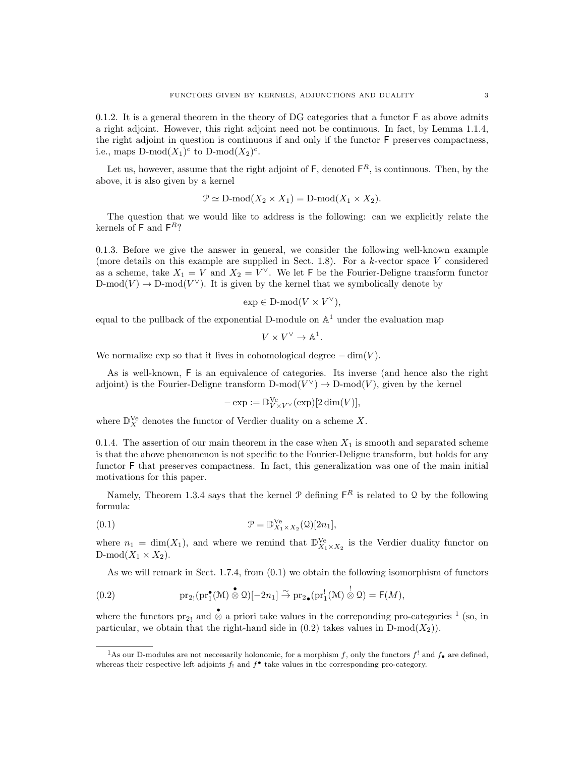0.1.2. It is a general theorem in the theory of DG categories that a functor F as above admits a right adjoint. However, this right adjoint need not be continuous. In fact, by Lemma 1.1.4, the right adjoint in question is continuous if and only if the functor F preserves compactness, i.e., maps  $D\text{-mod}(X_1)^c$  to  $D\text{-mod}(X_2)^c$ .

Let us, however, assume that the right adjoint of  $\mathsf{F}$ , denoted  $\mathsf{F}^R$ , is continuous. Then, by the above, it is also given by a kernel

$$
\mathcal{P} \simeq \mathrm{D-mod}(X_2 \times X_1) = \mathrm{D-mod}(X_1 \times X_2).
$$

The question that we would like to address is the following: can we explicitly relate the kernels of  $F$  and  $F^R$ ?

0.1.3. Before we give the answer in general, we consider the following well-known example (more details on this example are supplied in Sect. 1.8). For a  $k$ -vector space V considered as a scheme, take  $X_1 = V$  and  $X_2 = V^{\vee}$ . We let F be the Fourier-Deligne transform functor D-mod( $V$ )  $\rightarrow$  D-mod( $V^{\vee}$ ). It is given by the kernel that we symbolically denote by

$$
\exp\in\mathcal{D}\text{-mod}(V\times V^\vee),
$$

equal to the pullback of the exponential D-module on  $\mathbb{A}^1$  under the evaluation map

$$
V\times V^\vee\to \mathbb{A}^1.
$$

We normalize exp so that it lives in cohomological degree  $-\dim(V)$ .

As is well-known, F is an equivalence of categories. Its inverse (and hence also the right adjoint) is the Fourier-Deligne transform  $D\text{-mod}(V^{\vee}) \to D\text{-mod}(V)$ , given by the kernel

$$
-\exp:=\mathbb{D}_{V\times V^{\vee}}^{\text{Ve}}(\exp)[2\dim(V)],
$$

where  $\mathbb{D}_{X}^{\text{Ve}}$  denotes the functor of Verdier duality on a scheme X.

0.1.4. The assertion of our main theorem in the case when  $X_1$  is smooth and separated scheme is that the above phenomenon is not specific to the Fourier-Deligne transform, but holds for any functor F that preserves compactness. In fact, this generalization was one of the main initial motivations for this paper.

Namely, Theorem 1.3.4 says that the kernel  $P$  defining  $F<sup>R</sup>$  is related to Q by the following formula:

(0.1) 
$$
\mathcal{P} = \mathbb{D}_{X_1 \times X_2}^{\text{Ve}}(\mathcal{Q})[2n_1],
$$

where  $n_1 = \dim(X_1)$ , and where we remind that  $\mathbb{D}_{X_1 \times X_2}^{\text{Ve}}$  is the Verdier duality functor on  $D\text{-mod}(X_1 \times X_2)$ .

As we will remark in Sect. 1.7.4, from (0.1) we obtain the following isomorphism of functors

(0.2) 
$$
\operatorname{pr}_{2!}(\operatorname{pr}_{1}^{\bullet}(\mathcal{M})\overset{\bullet}{\otimes}\mathcal{Q})[-2n_{1}]\overset{\sim}{\to}\operatorname{pr}_{2\bullet}(\operatorname{pr}_{1}^{!}(\mathcal{M})\overset{!}{\otimes}\mathcal{Q})=F(M),
$$

where the functors  $pr_{2}$  and  $\stackrel{\bullet}{\otimes}$  a priori take values in the correponding pro-categories <sup>1</sup> (so, in particular, we obtain that the right-hand side in  $(0.2)$  takes values in D-mod $(X_2)$ .

<sup>&</sup>lt;sup>1</sup>As our D-modules are not neccesarily holonomic, for a morphism f, only the functors  $f^!$  and  $f_{\bullet}$  are defined, whereas their respective left adjoints  $f_!$  and  $f^{\bullet}$  take values in the corresponding pro-category.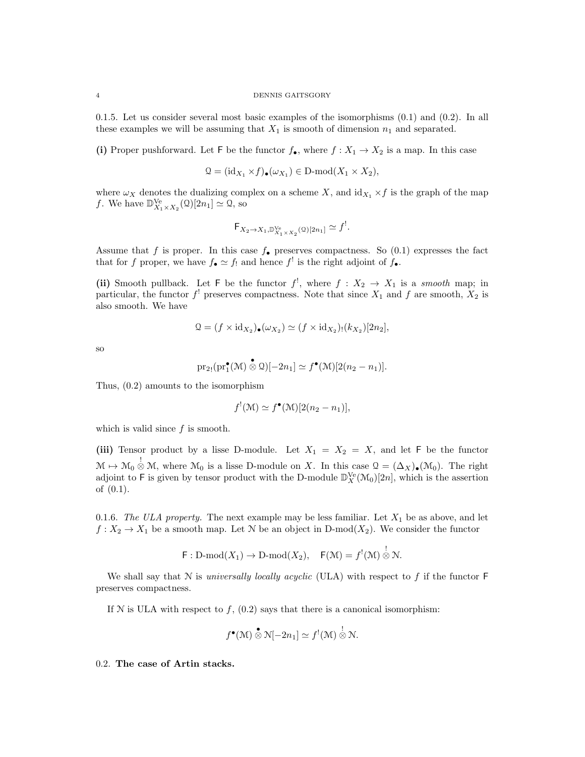0.1.5. Let us consider several most basic examples of the isomorphisms (0.1) and (0.2). In all these examples we will be assuming that  $X_1$  is smooth of dimension  $n_1$  and separated.

(i) Proper pushforward. Let F be the functor  $f_{\bullet}$ , where  $f : X_1 \to X_2$  is a map. In this case

$$
\mathcal{Q} = (\mathrm{id}_{X_1} \times f)_{\bullet}(\omega_{X_1}) \in \mathrm{D}\text{-mod}(X_1 \times X_2),
$$

where  $\omega_X$  denotes the dualizing complex on a scheme X, and  $\mathrm{id}_{X_1} \times f$  is the graph of the map f. We have  $\mathbb{D}_{X_1 \times X_2}^{\text{Ve}}(\mathcal{Q})[2n_1] \simeq \mathcal{Q}$ , so

$$
\mathsf{F}_{X_2 \to X_1, \mathbb{D}_{X_1 \times X_2}^{V\mathrm{e}}(\mathfrak{Q})[2n_1]} \simeq f^!.
$$

Assume that f is proper. In this case  $f_{\bullet}$  preserves compactness. So (0.1) expresses the fact that for f proper, we have  $f_{\bullet} \simeq f_!$  and hence  $f^!$  is the right adjoint of  $f_{\bullet}$ .

(ii) Smooth pullback. Let F be the functor  $f'$ , where  $f : X_2 \to X_1$  is a smooth map; in particular, the functor  $f^!$  preserves compactness. Note that since  $X_1$  and  $f$  are smooth,  $X_2$  is also smooth. We have

$$
\mathcal{Q} = (f \times id_{X_2})_{\bullet}(\omega_{X_2}) \simeq (f \times id_{X_2})_{!}(k_{X_2})[2n_2],
$$

so

$$
\mathrm{pr}_{2!}(\mathrm{pr}_1^{\bullet}(\mathcal{M}) \overset{\bullet}{\otimes} \mathcal{Q})[-2n_1] \simeq f^{\bullet}(\mathcal{M})[2(n_2 - n_1)].
$$

Thus, (0.2) amounts to the isomorphism

$$
f^{!}(\mathcal{M}) \simeq f^{\bullet}(\mathcal{M})[2(n_2 - n_1)],
$$

which is valid since f is smooth.

(iii) Tensor product by a lisse D-module. Let  $X_1 = X_2 = X$ , and let F be the functor  $\mathcal{M} \mapsto \mathcal{M}_0 \overset{!}{\otimes} \mathcal{M}$ , where  $\mathcal{M}_0$  is a lisse D-module on X. In this case  $\mathcal{Q} = (\Delta_X)_{\bullet}(\mathcal{M}_0)$ . The right adjoint to F is given by tensor product with the D-module  $\mathbb{D}_{X}^{V_{e}}(\mathcal{M}_{0})[2n]$ , which is the assertion of (0.1).

0.1.6. The ULA property. The next example may be less familiar. Let  $X_1$  be as above, and let  $f: X_2 \to X_1$  be a smooth map. Let N be an object in D-mod(X<sub>2</sub>). We consider the functor

$$
\mathsf{F}:\mathrm{D\text{-}mod}(X_1)\to\mathrm{D\text{-}mod}(X_2),\quad \mathsf{F}(\mathfrak{M})=f^{!}(\mathfrak{M})\overset{!}{\otimes}\mathfrak{N}.
$$

We shall say that  $N$  is *universally locally acyclic* (ULA) with respect to f if the functor  $\mathsf F$ preserves compactness.

If N is ULA with respect to  $f$ ,  $(0.2)$  says that there is a canonical isomorphism:

$$
f^{\bullet}(\mathcal{M}) \overset{\bullet}{\otimes} \mathcal{N}[-2n_1] \simeq f^{!}(\mathcal{M}) \overset{!}{\otimes} \mathcal{N}.
$$

0.2. The case of Artin stacks.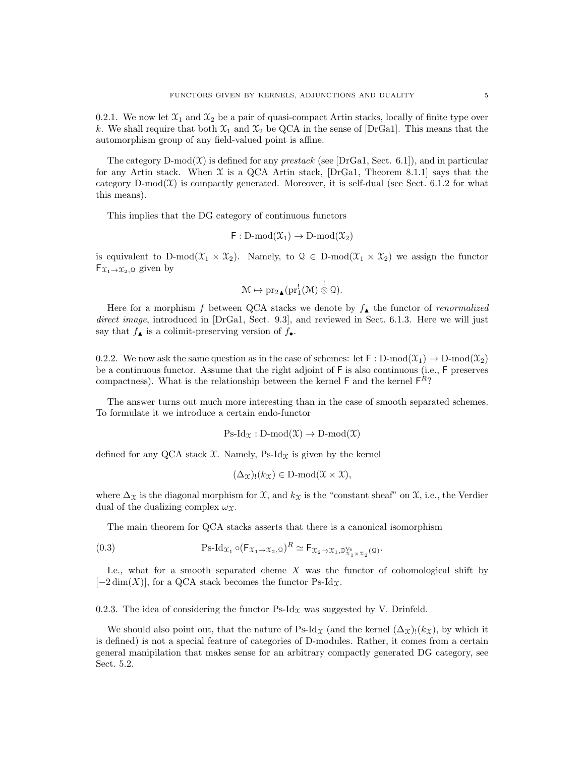0.2.1. We now let  $\mathfrak{X}_1$  and  $\mathfrak{X}_2$  be a pair of quasi-compact Artin stacks, locally of finite type over k. We shall require that both  $\mathfrak{X}_1$  and  $\mathfrak{X}_2$  be QCA in the sense of [DrGa1]. This means that the automorphism group of any field-valued point is affine.

The category D-mod $(\mathfrak{X})$  is defined for any *prestack* (see [DrGa1, Sect. 6.1]), and in particular for any Artin stack. When  $X$  is a QCA Artin stack, [DrGa1, Theorem 8.1.1] says that the category  $D\text{-mod}(\mathcal{X})$  is compactly generated. Moreover, it is self-dual (see Sect. 6.1.2 for what this means).

This implies that the DG category of continuous functors

$$
\mathsf{F}:\mathrm{D\text{-}mod}(\mathfrak{X}_1)\to\mathrm{D\text{-}mod}(\mathfrak{X}_2)
$$

is equivalent to D-mod $(\mathfrak{X}_1 \times \mathfrak{X}_2)$ . Namely, to  $\mathfrak{Q} \in \mathbb{D}$ -mod $(\mathfrak{X}_1 \times \mathfrak{X}_2)$  we assign the functor  $F_{\mathfrak{X}_1 \to \mathfrak{X}_2,\mathfrak{Q}}$  given by

$$
\mathcal{M} \mapsto \mathrm{pr}_2\text{-}\!\!\!\!\text{ }\pmb{\scriptstyle \text{ }}\pmb{\scriptstyle \text{ }}\pmb{\scriptstyle \text{ }}\pmb{\scriptstyle \text{ }}\pmb{\scriptstyle \text{ }}\pmb{\scriptstyle \text{ }}\pmb{\scriptstyle \text{ }}\pmb{\scriptstyle \text{ }}\pmb{\scriptstyle \text{ }}\pmb{\scriptstyle \text{ }}\pmb{\scriptstyle \text{ }}\pmb{\scriptstyle \text{ }}\pmb{\scriptstyle \text{ }}\pmb{\scriptstyle \text{ }}\pmb{\scriptstyle \text{ }}\pmb{\scriptstyle \text{ }}\pmb{\scriptstyle \text{ }}\pmb{\scriptstyle \text{ }}\pmb{\scriptstyle \text{ }}\pmb{\scriptstyle \text{ }}\pmb{\scriptstyle \text{ }}\pmb{\scriptstyle \text{ }}\pmb{\scriptstyle \text{ }}\pmb{\scriptstyle \text{ }}\pmb{\scriptstyle \text{ }}\pmb{\scriptstyle \text{ }}\pmb{\scriptstyle \text{ }}\pmb{\scriptstyle \text{ }}\pmb{\scriptstyle \text{ }}\pmb{\scriptstyle \text{ }}\pmb{\scriptstyle \text{ }}\pmb{\scriptstyle \text{ }}\pmb{\scriptstyle \text{ }}\pmb{\scriptstyle \text{ }}\pmb{\scriptstyle \text{ }}\pmb{\scriptstyle \text{ }}\pmb{\scriptstyle \text{ }}\pmb{\scriptstyle \text{ }}\pmb{\scriptstyle \text{ }}\pmb{\scriptstyle \text{ }}\pmb{\scriptstyle \text{ }}\pmb{\scriptstyle \text{ }}\pmb{\scriptstyle \text{ }}\pmb{\scriptstyle \text{ }}\pmb{\scriptstyle \text{ }}\pmb{\scriptstyle \text{ }}\pmb{\scriptstyle \text{ }}\pmb{\scriptstyle \text{ }}\pmb{\scriptstyle \text{ }}\pmb{\scriptstyle \text{ }}\pmb{\scriptstyle \text{ }}\pmb{\scriptstyle \text{ }}\pmb{\scriptstyle \text{ }}\pmb{\scriptstyle \text{ }}\pmb{\scriptstyle \text{ }}\pmb{\scriptstyle \text{ }}\pmb{\scriptstyle \text{ }}\pmb{\scriptstyle \text{ }}\pmb{\scriptstyle \text{ }}\pmb{\scriptstyle \text{ }}\pmb{\scriptstyle \text{ }}\pmb{\scriptstyle \text{ }}\pmb{\scriptstyle \text{ }}\pmb{\scriptstyle \text{ }}\pmb{\scriptstyle \text{ }}\pmb{\scriptstyle \text{ }}\pmb{\scriptstyle \text{ }}\pmb{\scriptstyle \text{ }}\pmb{\scriptstyle \text{ }}\pmb{\scriptstyle \text{ }}\pmb{\scriptstyle \text{ }}\pmb{\scriptstyle \text{ }}\pmb{\scriptstyle \text{ }}\pmb{\script
$$

Here for a morphism f between QCA stacks we denote by  $f_{\blacktriangle}$  the functor of *renormalized* direct image, introduced in [DrGa1, Sect. 9.3], and reviewed in Sect. 6.1.3. Here we will just say that  $f_{\blacktriangle}$  is a colimit-preserving version of  $f_{\blacktriangle}$ .

0.2.2. We now ask the same question as in the case of schemes: let  $\mathsf{F}: \mathrm{D-mod}(\mathfrak{X}_1) \to \mathrm{D-mod}(\mathfrak{X}_2)$ be a continuous functor. Assume that the right adjoint of F is also continuous (i.e., F preserves compactness). What is the relationship between the kernel  $\mathsf{F}$  and the kernel  $\mathsf{F}^R$ ?

The answer turns out much more interesting than in the case of smooth separated schemes. To formulate it we introduce a certain endo-functor

 $Ps\text{-}Id_{\Upsilon}: D\text{-mod}(\mathfrak{X}) \to D\text{-mod}(\mathfrak{X})$ 

defined for any QCA stack  $\mathfrak{X}$ . Namely, Ps-Id<sub> $\mathfrak{X}$ </sub> is given by the kernel

$$
(\Delta_{\mathfrak{X}})_{!}(k_{\mathfrak{X}}) \in D\text{-mod}(\mathfrak{X} \times \mathfrak{X}),
$$

where  $\Delta_{\mathfrak{X}}$  is the diagonal morphism for  $\mathfrak{X}$ , and  $k_{\mathfrak{X}}$  is the "constant sheaf" on  $\mathfrak{X}$ , i.e., the Verdier dual of the dualizing complex  $\omega_{\Upsilon}$ .

The main theorem for QCA stacks asserts that there is a canonical isomorphism

(0.3) 
$$
P_{S\text{-}Id_{\mathcal{X}_1} \circ (\mathsf{F}_{\mathcal{X}_1 \to \mathcal{X}_2, \mathcal{Q}})^R \simeq \mathsf{F}_{\mathcal{X}_2 \to \mathcal{X}_1, \mathbb{D}_{\mathcal{X}_1 \times \mathcal{X}_2}^{\mathsf{Ve}}(\mathcal{Q})}.
$$

I.e., what for a smooth separated cheme  $X$  was the functor of cohomological shift by  $[-2 \dim(X)]$ , for a QCA stack becomes the functor Ps-Id<sub>X</sub>.

0.2.3. The idea of considering the functor  $Ps-Id_{\mathcal{X}}$  was suggested by V. Drinfeld.

We should also point out, that the nature of Ps-Id<sub>X</sub> (and the kernel  $(\Delta_{\mathfrak{X}})$ !(k<sub>X</sub>), by which it is defined) is not a special feature of categories of D-modules. Rather, it comes from a certain general manipilation that makes sense for an arbitrary compactly generated DG category, see Sect. 5.2.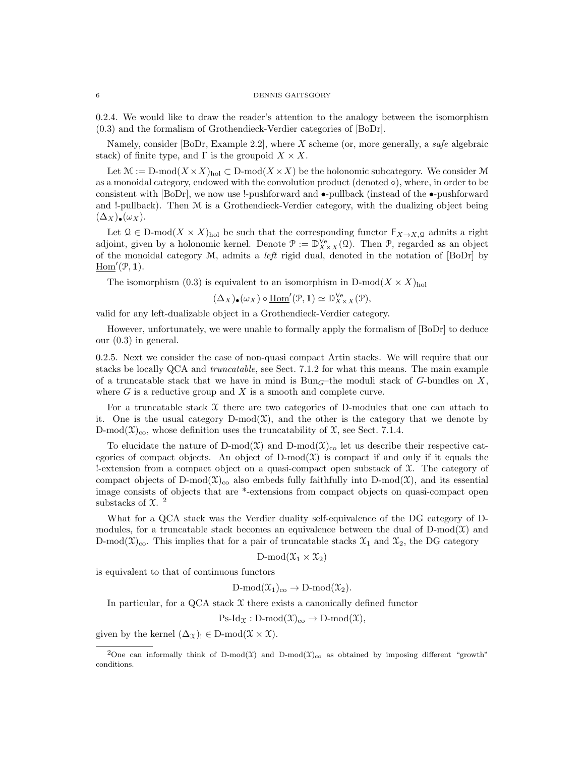#### 6 DENNIS GAITSGORY

0.2.4. We would like to draw the reader's attention to the analogy between the isomorphism (0.3) and the formalism of Grothendieck-Verdier categories of [BoDr].

Namely, consider [BoDr, Example 2.2], where X scheme (or, more generally, a safe algebraic stack) of finite type, and  $\Gamma$  is the groupoid  $X \times X$ .

Let  $\mathcal{M} := \text{D-mod}(X \times X)_{\text{hol}} \subset \text{D-mod}(X \times X)$  be the holonomic subcategory. We consider M as a monoidal category, endowed with the convolution product (denoted  $\circ$ ), where, in order to be consistent with [BoDr], we now use !-pushforward and •-pullback (instead of the •-pushforward and !-pullback). Then  $M$  is a Grothendieck-Verdier category, with the dualizing object being  $(\Delta_X)_{\bullet}(\omega_X).$ 

Let  $\mathcal{Q} \in \mathcal{D}\text{-mod}(X \times X)_{\text{hol}}$  be such that the corresponding functor  $\mathsf{F}_{X \to X,\mathcal{Q}}$  admits a right adjoint, given by a holonomic kernel. Denote  $\mathcal{P} := \mathbb{D}_{X \times X}^{\text{Ve}}(\mathcal{Q})$ . Then  $\mathcal{P}$ , regarded as an object of the monoidal category  $M$ , admits a *left* rigid dual, denoted in the notation of  $[BoDr]$  by  $\underline{\text{Hom}}'(\mathcal{P}, \mathbf{1}).$ 

The isomorphism (0.3) is equivalent to an isomorphism in D-mod $(X \times X)_{hol}$ 

$$
(\Delta_X)_\bullet(\omega_X) \circ \underline{\mathrm{Hom}}'(\mathcal{P}, \mathbf{1}) \simeq \mathbb{D}_{X \times X}^{\mathrm{Ve}}(\mathcal{P}),
$$

valid for any left-dualizable object in a Grothendieck-Verdier category.

However, unfortunately, we were unable to formally apply the formalism of [BoDr] to deduce our (0.3) in general.

0.2.5. Next we consider the case of non-quasi compact Artin stacks. We will require that our stacks be locally QCA and truncatable, see Sect. 7.1.2 for what this means. The main example of a truncatable stack that we have in mind is  $Bun_G$ –the moduli stack of G-bundles on X, where  $G$  is a reductive group and  $X$  is a smooth and complete curve.

For a truncatable stack  $X$  there are two categories of D-modules that one can attach to it. One is the usual category  $D-mod(\mathfrak{X})$ , and the other is the category that we denote by  $D\text{-mod}(\mathfrak{X})_{\text{co}}$ , whose definition uses the truncatability of  $\mathfrak{X}$ , see Sect. 7.1.4.

To elucidate the nature of D-mod $(\mathfrak{X})$  and D-mod $(\mathfrak{X})_{\text{co}}$  let us describe their respective categories of compact objects. An object of  $D-mod(\mathcal{X})$  is compact if and only if it equals the !-extension from a compact object on a quasi-compact open substack of  $\mathfrak{X}$ . The category of compact objects of D-mod $(\mathfrak{X})_{\text{co}}$  also embeds fully faithfully into D-mod $(\mathfrak{X})$ , and its essential image consists of objects that are \*-extensions from compact objects on quasi-compact open substacks of  $\chi$ .<sup>2</sup>

What for a QCA stack was the Verdier duality self-equivalence of the DG category of Dmodules, for a truncatable stack becomes an equivalence between the dual of  $D-mod(\mathcal{X})$  and D-mod( $\mathfrak{X})_{\text{co}}$ . This implies that for a pair of truncatable stacks  $\mathfrak{X}_1$  and  $\mathfrak{X}_2$ , the DG category

$$
D\text{-mod}(\mathfrak{X}_1\times\mathfrak{X}_2)
$$

is equivalent to that of continuous functors

 $D\text{-mod}(\mathfrak{X}_1)_{\text{co}} \to D\text{-mod}(\mathfrak{X}_2).$ 

In particular, for a QCA stack  $X$  there exists a canonically defined functor

 $\text{Ps-Id}_{\mathfrak{X}} : \text{D-mod}(\mathfrak{X})_{\text{co}} \to \text{D-mod}(\mathfrak{X}),$ 

given by the kernel  $(\Delta_{\mathfrak{X}})$ ! ∈ D-mod $(\mathfrak{X} \times \mathfrak{X})$ .

<sup>&</sup>lt;sup>2</sup>One can informally think of D-mod(X) and D-mod(X)<sub>co</sub> as obtained by imposing different "growth" conditions.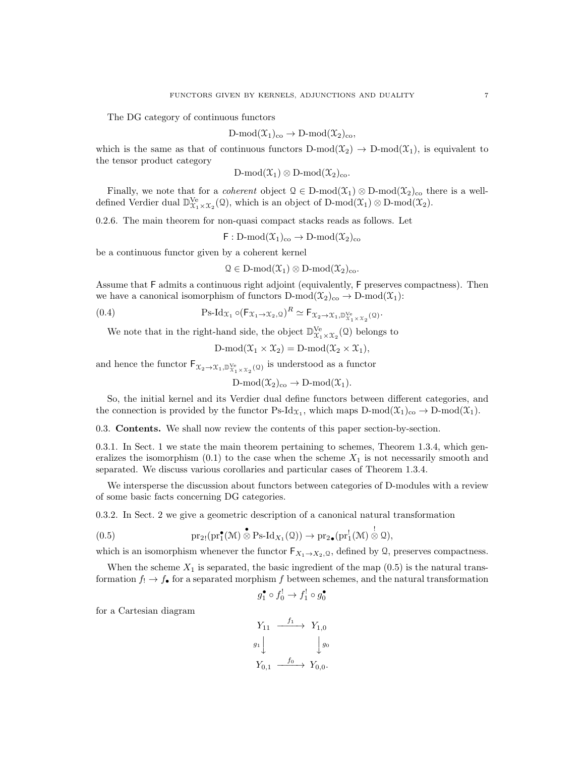The DG category of continuous functors

$$
D\text{-mod}(\mathfrak{X}_1)_{\text{co}} \to D\text{-mod}(\mathfrak{X}_2)_{\text{co}},
$$

which is the same as that of continuous functors  $D\text{-mod}(\mathcal{X}_2) \to D\text{-mod}(\mathcal{X}_1)$ , is equivalent to the tensor product category

$$
D\text{-mod}(\mathfrak{X}_1) \otimes D\text{-mod}(\mathfrak{X}_2)_{\text{co}}.
$$

Finally, we note that for a *coherent* object  $\mathcal{Q} \in D\text{-mod}(\mathcal{X}_1) \otimes D\text{-mod}(\mathcal{X}_2)_{\text{co}}$  there is a welldefined Verdier dual  $\mathbb{D}_{\mathfrak{X}_1 \times \mathfrak{X}_2}^{\mathrm{Ve}}(\mathfrak{Q})$ , which is an object of  $D\text{-mod}(\mathfrak{X}_1) \otimes D\text{-mod}(\mathfrak{X}_2)$ .

0.2.6. The main theorem for non-quasi compact stacks reads as follows. Let

 $\mathsf{F}: \mathrm{D\text{-}mod}(\mathfrak{X}_1)_{\mathrm{co}} \to \mathrm{D\text{-}mod}(\mathfrak{X}_2)_{\mathrm{co}}$ 

be a continuous functor given by a coherent kernel

 $Q \in D\text{-mod}(\mathfrak{X}_1) \otimes D\text{-mod}(\mathfrak{X}_2)_{\text{co}}.$ 

Assume that F admits a continuous right adjoint (equivalently, F preserves compactness). Then we have a canonical isomorphism of functors  $D\text{-mod}(\mathfrak{X}_2)_{\text{co}} \to D\text{-mod}(\mathfrak{X}_1)$ :

(0.4) 
$$
\mathrm{Ps}\text{-}\mathrm{Id}_{\mathfrak{X}_1}\circ(\mathsf{F}_{\mathfrak{X}_1\to\mathfrak{X}_2,\mathcal{Q}})^R\simeq\mathsf{F}_{\mathfrak{X}_2\to\mathfrak{X}_1,\mathbb{D}_{\mathfrak{X}_1\times\mathfrak{X}_2}^{\mathrm{Ve}}(\mathcal{Q})}.
$$

We note that in the right-hand side, the object  $\mathbb{D}_{\mathfrak{X}_1 \times \mathfrak{X}_2}^{V_{\mathbf{e}}}(\mathfrak{Q})$  belongs to

$$
D\text{-mod}(\mathfrak{X}_1 \times \mathfrak{X}_2) = D\text{-mod}(\mathfrak{X}_2 \times \mathfrak{X}_1),
$$

and hence the functor  $\mathsf{F}_{\mathfrak{X}_2 \to \mathfrak{X}_1, \mathbb{D}_{\mathfrak{X}_1 \times \mathfrak{X}_2}^{\mathsf{Ve}}(\mathbb{Q})}$  is understood as a functor

$$
D\text{-mod}(\mathfrak{X}_2)_{\mathrm{co}} \to D\text{-mod}(\mathfrak{X}_1).
$$

So, the initial kernel and its Verdier dual define functors between different categories, and the connection is provided by the functor  $Ps\text{-}Id_{\mathfrak{X}_1}$ , which maps  $D\text{-mod}(\mathfrak{X}_1)_{co} \to D\text{-mod}(\mathfrak{X}_1)$ .

0.3. Contents. We shall now review the contents of this paper section-by-section.

0.3.1. In Sect. 1 we state the main theorem pertaining to schemes, Theorem 1.3.4, which generalizes the isomorphism  $(0.1)$  to the case when the scheme  $X_1$  is not necessarily smooth and separated. We discuss various corollaries and particular cases of Theorem 1.3.4.

We intersperse the discussion about functors between categories of D-modules with a review of some basic facts concerning DG categories.

0.3.2. In Sect. 2 we give a geometric description of a canonical natural transformation

(0.5) 
$$
\mathrm{pr}_{2!}(\mathrm{pr}_{1}^{\bullet}(\mathcal{M})\overset{\bullet}{\otimes}\mathrm{Ps}\text{-}\mathrm{Id}_{X_{1}}(2))\to\mathrm{pr}_{2\bullet}(\mathrm{pr}_{1}^{!}(\mathcal{M})\overset{!}{\otimes}2),
$$

which is an isomorphism whenever the functor  $F_{X_1\to X_2,\Omega}$ , defined by  $\Omega$ , preserves compactness.

When the scheme  $X_1$  is separated, the basic ingredient of the map  $(0.5)$  is the natural transformation  $f_! \to f_{\bullet}$  for a separated morphism f between schemes, and the natural transformation

$$
g_1^{\bullet} \circ f_0^! \to f_1^! \circ g_0^{\bullet}
$$

for a Cartesian diagram

$$
Y_{11} \xrightarrow{f_1} Y_{1,0}
$$
\n
$$
g_1 \downarrow \qquad \qquad g_0
$$
\n
$$
Y_{0,1} \xrightarrow{f_0} Y_{0,0}.
$$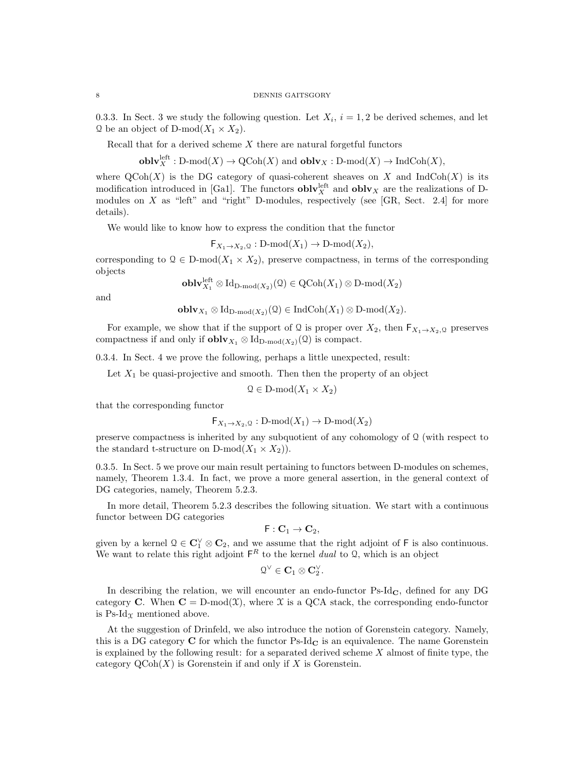0.3.3. In Sect. 3 we study the following question. Let  $X_i$ ,  $i = 1, 2$  be derived schemes, and let Q be an object of D-mod $(X_1 \times X_2)$ .

Recall that for a derived scheme  $X$  there are natural forgetful functors

 $\text{oblv}_X^{\text{left}} : \text{D-mod}(X) \to \text{QCoh}(X)$  and  $\text{oblv}_X : \text{D-mod}(X) \to \text{IndCoh}(X)$ ,

where  $\text{QCoh}(X)$  is the DG category of quasi-coherent sheaves on X and IndCoh(X) is its modification introduced in [Ga1]. The functors  $\textbf{oblv}_X^{\text{left}}$  and  $\textbf{oblv}_X$  are the realizations of Dmodules on  $X$  as "left" and "right" D-modules, respectively (see [GR, Sect. 2.4] for more details).

We would like to know how to express the condition that the functor

 $\mathsf{F}_{X_1\to X_2,\mathbb{Q}}:\mathsf{D}\text{-mod}(X_1)\to\mathsf{D}\text{-mod}(X_2),$ 

corresponding to  $\mathcal{Q} \in \mathcal{D}$ -mod $(X_1 \times X_2)$ , preserve compactness, in terms of the corresponding objects

**obl** $\mathbf{v}_{X_1}^{\text{left}} \otimes \text{Id}_{\text{D-mod}(X_2)}(\mathcal{Q}) \in \text{QCoh}(X_1) \otimes \text{D-mod}(X_2)$ 

and

$$
\mathbf{oblv}_{X_1} \otimes \mathrm{Id}_{\mathrm{D-mod}(X_2)}(\mathcal{Q}) \in \mathrm{IndCoh}(X_1) \otimes \mathrm{D-mod}(X_2).
$$

For example, we show that if the support of Q is proper over  $X_2$ , then  $F_{X_1\rightarrow X_2, \mathcal{Q}}$  preserves compactness if and only if  $\textbf{oblv}_{X_1} \otimes \text{Id}_{D\text{-mod}(X_2)}(Q)$  is compact.

0.3.4. In Sect. 4 we prove the following, perhaps a little unexpected, result:

Let  $X_1$  be quasi-projective and smooth. Then then the property of an object

$$
\mathfrak{Q} \in \mathbf{D}\text{-mod}(X_1 \times X_2)
$$

that the corresponding functor

$$
\mathsf{F}_{X_1 \to X_2, \mathbb{Q}} : D\text{-mod}(X_1) \to D\text{-mod}(X_2)
$$

preserve compactness is inherited by any subquotient of any cohomology of Q (with respect to the standard t-structure on D-mod $(X_1 \times X_2)$ .

0.3.5. In Sect. 5 we prove our main result pertaining to functors between D-modules on schemes, namely, Theorem 1.3.4. In fact, we prove a more general assertion, in the general context of DG categories, namely, Theorem 5.2.3.

In more detail, Theorem 5.2.3 describes the following situation. We start with a continuous functor between DG categories

$$
\mathsf{F}: \mathbf{C}_1 \to \mathbf{C}_2,
$$

given by a kernel  $\Omega \in \mathbb{C}_{1}^{\vee} \otimes \mathbb{C}_{2}$ , and we assume that the right adjoint of F is also continuous. We want to relate this right adjoint  $\mathsf{F}^R$  to the kernel dual to Q, which is an object

$$
\mathfrak{Q}^\vee\in\mathbf{C}_1\otimes\mathbf{C}_2^\vee.
$$

In describing the relation, we will encounter an endo-functor  $\text{Ps-Id}_{\mathbf{C}}$ , defined for any DG category C. When  $C = D$ -mod $(\mathfrak{X})$ , where  $\mathfrak{X}$  is a QCA stack, the corresponding endo-functor is Ps-Id $\gamma$  mentioned above.

At the suggestion of Drinfeld, we also introduce the notion of Gorenstein category. Namely, this is a DG category  $C$  for which the functor  $Ps\text{-}Id_{C}$  is an equivalence. The name Gorenstein is explained by the following result: for a separated derived scheme  $X$  almost of finite type, the category  $\mathrm{QCoh}(X)$  is Gorenstein if and only if X is Gorenstein.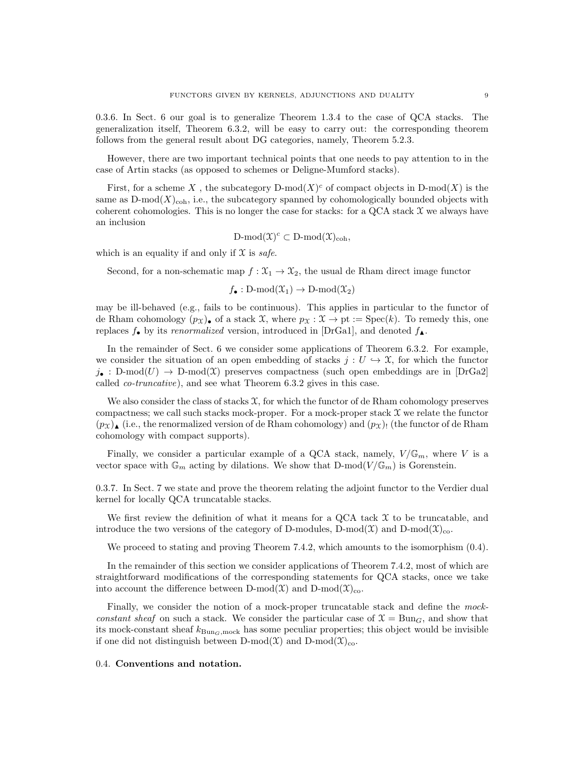0.3.6. In Sect. 6 our goal is to generalize Theorem 1.3.4 to the case of QCA stacks. The generalization itself, Theorem 6.3.2, will be easy to carry out: the corresponding theorem follows from the general result about DG categories, namely, Theorem 5.2.3.

However, there are two important technical points that one needs to pay attention to in the case of Artin stacks (as opposed to schemes or Deligne-Mumford stacks).

First, for a scheme X, the subcategory  $D\text{-mod}(X)^c$  of compact objects in  $D\text{-mod}(X)$  is the same as  $D\text{-mod}(X)_{\text{coh}}$ , i.e., the subcategory spanned by cohomologically bounded objects with coherent cohomologies. This is no longer the case for stacks: for a QCA stack  $\mathcal X$  we always have an inclusion

$$
D\text{-mod}(\mathfrak{X})^c\subset D\text{-mod}(\mathfrak{X})_{\mathrm{coh}},
$$

which is an equality if and only if  $\mathfrak X$  is safe.

Second, for a non-schematic map  $f : \mathfrak{X}_1 \to \mathfrak{X}_2$ , the usual de Rham direct image functor

 $f_{\bullet}: \text{D-mod}(\mathfrak{X}_1) \to \text{D-mod}(\mathfrak{X}_2)$ 

may be ill-behaved (e.g., fails to be continuous). This applies in particular to the functor of de Rham cohomology  $(px)$ , of a stack  $\mathfrak{X}$ , where  $p_{\mathfrak{X}} : \mathfrak{X} \to \mathrm{pt} := \mathrm{Spec}(k)$ . To remedy this, one replaces  $f_{\bullet}$  by its *renormalized* version, introduced in [DrGa1], and denoted  $f_{\bullet}$ .

In the remainder of Sect. 6 we consider some applications of Theorem 6.3.2. For example, we consider the situation of an open embedding of stacks  $j: U \hookrightarrow \mathfrak{X}$ , for which the functor  $j_{\bullet}:$  D-mod $(U) \rightarrow$  D-mod $(\mathfrak{X})$  preserves compactness (such open embeddings are in [DrGa2] called co-truncative), and see what Theorem 6.3.2 gives in this case.

We also consider the class of stacks  $\mathfrak{X}$ , for which the functor of de Rham cohomology preserves compactness; we call such stacks mock-proper. For a mock-proper stack  $\mathcal X$  we relate the functor  $(p_{\mathcal{X}})_{\blacktriangle}$  (i.e., the renormalized version of de Rham cohomology) and  $(p_{\mathcal{X}})$  (the functor of de Rham cohomology with compact supports).

Finally, we consider a particular example of a QCA stack, namely,  $V/\mathbb{G}_m$ , where V is a vector space with  $\mathbb{G}_m$  acting by dilations. We show that  $D\text{-mod}(V/\mathbb{G}_m)$  is Gorenstein.

0.3.7. In Sect. 7 we state and prove the theorem relating the adjoint functor to the Verdier dual kernel for locally QCA truncatable stacks.

We first review the definition of what it means for a QCA tack  $\mathfrak X$  to be truncatable, and introduce the two versions of the category of D-modules, D-mod $(\mathfrak{X})$  and D-mod $(\mathfrak{X})_{\text{co}}$ .

We proceed to stating and proving Theorem 7.4.2, which amounts to the isomorphism  $(0.4)$ .

In the remainder of this section we consider applications of Theorem 7.4.2, most of which are straightforward modifications of the corresponding statements for QCA stacks, once we take into account the difference between D-mod $(\mathfrak{X})$  and D-mod $(\mathfrak{X})_{\text{co}}$ .

Finally, we consider the notion of a mock-proper truncatable stack and define the mockconstant sheaf on such a stack. We consider the particular case of  $\mathfrak{X} = \text{Bun}_G$ , and show that its mock-constant sheaf  $k_{\text{Bun}_G,\text{mock}}$  has some peculiar properties; this object would be invisible if one did not distinguish between D-mod $(\mathfrak{X})$  and D-mod $(\mathfrak{X})_{\text{co}}$ .

## 0.4. Conventions and notation.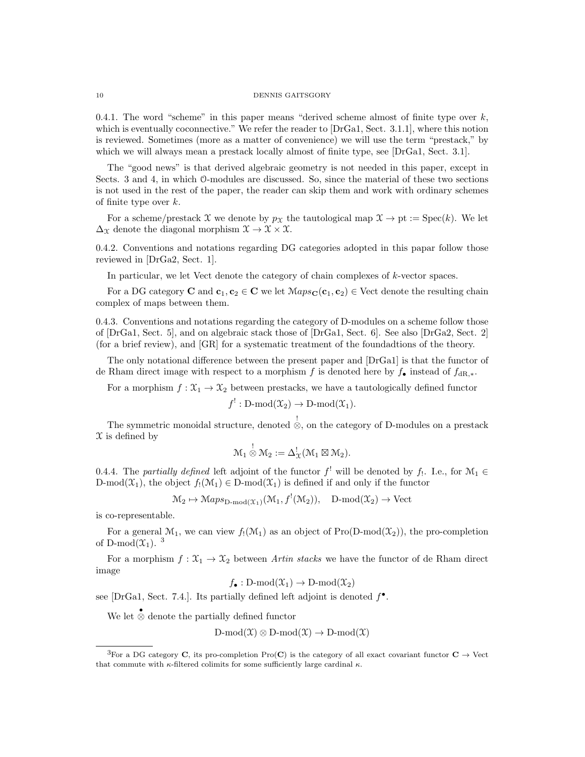#### 10 DENNIS GAITSGORY

0.4.1. The word "scheme" in this paper means "derived scheme almost of finite type over  $k$ , which is eventually coconnective." We refer the reader to [DrGa1, Sect. 3.1.1], where this notion is reviewed. Sometimes (more as a matter of convenience) we will use the term "prestack," by which we will always mean a prestack locally almost of finite type, see [DrGa1, Sect. 3.1].

The "good news" is that derived algebraic geometry is not needed in this paper, except in Sects. 3 and 4, in which O-modules are discussed. So, since the material of these two sections is not used in the rest of the paper, the reader can skip them and work with ordinary schemes of finite type over k.

For a scheme/prestack X we denote by  $p_X$  the tautological map  $\mathfrak{X} \to \mathrm{pt} := \mathrm{Spec}(k)$ . We let  $\Delta_{\mathfrak{X}}$  denote the diagonal morphism  $\mathfrak{X} \to \mathfrak{X} \times \mathfrak{X}$ .

0.4.2. Conventions and notations regarding DG categories adopted in this papar follow those reviewed in [DrGa2, Sect. 1].

In particular, we let Vect denote the category of chain complexes of k-vector spaces.

For a DG category **C** and  $c_1, c_2 \in \mathbb{C}$  we let  $Maps_{\mathbb{C}}(c_1, c_2) \in$  Vect denote the resulting chain complex of maps between them.

0.4.3. Conventions and notations regarding the category of D-modules on a scheme follow those of [DrGa1, Sect. 5], and on algebraic stack those of [DrGa1, Sect. 6]. See also [DrGa2, Sect. 2] (for a brief review), and [GR] for a systematic treatment of the foundadtions of the theory.

The only notational difference between the present paper and [DrGa1] is that the functor of de Rham direct image with respect to a morphism f is denoted here by  $f_{\bullet}$  instead of  $f_{\text{dR},*}$ .

For a morphism  $f: \mathfrak{X}_1 \to \mathfrak{X}_2$  between prestacks, we have a tautologically defined functor

$$
f^!
$$
: D-mod $(\mathfrak{X}_2)$   $\to$  D-mod $(\mathfrak{X}_1)$ .

The symmetric monoidal structure, denoted  $\stackrel{!}{\otimes}$ , on the category of D-modules on a prestack  $\mathfrak X$  is defined by

$$
\mathcal{M}_1\overset{!}{\otimes}\mathcal{M}_2:=\Delta^!_{\mathcal{X}}(\mathcal{M}_1\boxtimes\mathcal{M}_2).
$$

0.4.4. The partially defined left adjoint of the functor  $f^!$  will be denoted by  $f_!$ . I.e., for  $\mathcal{M}_1 \in$ D-mod( $\mathfrak{X}_1$ ), the object  $f_1(\mathfrak{M}_1) \in D\text{-mod}(\mathfrak{X}_1)$  is defined if and only if the functor

$$
\mathcal{M}_2 \mapsto \mathcal{M}aps_{\mathrm{D-mod}(\mathcal{X}_1)}(\mathcal{M}_1, f^!(\mathcal{M}_2)), \quad \mathrm{D-mod}(\mathcal{X}_2) \to \mathrm{Vect}
$$

is co-representable.

For a general  $\mathcal{M}_1$ , we can view  $f_1(\mathcal{M}_1)$  as an object of Pro(D-mod( $\mathcal{X}_2$ )), the pro-completion of D-mod $(\mathfrak{X}_1)$ .<sup>3</sup>

For a morphism  $f: \mathfrak{X}_1 \to \mathfrak{X}_2$  between Artin stacks we have the functor of de Rham direct image

$$
f_{\bullet}: \mathrm{D-mod}(\mathfrak{X}_1) \to \mathrm{D-mod}(\mathfrak{X}_2)
$$

see [DrGa1, Sect. 7.4.]. Its partially defined left adjoint is denoted  $f^{\bullet}$ .

We let  $\stackrel{\bullet}{\otimes}$  denote the partially defined functor

$$
D\text{-mod}(\mathfrak{X}) \otimes D\text{-mod}(\mathfrak{X}) \to D\text{-mod}(\mathfrak{X})
$$

<sup>&</sup>lt;sup>3</sup>For a DG category C, its pro-completion Pro(C) is the category of all exact covariant functor  $C \rightarrow$  Vect that commute with  $\kappa$ -filtered colimits for some sufficiently large cardinal  $\kappa$ .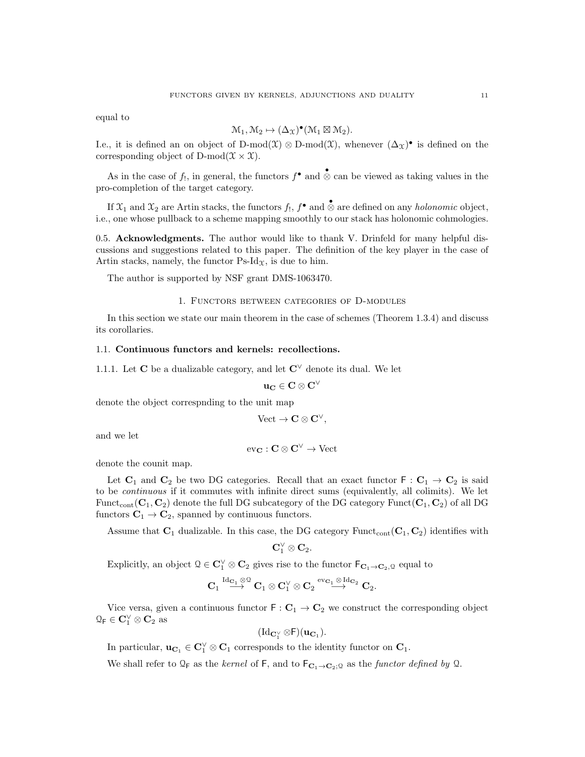equal to

$$
\mathcal{M}_1, \mathcal{M}_2 \mapsto (\Delta_{\mathfrak{X}})^{\bullet} (\mathcal{M}_1 \boxtimes \mathcal{M}_2).
$$

I.e., it is defined an on object of D-mod( $\mathfrak{X}$ )  $\otimes$  D-mod( $\mathfrak{X}$ ), whenever  $(\Delta_{\mathfrak{X}})^{\bullet}$  is defined on the corresponding object of D-mod $(\mathcal{X} \times \mathcal{X})$ .

As in the case of  $f_!$ , in general, the functors  $f^{\bullet}$  and  $\stackrel{\bullet}{\otimes}$  can be viewed as taking values in the pro-completion of the target category.

If  $\mathfrak{X}_1$  and  $\mathfrak{X}_2$  are Artin stacks, the functors  $f_1$ ,  $f^{\bullet}$  and  $\stackrel{\bullet}{\otimes}$  are defined on any *holonomic* object, i.e., one whose pullback to a scheme mapping smoothly to our stack has holonomic cohmologies.

0.5. Acknowledgments. The author would like to thank V. Drinfeld for many helpful discussions and suggestions related to this paper. The definition of the key player in the case of Artin stacks, namely, the functor  $Ps-Id_{\mathfrak{X}}$ , is due to him.

The author is supported by NSF grant DMS-1063470.

# 1. Functors between categories of D-modules

In this section we state our main theorem in the case of schemes (Theorem 1.3.4) and discuss its corollaries.

### 1.1. Continuous functors and kernels: recollections.

1.1.1. Let C be a dualizable category, and let  $\mathbb{C}^{\vee}$  denote its dual. We let

$$
\mathbf{u_C} \in \mathbf{C} \otimes \mathbf{C}^\vee
$$

denote the object correspnding to the unit map

$$
\mathrm{Vect} \to \mathbf{C} \otimes \mathbf{C}^\vee,
$$

and we let

$$
\mathrm{ev}_\mathbf{C} : \mathbf{C} \otimes \mathbf{C}^\vee \to \mathrm{Vect}
$$

denote the counit map.

Let  $C_1$  and  $C_2$  be two DG categories. Recall that an exact functor  $F : C_1 \rightarrow C_2$  is said to be continuous if it commutes with infinite direct sums (equivalently, all colimits). We let Funct<sub>cont</sub>  $(C_1, C_2)$  denote the full DG subcategory of the DG category Funct  $(C_1, C_2)$  of all DG functors  $C_1 \rightarrow C_2$ , spanned by continuous functors.

Assume that  $C_1$  dualizable. In this case, the DG category Funct<sub>cont</sub>  $(C_1, C_2)$  identifies with

$$
\mathbf{C}_1^\vee \otimes \mathbf{C}_2.
$$

Explicitly, an object  $Q \in \mathbb{C}_1^{\vee} \otimes \mathbb{C}_2$  gives rise to the functor  $\mathsf{F}_{\mathbb{C}_1 \to \mathbb{C}_2, \mathbb{Q}}$  equal to

$$
\mathbf{C}_1 \stackrel{\mathrm{Id}_{\mathbf{C}_1} \otimes \mathbf{Q}}{\longrightarrow} \mathbf{C}_1 \otimes \mathbf{C}_1^\vee \otimes \mathbf{C}_2 \stackrel{\mathrm{ev}_{\mathbf{C}_1} \otimes \mathrm{Id}_{\mathbf{C}_2}}{\longrightarrow} \mathbf{C}_2.
$$

Vice versa, given a continuous functor  $F: C_1 \to C_2$  we construct the corresponding object  $\mathbf{Q}_{\mathsf{F}} \in \mathbf{C}_{1}^{\vee} \otimes \mathbf{C}_{2}$  as

$$
(\mathrm{Id}_{\mathbf{C}_1^{\vee}} \otimes F)(\mathbf{u}_{\mathbf{C}_1}).
$$

In particular,  $\mathbf{u}_{\mathbf{C}_1} \in \mathbb{C}_1^{\vee} \otimes \mathbb{C}_1$  corresponds to the identity functor on  $\mathbb{C}_1$ .

We shall refer to  $\mathbb{Q}_F$  as the kernel of F, and to  $\mathsf{F}_{\mathbf{C}_1\to\mathbf{C}_2\,mathbb{Q}}$  as the functor defined by  $\mathbb{Q}$ .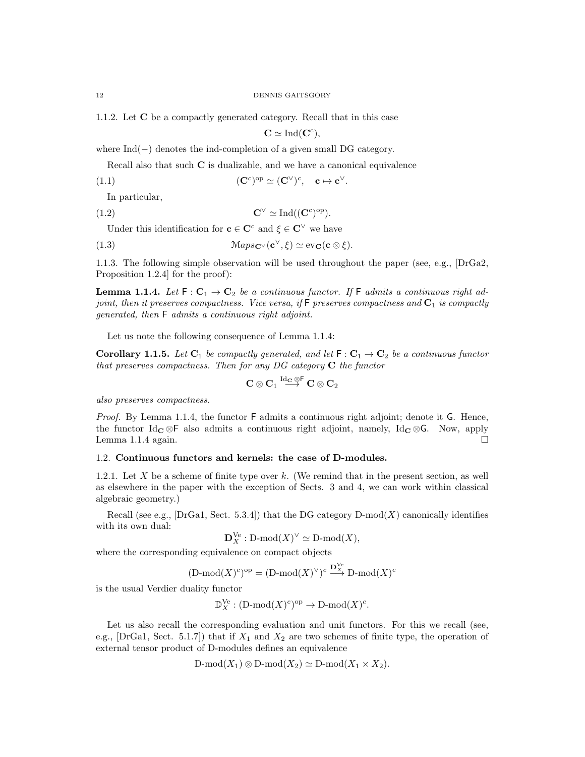1.1.2. Let C be a compactly generated category. Recall that in this case

$$
\mathbf{C} \simeq \mathrm{Ind}(\mathbf{C}^c),
$$

where Ind(−) denotes the ind-completion of a given small DG category.

Recall also that such C is dualizable, and we have a canonical equivalence

(1.1)  $({\bf C}^c$  $C^{\vee} \cong (\mathbf{C}^{\vee})^c$ ,  $\mathbf{c} \mapsto \mathbf{c}^{\vee}$ .

In particular,

(1.2)  $\mathbf{C}^{\vee} \simeq \text{Ind}((\mathbf{C}^c)^{\text{op}}).$ 

Under this identification for  $c \in \mathbb{C}^c$  and  $\xi \in \mathbb{C}^\vee$  we have

(1.3) 
$$
\mathcal{M}aps_{\mathbf{C}^{\vee}}(\mathbf{c}^{\vee},\xi) \simeq \text{ev}_{\mathbf{C}}(\mathbf{c} \otimes \xi).
$$

1.1.3. The following simple observation will be used throughout the paper (see, e.g., [DrGa2, Proposition 1.2.4] for the proof):

**Lemma 1.1.4.** Let  $F: C_1 \to C_2$  be a continuous functor. If F admits a continuous right adjoint, then it preserves compactness. Vice versa, if  $F$  preserves compactness and  $C_1$  is compactly generated, then F admits a continuous right adjoint.

Let us note the following consequence of Lemma 1.1.4:

Corollary 1.1.5. Let  $C_1$  be compactly generated, and let  $F: C_1 \rightarrow C_2$  be a continuous functor that preserves compactness. Then for any  $DG$  category  $C$  the functor

$$
\mathbf{C} \otimes \mathbf{C}_1 \stackrel{\mathrm{Id}_\mathbf{C} \otimes \mathsf{F}}{\longrightarrow} \mathbf{C} \otimes \mathbf{C}_2
$$

also preserves compactness.

Proof. By Lemma 1.1.4, the functor  $F$  admits a continuous right adjoint; denote it G. Hence, the functor Id<sub>C</sub> ⊗F also admits a continuous right adjoint, namely, Id<sub>C</sub> ⊗G. Now, apply Lemma 1.1.4 again.  $\square$ 

# 1.2. Continuous functors and kernels: the case of D-modules.

1.2.1. Let X be a scheme of finite type over k. (We remind that in the present section, as well as elsewhere in the paper with the exception of Sects. 3 and 4, we can work within classical algebraic geometry.)

Recall (see e.g., [DrGa1, Sect. 5.3.4]) that the DG category  $D\text{-mod}(X)$  canonically identifies with its own dual:

 $\mathbf{D}_X^{\mathrm{Ve}}$ : D-mod $(X)^\vee \simeq \mathrm{D}\text{-mod}(X)$ ,

where the corresponding equivalence on compact objects

$$
(\mathrm{D\text{-}mod}(X)^c)^{\mathrm{op}} = (\mathrm{D\text{-}mod}(X)^\vee)^c \overset{\mathbf{D}_X^{\mathrm{Ve}}}{\longrightarrow} \mathrm{D\text{-}mod}(X)^c
$$

is the usual Verdier duality functor

$$
\mathbb{D}_{X}^{\mathrm{Ve}} : (\mathrm{D\text{-}mod}(X)^c)^{\mathrm{op}} \to \mathrm{D\text{-}mod}(X)^c.
$$

Let us also recall the corresponding evaluation and unit functors. For this we recall (see, e.g., [DrGa1, Sect. 5.1.7]) that if  $X_1$  and  $X_2$  are two schemes of finite type, the operation of external tensor product of D-modules defines an equivalence

 $D\text{-mod}(X_1) \otimes D\text{-mod}(X_2) \simeq D\text{-mod}(X_1 \times X_2).$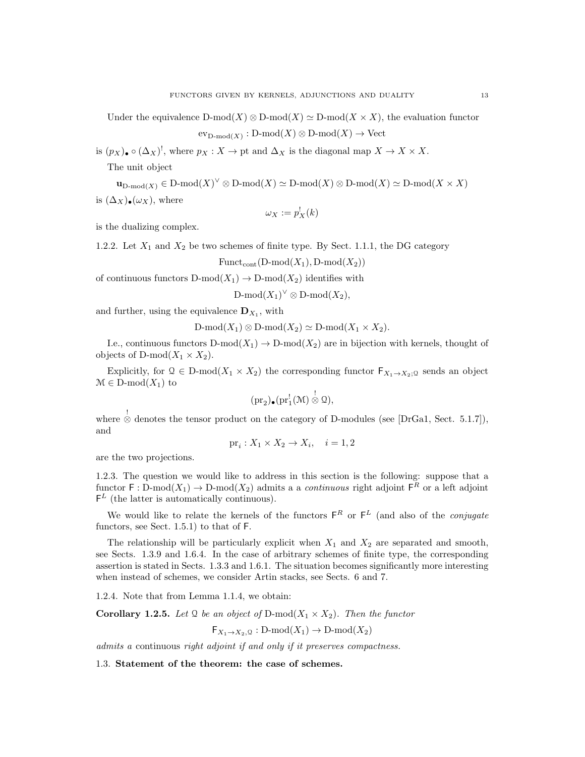Under the equivalence  $D\text{-mod}(X) \otimes D\text{-mod}(X) \simeq D\text{-mod}(X \times X)$ , the evaluation functor

$$
\mathrm{ev}_{\mathrm{D\text{-}mod}(X)} : \mathrm{D\text{-}mod}(X) \otimes \mathrm{D\text{-}mod}(X) \to \mathrm{Vect}
$$

is  $(p_X)_\bullet \circ (\Delta_X)^!$ , where  $p_X : X \to \text{pt}$  and  $\Delta_X$  is the diagonal map  $X \to X \times X$ .

The unit object

$$
\mathbf{u}_{\mathrm{D-mod}(X)} \in \mathrm{D-mod}(X)^\vee \otimes \mathrm{D-mod}(X) \simeq \mathrm{D-mod}(X) \otimes \mathrm{D-mod}(X) \simeq \mathrm{D-mod}(X \times X)
$$
 is  $(\Delta_X)_\bullet(\omega_X)$ , where

$$
\omega_X := p_X^!(k)
$$

is the dualizing complex.

1.2.2. Let  $X_1$  and  $X_2$  be two schemes of finite type. By Sect. 1.1.1, the DG category

 $\text{Funct}_{\text{cont}}(\text{D-mod}(X_1), \text{D-mod}(X_2))$ 

of continuous functors  $D\text{-mod}(X_1) \to D\text{-mod}(X_2)$  identifies with

 $\mathrm{D\text{-}mod}(X_1)^\vee \otimes \mathrm{D\text{-}mod}(X_2),$ 

and further, using the equivalence  $\mathbf{D}_{X_1}$ , with

$$
\mathrm{D-mod}(X_1)\otimes \mathrm{D-mod}(X_2)\simeq \mathrm{D-mod}(X_1\times X_2).
$$

I.e., continuous functors  $D\text{-mod}(X_1) \to D\text{-mod}(X_2)$  are in bijection with kernels, thought of objects of D-mod $(X_1 \times X_2)$ .

Explicitly, for  $\mathcal{Q} \in \mathcal{D}\text{-mod}(X_1 \times X_2)$  the corresponding functor  $\mathsf{F}_{X_1 \to X_2; \mathcal{Q}}$  sends an object  $\mathcal{M} \in \mathbb{D}\text{-mod}(X_1)$  to

$$
(\mathrm{pr}_2)_\bullet(\mathrm{pr}_1^!(\mathcal{M})\overset{!}{\otimes}\mathfrak{Q}),
$$

where  $\stackrel{!}{\otimes}$  denotes the tensor product on the category of D-modules (see [DrGa1, Sect. 5.1.7]), and

$$
\text{pr}_i: X_1 \times X_2 \to X_i, \quad i = 1, 2
$$

are the two projections.

1.2.3. The question we would like to address in this section is the following: suppose that a functor  $\mathsf{F}: \mathsf{D}\text{-mod}(X_1) \to \mathsf{D}\text{-mod}(X_2)$  admits a a *continuous* right adjoint  $\mathsf{F}^R$  or a left adjoint  $F<sup>L</sup>$  (the latter is automatically continuous).

We would like to relate the kernels of the functors  $\mathsf{F}^R$  or  $\mathsf{F}^L$  (and also of the *conjugate* functors, see Sect. 1.5.1) to that of F.

The relationship will be particularly explicit when  $X_1$  and  $X_2$  are separated and smooth, see Sects. 1.3.9 and 1.6.4. In the case of arbitrary schemes of finite type, the corresponding assertion is stated in Sects. 1.3.3 and 1.6.1. The situation becomes significantly more interesting when instead of schemes, we consider Artin stacks, see Sects. 6 and 7.

1.2.4. Note that from Lemma 1.1.4, we obtain:

**Corollary 1.2.5.** Let Q be an object of D-mod $(X_1 \times X_2)$ . Then the functor

 $F_{X_1\rightarrow X_2,\mathcal{Q}}:\mathrm{D-mod}(X_1)\rightarrow\mathrm{D-mod}(X_2)$ 

admits a continuous right adjoint if and only if it preserves compactness.

1.3. Statement of the theorem: the case of schemes.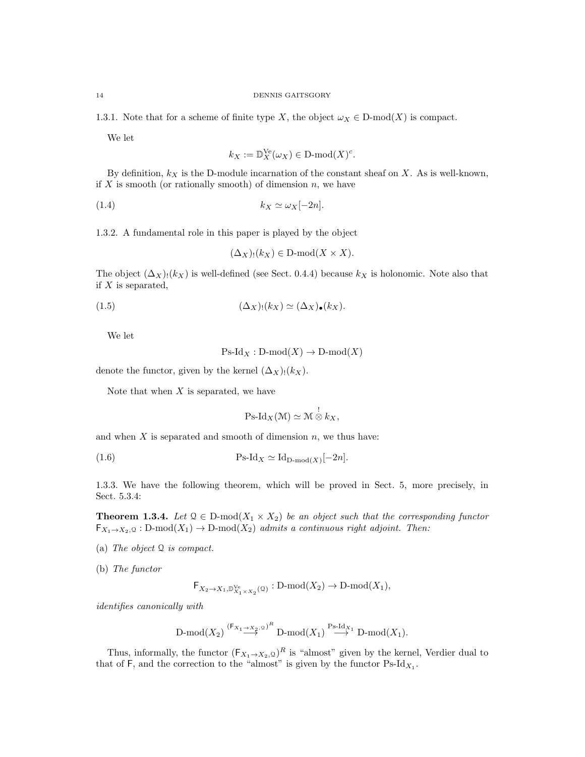1.3.1. Note that for a scheme of finite type X, the object  $\omega_X \in D\text{-mod}(X)$  is compact.

We let

$$
k_X := \mathbb{D}_X^{\mathrm{Ve}}(\omega_X) \in \mathrm{D}\text{-}\mathrm{mod}(X)^c.
$$

By definition,  $k_X$  is the D-module incarnation of the constant sheaf on X. As is well-known, if  $X$  is smooth (or rationally smooth) of dimension  $n$ , we have

$$
(1.4) \t\t k_X \simeq \omega_X[-2n].
$$

1.3.2. A fundamental role in this paper is played by the object

$$
(\Delta_X)_!(k_X) \in \mathcal{D}\text{-mod}(X \times X).
$$

The object  $(\Delta_X)_!(k_X)$  is well-defined (see Sect. 0.4.4) because  $k_X$  is holonomic. Note also that if  $X$  is separated,

$$
(1.5) \qquad \qquad (\Delta_X)_!(k_X) \simeq (\Delta_X)_\bullet (k_X).
$$

We let

$$
Ps\text{-}Id_X: \text{D-mod}(X) \to \text{D-mod}(X)
$$

denote the functor, given by the kernel  $(\Delta_X)$ !( $k_X$ ).

Note that when  $X$  is separated, we have

$$
\mathrm{Ps}\text{-}\mathrm{Id}_X(\mathcal{M})\simeq \mathcal{M}\overset{!}{\otimes}k_X,
$$

and when  $X$  is separated and smooth of dimension  $n$ , we thus have:

(1.6) 
$$
Ps\text{-}Id_X \simeq Id_{D\text{-mod}(X)}[-2n].
$$

1.3.3. We have the following theorem, which will be proved in Sect. 5, more precisely, in Sect. 5.3.4:

**Theorem 1.3.4.** Let  $\mathcal{Q} \in \mathcal{D}\text{-mod}(X_1 \times X_2)$  be an object such that the corresponding functor  $\mathsf{F}_{X_1 \to X_2, \mathbb{Q}} : D\text{-mod}(X_1) \to D\text{-mod}(X_2)$  admits a continuous right adjoint. Then:

(a) The object  $Q$  is compact.

(b) The functor

$$
\mathsf{F}_{X_2 \to X_1, \mathbb{D}_{X_1 \times X_2}^{\mathsf{Ve}}(\mathfrak{Q})} : \mathsf{D}\text{-}\mathrm{mod}(X_2) \to \mathsf{D}\text{-}\mathrm{mod}(X_1),
$$

identifies canonically with

$$
\text{D-mod}(X_2) \stackrel{(\mathsf{F}_{X_1 \to X_2, 0})^R}{\longrightarrow} \text{D-mod}(X_1) \stackrel{\text{Ps-Id}_{X_1}}{\longrightarrow} \text{D-mod}(X_1).
$$

Thus, informally, the functor  $(F_{X_1 \to X_2, Q})^R$  is "almost" given by the kernel, Verdier dual to that of F, and the correction to the "almost" is given by the functor  $\text{Ps-Id}_{X_1}$ .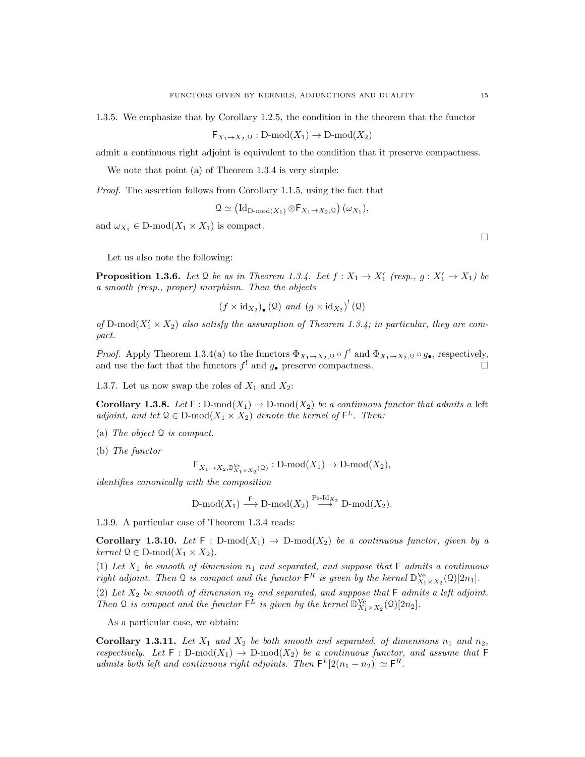1.3.5. We emphasize that by Corollary 1.2.5, the condition in the theorem that the functor

 $\mathsf{F}_{X_1\to X_2,\mathcal{Q}}:\mathrm{D-mod}(X_1)\to\mathrm{D-mod}(X_2)$ 

admit a continuous right adjoint is equivalent to the condition that it preserve compactness.

We note that point (a) of Theorem 1.3.4 is very simple:

Proof. The assertion follows from Corollary 1.1.5, using the fact that

$$
\mathfrak{Q} \simeq (\mathrm{Id}_{\mathrm{D-mod}(X_1)} \otimes F_{X_1 \to X_2, \mathfrak{Q}}) (\omega_{X_1}),
$$

and  $\omega_{X_1} \in D\text{-mod}(X_1 \times X_1)$  is compact.

Let us also note the following:

**Proposition 1.3.6.** Let Q be as in Theorem 1.3.4. Let  $f: X_1 \to X'_1$  (resp.,  $g: X'_1 \to X_1$ ) be a smooth (resp., proper) morphism. Then the objects

$$
(f \times id_{X_2})_{\bullet}(\Omega)
$$
 and  $(g \times id_{X_2})^!(\Omega)$ 

of D-mod $(X'_1 \times X_2)$  also satisfy the assumption of Theorem 1.3.4; in particular, they are compact.

*Proof.* Apply Theorem 1.3.4(a) to the functors  $\Phi_{X_1 \to X_2, \mathbb{Q}} \circ f^!$  and  $\Phi_{X_1 \to X_2, \mathbb{Q}} \circ g_{\bullet}$ , respectively, and use the fact that the functors  $f^!$  and  $g_{\bullet}$  preserve compactness.

1.3.7. Let us now swap the roles of  $X_1$  and  $X_2$ :

Corollary 1.3.8. Let  $F : D-mod(X_1) \to D-mod(X_2)$  be a continuous functor that admits a left adjoint, and let  $\mathfrak{Q} \in \mathbb{D}$ -mod $(X_1 \times X_2)$  denote the kernel of  $\mathsf{F}^L$ . Then:

- (a) The object  $Q$  is compact.
- (b) The functor

$$
\textnormal{F}_{X_1 \to X_2,\mathbb{D}_{X_1 \times X_2}^{\textnormal{Ve}}(\mathfrak{Q})} : \textnormal{D-mod}(X_1) \to \textnormal{D-mod}(X_2),
$$

identifies canonically with the composition

$$
\text{D-mod}(X_1) \stackrel{\mathsf{F}}{\longrightarrow} \text{D-mod}(X_2) \stackrel{\text{Ps-Id}_{X_2}}{\longrightarrow} \text{D-mod}(X_2).
$$

1.3.9. A particular case of Theorem 1.3.4 reads:

Corollary 1.3.10. Let  $F : D-mod(X_1) \to D-mod(X_2)$  be a continuous functor, given by a  $kernel \mathcal{Q} \in D-mod(X_1 \times X_2).$ 

(1) Let  $X_1$  be smooth of dimension  $n_1$  and separated, and suppose that F admits a continuous right adjoint. Then Q is compact and the functor  $\mathsf{F}^R$  is given by the kernel  $\mathbb{D}_{X_1 \times X_2}^{\text{Ve}}(Q)[2n_1]$ .

(2) Let  $X_2$  be smooth of dimension  $n_2$  and separated, and suppose that  $\mathsf F$  admits a left adjoint. Then Q is compact and the functor  $\mathsf{F}^L$  is given by the kernel  $\mathbb{D}_{X_1 \times X_2}^{\text{Ve}}(0)[2n_2]$ .

As a particular case, we obtain:

Corollary 1.3.11. Let  $X_1$  and  $X_2$  be both smooth and separated, of dimensions  $n_1$  and  $n_2$ , respectively. Let  $\mathsf F : \mathsf D\text{-mod}(X_1) \to \mathsf D\text{-mod}(X_2)$  be a continuous functor, and assume that  $\mathsf F$ admits both left and continuous right adjoints. Then  $\mathsf{F}^L[2(n_1 - n_2)] \simeq \mathsf{F}^R$ .

 $\Box$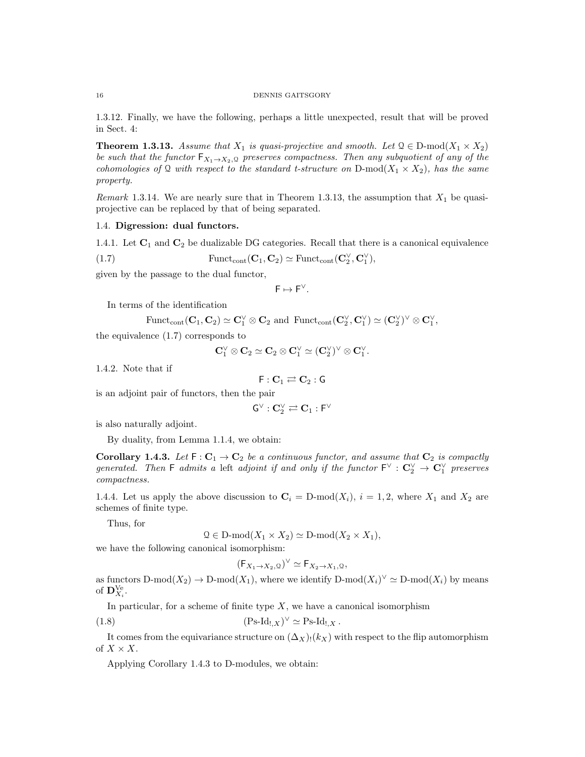1.3.12. Finally, we have the following, perhaps a little unexpected, result that will be proved in Sect. 4:

**Theorem 1.3.13.** Assume that  $X_1$  is quasi-projective and smooth. Let  $\mathcal{Q} \in \mathcal{D}$ -mod $(X_1 \times X_2)$ be such that the functor  $F_{X_1\to X_2,\mathcal{Q}}$  preserves compactness. Then any subquotient of any of the cohomologies of Q with respect to the standard t-structure on  $D\text{-mod}(X_1 \times X_2)$ , has the same property.

Remark 1.3.14. We are nearly sure that in Theorem 1.3.13, the assumption that  $X_1$  be quasiprojective can be replaced by that of being separated.

# 1.4. Digression: dual functors.

1.4.1. Let  $C_1$  and  $C_2$  be dualizable DG categories. Recall that there is a canonical equivalence

(1.7) 
$$
\text{Funct}_{\text{cont}}(\mathbf{C}_1, \mathbf{C}_2) \simeq \text{Funct}_{\text{cont}}(\mathbf{C}_2^{\vee}, \mathbf{C}_1^{\vee}),
$$

given by the passage to the dual functor,

$$
\mathsf{F} \mapsto \mathsf{F}^{\vee}.
$$

In terms of the identification

$$
\mathrm{Funct}_{\mathrm{cont}}(\mathbf{C}_1,\mathbf{C}_2)\simeq \mathbf{C}_1^\vee\otimes \mathbf{C}_2 \text{ and } \mathrm{Funct}_{\mathrm{cont}}(\mathbf{C}_2^\vee,\mathbf{C}_1^\vee)\simeq (\mathbf{C}_2^\vee)^\vee\otimes \mathbf{C}_1^\vee,
$$

the equivalence (1.7) corresponds to

$$
\mathbf{C}_1^\vee\otimes\mathbf{C}_2\simeq\mathbf{C}_2\otimes\mathbf{C}_1^\vee\simeq(\mathbf{C}_2^\vee)^\vee\otimes\mathbf{C}_1^\vee.
$$

1.4.2. Note that if

$$
\mathsf{F}: \mathbf{C}_1 \rightleftarrows \mathbf{C}_2 : \mathsf{G}
$$

is an adjoint pair of functors, then the pair

$$
\mathsf{G}^\vee : \mathbf{C}_2^\vee \rightleftarrows \mathbf{C}_1 : \mathsf{F}^\vee
$$

is also naturally adjoint.

By duality, from Lemma 1.1.4, we obtain:

Corollary 1.4.3. Let  $F: C_1 \to C_2$  be a continuous functor, and assume that  $C_2$  is compactly generated. Then F admits a left adjoint if and only if the functor  $\mathsf{F}^\vee$  :  $\mathbf{C}_2^\vee \to \mathbf{C}_1^\vee$  preserves compactness.

1.4.4. Let us apply the above discussion to  $\mathbf{C}_i = \text{D-mod}(X_i)$ ,  $i = 1, 2$ , where  $X_1$  and  $X_2$  are schemes of finite type.

Thus, for

 $\mathcal{Q} \in \mathcal{D}\text{-mod}(X_1 \times X_2) \simeq \mathcal{D}\text{-mod}(X_2 \times X_1),$ 

we have the following canonical isomorphism:

$$
(\mathsf{F}_{X_1 \to X_2, \mathbb{Q}})^\vee \simeq \mathsf{F}_{X_2 \to X_1, \mathbb{Q}},
$$

as functors  $D\text{-mod}(X_2) \to D\text{-mod}(X_1)$ , where we identify  $D\text{-mod}(X_i)^{\vee} \simeq D\text{-mod}(X_i)$  by means of  $\mathbf{D}_{X_i}^{\mathrm{Ve}}$ .

In particular, for a scheme of finite type  $X$ , we have a canonical isomorphism

(1.8) 
$$
(\text{Ps-Id}_{!,X})^{\vee} \simeq \text{Ps-Id}_{!,X}.
$$

It comes from the equivariance structure on  $(\Delta_X)(k_X)$  with respect to the flip automorphism of  $X \times X$ .

Applying Corollary 1.4.3 to D-modules, we obtain: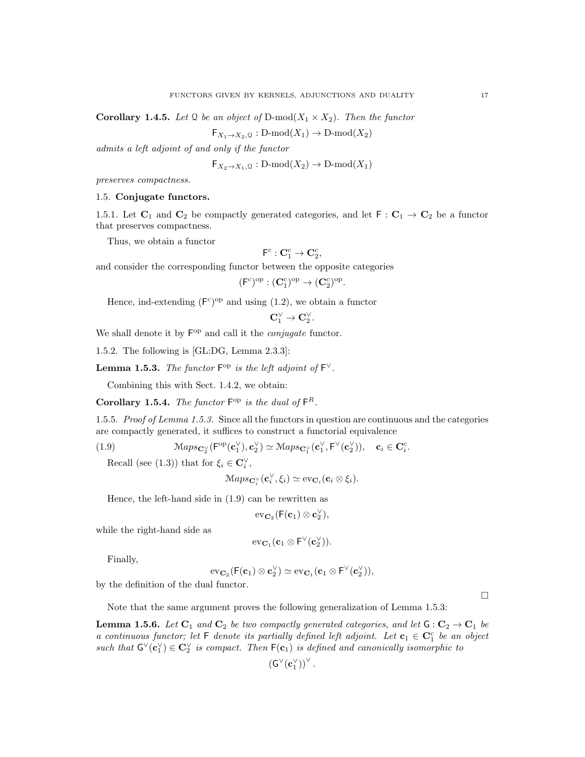**Corollary 1.4.5.** Let Q be an object of D-mod $(X_1 \times X_2)$ . Then the functor

 $\mathsf{F}_{X_1\to X_2,\mathcal{Q}}:\mathop{\mathrm{Dmod}}\nolimits(X_1)\to\mathop{\mathrm{D-mod}}\nolimits(X_2)$ 

admits a left adjoint of and only if the functor

$$
\mathsf{F}_{X_2 \to X_1, \mathcal{Q}} : D\text{-}\mathrm{mod}(X_2) \to D\text{-}\mathrm{mod}(X_1)
$$

preserves compactness.

# 1.5. Conjugate functors.

1.5.1. Let  $C_1$  and  $C_2$  be compactly generated categories, and let  $F: C_1 \rightarrow C_2$  be a functor that preserves compactness.

Thus, we obtain a functor

$$
\mathsf{F}^c:\mathbf{C}^c_1\to\mathbf{C}^c_2,
$$

and consider the corresponding functor between the opposite categories

$$
(\mathsf{F}^c)^{\mathrm{op}}:(\mathbf{C}_1^c)^{\mathrm{op}}\to (\mathbf{C}_2^c)^{\mathrm{op}}.
$$

Hence, ind-extending  $(F<sup>c</sup>)<sup>op</sup>$  and using  $(1.2)$ , we obtain a functor

$$
\mathbf{C}_1^{\vee} \to \mathbf{C}_2^{\vee}.
$$

We shall denote it by  $F^{op}$  and call it the *conjugate* functor.

1.5.2. The following is [GL:DG, Lemma 2.3.3]:

**Lemma 1.5.3.** The functor  $F^{\text{op}}$  is the left adjoint of  $F^{\vee}$ .

Combining this with Sect. 1.4.2, we obtain:

Corollary 1.5.4. The functor  $F^{\rm op}$  is the dual of  $F^R$ .

1.5.5. Proof of Lemma 1.5.3. Since all the functors in question are continuous and the categories are compactly generated, it suffices to construct a functorial equivalence

(1.9) 
$$
\mathcal{M}aps_{\mathbf{C}_2^{\vee}}(\mathbf{F}^{\mathrm{op}}(\mathbf{c}_1^{\vee}), \mathbf{c}_2^{\vee}) \simeq \mathcal{M}aps_{\mathbf{C}_1^{\vee}}(\mathbf{c}_1^{\vee}, \mathbf{F}^{\vee}(\mathbf{c}_2^{\vee})), \quad \mathbf{c}_i \in \mathbf{C}_i^c.
$$

Recall (see (1.3)) that for  $\xi_i \in \mathbb{C}_i^{\vee}$ ,

 $\mathrm{Maps}_{\mathbf{C}_i^\vee}(\mathbf{c}_i^\vee, \xi_i) \simeq \mathrm{ev}_{\mathbf{C}_i}(\mathbf{c}_i \otimes \xi_i).$ 

Hence, the left-hand side in (1.9) can be rewritten as

$$
\mathrm{ev}_{\mathbf{C}_2}(\mathsf{F}(\mathbf{c}_1) \otimes \mathbf{c}_2^{\vee}),
$$

while the right-hand side as

$$
\mathrm{ev}_{\mathbf{C}_1}(\mathbf{c}_1 \otimes \mathsf{F}^{\vee}(\mathbf{c}_2^{\vee})).
$$

Finally,

$$
\mathrm{ev}_{\mathbf{C}_2}(\mathsf{F}(\mathbf{c}_1) \otimes \mathbf{c}_2^\vee) \simeq \mathrm{ev}_{\mathbf{C}_1}(\mathbf{c}_1 \otimes \mathsf{F}^\vee(\mathbf{c}_2^\vee)),
$$

by the definition of the dual functor.

Note that the same argument proves the following generalization of Lemma 1.5.3:

**Lemma 1.5.6.** Let  $C_1$  and  $C_2$  be two compactly generated categories, and let  $G: C_2 \rightarrow C_1$  be a continuous functor; let  $F$  denote its partially defined left adjoint. Let  $c_1 \in C_1^c$  be an object such that  $G^{\vee}(c_1^{\vee}) \in C_2^{\vee}$  is compact. Then  $F(c_1)$  is defined and canonically isomorphic to

$$
\left(\mathsf{G}^\vee(\mathbf{c}_1^\vee)\right)^\vee.
$$

 $\Box$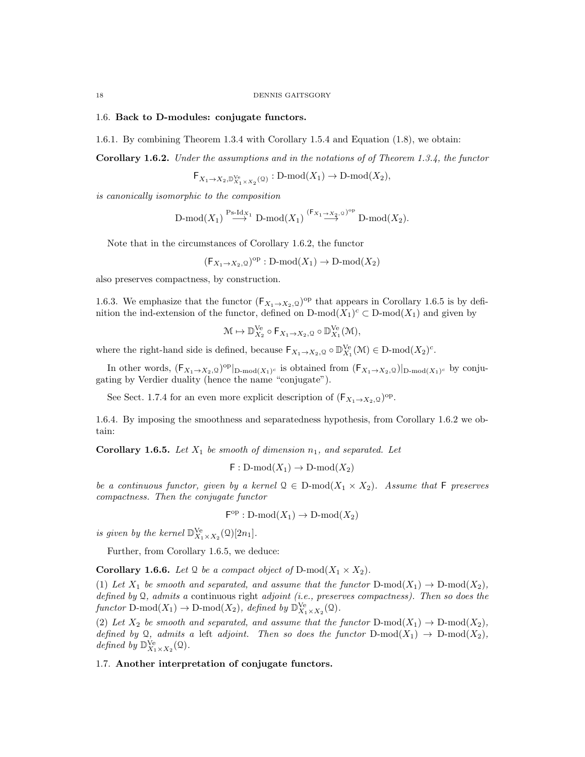### 1.6. Back to D-modules: conjugate functors.

1.6.1. By combining Theorem 1.3.4 with Corollary 1.5.4 and Equation (1.8), we obtain:

Corollary 1.6.2. Under the assumptions and in the notations of of Theorem 1.3.4, the functor

 $\mathsf{F}_{X_1 \to X_2, \mathbb{D}_{X_1 \times X_2}^{\text{Ve}}(\mathcal{Q})}: \text{D-mod}(X_1) \to \text{D-mod}(X_2),$ 

is canonically isomorphic to the composition

$$
\text{D-mod}(X_1)\overset{\text{Ps-Id}_{X_1}}{\longrightarrow}\text{D-mod}(X_1)\overset{(\text{F}_{X_1\rightarrow X_2, \mathbb{O}})^{\text{op}}}{\longrightarrow}\text{D-mod}(X_2).
$$

Note that in the circumstances of Corollary 1.6.2, the functor

$$
(\mathsf{F}_{X_1 \to X_2, \mathbb{Q}})^{\mathrm{op}} : \mathbf{D}\text{-}\mathrm{mod}(X_1) \to \mathbf{D}\text{-}\mathrm{mod}(X_2)
$$

also preserves compactness, by construction.

1.6.3. We emphasize that the functor  $(\mathsf{F}_{X_1\to X_2,\mathbb{Q}})^{\text{op}}$  that appears in Corollary 1.6.5 is by definition the ind-extension of the functor, defined on  $D\text{-mod}(X_1)^c \subset D\text{-mod}(X_1)$  and given by

$$
\mathcal{M} \mapsto \mathbb{D}_{X_2}^{Ve} \circ \mathsf{F}_{X_1 \to X_2, \mathcal{Q}} \circ \mathbb{D}_{X_1}^{Ve}(\mathcal{M}),
$$

where the right-hand side is defined, because  $\mathsf{F}_{X_1 \to X_2, \mathbb{Q}} \circ \mathbb{D}_{X_1}^{\mathsf{Ve}}(\mathcal{M}) \in \mathcal{D}\text{-mod}(X_2)^c$ .

In other words,  $(\mathsf{F}_{X_1 \to X_2, \mathbb{Q}})^{\mathrm{op}}|_{\mathrm{D-mod}(X_1)^c}$  is obtained from  $(\mathsf{F}_{X_1 \to X_2, \mathbb{Q}})|_{\mathrm{D-mod}(X_1)^c}$  by conjugating by Verdier duality (hence the name "conjugate").

See Sect. 1.7.4 for an even more explicit description of  $(\mathsf{F}_{X_1 \to X_2, \mathbb{Q}})^{\mathrm{op}}$ .

1.6.4. By imposing the smoothness and separatedness hypothesis, from Corollary 1.6.2 we obtain:

**Corollary 1.6.5.** Let  $X_1$  be smooth of dimension  $n_1$ , and separated. Let

 $F: D\text{-mod}(X_1) \to D\text{-mod}(X_2)$ 

be a continuous functor, given by a kernel  $\mathcal{Q} \in \mathcal{D}\text{-mod}(X_1 \times X_2)$ . Assume that F preserves compactness. Then the conjugate functor

$$
F^{\rm op}: {\rm D\text{-}mod}(X_1) \to {\rm D\text{-}mod}(X_2)
$$

is given by the kernel  $\mathbb{D}_{X_1 \times X_2}^{\text{Ve}}(\mathcal{Q})[2n_1]$ .

Further, from Corollary 1.6.5, we deduce:

**Corollary 1.6.6.** Let Q be a compact object of  $D\text{-mod}(X_1 \times X_2)$ .

(1) Let  $X_1$  be smooth and separated, and assume that the functor  $D\text{-mod}(X_1) \to D\text{-mod}(X_2)$ , defined by  $\mathcal{Q}$ , admits a continuous right adjoint (i.e., preserves compactness). Then so does the functor  $D\text{-mod}(X_1) \to D\text{-mod}(X_2)$ , defined by  $\mathbb{D}_{X_1 \times X_2}^{\text{Ve}}(\mathcal{Q})$ .

(2) Let  $X_2$  be smooth and separated, and assume that the functor  $D\text{-mod}(X_1) \to D\text{-mod}(X_2)$ , defined by Q, admits a left adjoint. Then so does the functor  $D-mod(X_1) \rightarrow D-mod(X_2)$ , defined by  $\mathbb{D}_{X_1 \times X_2}^{\text{Ve}}(\mathcal{Q})$ .

1.7. Another interpretation of conjugate functors.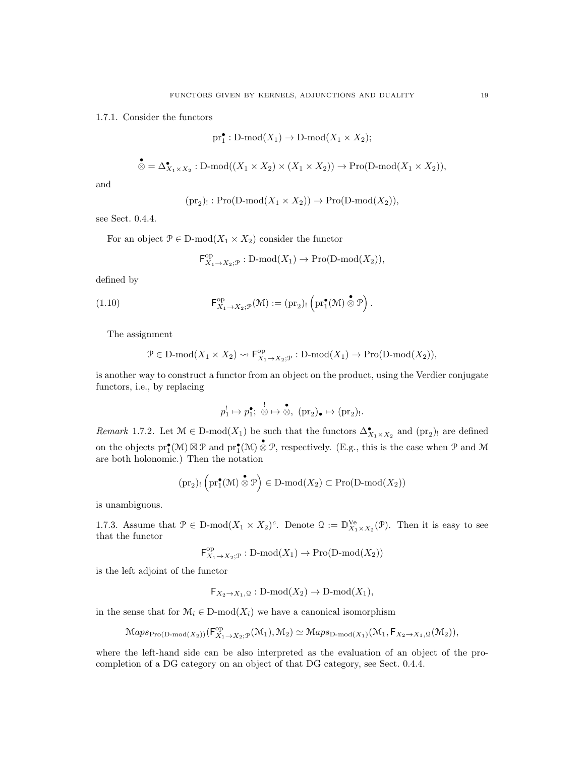1.7.1. Consider the functors

$$
\text{pr}_1^{\bullet}: \text{D-mod}(X_1) \to \text{D-mod}(X_1 \times X_2);
$$

$$
\stackrel{\bullet}{\otimes} = \Delta^{\bullet}_{X_1 \times X_2} : \text{D-mod}((X_1 \times X_2) \times (X_1 \times X_2)) \to \text{Pro}(\text{D-mod}(X_1 \times X_2)),
$$

and

$$
\text{pr}_2): \text{Pro}(\text{D-mod}(X_1 \times X_2)) \to \text{Pro}(\text{D-mod}(X_2)),
$$

see Sect. 0.4.4.

For an object  $\mathcal{P} \in \mathcal{D}$ -mod $(X_1 \times X_2)$  consider the functor

 $\overline{ }$ 

$$
\mathsf{F}^{\mathrm{op}}_{X_1 \to X_2; \mathcal{P}} : \mathbf{D}\text{-}\mathrm{mod}(X_1) \to \mathrm{Pro}(\mathbf{D}\text{-}\mathrm{mod}(X_2)),
$$

defined by

(1.10) 
$$
\mathsf{F}_{X_1 \to X_2; \mathcal{P}}^{\mathrm{op}}(\mathcal{M}) := (\mathrm{pr}_2)_! \left( \mathrm{pr}_1^{\bullet}(\mathcal{M}) \overset{\bullet}{\otimes} \mathcal{P} \right).
$$

The assignment

$$
\mathcal{P} \in \mathbf{D}\text{-mod}(X_1 \times X_2) \rightsquigarrow \mathsf{F}^{\text{op}}_{X_1 \to X_2; \mathcal{P}} : \mathbf{D}\text{-mod}(X_1) \to \mathbf{Pro}(\mathbf{D}\text{-mod}(X_2)),
$$

is another way to construct a functor from an object on the product, using the Verdier conjugate functors, i.e., by replacing

$$
p^!_1 \mapsto p^\bullet_1; \stackrel{!}{\otimes} \mapsto \stackrel{\bullet}{\otimes}, \ (\mathrm{pr}_2)_\bullet \mapsto (\mathrm{pr}_2)_!.
$$

Remark 1.7.2. Let  $\mathcal{M} \in \mathcal{D}$ -mod $(X_1)$  be such that the functors  $\Delta_{X_1 \times X_2}^{\bullet}$  and  $(\text{pr}_2)$  are defined on the objects  $\text{pr}_1^{\bullet}(\mathcal{M}) \boxtimes \mathcal{P}$  and  $\text{pr}_1^{\bullet}(\mathcal{M}) \otimes \mathcal{P}$ , respectively. (E.g., this is the case when  $\mathcal{P}$  and  $\mathcal{M}$ are both holonomic.) Then the notation

$$
(\mathrm{pr}_2)_! \left( \mathrm{pr}_1^{\bullet}(\mathcal{M}) \overset{\bullet}{\otimes} \mathcal{P} \right) \in \mathbf{D}\text{-}\mathrm{mod}(X_2) \subset \mathrm{Pro}(\mathbf{D}\text{-}\mathrm{mod}(X_2))
$$

is unambiguous.

1.7.3. Assume that  $\mathcal{P} \in \mathcal{D}$ -mod $(X_1 \times X_2)^c$ . Denote  $\mathcal{Q} := \mathbb{D}_{X_1 \times X_2}^{\mathbf{V}^c}(\mathcal{P})$ . Then it is easy to see that the functor

$$
\mathsf{F}^{\mathrm{op}}_{X_1 \to X_2;\mathcal{P}}: \mathbf{D}\text{-}\mathrm{mod}(X_1) \to \mathrm{Pro}(\mathbf{D}\text{-}\mathrm{mod}(X_2))
$$

is the left adjoint of the functor

$$
\mathsf{F}_{X_2 \to X_1, \mathcal{Q}} : \mathbf{D}\text{-mod}(X_2) \to \mathbf{D}\text{-mod}(X_1),
$$

in the sense that for  $\mathcal{M}_i \in \mathbb{D}$ -mod $(X_i)$  we have a canonical isomorphism

$$
\mathbb{M}aps_{\mathrm{Pro}(\mathrm{D-mod}(X_2))}(\mathsf{F}^{\mathrm{op}}_{X_1 \to X_2;\mathcal{P}}(\mathcal{M}_1),\mathcal{M}_2) \simeq \mathbb{M}aps_{\mathrm{D-mod}(X_1)}(\mathcal{M}_1,\mathsf{F}_{X_2 \to X_1,\mathcal{Q}}(\mathcal{M}_2)),
$$

where the left-hand side can be also interpreted as the evaluation of an object of the procompletion of a DG category on an object of that DG category, see Sect. 0.4.4.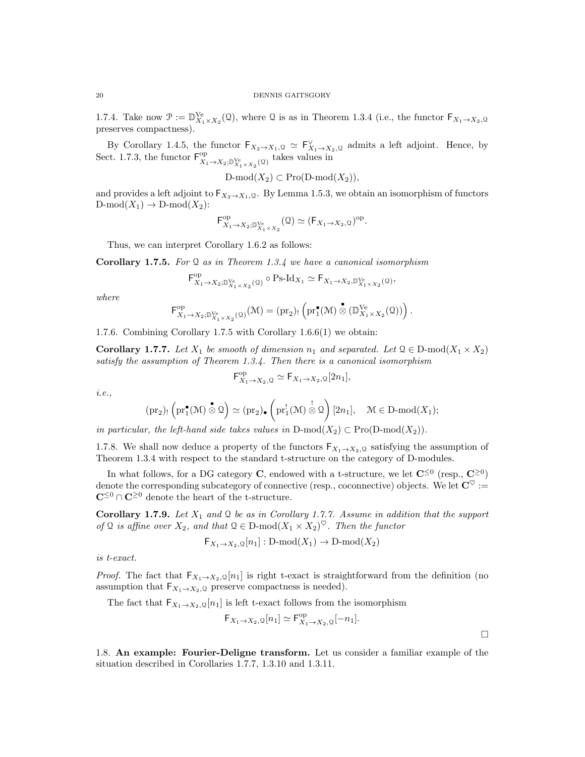1.7.4. Take now  $\mathcal{P} := \mathbb{D}_{X_1 \times X_2}^{\text{Ve}}(\mathcal{Q})$ , where  $\mathcal Q$  is as in Theorem 1.3.4 (i.e., the functor  $\mathsf{F}_{X_1 \to X_2, \mathcal{Q}}$ preserves compactness).

By Corollary 1.4.5, the functor  $\mathsf{F}_{X_2 \to X_1, \mathbb{Q}} \simeq \mathsf{F}_{X_1 \to X_2, \mathbb{Q}}^{\vee}$  admits a left adjoint. Hence, by Sect. 1.7.3, the functor  $\mathsf{F}_{X_1 \to X_2; \mathbb{D}_{X_1 \times X_2}^{\text{ve}}(\mathbb{Q})}^{\text{op}}$  takes values in

$$
D\text{-mod}(X_2) \subset \text{Pro}(D\text{-mod}(X_2)),
$$

and provides a left adjoint to  $F_{X_2\to X_1,\mathcal{Q}}$ . By Lemma 1.5.3, we obtain an isomorphism of functors  $D\text{-mod}(X_1) \to D\text{-mod}(X_2)$ :

$$
\mathsf{F}^{\mathrm{op}}_{X_1 \to X_2; \mathbb{D}^\mathrm{Ve}_{X_1 \times X_2}}(\mathsf{Q}) \simeq (\mathsf{F}_{X_1 \to X_2, \mathsf{Q}})^{\mathrm{op}}.
$$

Thus, we can interpret Corollary 1.6.2 as follows:

**Corollary 1.7.5.** For  $\Omega$  as in Theorem 1.3.4 we have a canonical isomorphism

$$
\mathsf{F}^{\mathrm{op}}_{X_1 \to X_2; \mathbb{D}^\mathrm{Ve}_{X_1 \times X_2}(\mathbb{Q})} \circ \mathrm{Ps}\text{-}\mathrm{Id}_{X_1} \simeq \mathsf{F}_{X_1 \to X_2, \mathbb{D}^\mathrm{Ve}_{X_1 \times X_2}(\mathbb{Q})},
$$

where

$$
\mathsf{F}_{X_1 \to X_2;\mathbb{D}_{X_1 \times X_2}^{\mathsf{Ve}}(\mathfrak{Q})}^{\mathsf{op}}(\mathfrak{M}) = (\mathrm{pr}_2)_! \left(\mathrm{pr}_1^{\bullet}(\mathfrak{M}) \overset{\bullet}{\otimes} (\mathbb{D}_{X_1 \times X_2}^{\mathsf{Ve}}(\mathfrak{Q})) \right).
$$

1.7.6. Combining Corollary 1.7.5 with Corollary 1.6.6(1) we obtain:

Corollary 1.7.7. Let  $X_1$  be smooth of dimension  $n_1$  and separated. Let  $\mathfrak{Q} \in \mathrm{D-mod}(X_1 \times X_2)$ satisfy the assumption of Theorem 1.3.4. Then there is a canonical isomorphism

$$
\mathsf{F}^{\mathrm{op}}_{X_1 \to X_2, \mathbb{Q}} \simeq \mathsf{F}_{X_1 \to X_2, \mathbb{Q}}[2n_1],
$$

i.e.,

$$
(\mathrm{pr}_2)_! \left( \mathrm{pr}_1^{\bullet}(\mathcal{M}) \overset{\bullet}{\otimes} \mathcal{Q} \right) \simeq (\mathrm{pr}_2)_\bullet \left( \mathrm{pr}_1^!(\mathcal{M}) \overset{!}{\otimes} \mathcal{Q} \right)[2n_1], \quad \mathcal{M} \in \mathrm{D}\text{-}\mathrm{mod}(X_1);
$$

in particular, the left-hand side takes values in  $D\text{-mod}(X_2) \subset \text{Pro}(D\text{-mod}(X_2)).$ 

1.7.8. We shall now deduce a property of the functors  $F_{X_1\rightarrow X_2,Q}$  satisfying the assumption of Theorem 1.3.4 with respect to the standard t-structure on the category of D-modules.

In what follows, for a DG category **C**, endowed with a t-structure, we let  $\mathbf{C}^{\leq 0}$  (resp.,  $\mathbf{C}^{\geq 0}$ ) denote the corresponding subcategory of connective (resp., coconnective) objects. We let  $\mathbf{C}^{\heartsuit}$  :=  $\mathbf{C}^{\leq 0} \cap \mathbf{C}^{\geq 0}$  denote the heart of the t-structure.

Corollary 1.7.9. Let  $X_1$  and Q be as in Corollary 1.7.7. Assume in addition that the support of Q is affine over  $X_2$ , and that  $\mathcal{Q} \in \mathcal{D}$ -mod $(X_1 \times X_2)^\heartsuit$ . Then the functor

$$
\mathsf{F}_{X_1 \to X_2, \mathcal{Q}}[n_1]: \mathbf{D}\text{-mod}(X_1) \to \mathbf{D}\text{-mod}(X_2)
$$

is t-exact.

*Proof.* The fact that  $F_{X_1\to X_2,\mathbb{Q}}[n_1]$  is right t-exact is straightforward from the definition (no assumption that  $F_{X_1\to X_2,\mathcal{Q}}$  preserve compactness is needed).

The fact that  $\mathsf{F}_{X_1\to X_2,\mathbb{Q}}[n_1]$  is left t-exact follows from the isomorphism

$$
\mathsf{F}_{X_1 \to X_2, \mathbb{Q}}[n_1] \simeq \mathsf{F}_{X_1 \to X_2, \mathbb{Q}}^{\text{op}}[-n_1].
$$

1.8. An example: Fourier-Deligne transform. Let us consider a familiar example of the situation described in Corollaries 1.7.7, 1.3.10 and 1.3.11.

 $\Box$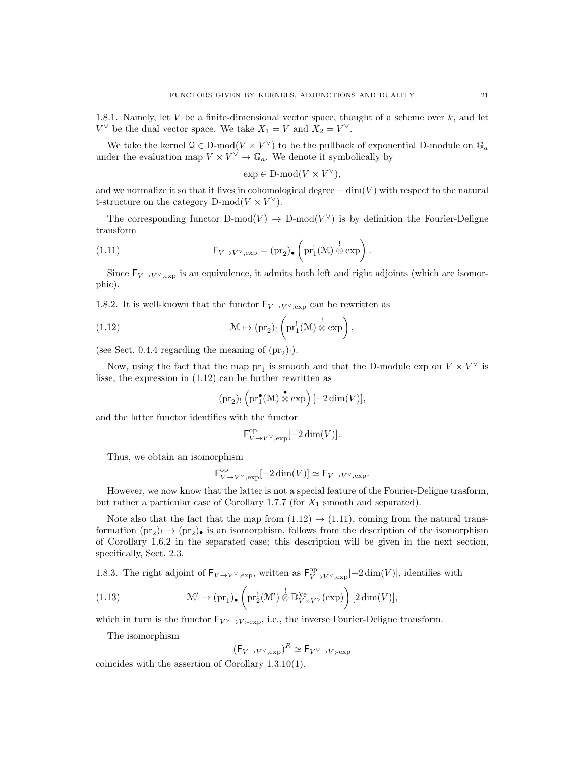1.8.1. Namely, let  $V$  be a finite-dimensional vector space, thought of a scheme over  $k$ , and let  $V^{\vee}$  be the dual vector space. We take  $X_1 = V$  and  $X_2 = V^{\vee}$ .

We take the kernel  $\mathcal{Q} \in \mathcal{D}\text{-mod}(V \times V^{\vee})$  to be the pullback of exponential D-module on  $\mathbb{G}_a$ under the evaluation map  $V \times V^{\vee} \to \mathbb{G}_a$ . We denote it symbolically by

$$
\exp\in\mathcal{D}\text{-mod}(V\times V^\vee),
$$

and we normalize it so that it lives in cohomological degree  $-\dim(V)$  with respect to the natural t-structure on the category  $D\text{-mod}(V \times V^{\vee})$ .

The corresponding functor  $D\text{-mod}(V) \to D\text{-mod}(V^{\vee})$  is by definition the Fourier-Deligne transform

(1.11) 
$$
\mathsf{F}_{V \to V^{\vee}, \exp} = (\mathrm{pr}_2) \cdot \left( \mathrm{pr}_1^!(\mathcal{M}) \overset{!}{\otimes} \exp \right).
$$

Since  $F_{V\to V\vee,exp}$  is an equivalence, it admits both left and right adjoints (which are isomorphic).

1.8.2. It is well-known that the functor  $F_{V\to V^{\vee}{}_{\text{exp}}}$  can be rewritten as

(1.12) 
$$
\mathcal{M} \mapsto (\mathrm{pr}_2)_! \left( \mathrm{pr}_1^!(\mathcal{M}) \overset{!}{\otimes} \mathrm{exp} \right),
$$

(see Sect. 0.4.4 regarding the meaning of  $(pr_2)$ .).

Now, using the fact that the map  $pr_1$  is smooth and that the D-module exp on  $V \times V^{\vee}$  is lisse, the expression in (1.12) can be further rewritten as

$$
(\mathrm{pr}_2)_!\left(\mathrm{pr}_1^\bullet(\mathcal{M})\overset{\bullet}{\otimes} \exp\right)[-2\dim(V)],
$$

and the latter functor identifies with the functor

$$
\mathsf{F}_{V \to V^\vee,\exp}^{\mathrm{op}}[-2\dim(V)].
$$

Thus, we obtain an isomorphism

$$
\mathsf{F}_{V \to V^\vee,\text{exp}}^\text{op}[-2\dim(V)] \simeq \mathsf{F}_{V \to V^\vee,\text{exp}}.
$$

However, we now know that the latter is not a special feature of the Fourier-Deligne trasform, but rather a particular case of Corollary 1.7.7 (for  $X_1$  smooth and separated).

Note also that the fact that the map from  $(1.12) \rightarrow (1.11)$ , coming from the natural transformation  $(pr_2)$   $\rightarrow$   $(pr_2)$ , is an isomorphism, follows from the description of the isomorphism of Corollary 1.6.2 in the separated case; this description will be given in the next section, specifically, Sect. 2.3.

1.8.3. The right adjoint of  $F_{V\to V^\vee,\text{exp}}$ , written as  $F^{\text{op}}_{V\to V^\vee,\text{exp}}[-2\dim(V)]$ , identifies with

(1.13) 
$$
\mathcal{M}' \mapsto (\mathrm{pr}_1)_\bullet \left( \mathrm{pr}_2^!(\mathcal{M}') \overset{!}{\otimes} \mathbb{D}_{V \times V}^{\mathrm{Ve}}(\mathrm{exp}) \right) [2 \dim(V)],
$$

which in turn is the functor  $F_{V^{\vee}\to V;\text{-exp}}$ , i.e., the inverse Fourier-Deligne transform.

The isomorphism

$$
(\mathsf{F}_{V\to V^\vee,\text{exp}})^R \simeq \mathsf{F}_{V^\vee \to V;\text{exp}}
$$

coincides with the assertion of Corollary 1.3.10(1).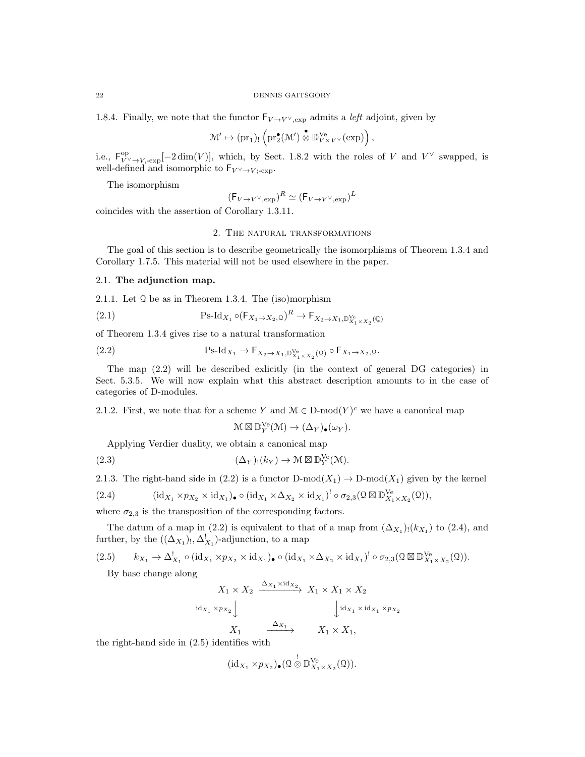1.8.4. Finally, we note that the functor  $F_{V\to V^{\vee}, exp}$  admits a *left* adjoint, given by

$$
\mathcal{M}' \mapsto (\mathrm{pr}_1)_! \left( \mathrm{pr}_2^\bullet(\mathcal{M}') \overset{\bullet}{\otimes} \mathbb{D}_{V \times V^\vee}^{Ve}(\exp) \right),
$$

i.e.,  $F_{V' \to V, -e^{x}P}^{op}[-2 \dim(V)]$ , which, by Sect. 1.8.2 with the roles of V and  $V^{\vee}$  swapped, is well-defined and isomorphic to  $F_{V \vee \rightarrow V;-\text{exp}}$ .

The isomorphism

$$
(\mathsf{F}_{V\to V^\vee,\text{exp}})^R\simeq (\mathsf{F}_{V\to V^\vee,\text{exp}})^L
$$

coincides with the assertion of Corollary 1.3.11.

# 2. The natural transformations

The goal of this section is to describe geometrically the isomorphisms of Theorem 1.3.4 and Corollary 1.7.5. This material will not be used elsewhere in the paper.

# 2.1. The adjunction map.

2.1.1. Let Q be as in Theorem 1.3.4. The (iso)morphism

(2.1) 
$$
\qquad \qquad \mathrm{Ps\text{-}Id}_{X_1} \circ (\mathsf{F}_{X_1 \to X_2, \mathbb{Q}})^R \to \mathsf{F}_{X_2 \to X_1, \mathbb{D}_{X_1 \times X_2}^{\mathrm{Ve}}(\mathbb{Q})}
$$

of Theorem 1.3.4 gives rise to a natural transformation

(2.2) 
$$
\qquad \qquad \mathrm{Ps}\text{-}\mathrm{Id}_{X_1} \to \mathsf{F}_{X_2 \to X_1, \mathbb{D}_{X_1 \times X_2}^{\mathrm{Ve}}(\mathbb{Q})} \circ \mathsf{F}_{X_1 \to X_2, \mathbb{Q}}.
$$

The map (2.2) will be described exlicitly (in the context of general DG categories) in Sect. 5.3.5. We will now explain what this abstract description amounts to in the case of categories of D-modules.

2.1.2. First, we note that for a scheme Y and  $\mathcal{M} \in \mathcal{D}$ -mod $(Y)^c$  we have a canonical map

$$
\mathcal{M} \boxtimes \mathbb{D}_Y^{\text{Ve}}(\mathcal{M}) \to (\Delta_Y)_\bullet(\omega_Y).
$$

Applying Verdier duality, we obtain a canonical map

(2.3) 
$$
(\Delta_Y)_!(k_Y) \to \mathcal{M} \boxtimes \mathbb{D}_Y^{\text{Ve}}(\mathcal{M}).
$$

2.1.3. The right-hand side in (2.2) is a functor  $D\text{-mod}(X_1) \to D\text{-mod}(X_1)$  given by the kernel

$$
(2.4) \qquad (\mathrm{id}_{X_1}\times p_{X_2}\times \mathrm{id}_{X_1})_{\bullet}\circ (\mathrm{id}_{X_1}\times \Delta_{X_2}\times \mathrm{id}_{X_1})^! \circ \sigma_{2,3}(\mathfrak{Q}\boxtimes \mathbb{D}_{X_1\times X_2}^{\mathrm{Ve}}(\mathfrak{Q})),
$$

where  $\sigma_{2,3}$  is the transposition of the corresponding factors.

The datum of a map in (2.2) is equivalent to that of a map from  $(\Delta_{X_1})_1(k_{X_1})$  to (2.4), and further, by the  $((\Delta_{X_1})_!, \Delta_{X_1}^!)$ -adjunction, to a map

(2.5) 
$$
k_{X_1} \to \Delta_{X_1}^! \circ (\mathrm{id}_{X_1} \times p_{X_2} \times \mathrm{id}_{X_1})_{\bullet} \circ (\mathrm{id}_{X_1} \times \Delta_{X_2} \times \mathrm{id}_{X_1})^! \circ \sigma_{2,3}(\mathcal{Q} \boxtimes \mathbb{D}_{X_1 \times X_2}^{\mathrm{Ve}}(\mathcal{Q})).
$$
  
By base charge along

By base change along

$$
X_1 \times X_2 \xrightarrow{\Delta_{X_1} \times \text{id}_{X_2}} X_1 \times X_1 \times X_2
$$
\n
$$
\downarrow \text{id}_{X_1} \times \text{id}_{X_2}
$$
\n
$$
X_1 \xrightarrow{\Delta_{X_1}} X_1 \times X_1,
$$
\n
$$
X_1 \times X_1,
$$
\n
$$
X_1 \times X_1,
$$

the right-hand side in (2.5) identifies with

$$
(\mathrm{id}_{X_1} \times p_{X_2})_{\bullet}(\mathbf{Q} \overset{!}{\otimes} \mathbb{D}_{X_1 \times X_2}^{V\mathrm{e}}(\mathbf{Q})).
$$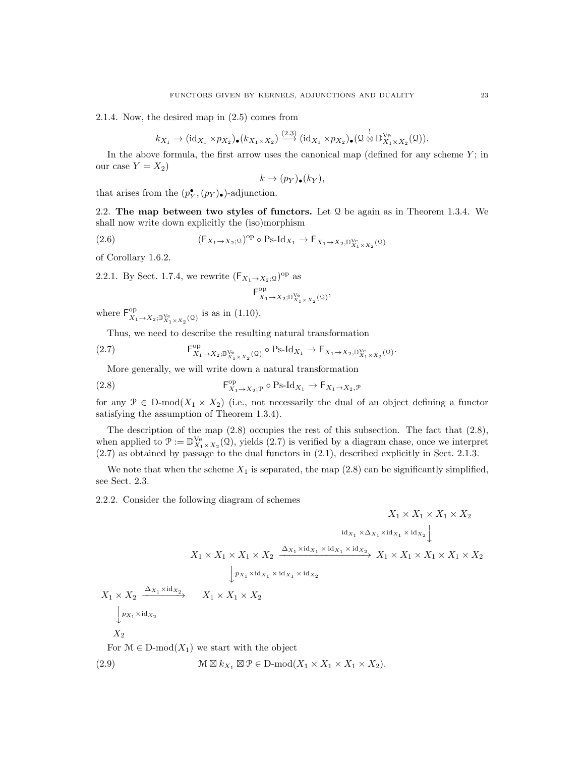2.1.4. Now, the desired map in (2.5) comes from

$$
k_{X_1} \to (\mathrm{id}_{X_1} \times p_{X_2})_{\bullet}(k_{X_1 \times X_2}) \stackrel{(2.3)}{\longrightarrow} (\mathrm{id}_{X_1} \times p_{X_2})_{\bullet}(\mathcal{Q} \stackrel{\mathsf{!}}{\otimes} \mathbb{D}_{X_1 \times X_2}^{\mathrm{Ve}}(\mathcal{Q})).
$$

In the above formula, the first arrow uses the canonical map (defined for any scheme  $Y$ ; in our case  $Y = X_2$ 

$$
k \to (p_Y)_\bullet (k_Y),
$$

that arises from the  $(p_Y^{\bullet}, (p_Y)_{\bullet})$ -adjunction.

2.2. The map between two styles of functors. Let Q be again as in Theorem 1.3.4. We shall now write down explicitly the (iso)morphism

(2.6) 
$$
(F_{X_1 \to X_2; 0})^{op} \circ Ps \text{-} Id_{X_1} \to F_{X_1 \to X_2, \mathbb{D}_{X_1 \times X_2}^{V^e}(0)}
$$

of Corollary 1.6.2.

2.2.1. By Sect. 1.7.4, we rewrite  $(F_{X_1 \to X_2; 0})^{\rm op}$  as

$$
\mathsf{F}^{\rm op}_{X_1\to X_2;\mathbb{D}^{\rm Ve}_{X_1\times X_2}(\mathfrak{Q})},
$$

where  $F_{X_1 \to X_2; \mathbb{D}_{X_1 \times X_2}^{\vee c}}^{\text{op}}(\mathfrak{Q})$  is as in (1.10).

Thus, we need to describe the resulting natural transformation

(2.7) 
$$
\mathsf{F}^{\text{op}}_{X_1 \to X_2; \mathbb{D}^{\text{Ve}}_{X_1 \times X_2}(\mathcal{Q})} \circ \text{Ps-Id}_{X_1} \to \mathsf{F}_{X_1 \to X_2, \mathbb{D}^{\text{Ve}}_{X_1 \times X_2}(\mathcal{Q})}.
$$

More generally, we will write down a natural transformation

(2.8) 
$$
\mathsf{F}_{X_1 \to X_2; \mathcal{P}}^{\text{op}} \circ \text{Ps-Id}_{X_1} \to \mathsf{F}_{X_1 \to X_2, \mathcal{P}}
$$

for any  $\mathcal{P} \in \text{D-mod}(X_1 \times X_2)$  (i.e., not necessarily the dual of an object defining a functor satisfying the assumption of Theorem 1.3.4).

The description of the map  $(2.8)$  occupies the rest of this subsection. The fact that  $(2.8)$ , when applied to  $\mathcal{P} := \mathbb{D}_{X_1 \times X_2}^{\text{Ve}}(0)$ , yields  $(2.7)$  is verified by a diagram chase, once we interpret (2.7) as obtained by passage to the dual functors in (2.1), described explicitly in Sect. 2.1.3.

We note that when the scheme  $X_1$  is separated, the map (2.8) can be significantly simplified, see Sect. 2.3.

2.2.2. Consider the following diagram of schemes

idX<sup>1</sup> ×∆X1×idX<sup>1</sup> × idX<sup>2</sup> y X<sup>1</sup> × X<sup>1</sup> × X<sup>1</sup> × X<sup>2</sup> <sup>∆</sup>X1×idX<sup>1</sup> <sup>×</sup> idX<sup>1</sup> <sup>×</sup> idX<sup>2</sup> −−−−−−−−−−−−−−−−→ <sup>X</sup><sup>1</sup> <sup>×</sup> <sup>X</sup><sup>1</sup> <sup>×</sup> <sup>X</sup><sup>1</sup> <sup>×</sup> <sup>X</sup><sup>1</sup> <sup>×</sup> <sup>X</sup><sup>2</sup> <sup>y</sup><sup>p</sup>X1×idX<sup>1</sup> <sup>×</sup> idX<sup>1</sup> <sup>×</sup> idX<sup>2</sup> X<sup>1</sup> × X<sup>2</sup> <sup>∆</sup>X1×idX<sup>2</sup> −−−−−−−→ <sup>X</sup><sup>1</sup> <sup>×</sup> <sup>X</sup><sup>1</sup> <sup>×</sup> <sup>X</sup><sup>2</sup> <sup>y</sup><sup>p</sup>X1×idX<sup>2</sup> X<sup>2</sup> For M ∈ D-mod(X1) we start with the object (2.9) M k<sup>X</sup><sup>1</sup> -P ∈ D-mod(X<sup>1</sup> × X<sup>1</sup> × X<sup>1</sup> × X2).

 $X_1 \times X_1 \times X_1 \times X_2$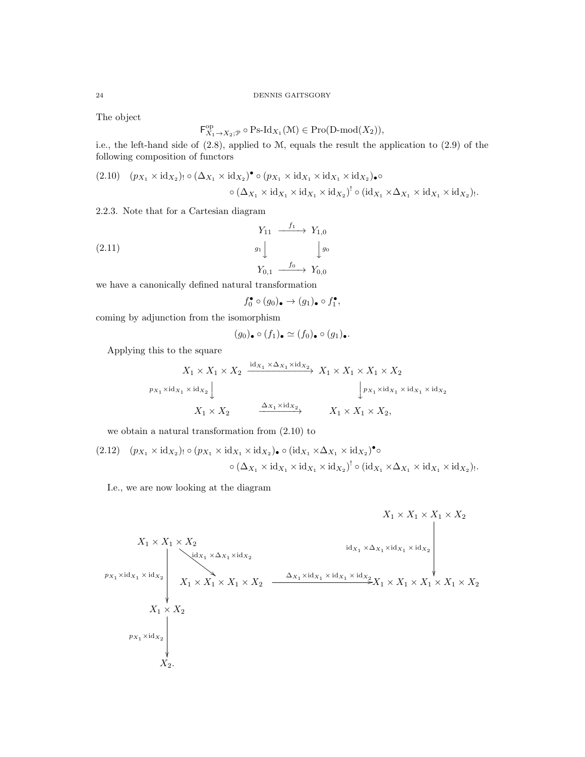The object

$$
\mathsf{F}^{\mathrm{op}}_{X_1 \to X_2; \mathcal{P}} \circ \mathrm{Ps}\text{-}\mathrm{Id}_{X_1}(\mathcal{M}) \in \mathrm{Pro}(\mathrm{D}\text{-}\mathrm{mod}(X_2)),
$$

i.e., the left-hand side of (2.8), applied to M, equals the result the application to (2.9) of the following composition of functors

$$
(2.10) \quad (p_{X_1} \times \mathrm{id}_{X_2})_! \circ (\Delta_{X_1} \times \mathrm{id}_{X_2})^{\bullet} \circ (p_{X_1} \times \mathrm{id}_{X_1} \times \mathrm{id}_{X_1} \times \mathrm{id}_{X_2})_{\bullet} \circ
$$

$$
\circ (\Delta_{X_1} \times \mathrm{id}_{X_1} \times \mathrm{id}_{X_1} \times \mathrm{id}_{X_2})^! \circ (\mathrm{id}_{X_1} \times \Delta_{X_1} \times \mathrm{id}_{X_1} \times \mathrm{id}_{X_2})_!
$$

.

2.2.3. Note that for a Cartesian diagram

$$
\begin{array}{ccc}\n Y_{11} & \xrightarrow{f_1} & Y_{1,0} \\
 \downarrow g_1 & \downarrow g_0 \\
 Y_{0,1} & \xrightarrow{f_0} & Y_{0,0}\n \end{array}
$$

we have a canonically defined natural transformation

$$
f_0^{\bullet} \circ (g_0)_{\bullet} \to (g_1)_{\bullet} \circ f_1^{\bullet},
$$

coming by adjunction from the isomorphism

$$
(g_0)_\bullet \circ (f_1)_\bullet \simeq (f_0)_\bullet \circ (g_1)_\bullet.
$$

Applying this to the square

$$
X_1 \times X_1 \times X_2 \xrightarrow{\operatorname{id}_{X_1} \times \operatorname{id}_{X_2}} X_1 \times X_1 \times X_1 \times X_2
$$
\n
$$
\downarrow p_{X_1} \times \operatorname{id}_{X_1} \times \operatorname{id}_{X_2}
$$
\n
$$
X_1 \times X_2 \xrightarrow{\Delta_{X_1} \times \operatorname{id}_{X_2}}
$$
\n
$$
X_1 \times X_2 \xrightarrow{\Delta_{X_1} \times \operatorname{id}_{X_2}}
$$
\n
$$
X_1 \times X_1 \times X_2,
$$

we obtain a natural transformation from (2.10) to

$$
(2.12) \quad (p_{X_1} \times \mathrm{id}_{X_2})_! \circ (p_{X_1} \times \mathrm{id}_{X_1} \times \mathrm{id}_{X_2})_{\bullet} \circ (\mathrm{id}_{X_1} \times \Delta_{X_1} \times \mathrm{id}_{X_2})^{\bullet} \circ \circ (\Delta_{X_1} \times \mathrm{id}_{X_1} \times \mathrm{id}_{X_1} \times \mathrm{id}_{X_2})^! \circ (\mathrm{id}_{X_1} \times \Delta_{X_1} \times \mathrm{id}_{X_1} \times \mathrm{id}_{X_2})_!.
$$

I.e., we are now looking at the diagram

$$
X_1 \times X_1 \times X_2
$$
\n
$$
X_1 \times X_1 \times X_2
$$
\n
$$
y_{x_1} \times id_{x_1} \times id_{x_2}
$$
\n
$$
Y_1 \times X_2
$$
\n
$$
X_1 \times X_1 \times X_2
$$
\n
$$
X_1 \times X_1 \times X_1 \times X_2
$$
\n
$$
X_1 \times X_1 \times X_1 \times X_2
$$
\n
$$
X_1 \times X_2
$$
\n
$$
X_1 \times X_2
$$
\n
$$
Y_1 \times id_{x_2}
$$
\n
$$
Y_2
$$
\n
$$
X_2
$$
\n
$$
X_1 \times X_2
$$
\n
$$
X_2
$$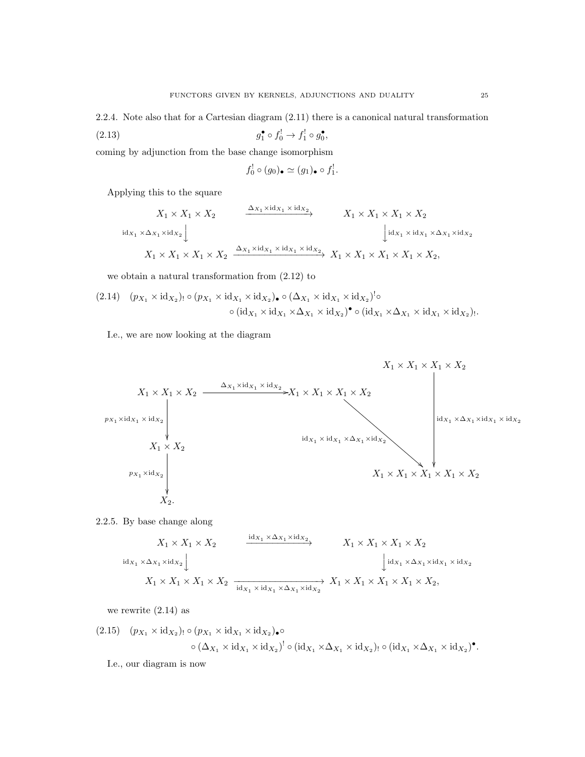coming by adjunction from the base change isomorphism

$$
f_0^! \circ (g_0)_\bullet \simeq (g_1)_\bullet \circ f_1^!.
$$

Applying this to the square

$$
X_1 \times X_1 \times X_2 \xrightarrow{\Delta_{X_1} \times \text{id}_{X_1} \times \text{id}_{X_2}} X_1 \times X_1 \times X_1 \times X_2
$$
  
\n
$$
\downarrow \text{id}_{X_1} \times \text{id}_{X_1} \times \text{id}_{X_2}
$$
\n
$$
X_1 \times X_1 \times X_1 \times X_2 \xrightarrow{\Delta_{X_1} \times \text{id}_{X_1} \times \text{id}_{X_1} \times \text{id}_{X_2}}
$$
\n
$$
X_1 \times X_1 \times X_1 \times X_2 \xrightarrow{\Delta_{X_1} \times \text{id}_{X_1} \times \text{id}_{X_1} \times \text{id}_{X_2}}
$$
\n
$$
X_1 \times X_1 \times X_1 \times X_1 \times X_2,
$$

we obtain a natural transformation from (2.12) to

$$
(2.14) \quad (p_{X_1} \times \mathrm{id}_{X_2})_! \circ (p_{X_1} \times \mathrm{id}_{X_1} \times \mathrm{id}_{X_2})_{\bullet} \circ (\Delta_{X_1} \times \mathrm{id}_{X_1} \times \mathrm{id}_{X_2})^! \circ \circ (\mathrm{id}_{X_1} \times \mathrm{id}_{X_1} \times \Delta_{X_1} \times \mathrm{id}_{X_2})^{\bullet} \circ (\mathrm{id}_{X_1} \times \Delta_{X_1} \times \mathrm{id}_{X_1} \times \mathrm{id}_{X_2})_!.
$$

I.e., we are now looking at the diagram

$$
X_1 \times X_1 \times X_2
$$
\n
$$
X_1 \times X_1 \times X_2
$$
\n
$$
y_{x_1} \times id_{x_1} \times id_{x_2}
$$
\n
$$
X_1 \times X_2
$$
\n
$$
X_1 \times X_2
$$
\n
$$
X_1 \times X_2
$$
\n
$$
X_1 \times X_2
$$
\n
$$
X_1 \times X_2
$$
\n
$$
X_1 \times X_2
$$
\n
$$
X_1 \times X_2
$$
\n
$$
X_1 \times X_2
$$
\n
$$
X_1 \times X_1 \times X_1 \times X_1 \times X_2
$$
\n
$$
X_1 \times X_1 \times X_1 \times X_1 \times X_2
$$
\n
$$
X_1 \times X_1 \times X_1 \times X_1 \times X_2
$$

2.2.5. By base change along

$$
X_1 \times X_1 \times X_2 \xrightarrow{\operatorname{id}_{X_1} \times \Delta_{X_1} \times \operatorname{id}_{X_2}} X_1 \times X_1 \times X_1 \times X_2
$$
  
\n
$$
\xrightarrow{\operatorname{id}_{X_1} \times \Delta_{X_1} \times \operatorname{id}_{X_2}} \downarrow \qquad \qquad \downarrow \operatorname{id}_{X_1} \times \Delta_{X_1} \times \operatorname{id}_{X_2}
$$
  
\n
$$
X_1 \times X_1 \times X_1 \times X_2 \xrightarrow{\operatorname{id}_{X_1} \times \operatorname{id}_{X_1} \times \Delta_{X_1} \times \operatorname{id}_{X_2}} X_1 \times X_1 \times X_1 \times X_1 \times X_2,
$$

we rewrite (2.14) as

$$
(2.15) \quad (p_{X_1} \times \mathrm{id}_{X_2})_! \circ (p_{X_1} \times \mathrm{id}_{X_1} \times \mathrm{id}_{X_2})_{\bullet} \circ
$$

$$
\circ (\Delta_{X_1} \times \mathrm{id}_{X_1} \times \mathrm{id}_{X_2})^! \circ (\mathrm{id}_{X_1} \times \Delta_{X_1} \times \mathrm{id}_{X_2})_! \circ (\mathrm{id}_{X_1} \times \Delta_{X_1} \times \mathrm{id}_{X_2})^{\bullet}.
$$

I.e., our diagram is now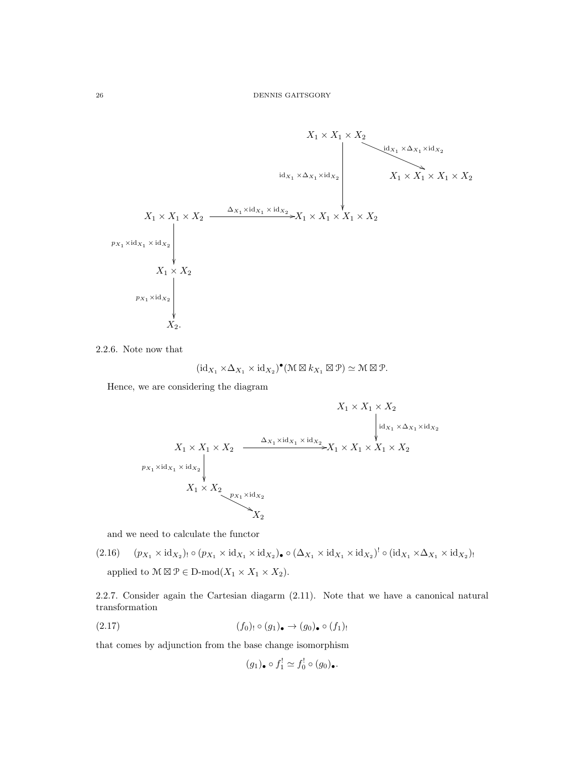

2.2.6. Note now that

$$
(\mathrm{id}_{X_1} \times \Delta_{X_1} \times \mathrm{id}_{X_2})^{\bullet} (\mathcal{M} \boxtimes k_{X_1} \boxtimes \mathcal{P}) \simeq \mathcal{M} \boxtimes \mathcal{P}.
$$

Hence, we are considering the diagram

$$
X_1 \times X_1 \times X_2
$$
\n
$$
X_1 \times X_1 \times X_2
$$
\n
$$
X_1 \times X_1 \times X_2
$$
\n
$$
y_{x_1} \times \text{id}_{x_1} \times \text{id}_{x_2}
$$
\n
$$
X_1 \times X_2
$$
\n
$$
X_1 \times X_2
$$
\n
$$
X_1 \times X_2
$$
\n
$$
y_{x_1} \times \text{id}_{x_2}
$$
\n
$$
X_2
$$
\n
$$
X_2
$$

and we need to calculate the functor

(2.16) 
$$
(p_{X_1} \times \mathrm{id}_{X_2})_! \circ (p_{X_1} \times \mathrm{id}_{X_1} \times \mathrm{id}_{X_2})_{\bullet} \circ (\Delta_{X_1} \times \mathrm{id}_{X_1} \times \mathrm{id}_{X_2})^! \circ (\mathrm{id}_{X_1} \times \Delta_{X_1} \times \mathrm{id}_{X_2})_!
$$
  
applied to  $\mathcal{M} \boxtimes \mathcal{P} \in \mathcal{D}\text{-mod}(X_1 \times X_1 \times X_2)$ .

2.2.7. Consider again the Cartesian diagarm (2.11). Note that we have a canonical natural transformation

$$
(2.17) \qquad \qquad (f_0)_! \circ (g_1)_\bullet \to (g_0)_\bullet \circ (f_1)_!
$$

that comes by adjunction from the base change isomorphism

$$
(g_1)_\bullet \circ f_1^! \simeq f_0^! \circ (g_0)_\bullet.
$$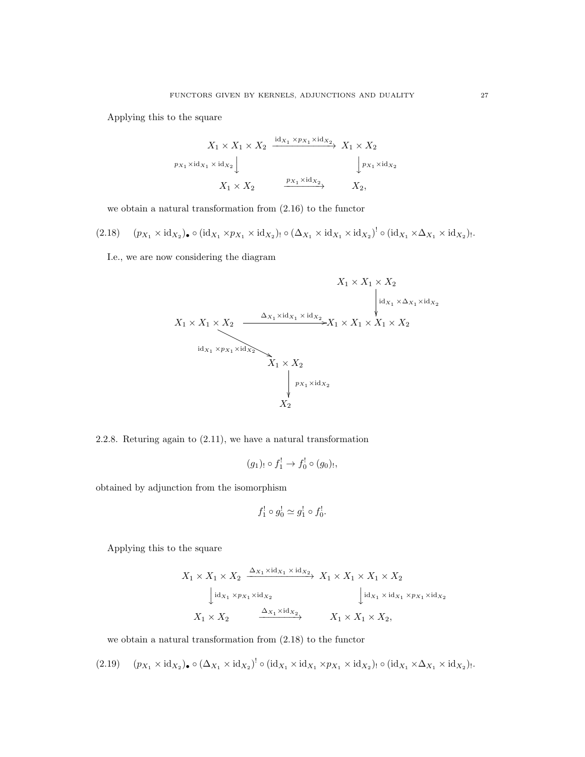Applying this to the square

$$
X_1 \times X_1 \times X_2 \xrightarrow{\text{id}_{X_1} \times p_{X_1} \times \text{id}_{X_2}} X_1 \times X_2
$$
\n
$$
p_{X_1} \times \text{id}_{X_1} \times \text{id}_{X_2} \downarrow \qquad \qquad \downarrow p_{X_1} \times \text{id}_{X_2}
$$
\n
$$
X_1 \times X_2 \xrightarrow{\qquad p_{X_1} \times \text{id}_{X_2}} X_2,
$$
\n
$$
X_2,
$$

we obtain a natural transformation from (2.16) to the functor

 $(2.18)$   $(p_{X_1} \times \mathrm{id}_{X_2})_{\bullet} \circ (\mathrm{id}_{X_1} \times p_{X_1} \times \mathrm{id}_{X_2})_{!} \circ (\Delta_{X_1} \times \mathrm{id}_{X_1} \times \mathrm{id}_{X_2})_{!} \circ (\mathrm{id}_{X_1} \times \Delta_{X_1} \times \mathrm{id}_{X_2})_{!}.$ 

I.e., we are now considering the diagram

$$
X_1 \times X_1 \times X_2
$$
\n
$$
X_1 \times X_1 \times X_2
$$
\n
$$
\downarrow \text{idx}_1 \times \Delta_{X_1} \times \text{id}_{X_2}
$$
\n
$$
\downarrow \text{idx}_1 \times \Delta_{X_1} \times \text{id}_{X_2}
$$
\n
$$
\downarrow \text{idx}_1 \times \Delta_{X_1} \times \text{id}_{X_2}
$$
\n
$$
X_1 \times X_2
$$
\n
$$
\downarrow \text{pix}_1 \times \text{id}_{X_2}
$$
\n
$$
\downarrow \text{pix}_1 \times \text{id}_{X_2}
$$
\n
$$
\downarrow \text{xyz}_1 \times \text{id}_{X_2}
$$

2.2.8. Returing again to (2.11), we have a natural transformation

$$
(g_1)_! \circ f_1^! \to f_0^! \circ (g_0)_!,
$$

obtained by adjunction from the isomorphism

$$
f_1^! \circ g_0^! \simeq g_1^! \circ f_0^!.
$$

Applying this to the square

$$
\begin{array}{ccc}\nX_1 \times X_1 \times X_2 & \xrightarrow{\Delta_{X_1} \times \mathrm{id}_{X_1} \times \mathrm{id}_{X_2}} & X_1 \times X_1 \times X_1 \times X_2 \\
& \downarrow \mathrm{id}_{X_1} \times p_{X_1} \times \mathrm{id}_{X_2} & \downarrow \mathrm{id}_{X_1} \times \mathrm{id}_{X_1} \times p_{X_1} \times \mathrm{id}_{X_2} \\
& X_1 \times X_2 & \xrightarrow{\Delta_{X_1} \times \mathrm{id}_{X_2}} & X_1 \times X_1 \times X_2,\n\end{array}
$$

we obtain a natural transformation from (2.18) to the functor

$$
(2.19) \quad (p_{X_1} \times \mathrm{id}_{X_2})_{\bullet} \circ (\Delta_{X_1} \times \mathrm{id}_{X_2})^! \circ (\mathrm{id}_{X_1} \times \mathrm{id}_{X_1} \times p_{X_1} \times \mathrm{id}_{X_2})_{!} \circ (\mathrm{id}_{X_1} \times \Delta_{X_1} \times \mathrm{id}_{X_2})_{!}.
$$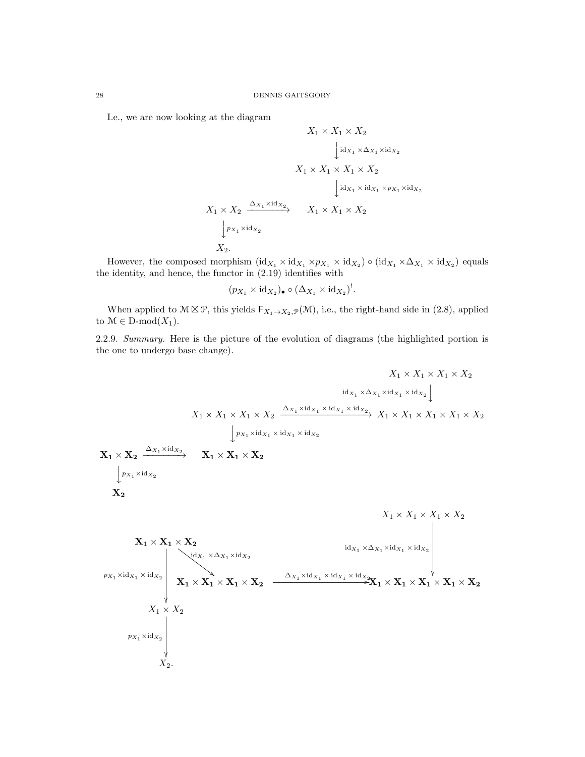I.e., we are now looking at the diagram

$$
X_1 \times X_1 \times X_2
$$
\n
$$
\downarrow id_{X_1} \times \Delta_{X_1} \times id_{X_2}
$$
\n
$$
X_1 \times X_1 \times X_1 \times X_2
$$
\n
$$
\downarrow id_{X_1} \times id_{X_1} \times p_{X_1} \times id_{X_2}
$$
\n
$$
X_1 \times X_2 \xrightarrow{\Delta_{X_1} \times id_{X_2}}
$$
\n
$$
X_1 \times X_1 \times X_2
$$
\n
$$
\downarrow p_{X_1} \times id_{X_2}
$$
\n
$$
X_2.
$$

However, the composed morphism  $(\mathrm{id}_{X_1} \times \mathrm{id}_{X_1} \times p_{X_1} \times \mathrm{id}_{X_2}) \circ (\mathrm{id}_{X_1} \times \Delta_{X_1} \times \mathrm{id}_{X_2})$  equals the identity, and hence, the functor in (2.19) identifies with

$$
(p_{X_1} \times \mathrm{id}_{X_2})_{\bullet} \circ (\Delta_{X_1} \times \mathrm{id}_{X_2})^!
$$

When applied to  $M \boxtimes \mathcal{P}$ , this yields  $F_{X_1 \to X_2, \mathcal{P}}(\mathcal{M})$ , i.e., the right-hand side in (2.8), applied to  $\mathcal{M} \in \mathcal{D}\text{-mod}(X_1)$ .

2.2.9. Summary. Here is the picture of the evolution of diagrams (the highlighted portion is the one to undergo base change).

$$
X_1 \times X_1 \times X_1 \times X_2
$$
\n
$$
X_1 \times X_1 \times X_1 \times X_2
$$
\n
$$
\downarrow \qquad \qquad \downarrow \qquad \downarrow
$$
\n
$$
X_1 \times X_1 \times X_1 \times X_2
$$
\n
$$
\downarrow \qquad \downarrow
$$
\n
$$
X_1 \times X_1 \times X_1 \times X_2
$$
\n
$$
\downarrow
$$
\n
$$
p_{X_1} \times id_{X_1} \times id_{X_1} \times id_{X_2}
$$
\n
$$
X_1 \times X_2
$$
\n
$$
\downarrow
$$
\n
$$
X_1 \times X_2
$$
\n
$$
\downarrow
$$
\n
$$
X_1 \times X_1 \times X_1 \times X_2
$$
\n
$$
X_2
$$
\n
$$
X_1 \times X_1 \times X_2
$$
\n
$$
X_1 \times X_1 \times X_2
$$
\n
$$
X_1 \times X_1 \times X_2
$$
\n
$$
X_1 \times X_1 \times X_2
$$
\n
$$
X_1 \times X_1 \times X_2
$$
\n
$$
X_1 \times X_1 \times X_2
$$
\n
$$
X_1 \times X_1 \times X_2
$$
\n
$$
X_1 \times X_1 \times X_1 \times X_2
$$
\n
$$
X_1 \times X_1 \times X_1 \times X_2
$$
\n
$$
X_1 \times X_1 \times X_1 \times X_2
$$
\n
$$
X_1 \times X_1 \times X_1 \times X_2
$$
\n
$$
X_1 \times X_2
$$
\n
$$
X_1 \times X_2
$$
\n
$$
X_1 \times X_2
$$
\n
$$
X_1 \times X_2
$$
\n
$$
X_1 \times X_2
$$
\n
$$
X_1 \times X_2
$$
\n
$$
X_1 \times X_2
$$
\n
$$
X_1 \times X_2
$$
\n
$$
X_1 \times X_2
$$
\n
$$
X_1 \times X_1 \times X_1 \times
$$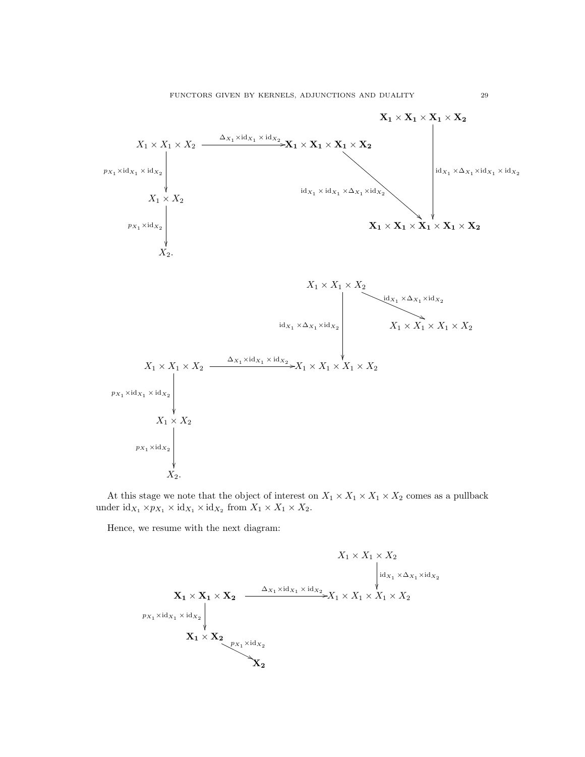

At this stage we note that the object of interest on  $X_1 \times X_1 \times X_1 \times X_2$  comes as a pullback under  $\mathrm{id}_{X_1} \times p_{X_1} \times \mathrm{id}_{X_1} \times \mathrm{id}_{X_2}$  from  $X_1 \times X_1 \times X_2$ .

Hence, we resume with the next diagram:

$$
X_1 \times X_1 \times X_2
$$
\n
$$
\begin{array}{c}\nX_1 \times X_1 \times X_2 \\
\downarrow \text{idx}_1 \times \text{idx}_2 \\
\downarrow \text{idx}_1 \times \text{idx}_2\n\end{array}
$$
\n
$$
X_1 \times X_1 \times X_2
$$
\n
$$
X_1 \times \text{idx}_2
$$
\n
$$
X_1 \times X_2
$$
\n
$$
X_1 \times X_2
$$
\n
$$
X_1 \times X_2
$$
\n
$$
X_1 \times X_2
$$
\n
$$
X_2
$$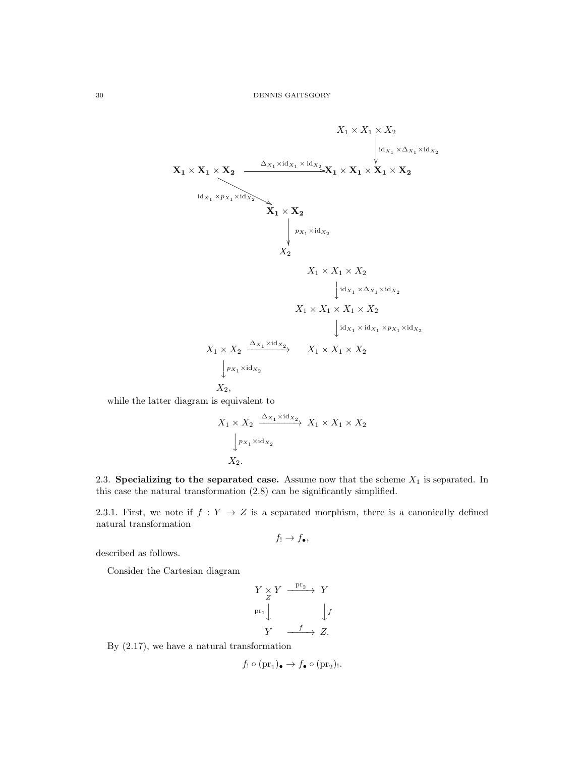$$
X_1 \times X_1 \times X_2
$$
\n
$$
\begin{array}{c|c}\nX_1 \times X_1 \times X_2 & \downarrow & \downarrow & \downarrow & \downarrow & \downarrow & \downarrow & \downarrow & \downarrow & \downarrow & \downarrow & \downarrow & \downarrow & \downarrow & \downarrow & \downarrow & \downarrow & \downarrow & \downarrow & \downarrow & \downarrow & \downarrow & \downarrow & \downarrow & \downarrow & \downarrow & \downarrow & \downarrow & \downarrow & \downarrow & \downarrow & \downarrow & \downarrow & \downarrow & \downarrow & \downarrow & \downarrow & \downarrow & \downarrow & \downarrow & \downarrow & \downarrow & \downarrow & \downarrow & \downarrow & \downarrow & \downarrow & \downarrow & \downarrow & \downarrow & \downarrow & \downarrow & \downarrow & \downarrow & \downarrow & \downarrow & \downarrow & \downarrow & \downarrow & \downarrow & \downarrow & \downarrow & \downarrow & \downarrow & \downarrow & \downarrow & \downarrow & \downarrow & \downarrow & \downarrow & \downarrow & \downarrow & \downarrow & \downarrow & \downarrow & \downarrow & \downarrow & \downarrow & \downarrow & \downarrow & \downarrow & \downarrow & \downarrow & \downarrow & \downarrow & \downarrow & \downarrow & \downarrow & \downarrow & \downarrow & \downarrow & \downarrow & \downarrow & \downarrow & \downarrow & \downarrow & \downarrow & \downarrow & \downarrow & \downarrow & \downarrow & \downarrow & \downarrow & \downarrow & \downarrow & \downarrow & \downarrow & \downarrow & \downarrow & \downarrow & \downarrow & \downarrow & \downarrow & \downarrow & \downarrow & \downarrow & \downarrow & \downarrow & \downarrow & \downarrow
$$

$$
\begin{aligned} X_1 \times X_2 &\xrightarrow{\Delta_{X_1} \times \mathrm{id}_{X_2}} X_1 \times X_1 \times X_2 \\ &\downarrow^{p_{X_1} \times \mathrm{id}_{X_2}} \\ &X_2. \end{aligned}
$$

2.3. Specializing to the separated case. Assume now that the scheme  $X_1$  is separated. In this case the natural transformation (2.8) can be significantly simplified.

2.3.1. First, we note if  $f: Y \to Z$  is a separated morphism, there is a canonically defined natural transformation

$$
f_! \to f_{\bullet},
$$

described as follows.

Consider the Cartesian diagram

$$
\begin{array}{ccc}\nY \times Y & \xrightarrow{\text{pr}_2} & Y \\
\text{pr}_1 \downarrow & & \downarrow f \\
Y & \xrightarrow{f} & Z.\n\end{array}
$$

By (2.17), we have a natural transformation

$$
f_! \circ (\mathrm{pr}_1)_\bullet \rightarrow f_\bullet \circ (\mathrm{pr}_2)_!.
$$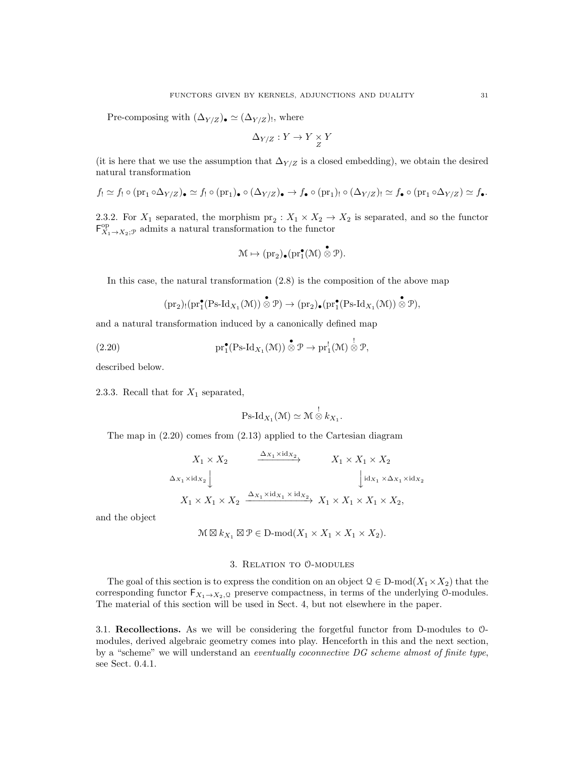Pre-composing with  $(\Delta_{Y/Z})_{\bullet} \simeq (\Delta_{Y/Z})_{!}$ , where

$$
\Delta_{Y/Z}:Y\to Y\times_Y Y
$$

(it is here that we use the assumption that  $\Delta_{Y/Z}$  is a closed embedding), we obtain the desired natural transformation

$$
f_! \simeq f_! \circ (\mathrm{pr}_1 \circ \Delta_{Y/Z})_{\bullet} \simeq f_! \circ (\mathrm{pr}_1)_{\bullet} \circ (\Delta_{Y/Z})_{\bullet} \to f_{\bullet} \circ (\mathrm{pr}_1)_! \circ (\Delta_{Y/Z})_{!} \simeq f_{\bullet} \circ (\mathrm{pr}_1 \circ \Delta_{Y/Z}) \simeq f_{\bullet}.
$$

2.3.2. For  $X_1$  separated, the morphism  $pr_2: X_1 \times X_2 \to X_2$  is separated, and so the functor  $\mathsf{F}_{X_1 \to X_2;\mathcal{P}}^{\mathrm{op}}$  admits a natural transformation to the functor

$$
\mathcal{M} \mapsto (\mathrm{pr}_2)_\bullet(\mathrm{pr}_1^\bullet(\mathcal{M}) \overset{\bullet}{\otimes} \mathcal{P}).
$$

In this case, the natural transformation (2.8) is the composition of the above map

$$
(\mathrm{pr}_2)_! (\mathrm{pr}_1^\bullet(\mathrm{Ps}\text{-}\mathrm{Id}_{X_1}(\mathfrak{M})) \overset{\bullet}{\otimes} \mathcal{P}) \to (\mathrm{pr}_2)_\bullet(\mathrm{pr}_1^\bullet(\mathrm{Ps}\text{-}\mathrm{Id}_{X_1}(\mathfrak{M})) \overset{\bullet}{\otimes} \mathcal{P}),
$$

and a natural transformation induced by a canonically defined map

(2.20) 
$$
\mathrm{pr}_1^{\bullet}(\mathrm{Ps}\text{-}\mathrm{Id}_{X_1}(\mathcal{M})) \overset{\bullet}{\otimes} \mathcal{P} \to \mathrm{pr}_1^!(\mathcal{M}) \overset{!}{\otimes} \mathcal{P},
$$

described below.

2.3.3. Recall that for  $X_1$  separated,

$$
\mathrm{Ps\text{-}Id}_{X_1}(\mathcal{M})\simeq \mathcal{M}\overset{!}{\otimes}k_{X_1}.
$$

The map in (2.20) comes from (2.13) applied to the Cartesian diagram

$$
X_1 \times X_2 \xrightarrow{\Delta_{X_1} \times \text{id}_{X_2}} X_1 \times X_1 \times X_2
$$
  

$$
\Delta_{X_1} \times \text{id}_{X_2} \downarrow \qquad \qquad \downarrow \text{id}_{X_1} \times \Delta_{X_1} \times \text{id}_{X_2}
$$
  

$$
X_1 \times X_1 \times X_2 \xrightarrow{\Delta_{X_1} \times \text{id}_{X_1} \times \text{id}_{X_2}} X_1 \times X_1 \times X_1 \times X_2,
$$

and the object

$$
\mathcal{M} \boxtimes k_{X_1} \boxtimes \mathcal{P} \in \mathcal{D}\text{-mod}(X_1 \times X_1 \times X_1 \times X_2).
$$

#### 3. Relation to O-modules

The goal of this section is to express the condition on an object  $\mathcal{Q} \in \mathcal{D}\text{-mod}(X_1 \times X_2)$  that the corresponding functor  $F_{X_1\to X_2,0}$  preserve compactness, in terms of the underlying O-modules. The material of this section will be used in Sect. 4, but not elsewhere in the paper.

3.1. Recollections. As we will be considering the forgetful functor from D-modules to Omodules, derived algebraic geometry comes into play. Henceforth in this and the next section, by a "scheme" we will understand an eventually coconnective DG scheme almost of finite type, see Sect. 0.4.1.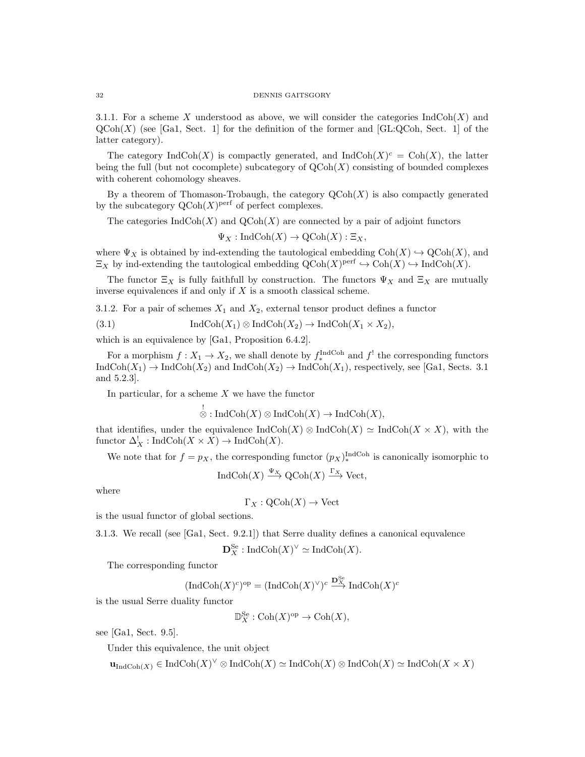3.1.1. For a scheme X understood as above, we will consider the categories  $\text{IndCoh}(X)$  and  $QCoh(X)$  (see [Ga1, Sect. 1] for the definition of the former and [GL:QCoh, Sect. 1] of the latter category).

The category  $\text{IndCoh}(X)$  is compactly generated, and  $\text{IndCoh}(X)^c = \text{Coh}(X)$ , the latter being the full (but not cocomplete) subcategory of  $QCoh(X)$  consisting of bounded complexes with coherent cohomology sheaves.

By a theorem of Thomason-Trobaugh, the category  $\mathrm{QCoh}(X)$  is also compactly generated by the subcategory  $\mathrm{QCoh}(X)^\mathrm{perf}$  of perfect complexes.

The categories  $\text{IndCoh}(X)$  and  $\text{QCoh}(X)$  are connected by a pair of adjoint functors

 $\Psi_X : \text{IndCoh}(X) \to \text{QCoh}(X) : \Xi_X,$ 

where  $\Psi_X$  is obtained by ind-extending the tautological embedding  $\text{Coh}(X) \hookrightarrow \text{QCoh}(X)$ , and  $\Xi_X$  by ind-extending the tautological embedding  $\mathrm{QCoh}(X)^{\mathrm{perf}} \hookrightarrow \mathrm{Coh}(X) \hookrightarrow \mathrm{IndCoh}(X)$ .

The functor  $\Xi_X$  is fully faithfull by construction. The functors  $\Psi_X$  and  $\Xi_X$  are mutually inverse equivalences if and only if  $X$  is a smooth classical scheme.

3.1.2. For a pair of schemes  $X_1$  and  $X_2$ , external tensor product defines a functor

(3.1) 
$$
\operatorname{IndCoh}(X_1) \otimes \operatorname{IndCoh}(X_2) \to \operatorname{IndCoh}(X_1 \times X_2),
$$

which is an equivalence by [Ga1, Proposition 6.4.2].

For a morphism  $f: X_1 \to X_2$ , we shall denote by  $f_*^{\text{IndCoh}}$  and  $f'$  the corresponding functors  $\text{IndCoh}(X_1) \to \text{IndCoh}(X_2)$  and  $\text{IndCoh}(X_2) \to \text{IndCoh}(X_1)$ , respectively, see [Ga1, Sects. 3.1] and 5.2.3].

In particular, for a scheme  $X$  we have the functor

$$
\overset{!}{\otimes} : \mathrm{IndCoh}(X) \otimes \mathrm{IndCoh}(X) \to \mathrm{IndCoh}(X),
$$

that identifies, under the equivalence  $\text{IndCoh}(X) \otimes \text{IndCoh}(X) \simeq \text{IndCoh}(X \times X)$ , with the functor  $\Delta_X^!$ : IndCoh $(X \times X) \to \text{IndCoh}(X)$ .

We note that for  $f = p_X$ , the corresponding functor  $(p_X)_*^{\text{IndCoh}}$  is canonically isomorphic to

$$
IndCoh(X) \xrightarrow{\Psi_X} QCoh(X) \xrightarrow{\Gamma_X} Vect,
$$

where

$$
\Gamma_X : \mathrm{QCoh}(X) \to \mathrm{Vect}
$$

is the usual functor of global sections.

3.1.3. We recall (see [Ga1, Sect. 9.2.1]) that Serre duality defines a canonical equvalence

$$
\mathbf{D}_{X}^{\text{Se}}:\text{IndCoh}(X)^{\vee}\simeq \text{IndCoh}(X).
$$

The corresponding functor

$$
(\mathrm{Ind}\mathrm{Coh}(X)^c)^{\mathrm{op}} = (\mathrm{Ind}\mathrm{Coh}(X)^\vee)^c \overset{\mathbf{D}_X^{\mathrm{Se}}}{\longrightarrow} \mathrm{Ind}\mathrm{Coh}(X)^c
$$

is the usual Serre duality functor

$$
\mathbb{D}_{X}^{\mathrm{Se}}:\mathrm{Coh}(X)^{\mathrm{op}}\to\mathrm{Coh}(X),
$$

see [Ga1, Sect. 9.5].

Under this equivalence, the unit object

 $\mathbf{u}_{\text{IndCoh}(X)} \in \text{IndCoh}(X)^{\vee} \otimes \text{IndCoh}(X) \simeq \text{IndCoh}(X) \otimes \text{IndCoh}(X) \simeq \text{IndCoh}(X \times X)$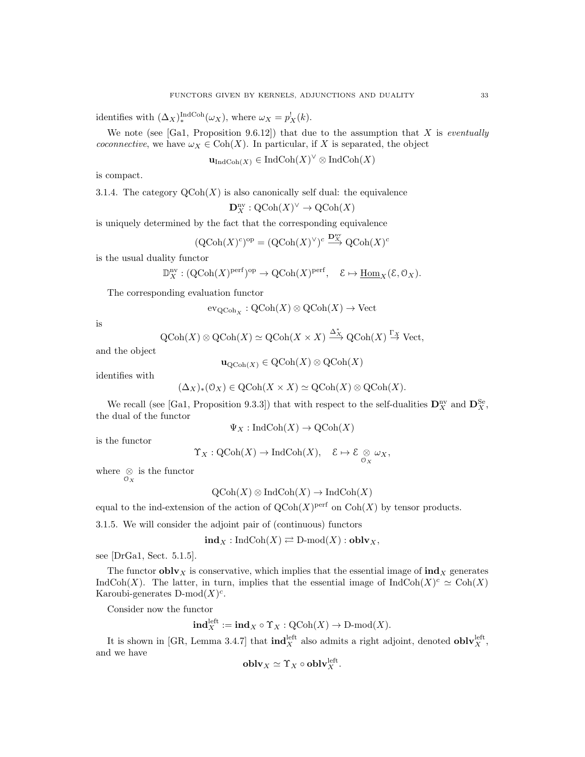identifies with  $(\Delta_X)_{*}^{\text{IndCoh}}(\omega_X)$ , where  $\omega_X = p_X^!(k)$ .

We note (see [Ga1, Proposition 9.6.12]) that due to the assumption that X is *eventually* coconnective, we have  $\omega_X \in \text{Coh}(X)$ . In particular, if X is separated, the object

 $\mathbf{u}_{\text{IndCoh}(X)} \in \text{IndCoh}(X)^{\vee} \otimes \text{IndCoh}(X)$ 

is compact.

3.1.4. The category  $\mathrm{QCoh}(X)$  is also canonically self dual: the equivalence

 $\mathbf{D}_X^{\text{nv}} : \text{QCoh}(X)^\vee \to \text{QCoh}(X)$ 

is uniquely determined by the fact that the corresponding equivalence

$$
(\mathrm{QCoh}(X)^c)^{\mathrm{op}} = (\mathrm{QCoh}(X)^\vee)^c \stackrel{\mathbf{D}_X^{\mathrm{nv}}}{\longrightarrow} \mathrm{QCoh}(X)^c
$$

is the usual duality functor

$$
\mathbb{D}_{X}^{\text{nv}} : (\text{QCoh}(X)^{\text{perf}})^{\text{op}} \to \text{QCoh}(X)^{\text{perf}}, \quad \mathcal{E} \mapsto \underline{\text{Hom}}_{X}(\mathcal{E}, \mathcal{O}_{X}).
$$

The corresponding evaluation functor

$$
\mathrm{ev}_{\mathrm{QCoh}_X}: \mathrm{QCoh}(X) \otimes \mathrm{QCoh}(X) \to \mathrm{Vect}
$$

is

$$
\operatorname{QCoh}(X) \otimes \operatorname{QCoh}(X) \simeq \operatorname{QCoh}(X \times X) \xrightarrow{\Delta_X^*} \operatorname{QCoh}(X) \xrightarrow{\Gamma_X} \operatorname{Vect},
$$

and the object

$$
\mathbf{u}_{\mathrm{QCoh}(X)} \in \mathrm{QCoh}(X) \otimes \mathrm{QCoh}(X)
$$

identifies with

$$
(\Delta_X)_*(\mathcal{O}_X) \in \mathrm{QCoh}(X \times X) \simeq \mathrm{QCoh}(X) \otimes \mathrm{QCoh}(X).
$$

We recall (see [Ga1, Proposition 9.3.3]) that with respect to the self-dualities  $\mathbf{D}_X^{\text{nv}}$  and  $\mathbf{D}_X^{\text{Se}}$ , the dual of the functor

$$
\Psi_X : \text{IndCoh}(X) \to \text{QCoh}(X)
$$

is the functor

$$
\Upsilon_X
$$
:  $QCoh(X) \to \text{IndCoh}(X)$ ,  $\mathcal{E} \mapsto \mathcal{E} \underset{\mathcal{O}_X}{\otimes} \omega_X$ ,

where  $\otimes_{\mathcal{O}_X}$  is the functor

$$
\mathrm{QCoh}(X) \otimes \mathrm{IndCoh}(X) \to \mathrm{IndCoh}(X)
$$

equal to the ind-extension of the action of  $\mathrm{QCoh}(X)$ <sup>perf</sup> on  $\mathrm{Coh}(X)$  by tensor products.

3.1.5. We will consider the adjoint pair of (continuous) functors

 $\text{ind}_X : \text{IndCoh}(X) \rightleftarrows \text{D-mod}(X) : \text{oblv}_X,$ 

see [DrGa1, Sect. 5.1.5].

The functor **obly** is conservative, which implies that the essential image of  $\text{ind}_X$  generates IndCoh(X). The latter, in turn, implies that the essential image of  $IndCoh(X)^c \simeq Coh(X)$ Karoubi-generates  $D\text{-mod}(X)^c$ .

Consider now the functor

$$
\mathbf{ind}_X^{\mathrm{left}} := \mathbf{ind}_X \circ \Upsilon_X : \mathrm{QCoh}(X) \to \mathrm{D-mod}(X).
$$

It is shown in [GR, Lemma 3.4.7] that  $\text{ind}_{X}^{\text{left}}$  also admits a right adjoint, denoted  $\textbf{oblv}_{X}^{\text{left}}$ , and we have

$$
oblvX \simeq \Upsilon_X \circ oblvXleft.
$$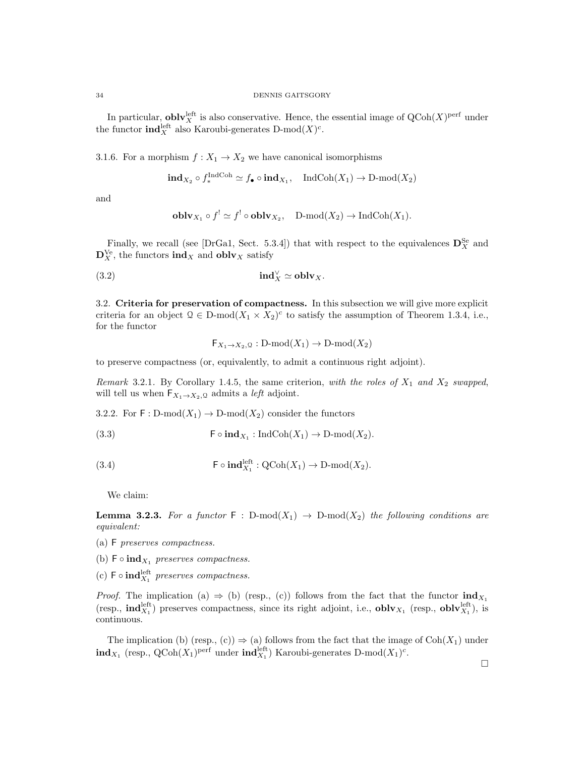In particular,  $\text{oblv}_X^{\text{left}}$  is also conservative. Hence, the essential image of  $\text{QCoh}(X)^{\text{perf}}$  under the functor  $\text{ind}_X^{\text{left}}$  also Karoubi-generates D-mod $(X)^c$ .

3.1.6. For a morphism  $f: X_1 \to X_2$  we have canonical isomorphisms

$$
\mathbf{ind}_{X_2} \circ f_*^{\mathbf{IndCoh}} \simeq f_{\bullet} \circ \mathbf{ind}_{X_1}, \quad \mathbf{IndCoh}(X_1) \to \mathbf{D}\text{-mod}(X_2)
$$

and

$$
\mathbf{oblv}_{X_1} \circ f^! \simeq f^! \circ \mathbf{oblv}_{X_2}, \quad \text{D-mod}(X_2) \to \text{IndCoh}(X_1).
$$

Finally, we recall (see [DrGa1, Sect. 5.3.4]) that with respect to the equivalences  $\mathbf{D}_X^{\text{Se}}$  and  $\mathbf{D}_X^{\text{Ve}}$ , the functors  $\text{ind}_X$  and  $\text{oblv}_X$  satisfy

(3.2) ind<sup>∨</sup> <sup>X</sup> ' oblvX.

3.2. Criteria for preservation of compactness. In this subsection we will give more explicit criteria for an object  $\mathcal{Q} \in \mathcal{D}\text{-mod}(X_1 \times X_2)^c$  to satisfy the assumption of Theorem 1.3.4, i.e., for the functor

$$
\mathsf{F}_{X_1 \to X_2, \mathbb{Q}} : D\text{-mod}(X_1) \to D\text{-mod}(X_2)
$$

to preserve compactness (or, equivalently, to admit a continuous right adjoint).

Remark 3.2.1. By Corollary 1.4.5, the same criterion, with the roles of  $X_1$  and  $X_2$  swapped, will tell us when  $\mathsf{F}_{X_1\to X_2,\mathbb Q}$  admits a  $\mathit{left}$  adjoint.

3.2.2. For  $\mathsf{F} : D\text{-mod}(X_1) \to D\text{-mod}(X_2)$  consider the functors

(3.3)  $\qquad \qquad \mathsf{F} \circ \text{ind}_{X_1} : \text{IndCoh}(X_1) \to \text{D-mod}(X_2).$ 

(3.4) 
$$
\qquad \qquad \mathsf{F}\circ \mathrm{\mathbf{ind}}_{X_1}^{\mathrm{left}}:\mathrm{QCoh}(X_1)\to \mathrm{D\text{-}mod}(X_2).
$$

We claim:

**Lemma 3.2.3.** For a functor  $F : D-mod(X_1) \rightarrow D-mod(X_2)$  the following conditions are equivalent:

- (a) F preserves compactness.
- (b)  $\mathsf{F} \circ \textbf{ind}_{X_1}$  preserves compactness.
- (c)  $F \circ \text{ind}_{X_1}^{\text{left}}$  preserves compactness.

*Proof.* The implication (a)  $\Rightarrow$  (b) (resp., (c)) follows from the fact that the functor  $\text{ind}_{X_1}$ (resp.,  $\textbf{ind}_{X_1}^{\text{left}}$ ) preserves compactness, since its right adjoint, i.e.,  $\textbf{oblv}_{X_1}$  (resp.,  $\textbf{oblv}_{X_1}^{\text{left}}$ ), is continuous.

The implication (b) (resp., (c))  $\Rightarrow$  (a) follows from the fact that the image of Coh(X<sub>1</sub>) under  $\text{ind}_{X_1}$  (resp., QCoh(X<sub>1</sub>)<sup>perf</sup> under  $\text{ind}_{X_1}^{\text{left}}$ ) Karoubi-generates D-mod(X<sub>1</sub>)<sup>c</sup>.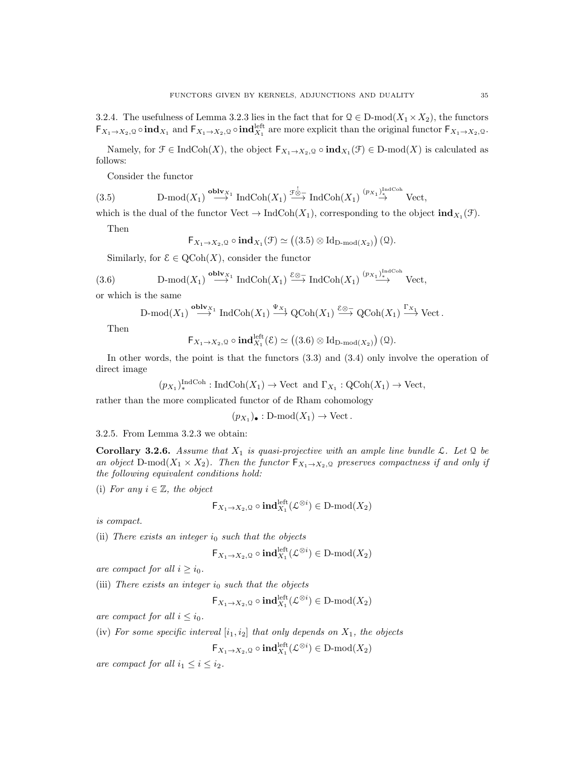3.2.4. The usefulness of Lemma 3.2.3 lies in the fact that for  $\mathcal{Q} \in \mathcal{D}\text{-mod}(X_1 \times X_2)$ , the functors  $\mathsf{F}_{X_1 \to X_2, \mathbb{Q}} \circ \mathbf{ind}_{X_1}$  and  $\mathsf{F}_{X_1 \to X_2, \mathbb{Q}} \circ \mathbf{ind}_{X_1}^{\text{left}}$  are more explicit than the original functor  $\mathsf{F}_{X_1 \to X_2, \mathbb{Q}}$ .

Namely, for  $\mathcal{F} \in \text{IndCoh}(X)$ , the object  $\mathsf{F}_{X_1 \to X_2, \mathbb{Q}} \circ \text{ind}_{X_1}(\mathcal{F}) \in \text{D-mod}(X)$  is calculated as follows:

Consider the functor

(3.5) 
$$
\text{D-mod}(X_1) \stackrel{\text{oblv}_{X_1}}{\longrightarrow} \text{IndCoh}(X_1) \stackrel{\mathcal{F}_{\otimes}^{\perp}}{\longrightarrow} \text{IndCoh}(X_1) \stackrel{(p_{X_1})_*^{\text{IndCoh}}}{\longrightarrow} \text{Vect},
$$

which is the dual of the functor  $Vect \to \text{IndCoh}(X_1)$ , corresponding to the object  $\text{ind}_{X_1}(\mathcal{F})$ .

Then

$$
\mathsf{F}_{X_1 \to X_2, \mathbb{Q}} \circ \mathbf{ind}_{X_1}(\mathcal{F}) \simeq ((3.5) \otimes \mathrm{Id}_{\mathrm{D-mod}(X_2)})(\mathbb{Q}).
$$

Similarly, for  $\mathcal{E} \in \mathrm{QCoh}(X)$ , consider the functor

(3.6) 
$$
\qquad \qquad \text{D-mod}(X_1) \stackrel{\text{oblv}_{X_1}}{\longrightarrow} \text{IndCoh}(X_1) \stackrel{\mathcal{E} \otimes -}{\longrightarrow} \text{IndCoh}(X_1) \stackrel{(px_1)^{\text{IndCoh}}}{\longrightarrow} \text{Vect},
$$

or which is the same

$$
\text{D-mod}(X_1) \stackrel{\textbf{oblv}_{X_1}}{\longrightarrow} \text{IndCoh}(X_1) \stackrel{\Psi_{X_1}}{\longrightarrow} \text{QCoh}(X_1) \stackrel{\mathcal{E} \otimes -}{\longrightarrow} \text{QCoh}(X_1) \stackrel{\Gamma_{X_1}}{\longrightarrow} \text{Vect}.
$$

Then

$$
\mathsf{F}_{X_1 \to X_2, \mathcal{Q}} \circ \mathbf{ind}_{X_1}^{\text{left}}(\mathcal{E}) \simeq ((3.6) \otimes \mathrm{Id}_{\mathrm{D-mod}(X_2)} ) \mathcal{Q}).
$$

In other words, the point is that the functors (3.3) and (3.4) only involve the operation of direct image

$$
(p_{X_1})_{*}^{\text{IndCoh}} : \text{IndCoh}(X_1) \to \text{Vect} \text{ and } \Gamma_{X_1} : \text{QCoh}(X_1) \to \text{Vect},
$$

rather than the more complicated functor of de Rham cohomology

$$
(p_{X_1})_{\bullet} : D\text{-mod}(X_1) \to \text{Vect}.
$$

3.2.5. From Lemma 3.2.3 we obtain:

Corollary 3.2.6. Assume that  $X_1$  is quasi-projective with an ample line bundle  $\mathcal{L}$ . Let  $\mathcal{Q}$  be an object D-mod( $X_1 \times X_2$ ). Then the functor  $\mathsf{F}_{X_1 \to X_2, \mathbb{Q}}$  preserves compactness if and only if the following equivalent conditions hold:

(i) For any  $i \in \mathbb{Z}$ , the object

$$
\mathsf{F}_{X_1 \to X_2, \mathcal{Q}} \circ \mathrm{\mathbf{ind}}^{\mathrm{left}}_{X_1}(\mathcal{L}^{\otimes i}) \in \mathrm{D}\text{-}\mathrm{mod}(X_2)
$$

is compact.

(ii) There exists an integer  $i_0$  such that the objects

$$
\mathsf{F}_{X_1 \to X_2, \mathcal{Q}} \circ \mathrm{\mathbf{ind}}_{X_1}^{\mathrm{left}}(\mathcal{L}^{\otimes i}) \in \mathrm{D}\text{-}\mathrm{mod}(X_2)
$$

are compact for all  $i \geq i_0$ .

(iii) There exists an integer  $i_0$  such that the objects

$$
\mathsf{F}_{X_1 \to X_2, \mathbb{Q}} \circ \mathrm{ind}_{X_1}^{\mathrm{left}}(\mathcal{L}^{\otimes i}) \in \mathrm{D}\text{-}\mathrm{mod}(X_2)
$$

are compact for all  $i \leq i_0$ .

(iv) For some specific interval  $[i_1, i_2]$  that only depends on  $X_1$ , the objects

$$
\mathsf{F}_{X_1 \to X_2, \mathbb{Q}} \circ \mathrm{\mathbf{ind}}^{\mathrm{left}}_{X_1}(\mathcal{L}^{\otimes i}) \in \mathrm{D}\text{-}\mathrm{mod}(X_2)
$$

are compact for all  $i_1 \leq i \leq i_2$ .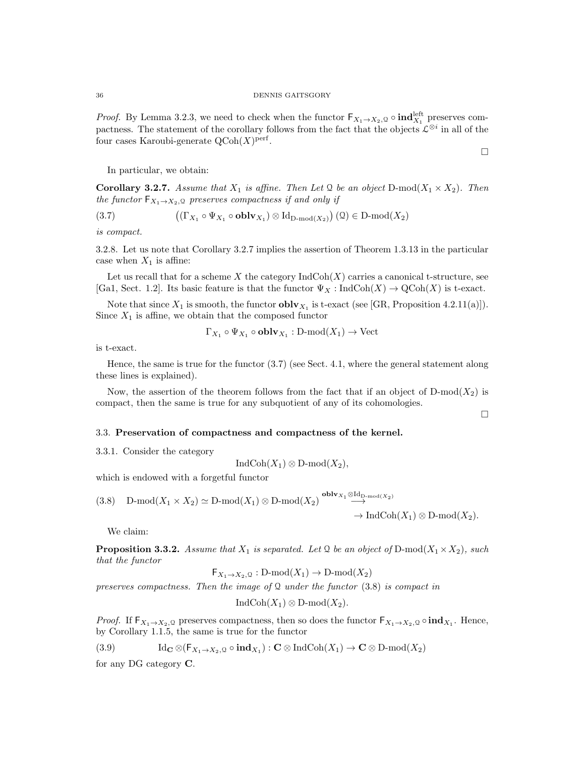*Proof.* By Lemma 3.2.3, we need to check when the functor  $F_{X_1 \to X_2, \mathbb{Q}} \circ \text{ind}_{X_1}^{\text{left}}$  preserves compactness. The statement of the corollary follows from the fact that the objects  $\mathcal{L}^{\otimes i}$  in all of the four cases Karoubi-generate  $\mathrm{QCoh}(X)^\mathrm{perf}$ .

In particular, we obtain:

**Corollary 3.2.7.** Assume that  $X_1$  is affine. Then Let Q be an object D-mod $(X_1 \times X_2)$ . Then the functor  $F_{X_1\to X_2,\mathcal{Q}}$  preserves compactness if and only if

$$
(3.7) \qquad \qquad ((\Gamma_{X_1} \circ \Psi_{X_1} \circ \mathbf{oblv}_{X_1}) \otimes \mathrm{Id}_{\mathrm{D-mod}(X_2)} ) (2) \in \mathrm{D-mod}(X_2)
$$

is compact.

3.2.8. Let us note that Corollary 3.2.7 implies the assertion of Theorem 1.3.13 in the particular case when  $X_1$  is affine:

Let us recall that for a scheme X the category  $\text{IndCoh}(X)$  carries a canonical t-structure, see [Ga1, Sect. 1.2]. Its basic feature is that the functor  $\Psi_X : \text{IndCoh}(X) \to \text{QCoh}(X)$  is t-exact.

Note that since  $X_1$  is smooth, the functor  $\textbf{oblv}_{X_1}$  is t-exact (see [GR, Proposition 4.2.11(a)]). Since  $X_1$  is affine, we obtain that the composed functor

$$
\Gamma_{X_1} \circ \Psi_{X_1} \circ \mathbf{oblv}_{X_1} : D\text{-mod}(X_1) \to \text{Vect}
$$

is t-exact.

Hence, the same is true for the functor  $(3.7)$  (see Sect. 4.1, where the general statement along these lines is explained).

Now, the assertion of the theorem follows from the fact that if an object of  $D\text{-mod}(X_2)$  is compact, then the same is true for any subquotient of any of its cohomologies.

 $\Box$ 

 $\Box$ 

### 3.3. Preservation of compactness and compactness of the kernel.

3.3.1. Consider the category

$$
IndCoh(X_1) \otimes D-mod(X_2),
$$

which is endowed with a forgetful functor

$$
(3.8)\quad \text{D-mod}(X_1 \times X_2) \simeq \text{D-mod}(X_1) \otimes \text{D-mod}(X_2) \overset{\text{oblv}_{X_1} \otimes \text{Id}_{\text{D-mod}(X_2)}}{\longrightarrow}
$$

 $\rightarrow \text{IndCoh}(X_1) \otimes D\text{-mod}(X_2).$ 

We claim:

**Proposition 3.3.2.** Assume that  $X_1$  is separated. Let Q be an object of D-mod $(X_1 \times X_2)$ , such that the functor

 $\mathsf{F}_{X_1\to X_2,\mathcal{Q}}:\mathop{\mathrm{Dmod}}\nolimits(X_1)\to\mathop{\mathrm{D-mod}}\nolimits(X_2)$ 

preserves compactness. Then the image of  $\mathcal Q$  under the functor (3.8) is compact in

IndCoh $(X_1) \otimes D$ -mod $(X_2)$ .

*Proof.* If  $F_{X_1\to X_2,0}$  preserves compactness, then so does the functor  $F_{X_1\to X_2,0} \circ \text{ind}_{X_1}$ . Hence, by Corollary 1.1.5, the same is true for the functor

(3.9) 
$$
\operatorname{Id}_{\mathbf{C}} \otimes (\mathsf{F}_{X_1 \to X_2, \mathbb{Q}} \circ \mathbf{ind}_{X_1}) : \mathbf{C} \otimes \operatorname{IndCoh}(X_1) \to \mathbf{C} \otimes \operatorname{D-mod}(X_2)
$$

for any DG category C.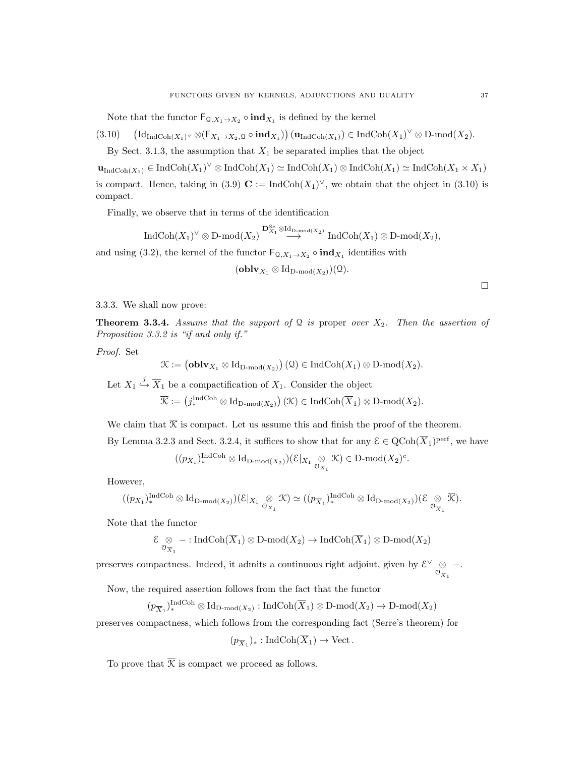Note that the functor  $\mathsf{F}_{\mathcal{Q},X_1\to X_2} \circ \text{ind}_{X_1}$  is defined by the kernel

$$
(3.10) \qquad \left(\mathrm{Id}_{\mathrm{Ind}\mathrm{Coh}(X_1)^\vee} \otimes (\mathsf{F}_{X_1 \to X_2, \mathcal{Q}} \circ \mathrm{ind}_{X_1})\right) (\mathbf{u}_{\mathrm{Ind}\mathrm{Coh}(X_1)}) \in \mathrm{Ind}\mathrm{Coh}(X_1)^\vee \otimes \mathrm{D}\text{-}\mathrm{mod}(X_2).
$$

By Sect. 3.1.3, the assumption that  $X_1$  be separated implies that the object

 $\mathbf{u}_{\text{IndCoh}(X_1)} \in \text{IndCoh}(X_1)^{\vee} \otimes \text{IndCoh}(X_1) \simeq \text{IndCoh}(X_1) \otimes \text{IndCoh}(X_1) \simeq \text{IndCoh}(X_1 \times X_1)$ is compact. Hence, taking in (3.9)  $\mathbf{C} := \text{IndCoh}(X_1)^{\vee}$ , we obtain that the object in (3.10) is compact.

Finally, we observe that in terms of the identification

$$
\operatorname{IndCoh}(X_1)^{\vee} \otimes \operatorname{D-mod}(X_2) \overset{\mathbf{D}_{X_1}^{\operatorname{Se}} \otimes \operatorname{Id}_{\operatorname{D-mod}(X_2)}}{\longrightarrow} \operatorname{IndCoh}(X_1) \otimes \operatorname{D-mod}(X_2),
$$

and using (3.2), the kernel of the functor  $\mathsf{F}_{\mathfrak{Q},X_1\to X_2} \circ \mathbf{ind}_{X_1}$  identifies with

 $(\mathbf{oblv}_{X_1} \otimes \mathrm{Id}_{\mathrm{D-mod}(X_2)})(\mathcal{Q}).$ 

 $\Box$ 

### 3.3.3. We shall now prove:

**Theorem 3.3.4.** Assume that the support of Q is proper over  $X_2$ . Then the assertion of Proposition 3.3.2 is "if and only if."

Proof. Set

$$
\mathcal{K} := \left(\mathbf{oblv}_{X_1} \otimes \mathrm{Id}_{\mathrm{D-mod}(X_2)}\right)(\mathcal{Q}) \in \mathrm{IndCoh}(X_1) \otimes \mathrm{D-mod}(X_2).
$$

Let  $X_1 \stackrel{j}{\hookrightarrow} \overline{X}_1$  be a compactification of  $X_1$ . Consider the object  $\overline{\mathcal{K}} := (j_*^{\text{IndCoh}} \otimes \text{Id}_{\text{D-mod}(X_2)}) (\mathcal{K}) \in \text{IndCoh}(\overline{X}_1) \otimes \text{D-mod}(X_2).$ 

We claim that  $\overline{\mathcal{K}}$  is compact. Let us assume this and finish the proof of the theorem. By Lemma 3.2.3 and Sect. 3.2.4, it suffices to show that for any  $\mathcal{E} \in \mathrm{QCoh}(\overline{X}_1)^{\mathrm{perf}}$ , we have

$$
((p_{X_1})_{*}^{\text{IndCoh}} \otimes \text{Id}_{\text{D-mod}(X_2)})(\mathcal{E}|_{X_1} \underset{\mathcal{O}_{X_1}}{\otimes} \mathcal{K}) \in \text{D-mod}(X_2)^c.
$$

However,

$$
((p_{X_1})_{*}^{\operatorname{IndCoh}} \otimes \operatorname{Id}_{\operatorname{D-mod}(X_2)})(\mathcal{E}|_{X_1} \underset{\mathcal{O}_{X_1}}{\otimes} \mathcal{K}) \simeq ((p_{\overline{X}_1})_{*}^{\operatorname{IndCoh}} \otimes \operatorname{Id}_{\operatorname{D-mod}(X_2)})(\mathcal{E} \underset{\mathcal{O}_{\overline{X}_1}}{\otimes} \overline{\mathcal{K}}).
$$

Note that the functor

$$
\mathcal{E}_{\mathcal{O}_{\overline{X}_1}} \circ \cdots \circ \mathcal{E}_{\mathcal{O}_{\overline{X}_1}} \colon \mathcal{D}^{\mathcal{O}}(\overline{X}_1) \otimes \mathcal{D} \cdot \mathcal{D}^{\mathcal{O}} \to \mathcal{D}^{\mathcal{O}}(\mathcal{A}_2) \to \mathcal{D}^{\mathcal{O}}(\mathcal{D}^{\mathcal{O}}(\overline{X}_1) \otimes \mathcal{D}^{\mathcal{O}} \to \mathcal{D}^{\mathcal{O}}(\mathcal{A}_2)
$$

preserves compactness. Indeed, it admits a continuous right adjoint, given by  $\mathcal{E}^{\vee} \otimes$  $\mathcal{O}_{\overline{X}_1}$ −.

Now, the required assertion follows from the fact that the functor

$$
(p_{\overline{X}_1})_*^{\text{IndCoh}} \otimes \text{Id}_{D\text{-mod}(X_2)} : \text{IndCoh}(\overline{X}_1) \otimes D\text{-mod}(X_2) \to D\text{-mod}(X_2)
$$

preserves compactness, which follows from the corresponding fact (Serre's theorem) for

$$
(p_{\overline{X}_1})_* : \text{IndCoh}(X_1) \to \text{Vect}.
$$

To prove that  $\overline{\mathcal{K}}$  is compact we proceed as follows.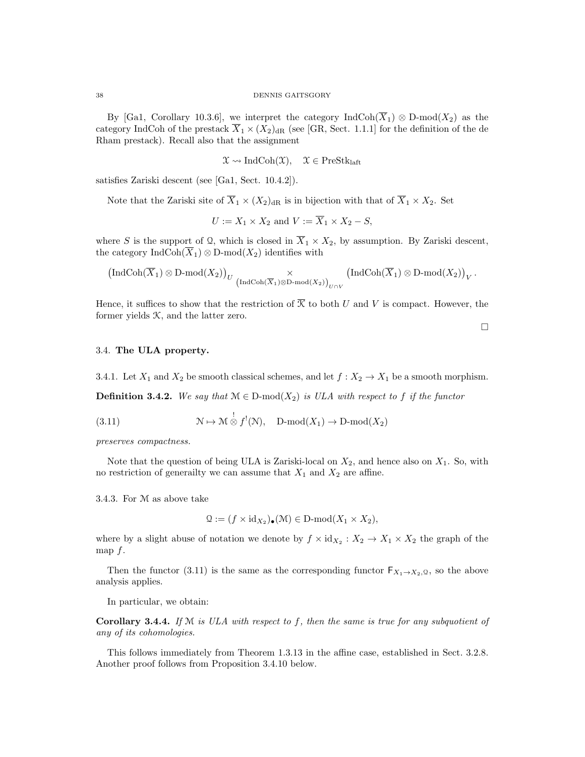By [Ga1, Corollary 10.3.6], we interpret the category  $\text{IndCoh}(\overline{X}_1) \otimes D\text{-mod}(X_2)$  as the category IndCoh of the prestack  $\overline{X}_1 \times (X_2)_{\text{dR}}$  (see [GR, Sect. 1.1.1] for the definition of the de Rham prestack). Recall also that the assignment

$$
\mathfrak{X} \leadsto \mathrm{IndCoh}(\mathfrak{X}), \quad \mathfrak{X} \in \mathrm{PreStk}_{\mathrm{laft}}
$$

satisfies Zariski descent (see [Ga1, Sect. 10.4.2]).

Note that the Zariski site of  $\overline{X}_1 \times (X_2)_{\text{dR}}$  is in bijection with that of  $\overline{X}_1 \times X_2$ . Set

$$
U := X_1 \times X_2 \text{ and } V := \overline{X}_1 \times X_2 - S,
$$

where S is the support of Q, which is closed in  $\overline{X}_1 \times X_2$ , by assumption. By Zariski descent, the category IndCoh( $\overline{X}_1$ ) ⊗ D-mod( $X_2$ ) identifies with

$$
\left(\text{IndCoh}(\overline{X}_1) \otimes D\text{-mod}(X_2)\right)_U \underset{\left(\text{IndCoh}(\overline{X}_1) \otimes D\text{-mod}(X_2)\right)_{U \cap V}}{\times} \left(\text{IndCoh}(\overline{X}_1) \otimes D\text{-mod}(X_2)\right)_V.
$$

Hence, it suffices to show that the restriction of  $\overline{X}$  to both U and V is compact. However, the former yields  $K$ , and the latter zero.

 $\Box$ 

### 3.4. The ULA property.

3.4.1. Let  $X_1$  and  $X_2$  be smooth classical schemes, and let  $f: X_2 \to X_1$  be a smooth morphism.

**Definition 3.4.2.** We say that  $M \in D-mod(X_2)$  is ULA with respect to f if the functor

(3.11) 
$$
\mathcal{N} \mapsto \mathcal{M} \overset{!}{\otimes} f^{!}(\mathcal{N}), \quad D\text{-mod}(X_1) \to D\text{-mod}(X_2)
$$

preserves compactness.

Note that the question of being ULA is Zariski-local on  $X_2$ , and hence also on  $X_1$ . So, with no restriction of generality we can assume that  $X_1$  and  $X_2$  are affine.

3.4.3. For M as above take

$$
\mathfrak{Q} := (f \times id_{X_2})_{\bullet}(\mathfrak{M}) \in \mathbf{D}\text{-mod}(X_1 \times X_2),
$$

where by a slight abuse of notation we denote by  $f \times id_{X_2} : X_2 \to X_1 \times X_2$  the graph of the map  $f$ .

Then the functor (3.11) is the same as the corresponding functor  $F_{X_1\rightarrow X_2,Q}$ , so the above analysis applies.

In particular, we obtain:

**Corollary 3.4.4.** If  $M$  is ULA with respect to f, then the same is true for any subquotient of any of its cohomologies.

This follows immediately from Theorem 1.3.13 in the affine case, established in Sect. 3.2.8. Another proof follows from Proposition 3.4.10 below.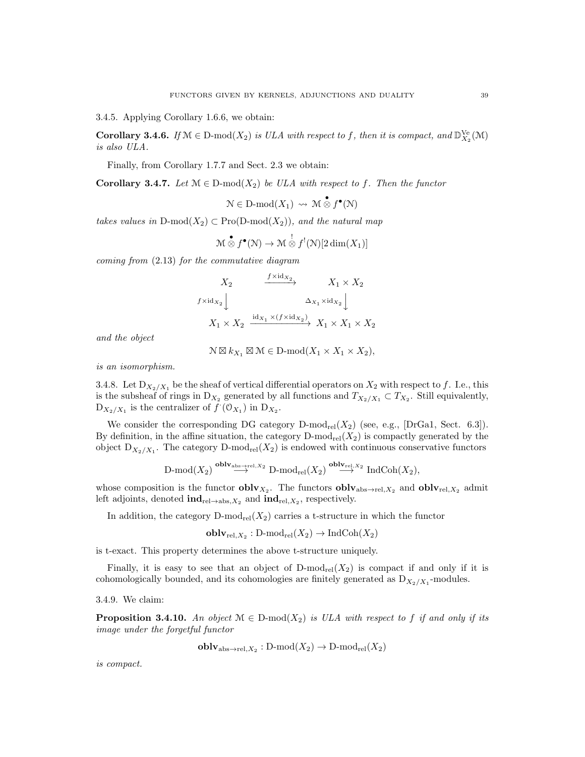3.4.5. Applying Corollary 1.6.6, we obtain:

**Corollary 3.4.6.** If  $M \in D-mod(X_2)$  is ULA with respect to f, then it is compact, and  $\mathbb{D}_{X_2}^{V_e}(\mathcal{M})$ is also ULA.

Finally, from Corollary 1.7.7 and Sect. 2.3 we obtain:

**Corollary 3.4.7.** Let  $\mathcal{M} \in \mathcal{D}$ -mod $(X_2)$  be ULA with respect to f. Then the functor

$$
\mathcal{N} \in \mathcal{D}\text{-mod}(X_1) \rightsquigarrow \mathcal{M} \overset{\bullet}{\otimes} f^{\bullet}(\mathcal{N})
$$

takes values in  $D\text{-mod}(X_2) \subset \text{Pro}(D\text{-mod}(X_2))$ , and the natural map

$$
\mathcal{M}\overset{\bullet}{\otimes} f^\bullet(\mathcal{N})\to \mathcal{M}\overset{!}{\otimes} f^!(\mathcal{N})[2\dim(X_1)]
$$

coming from (2.13) for the commutative diagram

$$
X_2 \xrightarrow{f \times id_{X_2}} X_1 \times X_2
$$
  

$$
f \times id_{X_2} \downarrow \Delta_{X_1} \times id_{X_2} \downarrow
$$
  

$$
X_1 \times X_2 \xrightarrow{id_{X_1} \times (f \times id_{X_2})} X_1 \times X_1 \times X_2
$$

and the object

 $\mathcal{N} \boxtimes k_{X_1} \boxtimes \mathcal{M} \in \mathcal{D}\text{-mod}(X_1 \times X_1 \times X_2),$ 

is an isomorphism.

3.4.8. Let  $D_{X_2/X_1}$  be the sheaf of vertical differential operators on  $X_2$  with respect to f. I.e., this is the subsheaf of rings in  $D_{X_2}$  generated by all functions and  $T_{X_2/X_1} \subset T_{X_2}$ . Still equivalently,  $D_{X_2/X_1}$  is the centralizer of  $f'(\mathcal{O}_{X_1})$  in  $D_{X_2}$ .

We consider the corresponding DG category  $D\text{-mod}_{rel}(X_2)$  (see, e.g., [DrGa1, Sect. 6.3]). By definition, in the affine situation, the category  $D\text{-mod}_{rel}(X_2)$  is compactly generated by the object  $D_{X_2/X_1}$ . The category D-mod<sub>rel</sub>(X<sub>2</sub>) is endowed with continuous conservative functors

$$
\text{D-mod}(X_2) \overset{\textbf{oblv}_{\text{abs}\to \text{rel}, X_2}}{\longrightarrow} \text{D-mod}_{\text{rel}}(X_2) \overset{\textbf{oblv}_{\text{rel}, X_2}}{\longrightarrow} \text{IndCoh}(X_2),
$$

whose composition is the functor  $oblv_{X_2}$ . The functors  $oblv_{\text{abs}\to\text{rel},X_2}$  and  $oblv_{\text{rel},X_2}$  admit left adjoints, denoted  $\text{ind}_{\text{rel}\rightarrow \text{abs}, X_2}$  and  $\text{ind}_{\text{rel}, X_2}$ , respectively.

In addition, the category  $D\text{-mod}_{rel}(X_2)$  carries a t-structure in which the functor

 $\textbf{oblv}_{\text{rel},X_2} : \text{D-mod}_{\text{rel}}(X_2) \to \text{IndCoh}(X_2)$ 

is t-exact. This property determines the above t-structure uniquely.

Finally, it is easy to see that an object of  $D\text{-mod}_{rel}(X_2)$  is compact if and only if it is cohomologically bounded, and its cohomologies are finitely generated as  $D_{X_2/X_1}$ -modules.

3.4.9. We claim:

**Proposition 3.4.10.** An object  $\mathcal{M} \in \mathcal{D}$ -mod $(X_2)$  is ULA with respect to f if and only if its image under the forgetful functor

$$
\mathbf{oblv}_{\mathrm{abs}\to\mathrm{rel},X_2}:\mathrm{D}\text{-mod}(X_2)\to\mathrm{D}\text{-mod}_{\mathrm{rel}}(X_2)
$$

is compact.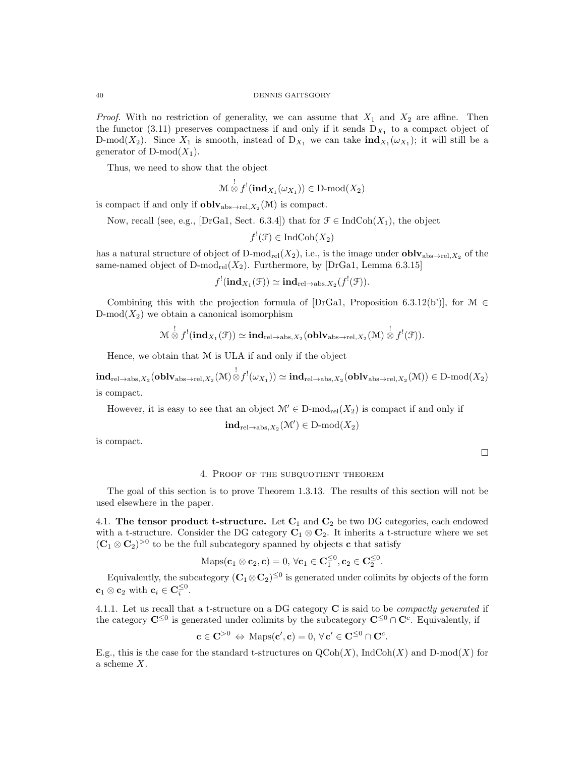*Proof.* With no restriction of generality, we can assume that  $X_1$  and  $X_2$  are affine. Then the functor (3.11) preserves compactness if and only if it sends  $D_{X_1}$  to a compact object of D-mod(X<sub>2</sub>). Since X<sub>1</sub> is smooth, instead of  $D_{X_1}$  we can take  $\text{ind}_{X_1}(\omega_{X_1})$ ; it will still be a generator of D-mod $(X_1)$ .

Thus, we need to show that the object

$$
\mathcal{M}\overset{!}{\otimes} f^{!}(\mathbf{ind}_{X_1}(\omega_{X_1}))\in\mathrm{D}\text{-}\mathrm{mod}(X_2)
$$

is compact if and only if  $\textbf{oblv}_{\text{abs}\to\text{rel},X_2}(\mathcal{M})$  is compact.

Now, recall (see, e.g., [DrGa1, Sect. 6.3.4]) that for  $\mathcal{F} \in \text{IndCoh}(X_1)$ , the object

 $f'(\mathcal{F}) \in \text{IndCoh}(X_2)$ 

has a natural structure of object of D-mod<sub>rel</sub> $(X_2)$ , i.e., is the image under  $\bf{oblv}_{\rm abs\rightarrow rel,}X_2$  of the same-named object of D-mod<sub>rel</sub> $(X_2)$ . Furthermore, by [DrGa1, Lemma 6.3.15]

$$
f^!(\text{ind}_{X_1}(\mathcal{F})) \simeq \text{ind}_{\text{rel}\to\text{abs},X_2}(f^!(\mathcal{F})).
$$

Combining this with the projection formula of [DrGa1, Proposition 6.3.12(b')], for  $\mathcal{M} \in$ D-mod $(X_2)$  we obtain a canonical isomorphism

$$
\mathcal{M} \overset{!}{\otimes} f^{!}(\mathbf{ind}_{X_{1}}(\mathcal{F})) \simeq \mathbf{ind}_{\mathrm{rel}\to\mathrm{abs}, X_{2}}(\mathbf{oblv}_{\mathrm{abs}\to \mathrm{rel}, X_{2}}(\mathcal{M}) \overset{!}{\otimes} f^{!}(\mathcal{F})).
$$

Hence, we obtain that M is ULA if and only if the object

 $\textbf{ind}_{\text{rel}\rightarrow\text{abs},X_2}(\textbf{oblv}_{\text{abs}\rightarrow \text{rel},X_2}(\mathbb{M})\overset{!}{\otimes} f^{!}(\omega_{X_1}))\simeq \textbf{ind}_{\text{rel}\rightarrow\text{abs},X_2}(\textbf{oblv}_{\text{abs}\rightarrow \text{rel},X_2}(\mathbb{M}))\in\text{D-mod}(X_2)$ is compact.

However, it is easy to see that an object  $\mathcal{M}' \in D\text{-mod}_{rel}(X_2)$  is compact if and only if

$$
\mathbf{ind}_{\mathrm{rel}\to\mathrm{abs},X_2}(\mathcal{M}')\in\mathrm{D}\text{-}\mathrm{mod}(X_2)
$$

is compact.

 $\Box$ 

#### 4. Proof of the subquotient theorem

The goal of this section is to prove Theorem 1.3.13. The results of this section will not be used elsewhere in the paper.

4.1. The tensor product t-structure. Let  $C_1$  and  $C_2$  be two DG categories, each endowed with a t-structure. Consider the DG category  $\mathbf{C}_1 \otimes \mathbf{C}_2$ . It inherits a t-structure where we set  $(\mathbf{C}_1 \otimes \mathbf{C}_2)^{>0}$  to be the full subcategory spanned by objects **c** that satisfy

$$
\mathrm{Maps}(\mathbf{c}_1 \otimes \mathbf{c}_2, \mathbf{c}) = 0, \forall \mathbf{c}_1 \in \mathbf{C}_1^{\leq 0}, \mathbf{c}_2 \in \mathbf{C}_2^{\leq 0}.
$$

Equivalently, the subcategory  $(\mathbf{C}_1 \otimes \mathbf{C}_2)^{\leq 0}$  is generated under colimits by objects of the form  $\mathbf{c}_1 \otimes \mathbf{c}_2$  with  $\mathbf{c}_i \in \mathbf{C}_i^{\leq 0}$ .

4.1.1. Let us recall that a t-structure on a DG category  $C$  is said to be *compactly generated* if the category  $\mathbf{C}^{\leq 0}$  is generated under colimits by the subcategory  $\mathbf{C}^{\leq 0} \cap \mathbf{C}^c$ . Equivalently, if

$$
\mathbf{c} \in \mathbf{C}^{>0} \Leftrightarrow \text{Maps}(\mathbf{c}', \mathbf{c}) = 0, \, \forall \, \mathbf{c}' \in \mathbf{C}^{\leq 0} \cap \mathbf{C}^c.
$$

E.g., this is the case for the standard t-structures on  $\mathrm{QCoh}(X)$ , IndCoh $(X)$  and D-mod $(X)$  for a scheme X.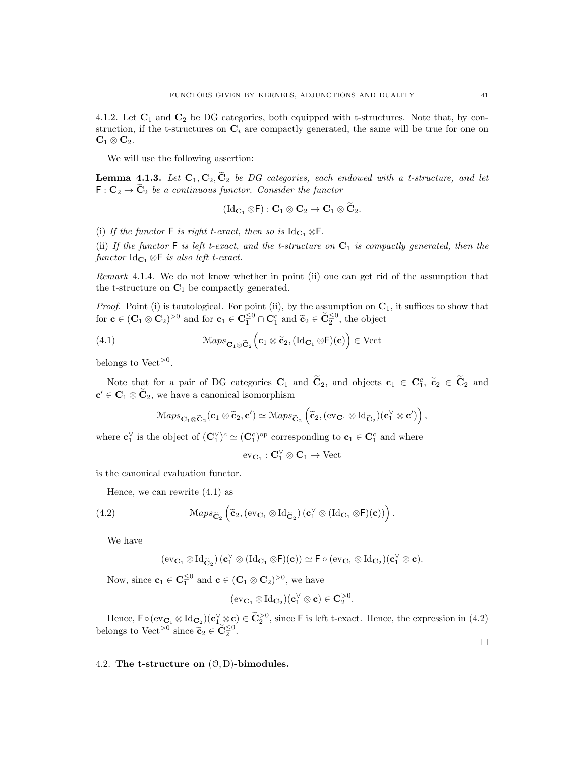4.1.2. Let  $C_1$  and  $C_2$  be DG categories, both equipped with t-structures. Note that, by construction, if the t-structures on  $\mathbf{C}_i$  are compactly generated, the same will be true for one on  $\mathbf{C}_1 \otimes \mathbf{C}_2.$ 

We will use the following assertion:

**Lemma 4.1.3.** Let  $C_1, C_2, C_2$  be DG categories, each endowed with a t-structure, and let  $\mathsf{F}: \mathbf{C}_2 \to \widetilde{\mathbf{C}}_2$  be a continuous functor. Consider the functor

$$
(\mathrm{Id}_{\mathbf{C}_1} \otimes \mathsf{F}) : \mathbf{C}_1 \otimes \mathbf{C}_2 \to \mathbf{C}_1 \otimes \mathbf{C}_2.
$$

(i) If the functor  $\mathsf F$  is right t-exact, then so is  $\mathrm{Id}_{\mathbf{C}_1} \otimes \mathsf F$ .

(ii) If the functor  $F$  is left t-exact, and the t-structure on  $C_1$  is compactly generated, then the functor  $\text{Id}_{\mathbf{C}_1} \otimes \mathsf{F}$  is also left t-exact.

Remark 4.1.4. We do not know whether in point (ii) one can get rid of the assumption that the t-structure on  $C_1$  be compactly generated.

*Proof.* Point (i) is tautological. For point (ii), by the assumption on  $C_1$ , it suffices to show that for  $\mathbf{c} \in (\mathbf{C}_1 \otimes \mathbf{C}_2)^{>0}$  and for  $\mathbf{c}_1 \in \mathbf{C}_1^{\leq 0} \cap \mathbf{C}_1^c$  and  $\widetilde{\mathbf{c}}_2 \in \widetilde{\mathbf{C}}_2^{\leq 0}$ , the object

(4.1) 
$$
\mathcal{M}aps_{\mathbf{C}_1 \otimes \widetilde{\mathbf{C}}_2}(\mathbf{c}_1 \otimes \widetilde{\mathbf{c}}_2, (\mathrm{Id}_{\mathbf{C}_1} \otimes \mathsf{F})(\mathbf{c})) \in \mathrm{Vect}
$$

belongs to  $Vect^{>0}$ .

Note that for a pair of DG categories  $\mathbf{C}_1$  and  $\widetilde{\mathbf{C}}_2$ , and objects  $\mathbf{c}_1 \in \mathbf{C}_1^c$ ,  $\widetilde{\mathbf{c}}_2 \in \widetilde{\mathbf{C}}_2$  and  $\widetilde{\mathbf{c}}_1 \in \widetilde{\mathbf{C}}_1$  $c' \in C_1 \otimes \widetilde{C}_2$ , we have a canonical isomorphism

$$
\mathrm{Maps}_{\mathbf{C}_1\otimes \widetilde{\mathbf{C}}_2}(\mathbf{c}_1\otimes \widetilde{\mathbf{c}}_2, \mathbf{c}') \simeq \mathrm{Maps}_{\widetilde{\mathbf{C}}_2}\left(\widetilde{\mathbf{c}}_2, (\mathrm{ev}_{\mathbf{C}_1}\otimes \mathrm{Id}_{\widetilde{\mathbf{C}}_2})(\mathbf{c}_1^{\vee}\otimes \mathbf{c}')\right),
$$

where  $\mathbf{c}_1^{\vee}$  is the object of  $(\mathbf{C}_1^{\vee})^c \simeq (\mathbf{C}_1^c)^{op}$  corresponding to  $\mathbf{c}_1 \in \mathbf{C}_1^c$  and where

$$
\mathrm{ev}_{\mathbf{C}_1} : \mathbf{C}_1^\vee \otimes \mathbf{C}_1 \to \mathrm{Vect}
$$

is the canonical evaluation functor.

Hence, we can rewrite (4.1) as

(4.2) 
$$
\mathcal{M}aps_{\widetilde{\mathbf{C}}_2}\left(\widetilde{\mathbf{c}}_2, \left(\text{ev}_{\mathbf{C}_1} \otimes \text{Id}_{\widetilde{\mathbf{C}}_2}\right) (\mathbf{c}_1^{\vee} \otimes (\text{Id}_{\mathbf{C}_1} \otimes \mathsf{F})(\mathbf{c}))\right).
$$

We have

$$
(\operatorname{ev}_{\mathbf{C}_1} \otimes \operatorname{Id}_{\widetilde{\mathbf{C}}_2}) \left(\mathbf{c}_1^{\vee} \otimes (\operatorname{Id}_{\mathbf{C}_1} \otimes \mathsf{F})(\mathbf{c})\right) \simeq \mathsf{F} \circ (\operatorname{ev}_{\mathbf{C}_1} \otimes \operatorname{Id}_{\mathbf{C}_2}) (\mathbf{c}_1^{\vee} \otimes \mathbf{c}).
$$

Now, since  $\mathbf{c}_1 \in \mathbf{C}_1^{\leq 0}$  and  $\mathbf{c} \in (\mathbf{C}_1 \otimes \mathbf{C}_2)^{>0}$ , we have

$$
(\mathrm{ev}_{{\mathbf C}_1} \otimes \mathrm{Id}_{{\mathbf C}_2})({\mathbf c}_1^\vee \otimes {\mathbf c}) \in {\mathbf C}_2^{>0}.
$$

Hence,  $\mathsf{F} \circ (\text{ev}_{\mathbf{C}_1} \otimes \text{Id}_{\mathbf{C}_2})(\mathbf{c}_1^{\vee} \otimes \mathbf{c}) \in \widetilde{\mathbf{C}}_2^{>0}$ , since  $\mathsf{F}$  is left t-exact. Hence, the expression in (4.2) belongs to Vect<sup>>0</sup> since  $\widetilde{\mathbf{c}}_2 \in \widetilde{\mathbf{C}}_2^{\leq 0}$ .

## 4.2. The t-structure on (O, D)-bimodules.

 $\Box$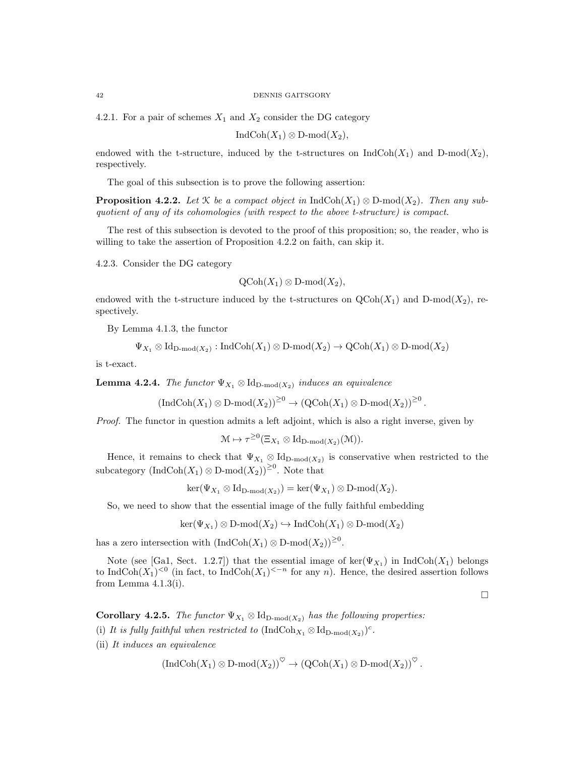## 42 DENNIS GAITSGORY

4.2.1. For a pair of schemes  $X_1$  and  $X_2$  consider the DG category

IndCoh $(X_1) \otimes D$ -mod $(X_2)$ ,

endowed with the t-structure, induced by the t-structures on  $\text{IndCoh}(X_1)$  and  $\text{D-mod}(X_2)$ , respectively.

The goal of this subsection is to prove the following assertion:

**Proposition 4.2.2.** Let K be a compact object in  $\text{IndCoh}(X_1) \otimes D\text{-mod}(X_2)$ . Then any subquotient of any of its cohomologies (with respect to the above t-structure) is compact.

The rest of this subsection is devoted to the proof of this proposition; so, the reader, who is willing to take the assertion of Proposition 4.2.2 on faith, can skip it.

4.2.3. Consider the DG category

$$
\text{QCoh}(X_1) \otimes D\text{-mod}(X_2),
$$

endowed with the t-structure induced by the t-structures on  $\text{QCoh}(X_1)$  and  $\text{D-mod}(X_2)$ , respectively.

By Lemma 4.1.3, the functor

$$
\Psi_{X_1} \otimes \text{Id}_{\text{D-mod}(X_2)} : \text{IndCoh}(X_1) \otimes \text{D-mod}(X_2) \to \text{QCoh}(X_1) \otimes \text{D-mod}(X_2)
$$

is t-exact.

**Lemma 4.2.4.** The functor  $\Psi_{X_1} \otimes \mathrm{Id}_{\mathrm{D-mod}(X_2)}$  induces an equivalence

$$
(\mathrm{Ind}\mathrm{Coh}(X_1) \otimes D\text{-}\mathrm{mod}(X_2))^{\geq 0} \to (\mathrm{QCoh}(X_1) \otimes D\text{-}\mathrm{mod}(X_2))^{\geq 0}
$$

Proof. The functor in question admits a left adjoint, which is also a right inverse, given by

$$
\mathcal{M} \mapsto \tau^{\geq 0}(\Xi_{X_1} \otimes \mathrm{Id}_{\mathrm{D-mod}(X_2)}(\mathcal{M})).
$$

Hence, it remains to check that  $\Psi_{X_1} \otimes \mathrm{Id}_{D\text{-mod}(X_2)}$  is conservative when restricted to the subcategory  $\left(\text{IndCoh}(X_1) \otimes D\text{-mod}(X_2)\right)^{\geq 0}$ . Note that

 $\ker(\Psi_{X_1} \otimes \mathrm{Id}_{\mathrm{D-mod}(X_2)}) = \ker(\Psi_{X_1}) \otimes \mathrm{D-mod}(X_2).$ 

So, we need to show that the essential image of the fully faithful embedding

$$
\ker(\Psi_{X_1}) \otimes D\text{-mod}(X_2) \hookrightarrow \text{IndCoh}(X_1) \otimes D\text{-mod}(X_2)
$$

has a zero intersection with  $\left(\text{IndCoh}(X_1) \otimes \text{D-mod}(X_2)\right)^{\geq 0}$ .

Note (see [Ga1, Sect. 1.2.7]) that the essential image of  $\ker(\Psi_{X_1})$  in  $\text{IndCoh}(X_1)$  belongs to IndCoh $(X_1)^{< 0}$  (in fact, to IndCoh $(X_1)^{< -n}$  for any n). Hence, the desired assertion follows from Lemma  $4.1.3(i)$ .

 $\Box$ 

.

**Corollary 4.2.5.** The functor  $\Psi_{X_1} \otimes \mathrm{Id}_{\mathrm{D-mod}(X_2)}$  has the following properties:

(i) It is fully faithful when restricted to  $(\text{IndCoh}_{X_1} \otimes \text{Id}_{D\text{-mod}(X_2)})^c$ .

(ii) It induces an equivalence

$$
\left(\text{Ind}\text{Coh}(X_1)\otimes \text{D-mod}(X_2)\right)^{\heartsuit}\to \left(\text{QCoh}(X_1)\otimes \text{D-mod}(X_2)\right)^{\heartsuit}.
$$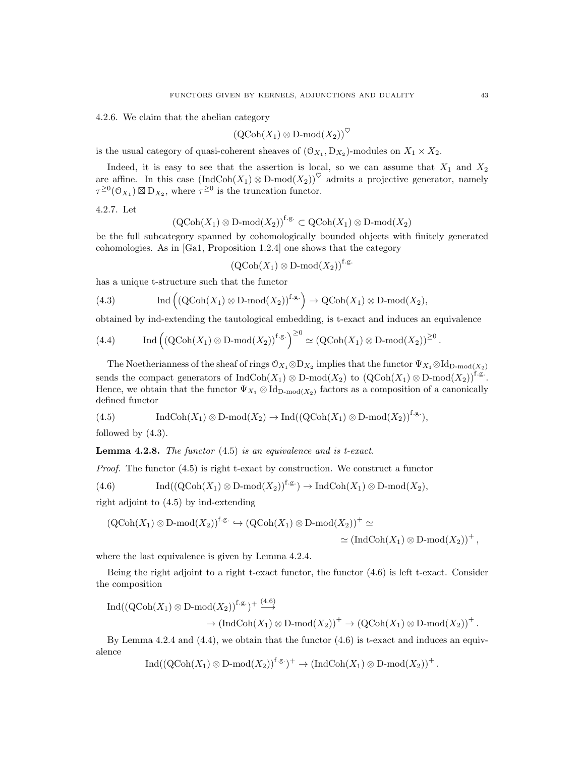4.2.6. We claim that the abelian category

$$
\left(\operatorname{QCoh}(X_1) \otimes \operatorname{D-mod}(X_2)\right)^\heartsuit
$$

is the usual category of quasi-coherent sheaves of  $(\mathcal{O}_{X_1}, \mathcal{D}_{X_2})$ -modules on  $X_1 \times X_2$ .

Indeed, it is easy to see that the assertion is local, so we can assume that  $X_1$  and  $X_2$ are affine. In this case  $\left(\text{IndCoh}(X_1) \otimes D\text{-mod}(X_2)\right)^\heartsuit$  admits a projective generator, namely  $\tau^{\geq 0}(\mathbb{O}_{X_1}) \boxtimes \mathbb{D}_{X_2}$ , where  $\tau^{\geq 0}$  is the truncation functor.

4.2.7. Let

$$
(\mathrm{QCoh}(X_1) \otimes \mathrm{D}\text{-}\mathrm{mod}(X_2))^{f.g.} \subset \mathrm{QCoh}(X_1) \otimes \mathrm{D}\text{-}\mathrm{mod}(X_2)
$$

be the full subcategory spanned by cohomologically bounded objects with finitely generated cohomologies. As in [Ga1, Proposition 1.2.4] one shows that the category

$$
\left(\mathrm{QCoh}(X_1) \otimes \mathrm{D}\text{-}\mathrm{mod}(X_2)\right)^{\mathrm{f.g.}}
$$

has a unique t-structure such that the functor

(4.3) Ind 
$$
\left( (\text{QCoh}(X_1) \otimes D\text{-mod}(X_2))^{f \cdot g} \right) \to \text{QCoh}(X_1) \otimes D\text{-mod}(X_2),
$$

obtained by ind-extending the tautological embedding, is t-exact and induces an equivalence

(4.4) Ind 
$$
\left(\left(\mathrm{QCoh}(X_1) \otimes \mathrm{D}\text{-}\mathrm{mod}(X_2)\right)^{\mathrm{f.g.}}\right)^{\geq 0} \simeq \left(\mathrm{QCoh}(X_1) \otimes \mathrm{D}\text{-}\mathrm{mod}(X_2)\right)^{\geq 0}.
$$

The Noetherianness of the sheaf of rings  $0_{X_1} \otimes 0_{X_2}$  implies that the functor  $\Psi_{X_1} \otimes Id_{D\text{-mod}(X_2)}$ sends the compact generators of  $\text{IndCoh}(X_1) \otimes D\text{-mod}(X_2)$  to  $(\text{QCoh}(X_1) \otimes D\text{-mod}(X_2))^{f.g.}$ . Hence, we obtain that the functor  $\Psi_{X_1} \otimes \mathrm{Id}_{D\text{-mod}(X_2)}$  factors as a composition of a canonically defined functor

(4.5) 
$$
\operatorname{IndCoh}(X_1) \otimes D\text{-mod}(X_2) \to \operatorname{Ind}((\operatorname{QCoh}(X_1) \otimes D\text{-mod}(X_2))^{f.g.}),
$$

followed by (4.3).

**Lemma 4.2.8.** The functor  $(4.5)$  is an equivalence and is t-exact.

*Proof.* The functor  $(4.5)$  is right t-exact by construction. We construct a functor

(4.6) 
$$
\operatorname{Ind}((\operatorname{QCoh}(X_1) \otimes D\text{-}\operatorname{mod}(X_2))^{f \cdot g \cdot}) \to \operatorname{IndCoh}(X_1) \otimes D\text{-}\operatorname{mod}(X_2),
$$

right adjoint to (4.5) by ind-extending

$$
(\mathrm{QCoh}(X_1) \otimes \mathrm{D}\text{-}\mathrm{mod}(X_2))^{\mathrm{f.g.}} \hookrightarrow (\mathrm{QCoh}(X_1) \otimes \mathrm{D}\text{-}\mathrm{mod}(X_2))^+ \simeq
$$
  

$$
\simeq (\mathrm{Ind}\mathrm{Coh}(X_1) \otimes \mathrm{D}\text{-}\mathrm{mod}(X_2))^+,
$$

where the last equivalence is given by Lemma 4.2.4.

Being the right adjoint to a right t-exact functor, the functor (4.6) is left t-exact. Consider the composition

$$
\operatorname{Ind}((\operatorname{QCoh}(X_1) \otimes D\text{-mod}(X_2))^{\text{f.g.}})^+ \stackrel{(4.6)}{\longrightarrow} \to (\operatorname{IndCoh}(X_1) \otimes D\text{-mod}(X_2))^+ \to (\operatorname{QCoh}(X_1) \otimes D\text{-mod}(X_2))^+.
$$

By Lemma 4.2.4 and  $(4.4)$ , we obtain that the functor  $(4.6)$  is t-exact and induces an equivalence

$$
\mathrm{Ind}((\mathrm{QCoh}(X_1) \otimes \mathrm{D}\text{-}\mathrm{mod}(X_2))^{f \cdot g \cdot})^+ \to (\mathrm{Ind}\mathrm{Coh}(X_1) \otimes \mathrm{D}\text{-}\mathrm{mod}(X_2))^+.
$$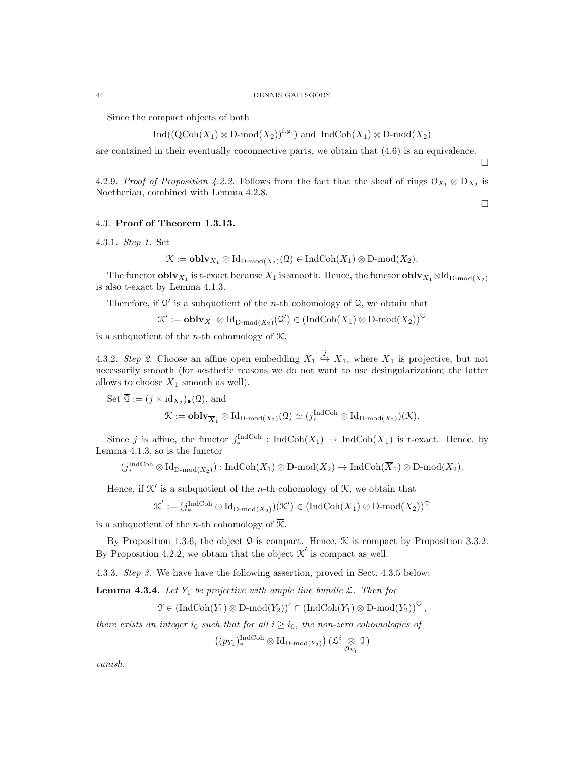#### 44 DENNIS GAITSGORY

Since the compact objects of both

$$
\text{Ind}((\text{QCoh}(X_1) \otimes D\text{-mod}(X_2))^{f.g.})
$$
 and  $\text{Ind}\text{Coh}(X_1) \otimes D\text{-mod}(X_2)$ 

are contained in their eventually coconnective parts, we obtain that (4.6) is an equivalence.

4.2.9. Proof of Proposition 4.2.2. Follows from the fact that the sheaf of rings  $\mathcal{O}_{X_1} \otimes \mathcal{D}_{X_2}$  is Noetherian, combined with Lemma 4.2.8.

 $\Box$ 

 $\Box$ 

# 4.3. Proof of Theorem 1.3.13.

4.3.1. Step 1. Set

$$
\mathcal{K}:=\mathbf{oblv}_{X_1}\otimes\mathrm{Id}_{\mathrm{D-mod}(X_2)}(\mathcal{Q})\in\mathrm{IndCoh}(X_1)\otimes\mathrm{D-mod}(X_2).
$$

The functor  $\textbf{oblv}_{X_1}$  is t-exact because  $X_1$  is smooth. Hence, the functor  $\textbf{oblv}_{X_1} \otimes \text{Id}_{D\text{-mod}(X_2)}$ is also t-exact by Lemma 4.1.3.

Therefore, if  $Q'$  is a subquotient of the *n*-th cohomology of  $Q$ , we obtain that

$$
\mathcal{K}' := \mathbf{oblv}_{X_1} \otimes \mathrm{Id}_{\mathrm{D}\text{-}\mathrm{mod}(X_2)}(\mathcal{Q}') \in (\mathrm{IndCoh}(X_1) \otimes \mathrm{D}\text{-}\mathrm{mod}(X_2))^\heartsuit
$$

is a subquotient of the *n*-th cohomology of  $K$ .

4.3.2. Step 2. Choose an affine open embedding  $X_1 \stackrel{j}{\hookrightarrow} \overline{X}_1$ , where  $\overline{X}_1$  is projective, but not necessarily smooth (for aesthetic reasons we do not want to use desingularization; the latter allows to choose  $\overline{X}_1$  smooth as well).

Set 
$$
\overline{Q} := (j \times id_{X_2})_{\bullet}(\Omega)
$$
, and  
\n
$$
\overline{\mathcal{K}} := \mathbf{oblv}_{\overline{X}_1} \otimes Id_{D\text{-mod}(X_2)}(\overline{Q}) \simeq (j_*^{\text{IndCoh}} \otimes Id_{D\text{-mod}(X_2)})(\mathcal{K}).
$$

Since j is affine, the functor  $j^{\text{IndCoh}}_* : \text{IndCoh}(X_1) \to \text{IndCoh}(\overline{X}_1)$  is t-exact. Hence, by Lemma 4.1.3, so is the functor

 $(j_*^{\text{IndCoh}} \otimes \text{Id}_{\text{D-mod}(X_2)}) : \text{IndCoh}(X_1) \otimes \text{D-mod}(X_2) \to \text{IndCoh}(\overline{X}_1) \otimes \text{D-mod}(X_2).$ 

Hence, if  $K'$  is a subquotient of the *n*-th cohomology of  $K$ , we obtain that

$$
\overline{\mathcal{K}}':=(j_*^{\operatorname{IndCoh}}\otimes \operatorname{Id}_{\operatorname{D-mod}(X_2)})(\mathcal{K}')\in (\operatorname{IndCoh}(\overline{X}_1)\otimes \operatorname{D-mod}(X_2))^\heartsuit
$$

is a subquotient of the *n*-th cohomology of  $\overline{\mathcal{K}}$ .

By Proposition 1.3.6, the object  $\overline{Q}$  is compact. Hence,  $\overline{X}$  is compact by Proposition 3.3.2. By Proposition 4.2.2, we obtain that the object  $\overline{\mathcal{K}}'$  is compact as well.

4.3.3. Step 3. We have have the following assertion, proved in Sect. 4.3.5 below:

**Lemma 4.3.4.** Let  $Y_1$  be projective with ample line bundle  $\mathcal{L}$ . Then for

 $\mathfrak{T} \in (\text{IndCoh}(Y_1) \otimes D\text{-mod}(Y_2))^c \cap (\text{IndCoh}(Y_1) \otimes D\text{-mod}(Y_2))^{\heartsuit}$ 

there exists an integer  $i_0$  such that for all  $i \geq i_0$ , the non-zero cohomologies of

$$
\left((p_{Y_1})_{\ast}^{\operatorname{IndCoh}}\otimes \operatorname{Id}_{\operatorname{D-mod}(Y_2)}\right)(\mathcal{L}^i\underset{\mathfrak{O}_{Y_1}}{\otimes}\mathfrak{T})
$$

vanish.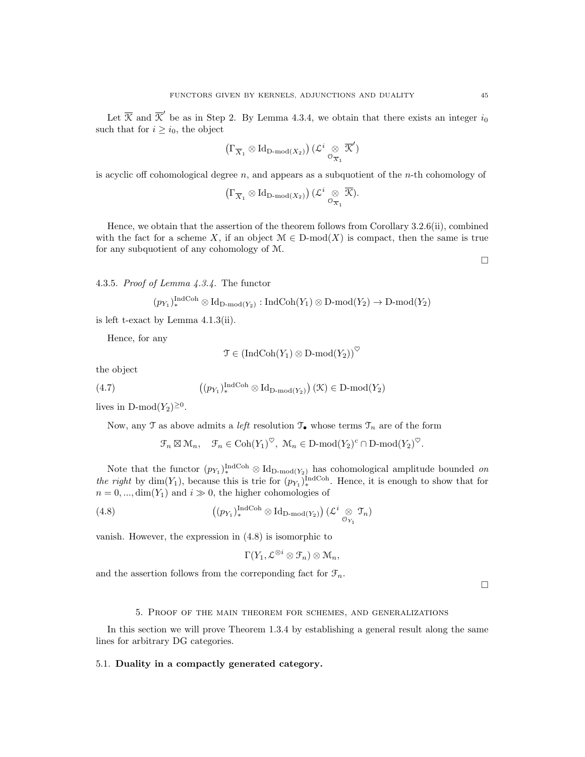Let  $\overline{K}$  and  $\overline{K}'$  be as in Step 2. By Lemma 4.3.4, we obtain that there exists an integer  $i_0$ such that for  $i \geq i_0$ , the object

$$
\left(\Gamma_{\overline{X}_1}\otimes\mathrm{Id}_{\mathrm{D}\text{-}\mathrm{mod}(X_2)}\right)(\mathcal{L}^i\underset{\mathcal{O}_{\overline{X}_1}}{\otimes}\overline{\mathfrak{K}}')
$$

is acyclic off cohomological degree  $n$ , and appears as a subquotient of the *n*-th cohomology of

$$
\left(\Gamma_{\overline{X}_1}\otimes\text{Id}_{\text{D-mod}(X_2)}\right)(\mathcal{L}^i\underset{\mathcal{O}_{\overline{X}_1}}{\otimes}\overline{\mathcal{K}}).
$$

Hence, we obtain that the assertion of the theorem follows from Corollary 3.2.6(ii), combined with the fact for a scheme X, if an object  $\mathcal{M} \in \mathcal{D}$ -mod $(X)$  is compact, then the same is true for any subquotient of any cohomology of M.

4.3.5. Proof of Lemma 4.3.4. The functor

$$
(p_{Y_1})_*^{\operatorname{IndCoh}} \otimes \operatorname{Id}_{\operatorname{D-mod}(Y_2)}: \operatorname{IndCoh}(Y_1) \otimes \operatorname{D-mod}(Y_2) \to \operatorname{D-mod}(Y_2)
$$

is left t-exact by Lemma 4.1.3(ii).

Hence, for any

$$
\mathfrak{T} \in (\mathrm{IndCoh}(Y_1) \otimes D\text{-}\mathrm{mod}(Y_2))^\heartsuit
$$

the object

(4.7) 
$$
((p_{Y_1})_{*}^{\text{IndCoh}} \otimes \text{Id}_{D\text{-mod}(Y_2)}) (\mathcal{K}) \in D\text{-mod}(Y_2)
$$

lives in D-mod $(Y_2)^{\geq 0}$ .

Now, any  $\mathfrak T$  as above admits a *left* resolution  $\mathfrak T_{\bullet}$  whose terms  $\mathfrak T_n$  are of the form

 $\mathfrak{F}_n \boxtimes \mathfrak{M}_n$ ,  $\mathfrak{F}_n \in \mathrm{Coh}(Y_1)^\heartsuit$ ,  $\mathfrak{M}_n \in \mathrm{D-mod}(Y_2)^c \cap \mathrm{D-mod}(Y_2)^\heartsuit$ .

Note that the functor  $(p_{Y_1})_*^{\text{IndCoh}} \otimes \text{Id}_{D\text{-mod}(Y_2)}$  has cohomological amplitude bounded on the right by  $\dim(Y_1)$ , because this is trie for  $(p_{Y_1})_*^{\text{IndCoh}}$ . Hence, it is enough to show that for  $n = 0, \dots, \dim(Y_1)$  and  $i \gg 0$ , the higher cohomologies of

(4.8) 
$$
((p_{Y_1})_{*}^{\text{IndCoh}} \otimes \text{Id}_{\text{D-mod}(Y_2)}) (\mathcal{L}^i \underset{\mathcal{O}_{Y_1}}{\otimes} \mathcal{T}_n)
$$

vanish. However, the expression in (4.8) is isomorphic to

$$
\Gamma(Y_1,\mathcal{L}^{\otimes i}\otimes \mathcal{F}_n)\otimes \mathcal{M}_n,
$$

and the assertion follows from the corresponding fact for  $\mathcal{F}_n$ .

 $\Box$ 

#### 5. Proof of the main theorem for schemes, and generalizations

In this section we will prove Theorem 1.3.4 by establishing a general result along the same lines for arbitrary DG categories.

## 5.1. Duality in a compactly generated category.

 $\Box$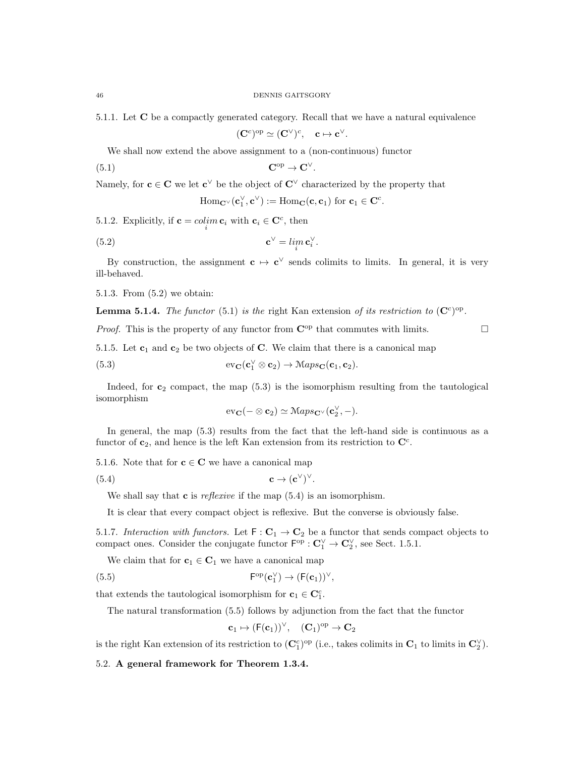5.1.1. Let C be a compactly generated category. Recall that we have a natural equivalence

 $(\mathbf{C}^c)^{\mathrm{op}} \simeq (\mathbf{C}^\vee)^c, \quad \mathbf{c} \mapsto \mathbf{c}^\vee.$ 

We shall now extend the above assignment to a (non-continuous) functor

(5.1)  $\mathbf{C}^{\mathrm{op}} \to \mathbf{C}^{\vee}$ .

Namely, for  $c \in C$  we let  $c^{\vee}$  be the object of  $C^{\vee}$  characterized by the property that

 $\text{Hom}_{\mathbf{C}^{\vee}}(\mathbf{c}_1^{\vee}, \mathbf{c}^{\vee}) := \text{Hom}_{\mathbf{C}}(\mathbf{c}, \mathbf{c}_1) \text{ for } \mathbf{c}_1 \in \mathbf{C}^c.$ 

5.1.2. Explicitly, if  $\mathbf{c} = \operatorname{colim}_{i} \mathbf{c}_{i}$  with  $\mathbf{c}_{i} \in \mathbf{C}^{c}$ , then

(5.2) 
$$
\mathbf{c}^{\vee} = \lim_{i} \mathbf{c}_{i}^{\vee}.
$$

By construction, the assignment  $c \mapsto c^{\vee}$  sends colimits to limits. In general, it is very ill-behaved.

5.1.3. From (5.2) we obtain:

**Lemma 5.1.4.** The functor (5.1) is the right Kan extension of its restriction to  $(\mathbf{C}^c)^{\rm op}$ .

*Proof.* This is the property of any functor from  $\mathbb{C}^{\text{op}}$  that commutes with limits.

5.1.5. Let  $c_1$  and  $c_2$  be two objects of C. We claim that there is a canonical map

(5.3) 
$$
\mathrm{ev}_{\mathbf{C}}(\mathbf{c}_1^{\vee} \otimes \mathbf{c}_2) \to \mathcal{M}aps_{\mathbf{C}}(\mathbf{c}_1, \mathbf{c}_2).
$$

Indeed, for  $c_2$  compact, the map  $(5.3)$  is the isomorphism resulting from the tautological isomorphism

$$
\mathrm{ev}_{\mathbf{C}}(-\otimes \mathbf{c}_2)\simeq \mathcal{M}aps_{\mathbf{C}^{\vee}}(\mathbf{c}_2^{\vee},-).
$$

In general, the map (5.3) results from the fact that the left-hand side is continuous as a functor of  $\mathbf{c}_2$ , and hence is the left Kan extension from its restriction to  $\mathbf{C}^c$ .

5.1.6. Note that for  $c \in C$  we have a canonical map

(5.4) 
$$
\mathbf{c} \to (\mathbf{c}^{\vee})^{\vee}.
$$

We shall say that **c** is *reflexive* if the map  $(5.4)$  is an isomorphism.

It is clear that every compact object is reflexive. But the converse is obviously false.

5.1.7. Interaction with functors. Let  $\mathsf{F} : \mathbf{C}_1 \to \mathbf{C}_2$  be a functor that sends compact objects to compact ones. Consider the conjugate functor  $\mathsf{F}^{\text{op}} : \mathbb{C}_1^{\vee} \to \mathbb{C}_2^{\vee}$ , see Sect. 1.5.1.

We claim that for  $c_1 \in C_1$  we have a canonical map

(5.5) 
$$
\mathsf{F}^{\mathrm{op}}(\mathbf{c}_1^{\vee}) \to (\mathsf{F}(\mathbf{c}_1))^{\vee},
$$

that extends the tautological isomorphism for  $\mathbf{c}_1 \in \mathbf{C}_1^c$ .

The natural transformation (5.5) follows by adjunction from the fact that the functor

$$
\mathbf{c}_1 \mapsto (\mathsf{F}(\mathbf{c}_1))^\vee, \quad (\mathbf{C}_1)^\mathrm{op} \to \mathbf{C}_2
$$

is the right Kan extension of its restriction to  $(\mathbf{C}_1^c)^{op}$  (i.e., takes colimits in  $\mathbf{C}_1$  to limits in  $\mathbf{C}_2^{\vee}$ ).

5.2. A general framework for Theorem 1.3.4.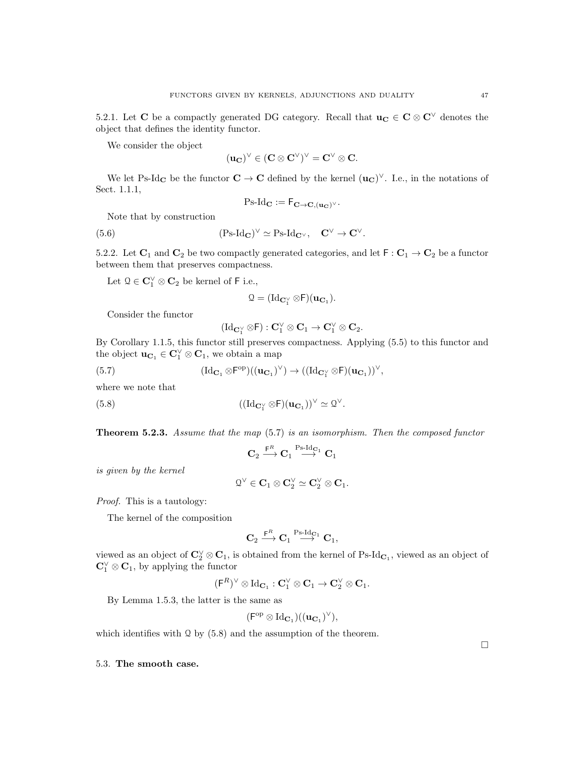5.2.1. Let C be a compactly generated DG category. Recall that  $\mathbf{u}_{\mathbf{C}} \in \mathbf{C} \otimes \mathbf{C}^{\vee}$  denotes the object that defines the identity functor.

We consider the object

$$
(\mathbf{u_C})^{\vee} \in (\mathbf{C} \otimes \mathbf{C}^{\vee})^{\vee} = \mathbf{C}^{\vee} \otimes \mathbf{C}.
$$

We let Ps-Id<sub>C</sub> be the functor  $C \to C$  defined by the kernel  $(u_C)^{\vee}$ . I.e., in the notations of Sect. 1.1.1,

$$
\operatorname{Ps-Id}_{\mathbf{C}} := \mathsf{F}_{\mathbf{C} \to \mathbf{C}, (\mathbf{u}_{\mathbf{C}})^{\vee}}.
$$

Note that by construction

(5.6) 
$$
(Ps\text{-}Id_{\mathbf{C}})^{\vee} \simeq Ps\text{-}Id_{\mathbf{C}^{\vee}}, \quad \mathbf{C}^{\vee} \to \mathbf{C}^{\vee}.
$$

5.2.2. Let  $C_1$  and  $C_2$  be two compactly generated categories, and let  $F: C_1 \rightarrow C_2$  be a functor between them that preserves compactness.

Let  $\mathfrak{Q} \in \mathbf{C}_1^{\vee} \otimes \mathbf{C}_2$  be kernel of  $\mathsf F$  i.e.,

$$
\mathbf{Q} = (\mathrm{Id}_{\mathbf{C}_1^{\vee}} \otimes \mathsf{F})(\mathbf{u}_{\mathbf{C}_1}).
$$

Consider the functor

$$
(\mathrm{Id}_{\mathbf{C}_1^\vee} \otimes \mathsf{F}) : \mathbf{C}_1^\vee \otimes \mathbf{C}_1 \to \mathbf{C}_1^\vee \otimes \mathbf{C}_2.
$$

By Corollary 1.1.5, this functor still preserves compactness. Applying (5.5) to this functor and the object  $\mathbf{u}_{\mathbf{C}_1} \in \mathbf{C}_1^{\vee} \otimes \mathbf{C}_1$ , we obtain a map

$$
(5.7) \qquad \qquad (\mathrm{Id}_{\mathbf{C}_1} \otimes F^{\mathrm{op}})((\mathbf{u}_{\mathbf{C}_1})^{\vee}) \rightarrow ((\mathrm{Id}_{\mathbf{C}_1^{\vee}} \otimes F)(\mathbf{u}_{\mathbf{C}_1}))^{\vee},
$$

where we note that

(5.8) 
$$
((\mathrm{Id}_{\mathbf{C}_1^{\vee}} \otimes \mathsf{F})(\mathbf{u}_{\mathbf{C}_1}))^{\vee} \simeq \mathfrak{Q}^{\vee}.
$$

Theorem 5.2.3. Assume that the map (5.7) is an isomorphism. Then the composed functor

$$
\mathbf{C}_2 \xrightarrow{ \mathsf{F}^{\mathit{R}} } \mathbf{C}_1 \overset{ \mathsf{Ps}\text{-}\mathrm{Id}_{\mathbf{C}_1} }{\longrightarrow} \mathbf{C}_1
$$

is given by the kernel

$$
\mathfrak{Q}^\vee\in\mathbf{C}_1\otimes\mathbf{C}_2^\vee\simeq\mathbf{C}_2^\vee\otimes\mathbf{C}_1.
$$

Proof. This is a tautology:

The kernel of the composition

$$
\mathbf{C}_2 \stackrel{\mathsf{F}^R}{\longrightarrow} \mathbf{C}_1 \stackrel{\operatorname{Ps-Id}_{\mathbf{C}_1}}{\longrightarrow} \mathbf{C}_1,
$$

viewed as an object of  $\mathbb{C}_2^{\vee} \otimes \mathbb{C}_1$ , is obtained from the kernel of Ps-Id $_{\mathbb{C}_1}$ , viewed as an object of  $\mathbf{C}_1^{\vee} \otimes \mathbf{C}_1$ , by applying the functor

$$
(\mathsf{F}^R)^\vee\otimes \mathrm{Id}_{\mathbf{C}_1}:\mathbf{C}_1^\vee\otimes \mathbf{C}_1\to \mathbf{C}_2^\vee\otimes \mathbf{C}_1.
$$

By Lemma 1.5.3, the latter is the same as

$$
(\mathsf F^{op}\otimes \operatorname{Id}_{\mathbf{C}_1})((\mathbf{u}_{\mathbf{C}_1})^\vee),
$$

which identifies with  $\Omega$  by (5.8) and the assumption of the theorem.

5.3. The smooth case.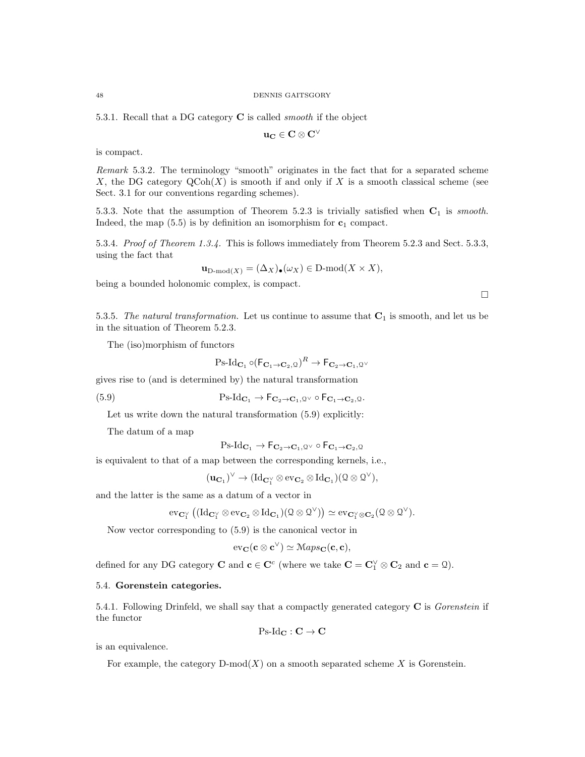5.3.1. Recall that a DG category C is called smooth if the object

$$
\mathbf{u_C} \in \mathbf{C} \otimes \mathbf{C}^\vee
$$

is compact.

Remark 5.3.2. The terminology "smooth" originates in the fact that for a separated scheme X, the DG category  $\mathrm{QCoh}(X)$  is smooth if and only if X is a smooth classical scheme (see Sect. 3.1 for our conventions regarding schemes).

5.3.3. Note that the assumption of Theorem 5.2.3 is trivially satisfied when  $C_1$  is *smooth*. Indeed, the map  $(5.5)$  is by definition an isomorphism for  $c_1$  compact.

5.3.4. Proof of Theorem 1.3.4. This is follows immediately from Theorem 5.2.3 and Sect. 5.3.3, using the fact that

$$
\mathbf{u}_{\mathrm{D-mod}(X)} = (\Delta_X)_{\bullet}(\omega_X) \in \mathrm{D-mod}(X \times X),
$$

 $\Box$ 

being a bounded holonomic complex, is compact.

5.3.5. The natural transformation. Let us continue to assume that  $C_1$  is smooth, and let us be in the situation of Theorem 5.2.3.

The (iso)morphism of functors

$$
\operatorname{Ps-Id}_{\mathbf{C}_1} \circ (\mathsf{F}_{\mathbf{C}_1 \to \mathbf{C}_2, \mathbb{Q}})^R \to \mathsf{F}_{\mathbf{C}_2 \to \mathbf{C}_1, \mathbb{Q}^{\vee}}
$$

gives rise to (and is determined by) the natural transformation

(5.9)  $\text{Ps-Id}_{\mathbf{C}_1} \to \mathsf{F}_{\mathbf{C}_2 \to \mathbf{C}_1, \mathcal{Q}^{\vee}} \circ \mathsf{F}_{\mathbf{C}_1 \to \mathbf{C}_2, \mathcal{Q}}.$ 

Let us write down the natural transformation  $(5.9)$  explicitly:

The datum of a map

$$
\operatorname{Ps-Id}_{\mathbf{C}_1} \to F_{\mathbf{C}_2 \to \mathbf{C}_1, \mathcal{Q}^\vee} \circ F_{\mathbf{C}_1 \to \mathbf{C}_2, \mathcal{Q}}
$$

is equivalent to that of a map between the corresponding kernels, i.e.,

 $(\mathbf{u}_{\mathbf{C}_1})^\vee \to (\mathrm{Id}_{\mathbf{C}_1^\vee} \otimes \mathrm{ev}_{\mathbf{C}_2} \otimes \mathrm{Id}_{\mathbf{C}_1}) ( \mathfrak{Q} \otimes \mathfrak{Q}^\vee ),$ 

and the latter is the same as a datum of a vector in

$$
\mathrm{ev}_{\mathbf{C}_1^\vee}\left((\mathrm{Id}_{\mathbf{C}_1^\vee}\otimes \mathrm{ev}_{\mathbf{C}_2}\otimes \mathrm{Id}_{\mathbf{C}_1})(\mathbf{\mathbf{\mathbf{\mathbb{Q}}}}\otimes \mathbf{\mathbf{\mathbf{\mathbf{\mathbb{Q}}}}}^\vee)\right)\simeq \mathrm{ev}_{\mathbf{C}_1^\vee\otimes \mathbf{C}_2}(\mathbf{\mathbf{\mathbf{\mathbb{Q}}}}\otimes \mathbf{\mathbf{\mathbf{\mathbb{Q}}}}^\vee).
$$

Now vector corresponding to (5.9) is the canonical vector in

$$
\mathrm{ev}_{\mathbf{C}}(\mathbf{c} \otimes \mathbf{c}^{\vee}) \simeq \mathcal{M}aps_{\mathbf{C}}(\mathbf{c}, \mathbf{c}),
$$

defined for any DG category **C** and  $\mathbf{c} \in \mathbf{C}^c$  (where we take  $\mathbf{C} = \mathbf{C}_1^{\vee} \otimes \mathbf{C}_2$  and  $\mathbf{c} = 2$ ).

## 5.4. Gorenstein categories.

5.4.1. Following Drinfeld, we shall say that a compactly generated category  $C$  is *Gorenstein* if the functor

$$
\operatorname{Ps-Id}_{\mathbf{C}}:\mathbf{C}\to\mathbf{C}
$$

is an equivalence.

For example, the category  $D\text{-mod}(X)$  on a smooth separated scheme X is Gorenstein.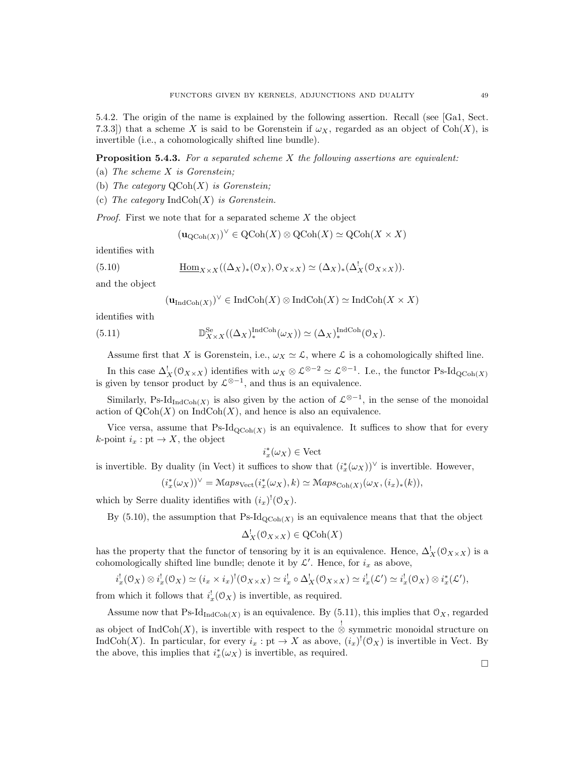5.4.2. The origin of the name is explained by the following assertion. Recall (see [Ga1, Sect. 7.3.3) that a scheme X is said to be Gorenstein if  $\omega_X$ , regarded as an object of Coh(X), is invertible (i.e., a cohomologically shifted line bundle).

**Proposition 5.4.3.** For a separated scheme  $X$  the following assertions are equivalent:

(a) The scheme X is Gorenstein;

- (b) The category  $\mathrm{QCoh}(X)$  is Gorenstein;
- (c) The category  $\text{IndCoh}(X)$  is Gorenstein.

*Proof.* First we note that for a separated scheme  $X$  the object

$$
(\mathbf{u}_{\mathrm{QCoh}(X)})^{\vee} \in \mathrm{QCoh}(X) \otimes \mathrm{QCoh}(X) \simeq \mathrm{QCoh}(X \times X)
$$

identifies with

(5.10) 
$$
\underline{\text{Hom}}_{X \times X}((\Delta_X)_*(0_X), 0_{X \times X}) \simeq (\Delta_X)_*(\Delta_X^!(0_{X \times X})).
$$

and the object

$$
(\mathbf{u}_{\mathrm{IndCoh}(X)})^{\vee} \in \mathrm{IndCoh}(X) \otimes \mathrm{IndCoh}(X) \simeq \mathrm{IndCoh}(X \times X)
$$

identifies with

(5.11) 
$$
\mathbb{D}_{X \times X}^{Se}((\Delta_X)^{\text{IndCoh}}_{*}(\omega_X)) \simeq (\Delta_X)^{\text{IndCoh}}_{*}(\mathcal{O}_X).
$$

Assume first that X is Gorenstein, i.e.,  $\omega_X \simeq \mathcal{L}$ , where  $\mathcal{L}$  is a cohomologically shifted line.

In this case  $\Delta_X^!(\mathcal{O}_{X\times X})$  identifies with  $\omega_X\otimes\mathcal{L}^{\otimes -2}\simeq\mathcal{L}^{\otimes -1}$ . I.e., the functor Ps-Id<sub>QCoh(X)</sub> is given by tensor product by  $\mathcal{L}^{\otimes -1}$ , and thus is an equivalence.

Similarly, Ps-Id<sub>IndCoh(X)</sub> is also given by the action of  $\mathcal{L}^{\otimes -1}$ , in the sense of the monoidal action of  $\mathrm{QCoh}(X)$  on  $\mathrm{IndCoh}(X)$ , and hence is also an equivalence.

Vice versa, assume that  $\text{Ps-Id}_{\text{QCoh}(X)}$  is an equivalence. It suffices to show that for every k-point  $i_x: \text{pt} \to X$ , the object

$$
i_x^*(\omega_X) \in \text{Vect}
$$

is invertible. By duality (in Vect) it suffices to show that  $(i_x^*(\omega_X))^{\vee}$  is invertible. However,

$$
(i_x^*(\omega_X))^{\vee} = \text{Maps}_{\text{Vect}}(i_x^*(\omega_X), k) \simeq \text{Maps}_{\text{Coh}(X)}(\omega_X, (i_x)_*(k)),
$$

which by Serre duality identifies with  $(i_x)^!(\mathcal{O}_X)$ .

By  $(5.10)$ , the assumption that  $Ps\text{-}Id_{Q\text{Coh}(X)}$  is an equivalence means that that the object

$$
\Delta_X^! (\mathcal{O}_{X \times X}) \in \mathrm{QCoh}(X)
$$

has the property that the functor of tensoring by it is an equivalence. Hence,  $\Delta_X^!(\mathcal{O}_{X\times X})$  is a cohomologically shifted line bundle; denote it by  $\mathcal{L}'$ . Hence, for  $i_x$  as above,

 $i_x^!(\mathcal{O}_X) \otimes i_x^!(\mathcal{O}_X) \simeq (i_x \times i_x)^!(\mathcal{O}_{X \times X}) \simeq i_x^! \circ \Delta_X^!(\mathcal{O}_{X \times X}) \simeq i_x^!(\mathcal{L}') \simeq i_x^!(\mathcal{O}_X) \otimes i_x^*(\mathcal{L}'),$ 

from which it follows that  $i_x^{\dagger}(\mathcal{O}_X)$  is invertible, as required.

Assume now that  $\text{Ps-Id}_{\text{IndCoh}(X)}$  is an equivalence. By (5.11), this implies that  $\mathcal{O}_X$ , regarded as object of  $IndCoh(X)$ , is invertible with respect to the  $\stackrel{!}{\otimes}$  symmetric monoidal structure on IndCoh(X). In particular, for every  $i_x : pt \to X$  as above,  $(i_x)^!(\mathcal{O}_X)$  is invertible in Vect. By the above, this implies that  $i_x^*(\omega_X)$  is invertible, as required.

 $\Box$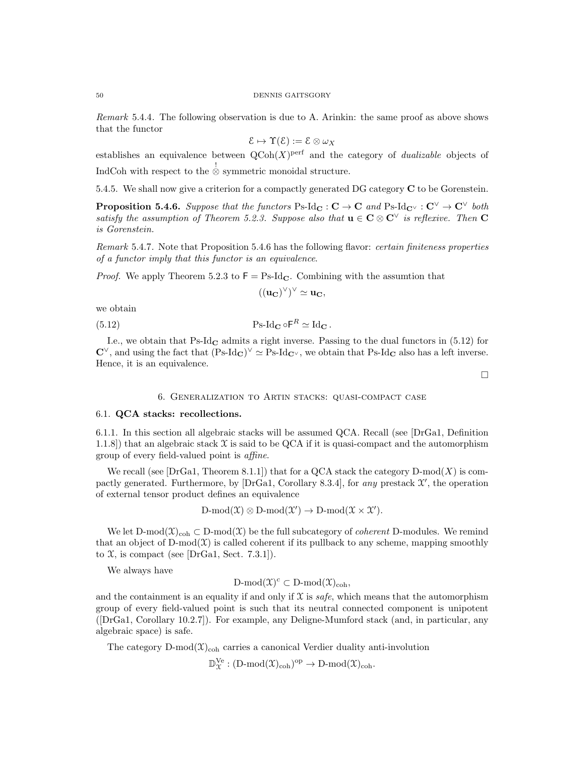Remark 5.4.4. The following observation is due to A. Arinkin: the same proof as above shows that the functor

$$
\mathcal{E}\mapsto \Upsilon(\mathcal{E}):=\mathcal{E}\otimes \omega_X
$$

establishes an equivalence between  $Q\text{Coh}(X)^\text{perf}$  and the category of *dualizable* objects of IndCoh with respect to the  $\stackrel{!}{\otimes}$  symmetric monoidal structure.

5.4.5. We shall now give a criterion for a compactly generated DG category C to be Gorenstein.

**Proposition 5.4.6.** Suppose that the functors Ps-Id<sub>C</sub>:  $C \rightarrow C$  and Ps-Id<sub>C</sub> $\vee$ :  $C^{\vee} \rightarrow C^{\vee}$  both satisfy the assumption of Theorem 5.2.3. Suppose also that  $\mathbf{u} \in \mathbf{C} \otimes \mathbf{C}^{\vee}$  is reflexive. Then  $\mathbf{C}$ is Gorenstein.

Remark 5.4.7. Note that Proposition 5.4.6 has the following flavor: certain finiteness properties of a functor imply that this functor is an equivalence.

*Proof.* We apply Theorem 5.2.3 to  $F = Ps-Id_C$ . Combining with the assumtion that

$$
((\mathbf{u_C})^\vee)^\vee \simeq \mathbf{u_C},
$$

we obtain

(5.12)  $\qquad \qquad \text{Ps-Id}_{\mathbf{C}} \circ \mathsf{F}^R \simeq \text{Id}_{\mathbf{C}}.$ 

I.e., we obtain that  $Ps-Id_{\mathbf{C}}$  admits a right inverse. Passing to the dual functors in (5.12) for  $\mathbb{C}^{\vee}$ , and using the fact that  $(\text{Ps-Id}_{\mathbb{C}})^{\vee} \simeq \text{Ps-Id}_{\mathbb{C}^{\vee}}$ , we obtain that  $\text{Ps-Id}_{\mathbb{C}}$  also has a left inverse. Hence, it is an equivalence.

 $\Box$ 

### 6. Generalization to Artin stacks: quasi-compact case

#### 6.1. QCA stacks: recollections.

6.1.1. In this section all algebraic stacks will be assumed QCA. Recall (see [DrGa1, Definition 1.1.8]) that an algebraic stack  $\mathcal X$  is said to be QCA if it is quasi-compact and the automorphism group of every field-valued point is affine.

We recall (see [DrGa1, Theorem 8.1.1]) that for a QCA stack the category  $D\text{-mod}(X)$  is compactly generated. Furthermore, by  $[DrGa1, Corollary 8.3.4]$ , for any prestack  $\mathcal{X}'$ , the operation of external tensor product defines an equivalence

$$
D\text{-mod}(\mathfrak{X}) \otimes D\text{-mod}(\mathfrak{X}') \to D\text{-mod}(\mathfrak{X} \times \mathfrak{X}').
$$

We let  $D\text{-mod}(\mathfrak{X})_{coh} \subset D\text{-mod}(\mathfrak{X})$  be the full subcategory of *coherent* D-modules. We remind that an object of  $D\text{-mod}(\mathcal{X})$  is called coherent if its pullback to any scheme, mapping smoothly to  $\mathfrak{X}$ , is compact (see [DrGa1, Sect. 7.3.1]).

We always have

 $D\text{-mod}(\mathfrak{X})^c \subset D\text{-mod}(\mathfrak{X})_{\text{coh}},$ 

and the containment is an equality if and only if  $\mathfrak X$  is safe, which means that the automorphism group of every field-valued point is such that its neutral connected component is unipotent ([DrGa1, Corollary 10.2.7]). For example, any Deligne-Mumford stack (and, in particular, any algebraic space) is safe.

The category D-mod $(\mathfrak{X})_{coh}$  carries a canonical Verdier duality anti-involution

 $\mathbb{D}_{\mathfrak{X}}^{\mathrm{Ve}} : (\mathrm{D-mod}(\mathfrak{X})_{\mathrm{coh}})^{\mathrm{op}} \to \mathrm{D-mod}(\mathfrak{X})_{\mathrm{coh}}.$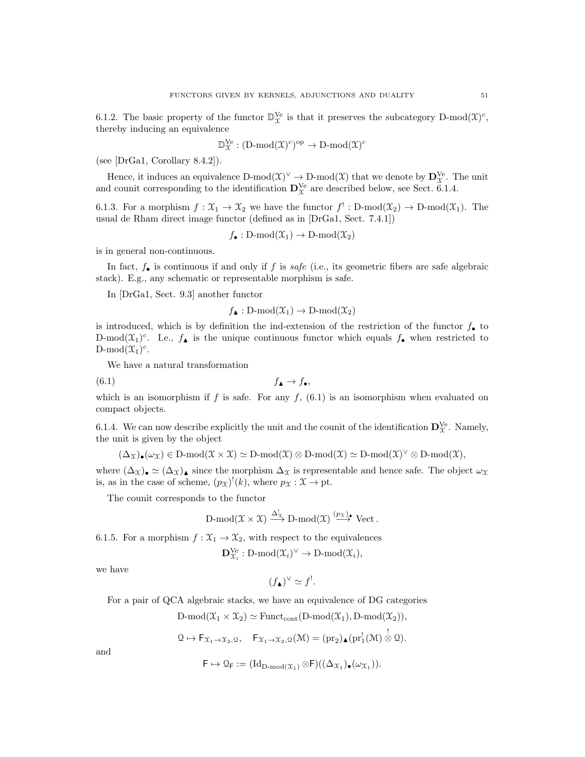6.1.2. The basic property of the functor  $\mathbb{D}_{\mathcal{X}}^{\text{Ve}}$  is that it preserves the subcategory D-mod $(\mathcal{X})^c$ , thereby inducing an equivalence

$$
\mathbb{D}_{\mathfrak{X}}^{\mathrm{Ve}} : (\mathrm{D}\text{-}\mathrm{mod}(\mathfrak{X})^c)^{\mathrm{op}} \to \mathrm{D}\text{-}\mathrm{mod}(\mathfrak{X})^c
$$

(see [DrGa1, Corollary 8.4.2]).

Hence, it induces an equivalence  $D\text{-mod}(\mathfrak{X})^{\vee} \to D\text{-mod}(\mathfrak{X})$  that we denote by  $\mathbf{D}_{\mathfrak{X}}^{V_{e}}$ . The unit and counit corresponding to the identification  $\mathbf{D}_{\mathcal{X}}^{Ve}$  are described below, see Sect. 6.1.4.

6.1.3. For a morphism  $f: \mathfrak{X}_1 \to \mathfrak{X}_2$  we have the functor  $f^!: \mathrm{D-mod}(\mathfrak{X}_2) \to \mathrm{D-mod}(\mathfrak{X}_1)$ . The usual de Rham direct image functor (defined as in [DrGa1, Sect. 7.4.1])

$$
f_{\bullet}: D\text{-mod}(\mathfrak{X}_1) \to D\text{-mod}(\mathfrak{X}_2)
$$

is in general non-continuous.

In fact,  $f_{\bullet}$  is continuous if and only if f is *safe* (i.e., its geometric fibers are safe algebraic stack). E.g., any schematic or representable morphism is safe.

In [DrGa1, Sect. 9.3] another functor

$$
f_{\blacktriangle} : D\text{-mod}(\mathfrak{X}_1) \to D\text{-mod}(\mathfrak{X}_2)
$$

is introduced, which is by definition the ind-extension of the restriction of the functor  $f_{\bullet}$  to D-mod $(\mathfrak{X}_1)^c$ . I.e.,  $f_{\blacktriangle}$  is the unique continuous functor which equals  $f_{\blacklozenge}$  when restricted to  $D\text{-mod}(\mathfrak{X}_1)^c$ .

We have a natural transformation

$$
(6.1) \t\t f_{\blacktriangle} \to f_{\blacktriangleright},
$$

which is an isomorphism if f is safe. For any f,  $(6.1)$  is an isomorphism when evaluated on compact objects.

6.1.4. We can now describe explicitly the unit and the counit of the identification  $\mathbf{D}_{\mathcal{X}}^{V_{e}}$ . Namely, the unit is given by the object

 $(\Delta_{\mathfrak{X}})_{\bullet}(\omega_{\mathfrak{X}}) \in D\text{-mod}(\mathfrak{X} \times \mathfrak{X}) \simeq D\text{-mod}(\mathfrak{X}) \otimes D\text{-mod}(\mathfrak{X}) \simeq D\text{-mod}(\mathfrak{X})^{\vee} \otimes D\text{-mod}(\mathfrak{X}),$ 

where  $(\Delta_{\mathfrak{X}})_{\bullet} \simeq (\Delta_{\mathfrak{X}})_{\bullet}$  since the morphism  $\Delta_{\mathfrak{X}}$  is representable and hence safe. The object  $\omega_{\mathfrak{X}}$ is, as in the case of scheme,  $(p_{\mathfrak{X}})^{!}(k)$ , where  $p_{\mathfrak{X}} : \mathfrak{X} \to \mathrm{pt}$ .

The counit corresponds to the functor

$$
\text{D-mod}(\mathfrak{X}\times\mathfrak{X})\stackrel{\Delta^!_{\mathfrak{X}}}{\longrightarrow} \text{D-mod}(\mathfrak{X})\stackrel{(p_{\mathfrak{X}})_{\blacktriangle}}{\longrightarrow} \text{Vect}.
$$

6.1.5. For a morphism  $f: \mathfrak{X}_1 \to \mathfrak{X}_2$ , with respect to the equivalences

$$
\mathbf{D}_{\mathfrak{X}_i}^{\mathrm{Ve}} : \mathrm{D}\text{-}\mathrm{mod}(\mathfrak{X}_i)^{\vee} \to \mathrm{D}\text{-}\mathrm{mod}(\mathfrak{X}_i),
$$

we have

$$
(f_{\blacktriangle})^{\vee} \simeq f^{!}.
$$

For a pair of QCA algebraic stacks, we have an equivalence of DG categories

 $D\text{-mod}(\mathfrak{X}_1 \times \mathfrak{X}_2) \simeq \text{Funct}_{\text{cont}}(D\text{-mod}(\mathfrak{X}_1), D\text{-mod}(\mathfrak{X}_2)),$ 

 $\mathfrak{Q} \mapsto \mathsf{F}_{\mathfrak{X}_1 \to \mathfrak{X}_2,\mathfrak{Q}}, \quad \mathsf{F}_{\mathfrak{X}_1 \to \mathfrak{X}_2,\mathfrak{Q}}(\mathfrak{M}) = (\text{pr}_2)_{\blacktriangle}(\text{pr}_1^!(\mathfrak{M}) \overset{!}{\otimes} \mathfrak{Q}).$ 

and

$$
\mathsf{F} \mapsto \mathsf{Q}_{\mathsf{F}} := (\mathrm{Id}_{D\text{-}\mathrm{mod}(\mathfrak{X}_1)} \otimes \mathsf{F})((\Delta_{\mathfrak{X}_1})_{\bullet}(\omega_{\mathfrak{X}_1})).
$$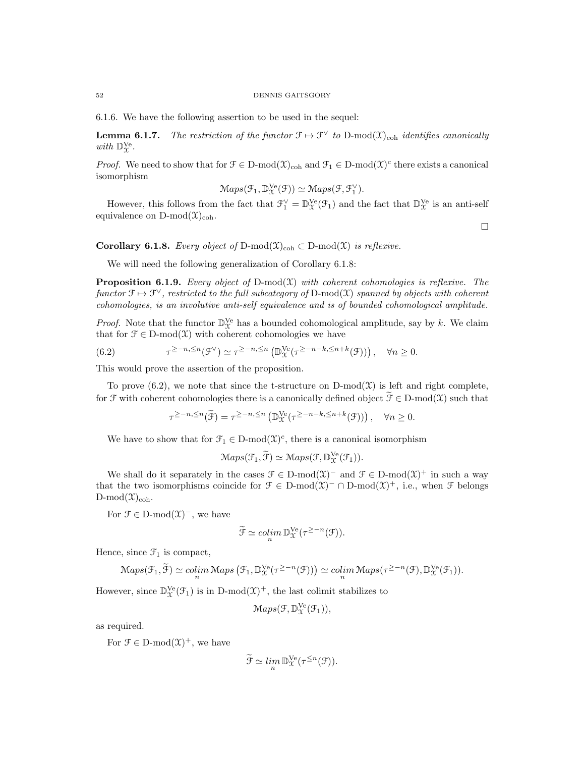#### 52 DENNIS GAITSGORY

6.1.6. We have the following assertion to be used in the sequel:

**Lemma 6.1.7.** The restriction of the functor  $\mathfrak{F} \mapsto \mathfrak{F}^{\vee}$  to D-mod $(\mathfrak{X})_{\text{coh}}$  identifies canonically with  $\mathbb{D}_{\mathfrak{X}}^{\mathrm{Ve}}$ .

*Proof.* We need to show that for  $\mathcal{F} \in D\text{-mod}(\mathcal{X})_{\text{coh}}$  and  $\mathcal{F}_1 \in D\text{-mod}(\mathcal{X})^c$  there exists a canonical isomorphism

$$
Maps(\mathcal{F}_1, \mathbb{D}_{\mathcal{X}}^{Ve}(\mathcal{F})) \simeq Maps(\mathcal{F}, \mathcal{F}_1^{\vee}).
$$

However, this follows from the fact that  $\mathcal{F}_1^{\vee} = \mathbb{D}_{\mathcal{X}}^{\vee}(\mathcal{F}_1)$  and the fact that  $\mathbb{D}_{\mathcal{X}}^{\vee e}$  is an anti-self equivalence on  $D\text{-mod}(\mathfrak{X})_{\text{coh}}$ .

 $\Box$ 

Corollary 6.1.8. Every object of D-mod $(\mathfrak{X})_{coh} \subset D\text{-mod}(\mathfrak{X})$  is reflexive.

We will need the following generalization of Corollary 6.1.8:

**Proposition 6.1.9.** Every object of D-mod $(\mathcal{X})$  with coherent cohomologies is reflexive. The functor  $\mathfrak{F} \mapsto \mathfrak{F}^{\vee}$ , restricted to the full subcategory of D-mod(X) spanned by objects with coherent cohomologies, is an involutive anti-self equivalence and is of bounded cohomological amplitude.

*Proof.* Note that the functor  $\mathbb{D}_{\mathcal{X}}^{\text{Ve}}$  has a bounded cohomological amplitude, say by k. We claim that for  $\mathcal{F} \in \mathcal{D}$ -mod $(\mathcal{X})$  with coherent cohomologies we have

(6.2) 
$$
\tau^{\geq -n,\leq n}(\mathfrak{F}^{\vee}) \simeq \tau^{\geq -n,\leq n} \left( \mathbb{D}_{\mathfrak{X}}^{\mathrm{Ve}}(\tau^{\geq -n-k,\leq n+k}(\mathfrak{F})) \right), \quad \forall n \geq 0.
$$

This would prove the assertion of the proposition.

To prove (6.2), we note that since the t-structure on  $D\text{-mod}(\mathcal{X})$  is left and right complete, for F with coherent cohomologies there is a canonically defined object  $\widetilde{\mathcal{F}} \in \mathbb{D}$ -mod $(\mathcal{X})$  such that

$$
\tau^{\geq -n,\leq n}(\widetilde{\mathcal{F}})=\tau^{\geq -n,\leq n}\left(\mathbb{D}_{\mathcal{X}}^{\text{Ve}}(\tau^{\geq -n-k,\leq n+k}(\mathcal{F}))\right),\quad \forall n\geq 0.
$$

We have to show that for  $\mathcal{F}_1 \in \mathcal{D}\text{-mod}(\mathcal{X})^c$ , there is a canonical isomorphism

 $\operatorname{Maps}(\mathcal{F}_1, \widetilde{\mathcal{F}}) \simeq \operatorname{Maps}(\mathcal{F}, \mathbb{D}_{\mathcal{X}}^{\operatorname{Ve}}(\mathcal{F}_1)).$ 

We shall do it separately in the cases  $\mathcal{F} \in \mathcal{D}\text{-mod}(\mathcal{X})$ <sup>-</sup> and  $\mathcal{F} \in \mathcal{D}\text{-mod}(\mathcal{X})^+$  in such a way that the two isomorphisms coincide for  $\mathcal{F} \in D\text{-mod}(\mathcal{X})^-\cap D\text{-mod}(\mathcal{X})^+$ , i.e., when  $\mathcal F$  belongs  $D\text{-mod}(\mathfrak{X})_{\text{coh}}$ .

For  $\mathcal{F} \in \mathcal{D}$ -mod $(\mathcal{X})$ <sup>-</sup>, we have

$$
\widetilde{\mathcal{F}} \simeq \operatornamewithlimits{colim}_n \mathbb{D}_{\mathcal{X}}^{\text{Ve}}(\tau^{\geq -n}(\mathcal{F})).
$$

Hence, since  $\mathcal{F}_1$  is compact,

$$
Maps(\mathcal{F}_1, \widetilde{\mathcal{F}}) \simeq \underset{n}{\text{colim}} \text{Maps}(\mathcal{F}_1, \mathbb{D}_{\mathcal{X}}^{\text{Ve}}(\tau^{\geq -n}(\mathcal{F}))) \simeq \underset{n}{\text{colim}} \text{Maps}(\tau^{\geq -n}(\mathcal{F}), \mathbb{D}_{\mathcal{X}}^{\text{Ve}}(\mathcal{F}_1)).
$$

However, since  $\mathbb{D}^{\text{Ve}}_{\mathfrak{X}}(\mathcal{F}_1)$  is in D-mod $(\mathfrak{X})^+$ , the last colimit stabilizes to

 $Maps(\mathcal{F}, \mathbb{D}_{\mathcal{X}}^{Ve}(\mathcal{F}_1)),$ 

as required.

For  $\mathcal{F} \in \mathcal{D}$ -mod $(\mathcal{X})^+$ , we have

$$
\widetilde{\mathcal{F}} \simeq \lim_{n} \mathbb{D}_{\mathcal{X}}^{\mathrm{Ve}}(\tau^{\leq n}(\mathcal{F})).
$$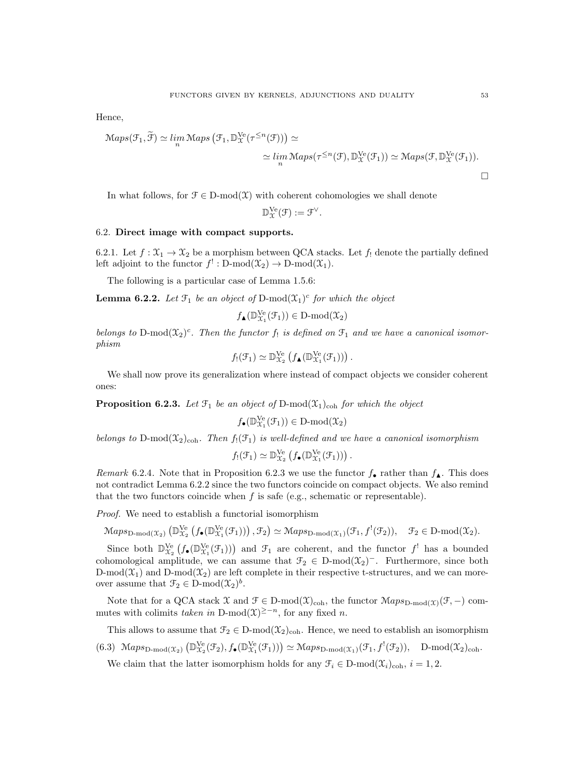Hence,

$$
\begin{aligned}\n\mathcal{M}aps(\mathcal{F}_1, \widetilde{\mathcal{F}}) &\simeq \lim_{n} \mathcal{M}aps\left(\mathcal{F}_1, \mathbb{D}_{\mathcal{X}}^{Ve}(\tau^{\leq n}(\mathcal{F}))\right) \simeq \\
&\simeq \lim_{n} \mathcal{M}aps(\tau^{\leq n}(\mathcal{F}), \mathbb{D}_{\mathcal{X}}^{Ve}(\mathcal{F}_1)) \simeq \mathcal{M}aps(\mathcal{F}, \mathbb{D}_{\mathcal{X}}^{Ve}(\mathcal{F}_1)).\n\end{aligned}
$$

In what follows, for  $\mathcal{F} \in \mathcal{D}$ -mod $(\mathcal{X})$  with coherent cohomologies we shall denote

 $\mathbb{D}_{\mathfrak{X}}^{\mathrm{Ve}}(\mathfrak{F}):=\mathfrak{F}^{\vee}.$ 

# 6.2. Direct image with compact supports.

6.2.1. Let  $f: \mathfrak{X}_1 \to \mathfrak{X}_2$  be a morphism between QCA stacks. Let  $f_!$  denote the partially defined left adjoint to the functor  $f' : D\text{-mod}(\mathfrak{X}_2) \to D\text{-mod}(\mathfrak{X}_1)$ .

The following is a particular case of Lemma 1.5.6:

**Lemma 6.2.2.** Let  $\mathfrak{F}_1$  be an object of D-mod $(\mathfrak{X}_1)^c$  for which the object

$$
f_{\blacktriangle}(\mathbb{D}_{\mathfrak{X}_1}^{\mathrm{Ve}}(\mathcal{F}_1)) \in \mathrm{D}\text{-}\mathrm{mod}(\mathfrak{X}_2)
$$

belongs to D-mod $(\mathfrak{X}_2)^c$ . Then the functor  $f_1$  is defined on  $\mathfrak{F}_1$  and we have a canonical isomorphism

$$
f_!(\mathcal{F}_1) \simeq \mathbb{D}_{\mathcal{X}_2}^{Ve} \left(f_{\blacktriangle}(\mathbb{D}_{\mathcal{X}_1}^{Ve}(\mathcal{F}_1))\right).
$$

We shall now prove its generalization where instead of compact objects we consider coherent ones:

**Proposition 6.2.3.** Let  $\mathcal{F}_1$  be an object of D-mod $(\mathcal{X}_1)_{\text{coh}}$  for which the object

$$
f_{\bullet}(\mathbb{D}_{\mathfrak{X}_{1}}^{\mathrm{Ve}}(\mathcal{F}_{1})) \in \mathrm{D}\text{-}\mathrm{mod}(\mathfrak{X}_{2})
$$

belongs to D-mod $(\mathfrak{X}_2)_{\text{coh}}$ . Then  $f_!(\mathfrak{F}_1)$  is well-defined and we have a canonical isomorphism

$$
f_!(\mathcal{F}_1) \simeq \mathbb{D}_{\mathcal{X}_2}^{\text{Ve}}\left(f_{\bullet}(\mathbb{D}_{\mathcal{X}_1}^{\text{Ve}}(\mathcal{F}_1))\right).
$$

Remark 6.2.4. Note that in Proposition 6.2.3 we use the functor  $f_{\bullet}$  rather than  $f_{\bullet}$ . This does not contradict Lemma 6.2.2 since the two functors coincide on compact objects. We also remind that the two functors coincide when f is safe (e.g., schematic or representable).

Proof. We need to establish a functorial isomorphism

$$
\mathrm{Maps}_{\mathrm{D-mod}(\mathcal{X}_2)} \left( \mathbb{D}_{\mathcal{X}_2}^{\mathrm{Ve}} \left( f_{\bullet}(\mathbb{D}_{\mathcal{X}_1}^{\mathrm{Ve}}(\mathcal{F}_1)) \right), \mathcal{F}_2 \right) \simeq \mathrm{Maps}_{\mathrm{D-mod}(\mathcal{X}_1)}(\mathcal{F}_1, f^{!}(\mathcal{F}_2)), \quad \mathcal{F}_2 \in \mathrm{D-mod}(\mathcal{X}_2).
$$

Since both  $\mathbb{D}_{X_2}^{\text{Ve}}(f_\bullet(\mathbb{D}_{X_1}^{\text{Ve}}(\mathcal{F}_1)))$  and  $\mathcal{F}_1$  are coherent, and the functor  $f^!$  has a bounded cohomological amplitude, we can assume that  $\mathcal{F}_2 \in D\text{-mod}(\mathcal{X}_2)^-$ . Furthermore, since both D-mod( $\mathfrak{X}_1$ ) and D-mod( $\mathfrak{X}_2$ ) are left complete in their respective t-structures, and we can moreover assume that  $\mathfrak{F}_2 \in \mathbb{D}\text{-mod}(\mathfrak{X}_2)^b$ .

Note that for a QCA stack X and  $\mathcal{F} \in \mathcal{D}\text{-mod}(\mathcal{X})_{\text{coh}}$ , the functor  $\mathcal{M}ap_{\mathcal{B}\mathcal{D}\text{-mod}(\mathcal{X})}(\mathcal{F},-)$  commutes with colimits taken in D-mod $(\mathfrak{X})^{\geq -n}$ , for any fixed n.

This allows to assume that  $\mathcal{F}_2 \in D\text{-mod}(\mathcal{X}_2)_{\text{coh}}$ . Hence, we need to establish an isomorphism  $(6.3) \ \ Maps_{\text{D-mod}(\mathfrak{X}_2)} \left( \mathbb{D}_{\mathfrak{X}_2}^{\text{Ve}}(\mathcal{F}_2), f_{\bullet}(\mathbb{D}_{\mathfrak{X}_1}^{\text{Ve}}(\mathcal{F}_1)) \right) \simeq \operatorname{Maps}_{\text{D-mod}(\mathfrak{X}_1)}(\mathcal{F}_1, f^{!}(\mathcal{F}_2)), \quad \text{D-mod}(\mathfrak{X}_2)_{\text{coh}}.$ We claim that the latter isomorphism holds for any  $\mathcal{F}_i \in \text{D-mod}(\mathcal{X}_i)_{\text{coh}}, i = 1, 2$ .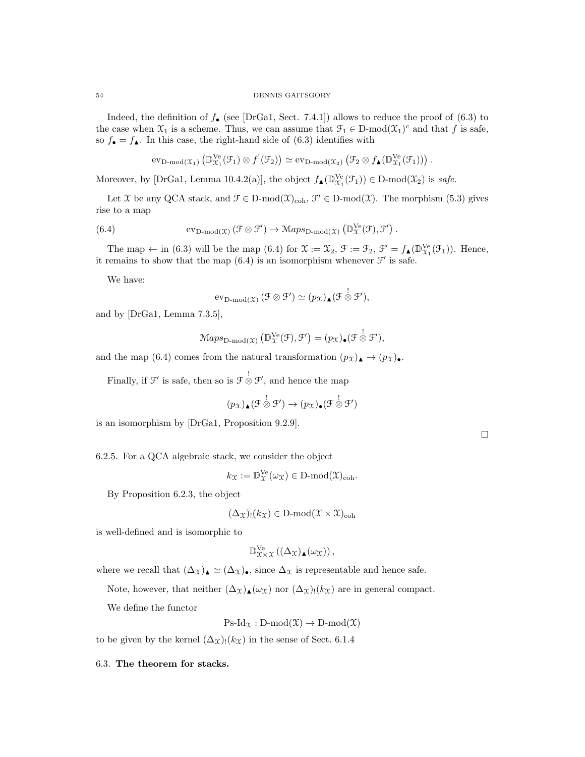Indeed, the definition of  $f_{\bullet}$  (see [DrGa1, Sect. 7.4.1]) allows to reduce the proof of (6.3) to the case when  $\mathfrak{X}_1$  is a scheme. Thus, we can assume that  $\mathfrak{F}_1 \in \mathbb{D}\text{-mod}(\mathfrak{X}_1)^c$  and that f is safe, so  $f_{\bullet} = f_{\bullet}$ . In this case, the right-hand side of (6.3) identifies with

$$
\mathrm{ev}_{\mathrm{D-mod}(\mathfrak{X}_1)}\left(\mathbb{D}_{\mathfrak{X}_1}^{\mathrm{Ve}}(\mathcal{F}_1)\otimes f^!(\mathcal{F}_2)\right)\simeq \mathrm{ev}_{\mathrm{D-mod}(\mathfrak{X}_2)}\left(\mathcal{F}_2\otimes f_\blacktriangle(\mathbb{D}_{\mathfrak{X}_1}^{\mathrm{Ve}}(\mathcal{F}_1))\right).
$$

Moreover, by [DrGa1, Lemma 10.4.2(a)], the object  $f_{\blacktriangle}(\mathbb{D}_{X_1}^{Ve}(\mathcal{F}_1)) \in D\text{-mod}(\mathcal{X}_2)$  is safe.

Let X be any QCA stack, and  $\mathcal{F} \in \mathcal{D}$ -mod $(\mathcal{X})_{coh}$ ,  $\mathcal{F}' \in \mathcal{D}$ -mod $(\mathcal{X})$ . The morphism  $(5.3)$  gives rise to a map

(6.4) 
$$
\text{ev}_{\text{D-mod}(\mathfrak{X})}(\mathfrak{F}\otimes\mathfrak{F}')\to\text{Maps}_{\text{D-mod}(\mathfrak{X})}(\mathbb{D}_{\mathfrak{X}}^{\text{Ve}}(\mathfrak{F}),\mathfrak{F}').
$$

The map  $\leftarrow$  in (6.3) will be the map (6.4) for  $\mathfrak{X} := \mathfrak{X}_2$ ,  $\mathfrak{F} := \mathfrak{F}_2$ ,  $\mathfrak{F}' = f_{\blacktriangle}(\mathbb{D}_{\mathfrak{X}_1}^{V\mathbf{e}}(\mathfrak{F}_1))$ . Hence, it remains to show that the map  $(6.4)$  is an isomorphism whenever  $\mathcal{F}'$  is safe.

We have:

$$
\mathrm{ev}_{\mathrm{D-mod}(\mathfrak{X})}\,(\mathfrak{F}\otimes\mathfrak{F}')\simeq (p_{\mathfrak{X}})_{\blacktriangle}(\mathfrak{F}\overset{!}{\otimes}\mathfrak{F}'),
$$

and by [DrGa1, Lemma 7.3.5],

$$
\operatorname{Maps}_{D\text{-}\mathrm{mod}(\mathfrak{X})} \left( \mathbb{D}_{\mathfrak{X}}^{\mathrm{Ve}}(\mathcal{F}), \mathcal{F}' \right) = (p_{\mathfrak{X}}) \bullet (\mathcal{F} \overset{!}{\otimes} \mathcal{F}'),
$$

and the map (6.4) comes from the natural transformation  $(px) \rightarrow (px) \rightarrow (px)$ .

Finally, if  $\mathcal{F}'$  is safe, then so is  $\mathcal{F} \overset{!}{\otimes} \mathcal{F}'$ , and hence the map

$$
(p_{\mathfrak{X}})_{\blacktriangle}(\mathfrak{F} \overset{!}{\otimes} \mathfrak{F}') \to (p_{\mathfrak{X}})_{\bullet}(\mathfrak{F} \overset{!}{\otimes} \mathfrak{F}')
$$

is an isomorphism by [DrGa1, Proposition 9.2.9].

6.2.5. For a QCA algebraic stack, we consider the object

$$
k_{\mathfrak{X}} := \mathbb{D}_{\mathfrak{X}}^{\mathrm{Ve}}(\omega_{\mathfrak{X}}) \in \mathrm{D}\text{-}\mathrm{mod}(\mathfrak{X})_{\mathrm{coh}}.
$$

By Proposition 6.2.3, the object

$$
(\Delta_{\mathcal{X}})_{!}(k_{\mathcal{X}}) \in D\text{-mod}(\mathcal{X} \times \mathcal{X})_{\text{coh}}
$$

is well-defined and is isomorphic to

$$
\mathbb{D}^{\mathrm{Ve}}_{\mathfrak{X}\times\mathfrak{X}}\left((\Delta_{\mathfrak{X}})_{\blacktriangle}(\omega_{\mathfrak{X}})\right),
$$

where we recall that  $(\Delta_{\mathfrak{X}})_{\blacktriangle} \simeq (\Delta_{\mathfrak{X}})_{\blacktriangleright}$ , since  $\Delta_{\mathfrak{X}}$  is representable and hence safe.

Note, however, that neither  $(\Delta_{\mathfrak{X}})_{\blacktriangle}(\omega_{\mathfrak{X}})$  nor  $(\Delta_{\mathfrak{X}})_{!}(k_{\mathfrak{X}})$  are in general compact.

We define the functor

 $\text{Ps-Id}_{\mathfrak{X}} : \text{D-mod}(\mathfrak{X}) \to \text{D-mod}(\mathfrak{X})$ 

to be given by the kernel  $(\Delta_{\mathfrak{X}})$ !( $k_{\mathfrak{X}}$ ) in the sense of Sect. 6.1.4

6.3. The theorem for stacks.

 $\Box$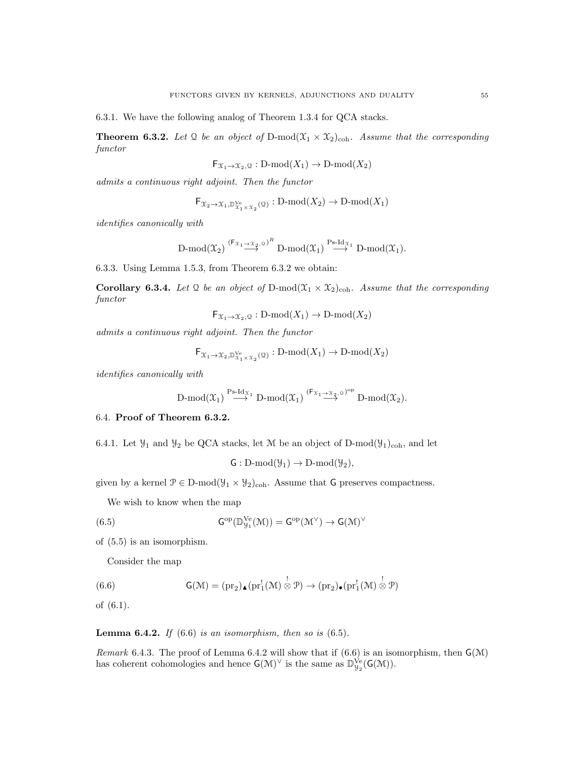6.3.1. We have the following analog of Theorem 1.3.4 for QCA stacks.

**Theorem 6.3.2.** Let Q be an object of D-mod $(\mathfrak{X}_1 \times \mathfrak{X}_2)_{\text{coh}}$ . Assume that the corresponding functor

$$
\mathsf{F}_{\mathfrak{X}_1 \to \mathfrak{X}_2, \mathfrak{Q}} : D\text{-mod}(X_1) \to D\text{-mod}(X_2)
$$

admits a continuous right adjoint. Then the functor

$$
\mathsf{F}_{\mathfrak{X}_2 \rightarrow \mathfrak{X}_1, \mathbb{D}_{\mathfrak{X}_1 \times \mathfrak{X}_2}^{\mathsf{Ve}}(\mathfrak{Q})} : \mathsf{D}\text{-}\mathrm{mod}(X_2) \rightarrow \mathsf{D}\text{-}\mathrm{mod}(X_1)
$$

identifies canonically with

$$
\operatorname{D-mod}(\mathfrak{X}_2) \stackrel{(\mathsf{F}_{\mathfrak{X}_1 \to \mathfrak{X}_2, \mathfrak{Q}})^R}{\longrightarrow} \operatorname{D-mod}(\mathfrak{X}_1) \stackrel{\operatorname{Ps-Id}_{\mathfrak{X}_1}}{\longrightarrow} \operatorname{D-mod}(\mathfrak{X}_1).
$$

6.3.3. Using Lemma 1.5.3, from Theorem 6.3.2 we obtain:

**Corollary 6.3.4.** Let Q be an object of D-mod $(\mathfrak{X}_1 \times \mathfrak{X}_2)_{\text{coh}}$ . Assume that the corresponding functor

 $\mathsf{F}_{\mathfrak{X}_1 \to \mathfrak{X}_2,\mathfrak{Q}} : D\text{-mod}(X_1) \to D\text{-mod}(X_2)$ 

admits a continuous right adjoint. Then the functor

$$
\textnormal{F}_{\mathfrak{X}_1 \to \mathfrak{X}_2,\mathbb{D}_{\mathfrak{X}_1 \times \mathfrak{X}_2}^{\textnormal{Ve}}(\mathfrak{Q})} : \textnormal{D-mod}(X_1) \to \textnormal{D-mod}(X_2)
$$

identifies canonically with

$$
\text{D-mod}(\mathfrak{X}_1) \overset{\text{Ps-Id}_{\mathfrak{X}_1}}{\longrightarrow} \text{D-mod}(\mathfrak{X}_1) \overset{(\text{F}_{\mathfrak{X}_1 \rightarrow \mathfrak{X}_2, 0})^{\text{op}}}{\longrightarrow} \text{D-mod}(\mathfrak{X}_2).
$$

## 6.4. Proof of Theorem 6.3.2.

6.4.1. Let  $\mathcal{Y}_1$  and  $\mathcal{Y}_2$  be QCA stacks, let M be an object of D-mod( $\mathcal{Y}_1$ )<sub>coh</sub>, and let

 $G: D\text{-mod}(\mathcal{Y}_1) \to D\text{-mod}(\mathcal{Y}_2),$ 

given by a kernel  $\mathcal{P} \in D\text{-mod}(\mathcal{Y}_1 \times \mathcal{Y}_2)_{\text{coh}}$ . Assume that G preserves compactness.

We wish to know when the map

(6.5) 
$$
G^{\rm op}(\mathbb{D}_{\mathcal{Y}_1}^{\rm Ve}(\mathcal{M})) = G^{\rm op}(\mathcal{M}^{\vee}) \to G(\mathcal{M})^{\vee}
$$

of (5.5) is an isomorphism.

Consider the map

(6.6) 
$$
\mathsf{G}(\mathcal{M}) = (\mathrm{pr}_2)_\blacktriangle(\mathrm{pr}_1^!(\mathcal{M}) \overset{!}{\otimes} \mathcal{P}) \to (\mathrm{pr}_2)_\bullet(\mathrm{pr}_1^!(\mathcal{M}) \overset{!}{\otimes} \mathcal{P})
$$

of (6.1).

**Lemma 6.4.2.** If  $(6.6)$  is an isomorphism, then so is  $(6.5)$ .

Remark 6.4.3. The proof of Lemma 6.4.2 will show that if  $(6.6)$  is an isomorphism, then  $G(\mathcal{M})$ has coherent cohomologies and hence  $G(\mathcal{M})^{\vee}$  is the same as  $\mathbb{D}_{\mathcal{Y}_2}^{\mathcal{V}_e}(G(\mathcal{M}))$ .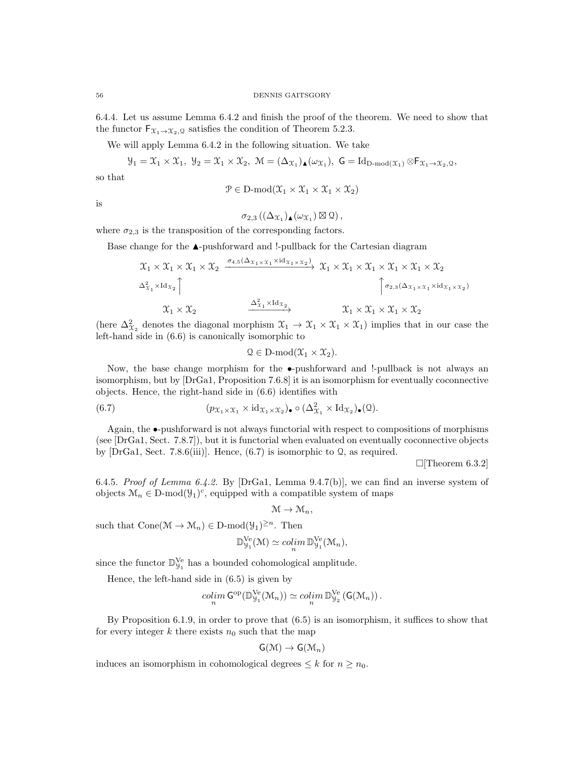6.4.4. Let us assume Lemma 6.4.2 and finish the proof of the theorem. We need to show that the functor  $\mathsf{F}_{\mathfrak{X}_1\to\mathfrak{X}_2,\mathfrak{Q}}$  satisfies the condition of Theorem 5.2.3.

We will apply Lemma 6.4.2 in the following situation. We take

$$
\mathcal{Y}_1 = \mathcal{X}_1 \times \mathcal{X}_1, \ \mathcal{Y}_2 = \mathcal{X}_1 \times \mathcal{X}_2, \ \mathcal{M} = (\Delta_{\mathcal{X}_1})_{\blacktriangle}(\omega_{\mathcal{X}_1}), \ \mathsf{G} = \mathrm{Id}_{D\text{-mod}(\mathcal{X}_1)} \otimes \mathsf{F}_{\mathcal{X}_1 \to \mathcal{X}_2, \mathsf{Q}},
$$
that

 $SO$ 

 $\mathcal{P} \in \mathcal{D}$ -mod $(\mathcal{X}_1 \times \mathcal{X}_1 \times \mathcal{X}_1 \times \mathcal{X}_2)$ 

is

 $\sigma_{2,3}\left((\Delta_{\mathfrak{X}_1})_{\blacktriangle}(\omega_{\mathfrak{X}_1})\boxtimes\mathfrak{Q}\right),$ 

where  $\sigma_{2,3}$  is the transposition of the corresponding factors.

Base change for the  $\blacktriangle$ -pushforward and !-pullback for the Cartesian diagram

$$
\begin{array}{ccc}\n\mathfrak{X}_{1} \times \mathfrak{X}_{1} \times \mathfrak{X}_{1} \times \mathfrak{X}_{2} & \xrightarrow{\sigma_{4,5}(\Delta_{\mathfrak{X}_{1} \times \mathfrak{X}_{1}} \times \text{id}_{\mathfrak{X}_{1} \times \mathfrak{X}_{2}})} & \mathfrak{X}_{1} \times \mathfrak{X}_{1} \times \mathfrak{X}_{1} \times \mathfrak{X}_{1} \times \mathfrak{X}_{1} \times \mathfrak{X}_{2} \\
\downarrow & & \downarrow^2 \\
\mathfrak{X}_{1} \times \mathfrak{X}_{2} & \xrightarrow{\Delta_{\mathfrak{X}_{1}}^{2} \times \text{Id}_{\mathfrak{X}_{2}}} & \mathfrak{X}_{1} \times \mathfrak{X}_{1} \times \mathfrak{X}_{1} \times \mathfrak{X}_{2} \\
\end{array}
$$

(here  $\Delta_{\chi_2}^2$  denotes the diagonal morphism  $\chi_1 \to \chi_1 \times \chi_1 \times \chi_1$ ) implies that in our case the left-hand side in (6.6) is canonically isomorphic to

 $\mathcal{Q} \in \mathbf{D}\text{-mod}(\mathcal{X}_1 \times \mathcal{X}_2).$ 

Now, the base change morphism for the  $\bullet$ -pushforward and !-pullback is not always an isomorphism, but by [DrGa1, Proposition 7.6.8] it is an isomorphism for eventually coconnective objects. Hence, the right-hand side in (6.6) identifies with

(6.7) 
$$
(p_{\mathfrak{X}_1 \times \mathfrak{X}_1} \times \mathrm{id}_{\mathfrak{X}_1 \times \mathfrak{X}_2}) \bullet \circ (\Delta^2_{\mathfrak{X}_1} \times \mathrm{Id}_{\mathfrak{X}_2}) \bullet (\mathfrak{Q}).
$$

Again, the •-pushforward is not always functorial with respect to compositions of morphisms (see [DrGa1, Sect. 7.8.7]), but it is functorial when evaluated on eventually coconnective objects by  $[DrGa1, Sect. 7.8.6(iii)].$  Hence,  $(6.7)$  is isomorphic to  $\Omega$ , as required.

 $\Box$ Theorem 6.3.2]

6.4.5. Proof of Lemma 6.4.2. By [DrGa1, Lemma 9.4.7(b)], we can find an inverse system of objects  $\mathcal{M}_n \in \mathcal{D}\text{-mod}(\mathcal{Y}_1)^c$ , equipped with a compatible system of maps

$$
\mathfrak{M}\to \mathfrak{M}_n,
$$

such that  $Cone(M \to M_n) \in D-mod(\mathcal{Y}_1)^{\geq n}$ . Then

$$
\mathbb{D}_{\mathcal{Y}_1}^{\mathrm{Ve}}(\mathcal{M}) \simeq \operatorname{colim}_{n} \mathbb{D}_{\mathcal{Y}_1}^{\mathrm{Ve}}(\mathcal{M}_n),
$$

since the functor  $\mathbb{D}_{\mathcal{Y}_1}^{Ve}$  has a bounded cohomological amplitude.

Hence, the left-hand side in (6.5) is given by

$$
\underset{n}{\text{colim}}\, \mathsf{G}^{\text{op}}(\mathbb{D}_{\mathcal{Y}_1}^{\text{Ve}}(\mathcal{M}_n)) \simeq \underset{n}{\text{colim}}\, \mathbb{D}_{\mathcal{Y}_2}^{\text{Ve}}\left(\mathsf{G}(\mathcal{M}_n)\right).
$$

By Proposition 6.1.9, in order to prove that (6.5) is an isomorphism, it suffices to show that for every integer k there exists  $n_0$  such that the map

$$
\mathsf{G}(\mathfrak{M}) \to \mathsf{G}(\mathfrak{M}_n)
$$

induces an isomorphism in cohomological degrees  $\leq k$  for  $n \geq n_0$ .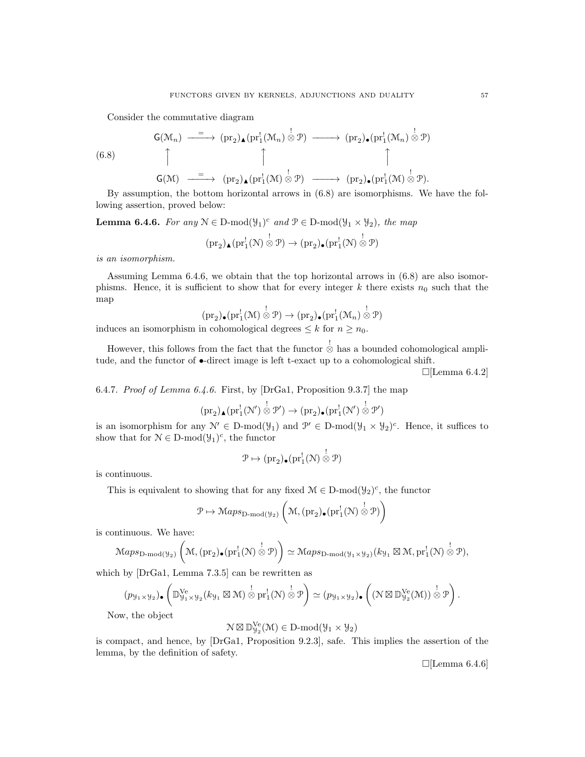Consider the commutative diagram

$$
\begin{array}{ccc}\n\mathsf{G}(\mathcal{M}_{n}) & \xrightarrow{\hspace{0.5cm} \mathsf{=}} & (\mathrm{pr}_{2})_{\blacktriangle}(\mathrm{pr}_{1}^{!}(\mathcal{M}_{n}) \overset{\dagger}{\otimes} \mathcal{P}) & \xrightarrow{\hspace{0.5cm} \mathsf{=}} & (\mathrm{pr}_{2})_{\blacktriangleright}(\mathrm{pr}_{1}^{!}(\mathcal{M}_{n}) \overset{\dagger}{\otimes} \mathcal{P}) \\
\uparrow & & \uparrow & \uparrow & \uparrow \\
\mathsf{G}(\mathcal{M}) & \xrightarrow{\hspace{0.5cm} \mathsf{=}} & (\mathrm{pr}_{2})_{\blacktriangle}(\mathrm{pr}_{1}^{!}(\mathcal{M}) \overset{\dagger}{\otimes} \mathcal{P}) & \xrightarrow{\hspace{0.5cm} \mathsf{=}} & (\mathrm{pr}_{2})_{\blacktriangleright}(\mathrm{pr}_{1}^{!}(\mathcal{M}) \overset{\dagger}{\otimes} \mathcal{P}).\n\end{array}
$$

By assumption, the bottom horizontal arrows in (6.8) are isomorphisms. We have the following assertion, proved below:

**Lemma 6.4.6.** For any  $N \in D\text{-mod}(\mathcal{Y}_1)^c$  and  $\mathcal{P} \in D\text{-mod}(\mathcal{Y}_1 \times \mathcal{Y}_2)$ , the map

$$
(\mathrm{pr}_2)_\blacktriangle(\mathrm{pr}_1^!(\mathcal{N})\overset{!}{\otimes}\mathcal{P})\to(\mathrm{pr}_2)_\bullet(\mathrm{pr}_1^!(\mathcal{N})\overset{!}{\otimes}\mathcal{P})
$$

is an isomorphism.

Assuming Lemma 6.4.6, we obtain that the top horizontal arrows in (6.8) are also isomorphisms. Hence, it is sufficient to show that for every integer k there exists  $n_0$  such that the map

$$
(\mathrm{pr}_2)_\bullet(\mathrm{pr}_1^!(\mathcal{M}) \overset{!}{\otimes} \mathcal{P}) \to (\mathrm{pr}_2)_\bullet(\mathrm{pr}_1^!(\mathcal{M}_n) \overset{!}{\otimes} \mathcal{P})
$$

induces an isomorphism in cohomological degrees  $\leq k$  for  $n \geq n_0$ .

However, this follows from the fact that the functor  $\stackrel{!}{\otimes}$  has a bounded cohomological amplitude, and the functor of •-direct image is left t-exact up to a cohomological shift.

 $\Box$ [Lemma 6.4.2]

6.4.7. Proof of Lemma 6.4.6. First, by  $[DrGa1,$  Proposition 9.3.7 the map

$$
(\mathrm{pr}_2)_\blacktriangle(\mathrm{pr}_1^!(\mathcal{N}')\overset{!}{\otimes}\mathcal{P}')\to(\mathrm{pr}_2)_\bullet(\mathrm{pr}_1^!(\mathcal{N}')\overset{!}{\otimes}\mathcal{P}')
$$

is an isomorphism for any  $\mathcal{N}' \in D\text{-mod}(\mathcal{Y}_1)$  and  $\mathcal{P}' \in D\text{-mod}(\mathcal{Y}_1 \times \mathcal{Y}_2)^c$ . Hence, it suffices to show that for  $N \in D\text{-mod}(\mathcal{Y}_1)^c$ , the functor

$$
\mathcal{P}\mapsto (\mathrm{pr}_2)_\bullet(\mathrm{pr}_1^!(\mathcal{N})\overset{!}{\otimes}\mathcal{P})
$$

is continuous.

This is equivalent to showing that for any fixed  $\mathcal{M} \in \mathcal{D}\text{-mod}(\mathcal{Y}_2)^c$ , the functor

$$
\mathcal{P} \mapsto \mathcal{M}aps_{\mathrm{D-mod}(\mathcal{Y}_2)}\left(\mathcal{M}, (\mathrm{pr}_2)_\bullet(\mathrm{pr}_1^!(\mathcal{N}) \overset{!}{\otimes} \mathcal{P})\right)
$$

is continuous. We have:

$$
\mathrm{Maps}_{\mathrm{D-mod}(\mathcal{Y}_2)}\left(\mathcal{M}, (\mathrm{pr}_2)_\bullet(\mathrm{pr}_1^!(\mathcal{N}) \overset{!}{\otimes} \mathcal{P})\right) \simeq \mathrm{Maps}_{\mathrm{D-mod}(\mathcal{Y}_1 \times \mathcal{Y}_2)}(k_{\mathcal{Y}_1} \boxtimes \mathcal{M}, \mathrm{pr}_1^!(\mathcal{N}) \overset{!}{\otimes} \mathcal{P}),
$$

which by [DrGa1, Lemma 7.3.5] can be rewritten as

$$
(p_{\mathcal{Y}_1 \times \mathcal{Y}_2}) \bullet \left( \mathbb{D}_{\mathcal{Y}_1 \times \mathcal{Y}_2}^{V\mathbf{e}}(k_{\mathcal{Y}_1} \boxtimes \mathcal{M}) \overset{!}{\otimes} \mathrm{pr}_1^1(\mathcal{N}) \overset{!}{\otimes} \mathcal{P} \right) \simeq (p_{\mathcal{Y}_1 \times \mathcal{Y}_2}) \bullet \left( (\mathcal{N} \boxtimes \mathbb{D}_{\mathcal{Y}_2}^{V\mathbf{e}}(\mathcal{M})) \overset{!}{\otimes} \mathcal{P} \right).
$$

Now, the object

$$
\mathcal{N}\boxtimes \mathbb{D}_{\mathcal{Y}_2}^{Ve}(\mathcal{M})\in D\text{-mod}(\mathcal{Y}_1\times \mathcal{Y}_2)
$$

is compact, and hence, by [DrGa1, Proposition 9.2.3], safe. This implies the assertion of the lemma, by the definition of safety.

 $\Box$ [Lemma 6.4.6]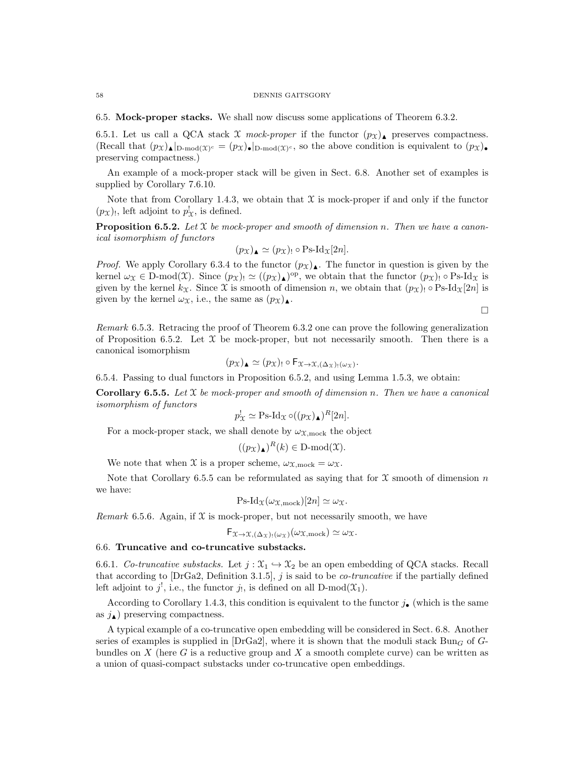#### 58 DENNIS GAITSGORY

6.5. Mock-proper stacks. We shall now discuss some applications of Theorem 6.3.2.

6.5.1. Let us call a QCA stack  $\mathfrak X$  mock-proper if the functor  $(p_{\mathfrak X})$  preserves compactness. (Recall that  $(p_\mathfrak{X})_\blacktriangle|_{\mathrm{D-mod}(\mathfrak{X})^c} = (p_\mathfrak{X})_\blacktriangle|_{\mathrm{D-mod}(\mathfrak{X})^c}$ , so the above condition is equivalent to  $(p_\mathfrak{X})_\blacktriangle$ preserving compactness.)

An example of a mock-proper stack will be given in Sect. 6.8. Another set of examples is supplied by Corollary 7.6.10.

Note that from Corollary 1.4.3, we obtain that  $\mathfrak X$  is mock-proper if and only if the functor  $(p_{\mathfrak{X}})$ , left adjoint to  $p_{\mathfrak{X}}'$ , is defined.

**Proposition 6.5.2.** Let  $X$  be mock-proper and smooth of dimension n. Then we have a canonical isomorphism of functors

$$
(p_{\mathfrak{X}})_{\blacktriangle} \simeq (p_{\mathfrak{X}})_{!} \circ \operatorname{Ps-Id}_{\mathfrak{X}}[2n].
$$

*Proof.* We apply Corollary 6.3.4 to the functor  $(p_X)$ . The functor in question is given by the kernel  $\omega_{\mathfrak{X}} \in D\text{-mod}(\mathfrak{X})$ . Since  $(p_{\mathfrak{X}})$ !  $\simeq ((p_{\mathfrak{X}})_{\bullet})^{\text{op}}$ , we obtain that the functor  $(p_{\mathfrak{X}})$ !  $\circ$  Ps-Id<sub>X</sub> is given by the kernel  $k_{\mathfrak{X}}$ . Since X is smooth of dimension n, we obtain that  $(p_{\mathfrak{X}})$   $\circ$  Ps-Id<sub>X</sub>[2n] is given by the kernel  $\omega_{\mathfrak{X}}$ , i.e., the same as  $(p_{\mathfrak{X}})_{\blacktriangle}$ .

 $\Box$ 

Remark 6.5.3. Retracing the proof of Theorem 6.3.2 one can prove the following generalization of Proposition 6.5.2. Let  $\mathcal X$  be mock-proper, but not necessarily smooth. Then there is a canonical isomorphism

$$
(p_{\mathfrak{X}})_{\blacktriangle} \simeq (p_{\mathfrak{X}})_{!} \circ \mathsf{F}_{\mathfrak{X} \to \mathfrak{X}, (\Delta_{\mathfrak{X}})_{!}(\omega_{\mathfrak{X}})}.
$$

6.5.4. Passing to dual functors in Proposition 6.5.2, and using Lemma 1.5.3, we obtain:

**Corollary 6.5.5.** Let  $\mathfrak X$  be mock-proper and smooth of dimension n. Then we have a canonical isomorphism of functors

$$
p_{\mathcal{X}}^! \simeq \text{Ps-Id}_{\mathcal{X}} \circ ((p_{\mathcal{X}})_{\blacktriangle})^R [2n].
$$

For a mock-proper stack, we shall denote by  $\omega_{\mathfrak{X},\text{mock}}$  the object

 $((p_{\mathfrak{X}})_{\blacktriangle})^R(k) \in \mathbb{D}\text{-mod}(\mathfrak{X}).$ 

We note that when X is a proper scheme,  $\omega_{\mathfrak{X},\text{mock}} = \omega_{\mathfrak{X}}$ .

Note that Corollary 6.5.5 can be reformulated as saying that for  $\mathfrak X$  smooth of dimension n we have:

 $\text{Ps-Id}_{\mathcal{X}}(\omega_{\mathcal{X},\text{mock}})[2n] \simeq \omega_{\mathcal{X}}.$ 

Remark 6.5.6. Again, if  $\mathfrak X$  is mock-proper, but not necessarily smooth, we have

$$
F_{\mathcal{X}\to\mathcal{X},(\Delta_{\mathcal{X}})_{!}(\omega_{\mathcal{X}})}(\omega_{\mathcal{X},\mathrm{mock}})\simeq\omega_{\mathcal{X}}.
$$

#### 6.6. Truncative and co-truncative substacks.

6.6.1. Co-truncative substacks. Let  $j : \mathfrak{X}_1 \hookrightarrow \mathfrak{X}_2$  be an open embedding of QCA stacks. Recall that according to  $[\text{DrGa2}, \text{Definition 3.1.5}],$  *j* is said to be *co-truncative* if the partially defined left adjoint to  $j^!,$  i.e., the functor  $j_!,$  is defined on all D-mod $(\mathfrak{X}_1)$ .

According to Corollary 1.4.3, this condition is equivalent to the functor  $j_{\bullet}$  (which is the same as  $j_{\blacktriangle}$ ) preserving compactness.

A typical example of a co-truncative open embedding will be considered in Sect. 6.8. Another series of examples is supplied in  $[DrGa2]$ , where it is shown that the moduli stack Bun<sub>G</sub> of Gbundles on X (here G is a reductive group and X a smooth complete curve) can be written as a union of quasi-compact substacks under co-truncative open embeddings.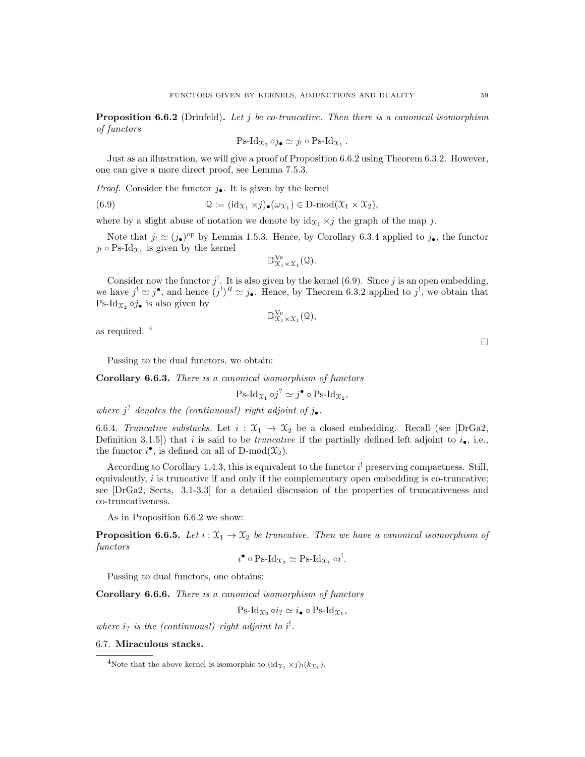**Proposition 6.6.2** (Drinfeld). Let j be co-truncative. Then there is a canonical isomorphism of functors

$$
\text{Ps-Id}_{\mathcal{X}_2} \circ j_{\bullet} \simeq j_! \circ \text{Ps-Id}_{\mathcal{X}_1}.
$$

Just as an illustration, we will give a proof of Proposition 6.6.2 using Theorem 6.3.2. However, one can give a more direct proof, see Lemma 7.5.3.

*Proof.* Consider the functor  $j_{\bullet}$ . It is given by the kernel

(6.9) 
$$
\mathcal{Q} := (\mathrm{id}_{\mathcal{X}_1} \times j) \bullet (\omega_{\mathcal{X}_1}) \in \mathrm{D}\text{-mod}(\mathcal{X}_1 \times \mathcal{X}_2),
$$

where by a slight abuse of notation we denote by  $id_{\mathfrak{X}_1} \times j$  the graph of the map j.

Note that  $j_! \simeq (j_\bullet)^{\rm op}$  by Lemma 1.5.3. Hence, by Corollary 6.3.4 applied to  $j_\bullet$ , the functor  $j_! \circ P$ s-Id $\chi_1$  is given by the kernel

 $\mathbb{D}_{\mathfrak{X}_1\times\mathfrak{X}_1}^{\mathrm{Ve}}(\mathfrak{Q}).$ 

Consider now the functor  $j^!$ . It is also given by the kernel (6.9). Since j is an open embedding, we have  $j' \simeq j^{\bullet}$ , and hence  $(j^{!})^R \simeq j_{\bullet}$ . Hence, by Theorem 6.3.2 applied to  $j^{!}$ , we obtain that Ps-Id $\chi_2 \circ j_{\bullet}$  is also given by

 $\mathbb{D}_{\mathfrak{X}_1\times\mathfrak{X}_1}^{\mathrm{Ve}}(\mathfrak{Q}),$ 

as required. <sup>4</sup>

Passing to the dual functors, we obtain:

Corollary 6.6.3. There is a canonical isomorphism of functors

 $\text{Ps-Id}_{\mathfrak{X}_1} \circ j^? \simeq j^{\bullet} \circ \text{Ps-Id}_{\mathfrak{X}_2},$ 

where  $j^?$  denotes the (continuous!) right adjoint of  $j_{\bullet}$ .

6.6.4. Truncative substacks. Let  $i : \mathfrak{X}_1 \to \mathfrak{X}_2$  be a closed embedding. Recall (see [DrGa2, Definition 3.1.5]) that i is said to be *truncative* if the partially defined left adjoint to  $i_{\bullet}$ , i.e., the functor  $i^{\bullet}$ , is defined on all of D-mod $(\mathfrak{X}_2)$ .

According to Corollary 1.4.3, this is equivalent to the functor  $i^!$  preserving compactness. Still, equivalently,  $i$  is truncative if and only if the complementary open embedding is co-truncative; see [DrGa2, Sects. 3.1-3.3] for a detailed discussion of the properties of truncativeness and co-truncativeness.

As in Proposition 6.6.2 we show:

**Proposition 6.6.5.** Let  $i : \mathfrak{X}_1 \to \mathfrak{X}_2$  be truncative. Then we have a canonical isomorphism of functors

$$
i^{\bullet} \circ \text{Ps-Id}_{\mathfrak{X}_2} \simeq \text{Ps-Id}_{\mathfrak{X}_1} \circ i^!
$$

Passing to dual functors, one obtains:

Corollary 6.6.6. There is a canonical isomorphism of functors

 $\text{Ps-Id}_{\mathcal{X}_2} \circ i_? \simeq i_{\bullet} \circ \text{Ps-Id}_{\mathcal{X}_1},$ 

where  $i_?$  is the (continuous!) right adjoint to  $i^!$ .

#### 6.7. Miraculous stacks.

 $\Box$ 

<sup>&</sup>lt;sup>4</sup>Note that the above kernel is isomorphic to  $(\mathrm{id}_{\mathfrak{X}_1} \times j)_! (k_{\mathfrak{X}_1})$ .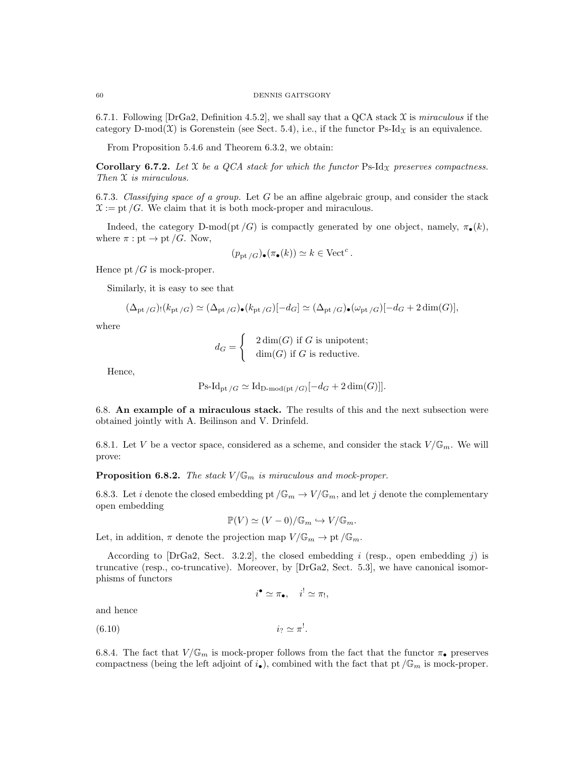#### 60 DENNIS GAITSGORY

6.7.1. Following [DrGa2, Definition 4.5.2], we shall say that a QCA stack  $\mathfrak X$  is miraculous if the category D-mod( $\mathfrak{X}$ ) is Gorenstein (see Sect. 5.4), i.e., if the functor Ps-Id<sub> $\mathfrak{X}$ </sub> is an equivalence.

From Proposition 5.4.6 and Theorem 6.3.2, we obtain:

**Corollary 6.7.2.** Let X be a QCA stack for which the functor  $\text{Ps-Id}_X$  preserves compactness. Then  $\mathfrak X$  is miraculous.

6.7.3. Classifying space of a group. Let G be an affine algebraic group, and consider the stack  $\mathfrak{X} := \text{pt } /G$ . We claim that it is both mock-proper and miraculous.

Indeed, the category D-mod(pt /G) is compactly generated by one object, namely,  $\pi_{\bullet}(k)$ , where  $\pi : \text{pt} \to \text{pt } /G$ . Now,

$$
(p_{\mathrm{pt}/G})_{\bullet}(\pi_{\bullet}(k)) \simeq k \in \mathrm{Vect}^c.
$$

Hence pt  $/G$  is mock-proper.

Similarly, it is easy to see that

$$
(\Delta_{\mathrm{pt}/G})_!(k_{\mathrm{pt}/G}) \simeq (\Delta_{\mathrm{pt}/G})_{\bullet}(k_{\mathrm{pt}/G})[-d_G] \simeq (\Delta_{\mathrm{pt}/G})_{\bullet}(\omega_{\mathrm{pt}/G})[-d_G + 2\dim(G)],
$$

where

$$
d_G = \begin{cases} 2 \dim(G) \text{ if } G \text{ is unipotent;} \\ \dim(G) \text{ if } G \text{ is reductive.} \end{cases}
$$

Hence,

$$
Ps\text{-}Id_{\text{pt}/G} \simeq Id_{\text{D-mod}(\text{pt}/G)}[-d_G + 2\dim(G)]].
$$

6.8. An example of a miraculous stack. The results of this and the next subsection were obtained jointly with A. Beilinson and V. Drinfeld.

6.8.1. Let V be a vector space, considered as a scheme, and consider the stack  $V/\mathbb{G}_m$ . We will prove:

**Proposition 6.8.2.** The stack  $V/\mathbb{G}_m$  is miraculous and mock-proper.

6.8.3. Let *i* denote the closed embedding pt  $/\mathbb{G}_m \to V/\mathbb{G}_m$ , and let *j* denote the complementary open embedding

$$
\mathbb{P}(V) \simeq (V - 0)/\mathbb{G}_m \hookrightarrow V/\mathbb{G}_m.
$$

Let, in addition,  $\pi$  denote the projection map  $V/\mathbb{G}_m \to \text{pt}/\mathbb{G}_m$ .

According to [DrGa2, Sect. 3.2.2], the closed embedding i (resp., open embedding j) is truncative (resp., co-truncative). Moreover, by [DrGa2, Sect. 5.3], we have canonical isomorphisms of functors

$$
i^{\bullet} \simeq \pi_{\bullet}, \quad i^! \simeq \pi_!,
$$

and hence

$$
(6.10) \t\t i_? \simeq \pi^!.
$$

6.8.4. The fact that  $V/\mathbb{G}_m$  is mock-proper follows from the fact that the functor  $\pi_{\bullet}$  preserves compactness (being the left adjoint of  $i_{\bullet}$ ), combined with the fact that pt  $/\mathbb{G}_m$  is mock-proper.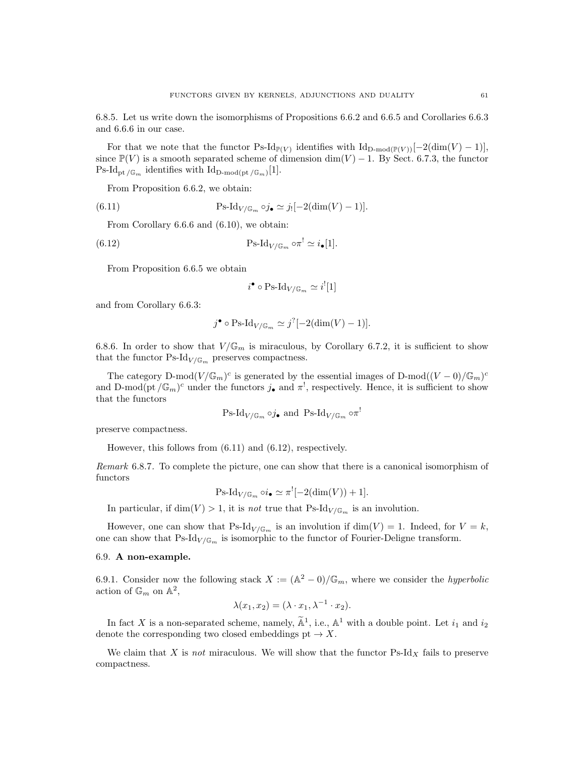6.8.5. Let us write down the isomorphisms of Propositions 6.6.2 and 6.6.5 and Corollaries 6.6.3 and 6.6.6 in our case.

For that we note that the functor  $\text{Ps-Id}_{\mathbb{P}(V)}$  identifies with  $\text{Id}_{\text{D-mod}(\mathbb{P}(V))}[-2(\dim(V)-1)],$ since  $\mathbb{P}(V)$  is a smooth separated scheme of dimension dim(V) – 1. By Sect. 6.7.3, the functor Ps-Id<sub>pt/ $\mathbb{G}_m$ </sub> identifies with Id<sub>D-mod(pt/ $\mathbb{G}_m$ )[1].</sub>

From Proposition 6.6.2, we obtain:

(6.11) 
$$
\text{Ps-Id}_{V/\mathbb{G}_m} \circ j_{\bullet} \simeq j_![-2(\dim(V)-1)].
$$

From Corollary 6.6.6 and  $(6.10)$ , we obtain:

(6.12) 
$$
\mathrm{Ps\text{-}Id}_{V/\mathbb{G}_m} \circ \pi^! \simeq i_{\bullet}[1].
$$

From Proposition 6.6.5 we obtain

$$
i^{\bullet} \circ \operatorname{Ps-Id}_{V/\mathbb{G}_m} \simeq i^![1]
$$

and from Corollary 6.6.3:

$$
j^{\bullet} \circ \mathrm{Ps}\text{-}\mathrm{Id}_{V/\mathbb{G}_m} \simeq j^?[-2(\dim(V)-1)].
$$

6.8.6. In order to show that  $V/\mathbb{G}_m$  is miraculous, by Corollary 6.7.2, it is sufficient to show that the functor  $\text{Ps-Id}_{V/\mathbb{G}_m}$  preserves compactness.

The category D-mod $(V/\mathbb{G}_m)^c$  is generated by the essential images of D-mod $((V-0)/\mathbb{G}_m)^c$ and D-mod(pt  $/\mathbb{G}_m$ )<sup>c</sup> under the functors  $j_{\bullet}$  and  $\pi^!$ , respectively. Hence, it is sufficient to show that the functors

Ps-Id<sub>V/G<sub>m</sub></sub> oj<sub>•</sub> and Ps-Id<sub>V/G<sub>m</sub></sub> o
$$
\pi
$$
<sup>!</sup>

preserve compactness.

However, this follows from (6.11) and (6.12), respectively.

Remark 6.8.7. To complete the picture, one can show that there is a canonical isomorphism of functors

$$
\mathrm{Ps\text{-}Id}_{V/\mathbb{G}_m} \circ i_{\bullet} \simeq \pi^![-2(\dim(V))+1].
$$

In particular, if dim(V) > 1, it is *not* true that Ps-Id<sub>V/G<sub>m</sub> is an involution.</sub>

However, one can show that Ps-Id<sub>V/ $\mathbb{G}_m$ </sub> is an involution if  $\dim(V) = 1$ . Indeed, for  $V = k$ , one can show that Ps-Id<sub>V/Gm</sub> is isomorphic to the functor of Fourier-Deligne transform.

#### 6.9. A non-example.

6.9.1. Consider now the following stack  $X := (\mathbb{A}^2 - 0)/\mathbb{G}_m$ , where we consider the *hyperbolic* action of  $\mathbb{G}_m$  on  $\mathbb{A}^2$ ,

$$
\lambda(x_1, x_2) = (\lambda \cdot x_1, \lambda^{-1} \cdot x_2).
$$

In fact X is a non-separated scheme, namely,  $\widetilde{A}^1$ , i.e.,  $A^1$  with a double point. Let  $i_1$  and  $i_2$ denote the corresponding two closed embeddings pt  $\rightarrow X$ .

We claim that X is not miraculous. We will show that the functor  $\text{Ps-Id}_X$  fails to preserve compactness.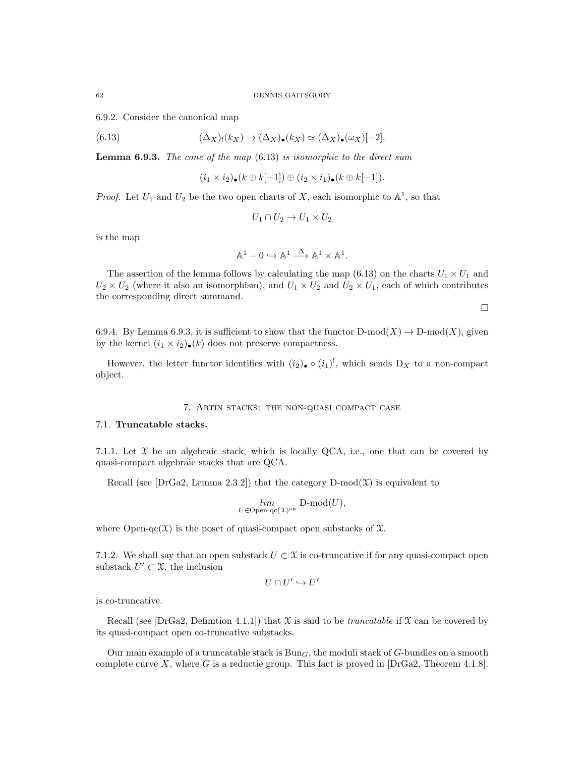6.9.2. Consider the canonical map

(6.13) 
$$
(\Delta_X)_!(k_X) \to (\Delta_X)_\bullet (k_X) \simeq (\Delta_X)_\bullet (\omega_X)[-2].
$$

**Lemma 6.9.3.** The cone of the map  $(6.13)$  is isomorphic to the direct sum

 $(i_1 \times i_2) \bullet (k \oplus k[-1]) \oplus (i_2 \times i_1) \bullet (k \oplus k[-1]).$ 

*Proof.* Let  $U_1$  and  $U_2$  be the two open charts of X, each isomorphic to  $\mathbb{A}^1$ , so that

$$
U_1 \cap U_2 \to U_1 \times U_2
$$

is the map

$$
\mathbb{A}^1 - 0 \hookrightarrow \mathbb{A}^1 \xrightarrow{\Delta} \mathbb{A}^1 \times \mathbb{A}^1.
$$

The assertion of the lemma follows by calculating the map (6.13) on the charts  $U_1 \times U_1$  and  $U_2 \times U_2$  (where it also an isomorphism), and  $U_1 \times U_2$  and  $U_2 \times U_1$ , each of which contributes the corresponding direct summand.

 $\Box$ 

6.9.4. By Lemma 6.9.3, it is sufficient to show that the functor  $D\text{-mod}(X) \to D\text{-mod}(X)$ , given by the kernel  $(i_1 \times i_2)_\bullet(k)$  does not preserve compactness.

However, the letter functor identifies with  $(i_2)_\bullet \circ (i_1)^!$ , which sends  $D_X$  to a non-compact object.

#### 7. Artin stacks: the non-quasi compact case

# 7.1. Truncatable stacks.

7.1.1. Let  $X$  be an algebraic stack, which is locally QCA, i.e., one that can be covered by quasi-compact algebraic stacks that are QCA.

Recall (see [DrGa2, Lemma 2.3.2]) that the category  $D\text{-mod}(\mathfrak{X})$  is equivalent to

$$
\lim_{U \in \text{Open-qc}(\mathfrak{X})^{\text{op}}} \mathsf{D}\text{-}\mathrm{mod}(U),
$$

where Open-qc( $\mathfrak{X}$ ) is the poset of quasi-compact open substacks of  $\mathfrak{X}$ .

7.1.2. We shall say that an open substack  $U \subset \mathfrak{X}$  is co-truncative if for any quasi-compact open substack  $U' \subset \mathfrak{X}$ , the inclusion

$$
U\cap U'\hookrightarrow U'
$$

is co-truncative.

Recall (see [DrGa2, Definition 4.1.1]) that  $\mathfrak X$  is said to be *truncatable* if  $\mathfrak X$  can be covered by its quasi-compact open co-truncative substacks.

Our main example of a truncatable stack is  $Bun<sub>G</sub>$ , the moduli stack of G-bundles on a smooth complete curve X, where G is a reductie group. This fact is proved in  $[\text{DrGa2}, \text{Theorem 4.1.8}].$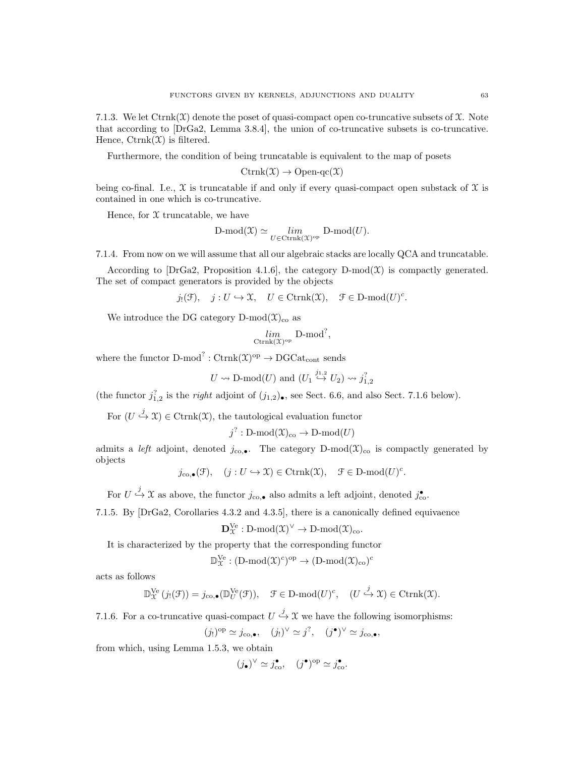7.1.3. We let Ctrnk( $\mathfrak{X}$ ) denote the poset of quasi-compact open co-truncative subsets of  $\mathfrak{X}$ . Note that according to [DrGa2, Lemma 3.8.4], the union of co-truncative subsets is co-truncative. Hence,  $Ctrnk(\mathcal{X})$  is filtered.

Furthermore, the condition of being truncatable is equivalent to the map of posets

$$
Ctrnk(\mathfrak{X}) \to \mathrm{Open}\text{-}\mathrm{qc}(\mathfrak{X})
$$

being co-final. I.e.,  $\mathfrak X$  is truncatable if and only if every quasi-compact open substack of  $\mathfrak X$  is contained in one which is co-truncative.

Hence, for  $X$  truncatable, we have

$$
\text{D-mod}(\mathfrak{X}) \simeq \lim_{U \in \text{Ctrnk}(\mathfrak{X})^{\text{op}}} \text{D-mod}(U).
$$

7.1.4. From now on we will assume that all our algebraic stacks are locally QCA and truncatable.

According to [DrGa2, Proposition 4.1.6], the category D-mod $(\mathcal{X})$  is compactly generated. The set of compact generators is provided by the objects

$$
j_!(\mathfrak{F}), \quad j: U \hookrightarrow \mathfrak{X}, \quad U \in \text{Ctrnk}(\mathfrak{X}), \quad \mathfrak{F} \in \text{D-mod}(U)^c.
$$

We introduce the DG category D-mod $(\mathfrak{X})_{\text{co}}$  as

$$
\lim_{\text{Ctrnk}(\mathfrak{X})^{\text{op}}} \text{D-mod}^?,
$$

where the functor  $D\text{-mod}^? : \text{Ctrnk}(\mathfrak{X})^{\text{op}} \to \text{DGCat}_{\text{cont}}$  sends

$$
U \rightsquigarrow
$$
 D-mod $(U)$  and  $(U_1 \stackrel{j_{1,2}}{\hookrightarrow} U_2) \rightsquigarrow j_{1,2}^?$ 

(the functor  $j_{1,2}^2$  is the *right* adjoint of  $(j_{1,2})_{\bullet}$ , see Sect. 6.6, and also Sect. 7.1.6 below).

For  $(U \stackrel{j}{\hookrightarrow} \mathfrak{X}) \in \text{Ctrnk}(\mathfrak{X})$ , the tautological evaluation functor

$$
j^? : D\text{-mod}(\mathfrak{X})_{\text{co}} \to D\text{-mod}(U)
$$

admits a left adjoint, denoted  $j_{\text{co}}$ . The category D-mod $(\mathfrak{X})_{\text{co}}$  is compactly generated by objects

$$
j_{\text{co},\bullet}(\mathcal{F}), \quad (j:U\hookrightarrow \mathfrak{X})\in \text{Ctrnk}(\mathfrak{X}), \quad \mathcal{F}\in \text{D-mod}(U)^c.
$$

For  $U \xrightarrow{j} \mathcal{X}$  as above, the functor  $j_{\text{co},\bullet}$  also admits a left adjoint, denoted  $j_{\text{co}}^{\bullet}$ .

7.1.5. By [DrGa2, Corollaries 4.3.2 and 4.3.5], there is a canonically defined equivaence

$$
\mathbf{D}_{\mathfrak{X}}^{Ve}: D\text{-mod}(\mathfrak{X})^{\vee} \to D\text{-mod}(\mathfrak{X})_{co}.
$$

It is characterized by the property that the corresponding functor

$$
\mathbb{D}_{\mathfrak{X}}^{Ve}:(D\text{-mod}(\mathfrak{X})^c)^{op}\to (D\text{-mod}(\mathfrak{X})_{co})^c
$$

acts as follows

$$
\mathbb{D}_{\mathcal{X}}^{\mathbf{V}\mathbf{e}}\left(j_{!}(\mathcal{F})\right)=j_{\mathbf{co},\bullet}(\mathbb{D}_{U}^{\mathbf{V}\mathbf{e}}(\mathcal{F})),\quad \mathcal{F}\in\mathbf{D}\text{-}\mathrm{mod}(U)^{c},\quad (U\xrightarrow{j}\mathcal{X})\in\mathrm{Ctrnk}(\mathcal{X}).
$$

7.1.6. For a co-truncative quasi-compact  $U \stackrel{j}{\hookrightarrow} \mathfrak{X}$  we have the following isomorphisms:

$$
(j_!)^{\text{op}} \simeq j_{\text{co},\bullet}, \quad (j_!)^{\vee} \simeq j^?, \quad (j^{\bullet})^{\vee} \simeq j_{\text{co},\bullet},
$$

from which, using Lemma 1.5.3, we obtain

$$
(j_{\bullet})^{\vee} \simeq j_{\text{co}}^{\bullet}, \quad (j^{\bullet})^{\text{op}} \simeq j_{\text{co}}^{\bullet}.
$$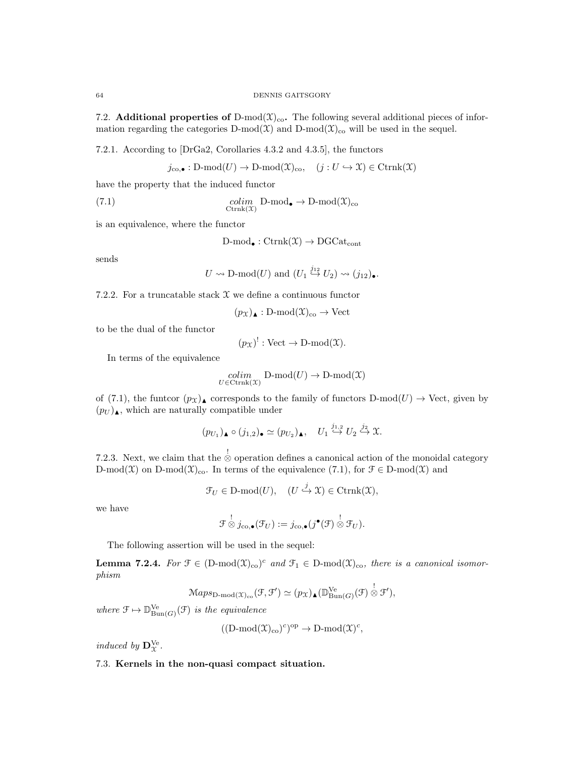7.2. **Additional properties of** D-mod $(\mathfrak{X})_{\text{co}}$ . The following several additional pieces of information regarding the categories D-mod( $\mathfrak{X}$ ) and D-mod( $\mathfrak{X})_{\text{co}}$  will be used in the sequel.

7.2.1. According to [DrGa2, Corollaries 4.3.2 and 4.3.5], the functors

 $j_{\text{co},\bullet}: \text{D-mod}(U) \to \text{D-mod}(\mathfrak{X})_{\text{co}}, \quad (j:U \hookrightarrow \mathfrak{X}) \in \text{Ctrnk}(\mathfrak{X})$ 

have the property that the induced functor

(7.1) 
$$
\underset{\text{Ctrnk}(\mathfrak{X})}{colim} D\text{-mod}_{\bullet} \to D\text{-mod}(\mathfrak{X})_{\text{co}}
$$

is an equivalence, where the functor

$$
\text{D-mod}_{\bullet} : \text{Ctrnk}(\mathfrak{X}) \to \text{DGCat}_{\text{cont}}
$$

sends

$$
U \rightsquigarrow
$$
 D-mod $(U)$  and  $(U_1 \stackrel{j_{12}}{\hookrightarrow} U_2) \rightsquigarrow (j_{12})_{\bullet}$ .

 $\ddot{a}$ 

7.2.2. For a truncatable stack  $\mathfrak X$  we define a continuous functor

 $(p_{\mathfrak{X}})_{\blacktriangle} : D\text{-mod}(\mathfrak{X})_{\text{co}} \to \text{Vect}$ 

to be the dual of the functor

 $(p_{\mathfrak{X}})^!: \text{Vect} \to \text{D-mod}(\mathfrak{X}).$ 

In terms of the equivalence

$$
\underset{U \in \text{Ctrnk}(\mathfrak{X})}{colim} \text{D-mod}(U) \to \text{D-mod}(\mathfrak{X})
$$

of (7.1), the funtcor  $(p_{\mathfrak{X}})_{\blacktriangle}$  corresponds to the family of functors D-mod $(U) \rightarrow$  Vect, given by  $(p_U)_{\blacktriangle}$ , which are naturally compatible under

$$
(p_{U_1})_{\blacktriangle} \circ (j_{1,2})_{\blacktriangleright} \simeq (p_{U_2})_{\blacktriangle}, \quad U_1 \stackrel{j_{1,2}}{\hookrightarrow} U_2 \stackrel{j_2}{\hookrightarrow} \mathfrak{X}.
$$

7.2.3. Next, we claim that the  $\stackrel{!}{\otimes}$  operation defines a canonical action of the monoidal category D-mod(X) on D-mod( $\mathfrak{X})_{\text{co}}$ . In terms of the equivalence (7.1), for  $\mathcal{F} \in \text{D-mod}(\mathcal{X})$  and

$$
\mathcal{F}_U \in \mathcal{D}\text{-mod}(U), \quad (U \stackrel{j}{\hookrightarrow} \mathfrak{X}) \in \mathcal{C}\text{trnk}(\mathfrak{X}),
$$

we have

$$
\mathcal{F} \overset{!}{\otimes} j_{\text{co},\bullet}(\mathcal{F}_U) := j_{\text{co},\bullet}(j^{\bullet}(\mathcal{F}) \overset{!}{\otimes} \mathcal{F}_U).
$$

The following assertion will be used in the sequel:

**Lemma 7.2.4.** For  $\mathcal{F} \in (\text{D-mod}(\mathfrak{X})_{\text{co}})^c$  and  $\mathcal{F}_1 \in \text{D-mod}(\mathfrak{X})_{\text{co}}$ , there is a canonical isomorphism

 $\mathrm{Maps}_{\mathrm{D-mod}(\mathfrak{X})_{\mathrm{co}}}(\mathcal{F}, \mathcal{F}') \simeq (p_{\mathfrak{X}})_{\blacktriangle}(\mathbb{D}_{\mathrm{Bun}(G)}^{\mathrm{Ve}}(\mathcal{F}) \overset{!}{\otimes} \mathcal{F}'),$ 

where  $\mathfrak{F} \mapsto \mathbb{D}_{\text{Bun}(G)}^{\text{Ve}}(\mathfrak{F})$  is the equivalence

$$
((D\text{-mod}(\mathfrak{X})_{\text{co}})^c)^{\text{op}} \to D\text{-mod}(\mathfrak{X})^c,
$$

induced by  $\mathbf{D}_{\mathfrak{X}}^{\text{Ve}}$ .

7.3. Kernels in the non-quasi compact situation.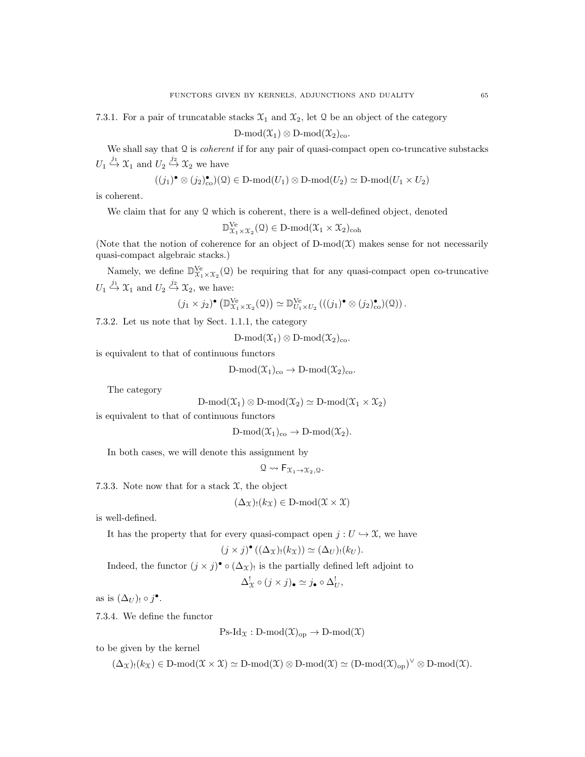7.3.1. For a pair of truncatable stacks  $\mathfrak{X}_1$  and  $\mathfrak{X}_2$ , let Q be an object of the category

D-mod $(\mathfrak{X}_1) \otimes$ D-mod $(\mathfrak{X}_2)_{\text{co}}$ .

We shall say that  $\Omega$  is *coherent* if for any pair of quasi-compact open co-truncative substacks  $U_1 \stackrel{j_1}{\hookrightarrow} \mathfrak{X}_1$  and  $U_2 \stackrel{j_2}{\hookrightarrow} \mathfrak{X}_2$  we have

$$
((j_1)^{\bullet} \otimes (j_2)^{\bullet}_{\text{co}})(\mathbb{Q}) \in \text{D-mod}(U_1) \otimes \text{D-mod}(U_2) \simeq \text{D-mod}(U_1 \times U_2)
$$

is coherent.

We claim that for any Q which is coherent, there is a well-defined object, denoted

 $\mathbb{D}_{\mathfrak{X}_1 \times \mathfrak{X}_2}^{\mathrm{Ve}}(\mathfrak{Q}) \in \mathrm{D}\text{-}\mathrm{mod}(\mathfrak{X}_1 \times \mathfrak{X}_2)_{\mathrm{coh}}$ 

(Note that the notion of coherence for an object of  $D\text{-mod}(\mathcal{X})$  makes sense for not necessarily quasi-compact algebraic stacks.)

Namely, we define  $\mathbb{D}_{\mathfrak{X}_1 \times \mathfrak{X}_2}^{\mathrm{Ve}}(0)$  be requiring that for any quasi-compact open co-truncative  $U_1 \stackrel{j_1}{\hookrightarrow} \mathfrak{X}_1$  and  $U_2 \stackrel{j_2}{\hookrightarrow} \mathfrak{X}_2$ , we have:

$$
(j_1 \times j_2)^{\bullet} (\mathbb{D}_{X_1 \times X_2}^{Ve}(\Omega)) \simeq \mathbb{D}_{U_1 \times U_2}^{Ve} (((j_1)^{\bullet} \otimes (j_2)^{\bullet}_{co})(\Omega)).
$$

7.3.2. Let us note that by Sect. 1.1.1, the category

D-mod $(\mathfrak{X}_1) \otimes$ D-mod $(\mathfrak{X}_2)_{\text{co}}$ .

is equivalent to that of continuous functors

$$
D\text{-mod}(\mathfrak{X}_1)_{\text{co}} \to D\text{-mod}(\mathfrak{X}_2)_{\text{co}}.
$$

The category

$$
D\text{-mod}(\mathfrak{X}_1) \otimes D\text{-mod}(\mathfrak{X}_2) \simeq D\text{-mod}(\mathfrak{X}_1 \times \mathfrak{X}_2)
$$

is equivalent to that of continuous functors

$$
D\text{-mod}(\mathfrak{X}_1)_{\text{co}} \to D\text{-mod}(\mathfrak{X}_2).
$$

In both cases, we will denote this assignment by

 $Q \rightsquigarrow F_{\mathcal{X}_1 \rightarrow \mathcal{X}_2, Q}$ .

7.3.3. Note now that for a stack  $\mathfrak{X}$ , the object

$$
(\Delta_{\mathcal{X}})_{!}(k_{\mathcal{X}}) \in D\text{-mod}(\mathcal{X} \times \mathcal{X})
$$

is well-defined.

It has the property that for every quasi-compact open  $j: U \hookrightarrow \mathfrak{X}$ , we have

$$
(j \times j)^{\bullet} ((\Delta_{\mathfrak{X}})_{!}(k_{\mathfrak{X}})) \simeq (\Delta_{U})_{!}(k_{U}).
$$

Indeed, the functor  $(j \times j)$ <sup>•</sup> ∘  $(\Delta_{\mathfrak{X}})$  is the partially defined left adjoint to

$$
\Delta_X^! \circ (j \times j)_\bullet \simeq j_\bullet \circ \Delta_U^! ,
$$

as is  $(\Delta_U)$ !  $\circ j^{\bullet}$ .

7.3.4. We define the functor

 $\text{Ps-Id}_{\mathfrak{X}} : D\text{-mod}(\mathfrak{X})_{\text{op}} \to D\text{-mod}(\mathfrak{X})$ 

to be given by the kernel

 $(\Delta_{\mathfrak{X}})_{!}(k_{\mathfrak{X}}) \in D\text{-mod}(\mathfrak{X} \times \mathfrak{X}) \simeq D\text{-mod}(\mathfrak{X}) \otimes D\text{-mod}(\mathfrak{X}) \simeq (D\text{-mod}(\mathfrak{X})_{op})^{\vee} \otimes D\text{-mod}(\mathfrak{X}).$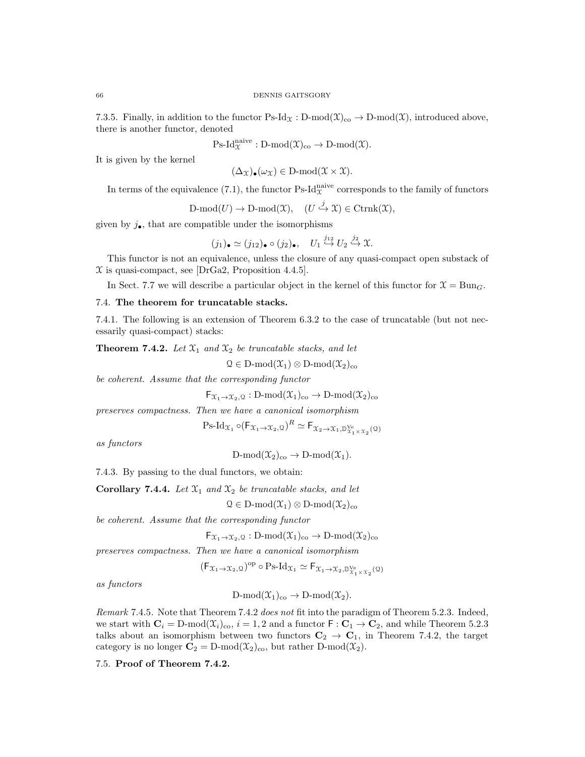7.3.5. Finally, in addition to the functor  $Ps\text{-}Id_{\mathcal{X}} : D\text{-mod}(\mathcal{X})_{co} \to D\text{-mod}(\mathcal{X})$ , introduced above, there is another functor, denoted

$$
\operatorname{Ps-Id}^{\operatorname{naive}}_{\mathfrak{X}}: D\text{-mod}(\mathfrak{X})_{\operatorname{co}} \rightarrow D\text{-mod}(\mathfrak{X}).
$$

It is given by the kernel

$$
(\Delta_{\mathfrak{X}})_{\bullet}(\omega_{\mathfrak{X}}) \in D\text{-mod}(\mathfrak{X} \times \mathfrak{X}).
$$

In terms of the equivalence (7.1), the functor Ps-Id $_{\chi}^{\text{naive}}$  corresponds to the family of functors

$$
\mathrm{D\text{-}mod}(U) \to \mathrm{D\text{-}mod}(\mathfrak{X}), \quad (U \stackrel{j}{\hookrightarrow} \mathfrak{X}) \in \mathrm{Ctrnk}(\mathfrak{X}),
$$

given by  $j_{\bullet}$ , that are compatible under the isomorphisms

$$
(j_1)_\bullet \simeq (j_{12})_\bullet \circ (j_2)_\bullet, \quad U_1 \stackrel{j_{12}}{\hookrightarrow} U_2 \stackrel{j_2}{\hookrightarrow} \mathfrak{X}.
$$

This functor is not an equivalence, unless the closure of any quasi-compact open substack of  $\mathfrak X$  is quasi-compact, see [DrGa2, Proposition 4.4.5].

In Sect. 7.7 we will describe a particular object in the kernel of this functor for  $\mathfrak{X} = \text{Bun}_G$ .

# 7.4. The theorem for truncatable stacks.

7.4.1. The following is an extension of Theorem 6.3.2 to the case of truncatable (but not necessarily quasi-compact) stacks:

**Theorem 7.4.2.** Let  $\mathfrak{X}_1$  and  $\mathfrak{X}_2$  be truncatable stacks, and let

$$
\mathfrak{Q} \in D\text{-mod}(\mathfrak{X}_1) \otimes D\text{-mod}(\mathfrak{X}_2)_{co}
$$

be coherent. Assume that the corresponding functor

 $\mathsf{F}_{\mathfrak{X}_1\to\mathfrak{X}_2,\mathfrak{Q}}:\mathrm{D}\text{-}\mathrm{mod}(\mathfrak{X}_1)_{\mathrm{co}}\to\mathrm{D}\text{-}\mathrm{mod}(\mathfrak{X}_2)_{\mathrm{co}}$ 

preserves compactness. Then we have a canonical isomorphism

$$
\text{Ps-Id}_{\mathcal{X}_1} \circ (\mathsf{F}_{\mathcal{X}_1 \to \mathcal{X}_2, \mathcal{Q}})^R \simeq \mathsf{F}_{\mathcal{X}_2 \to \mathcal{X}_1, \mathbb{D}_{\mathcal{X}_1 \times \mathcal{X}_2}^{\mathsf{Ve}}(\mathcal{Q})}
$$

as functors

 $D\text{-mod}(\mathfrak{X}_2)_{\text{co}} \to D\text{-mod}(\mathfrak{X}_1).$ 

7.4.3. By passing to the dual functors, we obtain:

Corollary 7.4.4. Let  $\mathfrak{X}_1$  and  $\mathfrak{X}_2$  be truncatable stacks, and let

 $Q \in D\text{-mod}(\mathfrak{X}_1) \otimes D\text{-mod}(\mathfrak{X}_2)_{\text{co}}$ 

be coherent. Assume that the corresponding functor

 $\mathsf{F}_{\mathfrak{X}_1 \to \mathfrak{X}_2,\mathfrak{Q}} : D\text{-mod}(\mathfrak{X}_1)_{\operatorname{co}} \to D\text{-mod}(\mathfrak{X}_2)_{\operatorname{co}}$ 

preserves compactness. Then we have a canonical isomorphism

 $(\mathsf{F}_{\mathfrak{X}_1 \rightarrow \mathfrak{X}_2, \mathbb{Q}})^{\mathrm{op}} \circ \mathrm{Ps}\text{-}\mathrm{Id}_{\mathfrak{X}_1} \simeq \mathsf{F}_{\mathfrak{X}_1 \rightarrow \mathfrak{X}_2, \mathbb{D}_{\mathfrak{X}_1 \times \mathfrak{X}_2}^{\mathrm{Ve}}(\mathbb{Q})}$ 

as functors

$$
D\text{-mod}(\mathfrak{X}_1)_{\text{co}} \to D\text{-mod}(\mathfrak{X}_2).
$$

Remark 7.4.5. Note that Theorem 7.4.2 does not fit into the paradigm of Theorem 5.2.3. Indeed, we start with  $C_i = D-mod(\mathfrak{X}_i)_{\text{co}}, i = 1, 2$  and a functor  $F : C_1 \to C_2$ , and while Theorem 5.2.3 talks about an isomorphism between two functors  $C_2 \rightarrow C_1$ , in Theorem 7.4.2, the target category is no longer  $\mathbf{C}_2 = \text{D-mod}(\mathfrak{X}_2)_{\text{co}}$ , but rather  $\text{D-mod}(\mathfrak{X}_2)$ .

7.5. Proof of Theorem 7.4.2.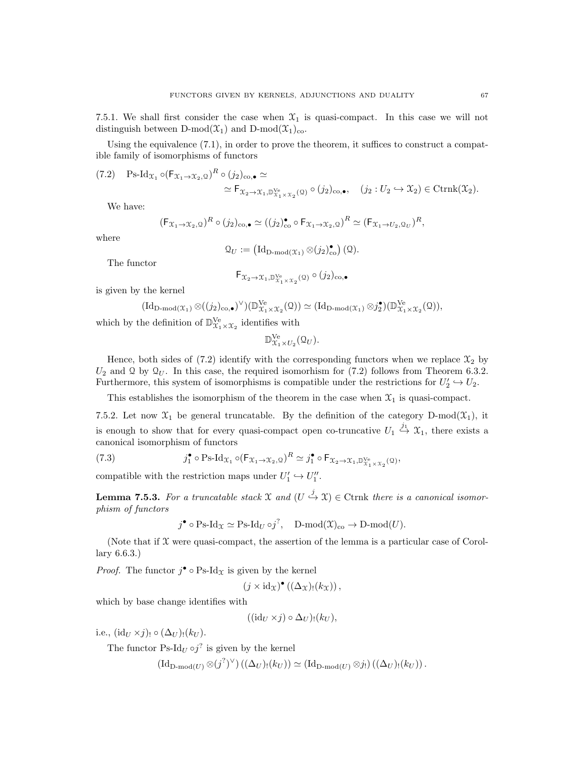7.5.1. We shall first consider the case when  $\mathfrak{X}_1$  is quasi-compact. In this case we will not distinguish between D-mod $(\mathfrak{X}_1)$  and D-mod $(\mathfrak{X}_1)_{\text{co}}$ .

Using the equivalence (7.1), in order to prove the theorem, it suffices to construct a compatible family of isomorphisms of functors

$$
(7.2) \quad \text{Ps-Id}_{\mathcal{X}_1} \circ (\mathsf{F}_{\mathcal{X}_1 \to \mathcal{X}_2, \mathcal{Q}})^R \circ (j_2)_{\text{co}, \bullet} \simeq \\ \simeq \mathsf{F}_{\mathcal{X}_2 \to \mathcal{X}_1, \mathbb{D}_{\mathcal{X}_1 \times \mathcal{X}_2}^{\text{Ve}}(\mathcal{Q})} \circ (j_2)_{\text{co}, \bullet}, \quad (j_2 : U_2 \hookrightarrow \mathcal{X}_2) \in \text{Ctrnk}(\mathcal{X}_2).
$$

We have:

$$
(\mathsf{F}_{\mathfrak{X}_1 \to \mathfrak{X}_2, \mathfrak{Q}})^R \circ (j_2)_{\mathsf{co}, \bullet} \simeq ((j_2)_{\mathsf{co}}^{\bullet} \circ \mathsf{F}_{\mathfrak{X}_1 \to \mathfrak{X}_2, \mathfrak{Q}})^R \simeq (\mathsf{F}_{\mathfrak{X}_1 \to U_2, \mathfrak{Q}_U})^R,
$$

where

$$
\mathfrak{Q}_U := \left( \mathrm{Id}_{\mathrm{D}\text{-}\mathrm{mod}(\mathfrak{X}_1)} \otimes (j_2)_{\mathrm{co}}^{\bullet} \right)(\mathfrak{Q}).
$$

The functor

$$
\mathsf{F}_{\mathfrak{X}_2\to \mathfrak{X}_1,\mathbb{D}_{\mathfrak{X}_1\times \mathfrak{X}_2}^{\mathrm{Ve}}(\mathfrak{Q})}\circ (j_2)_{\mathrm{co},\bullet}
$$

is given by the kernel

$$
(\mathrm{Id}_{D\text{-mod}(\mathfrak{X}_1)} \otimes ((j_2)_{\mathrm{co},\bullet})^{\vee})(\mathbb{D}_{\mathfrak{X}_1 \times \mathfrak{X}_2}^{\mathrm{Ve}}(\mathfrak{Q})) \simeq (\mathrm{Id}_{D\text{-mod}(\mathfrak{X}_1)} \otimes j_2^{\bullet})(\mathbb{D}_{\mathfrak{X}_1 \times \mathfrak{X}_2}^{\mathrm{Ve}}(\mathfrak{Q})),
$$
  
the definition of  $\mathbb{D}^{\mathrm{Ve}}$  identities with

which by the definition of 
$$
\mathbb{D}_{X_1 \times X_2}^{\vee}
$$
 identifies with

$$
{\mathbb D}^{\mathrm{Ve}}_{{\mathfrak X}_1\times U_2}({\mathfrak Q}_U).
$$

Hence, both sides of (7.2) identify with the corresponding functors when we replace  $\mathfrak{X}_2$  by  $U_2$  and Q by  $\mathcal{Q}_U$ . In this case, the required isomorhism for (7.2) follows from Theorem 6.3.2. Furthermore, this system of isomorphisms is compatible under the restrictions for  $U_2' \hookrightarrow U_2$ .

This establishes the isomorphism of the theorem in the case when  $\mathfrak{X}_1$  is quasi-compact.

7.5.2. Let now  $\mathfrak{X}_1$  be general truncatable. By the definition of the category D-mod $(\mathfrak{X}_1)$ , it is enough to show that for every quasi-compact open co-truncative  $U_1 \stackrel{j_1}{\hookrightarrow} \mathfrak{X}_1$ , there exists a canonical isomorphism of functors

(7.3) 
$$
j_1^{\bullet} \circ \text{Ps-Id}_{\mathcal{X}_1} \circ (\mathsf{F}_{\mathcal{X}_1 \to \mathcal{X}_2, \mathcal{Q}})^R \simeq j_1^{\bullet} \circ \mathsf{F}_{\mathcal{X}_2 \to \mathcal{X}_1, \mathbb{D}_{\mathcal{X}_1 \times \mathcal{X}_2}^{\mathsf{V}^e}(\mathcal{Q})},
$$

compatible with the restriction maps under  $U'_1 \hookrightarrow U''_1$ .

**Lemma 7.5.3.** For a truncatable stack X and  $(U \stackrel{j}{\hookrightarrow} X) \in$  Ctrnk there is a canonical isomorphism of functors

$$
j^{\bullet} \circ \text{Ps-Id}_{\mathcal{X}} \simeq \text{Ps-Id}_{U} \circ j^{?}, \quad \text{D-mod}(\mathcal{X})_{\text{co}} \to \text{D-mod}(U).
$$

(Note that if  $\mathfrak X$  were quasi-compact, the assertion of the lemma is a particular case of Corollary 6.6.3.)

*Proof.* The functor  $j^{\bullet} \circ \text{Ps-Id}_{\mathcal{X}}$  is given by the kernel

$$
(j \times id_{\mathfrak{X}})^\bullet ((\Delta_{\mathfrak{X}})_!(k_{\mathfrak{X}})),
$$

which by base change identifies with

 $((id_U \times j) \circ \Delta_U)_! (k_U),$ 

i.e.,  $(id_U \times j)$ !  $\circ (\Delta_U)$ ! $(k_U)$ .

The functor  $\text{Ps-Id}_U \circ j^?$  is given by the kernel

 $(\mathrm{Id}_{\mathrm{D-mod}(U)} \otimes (j^?)^{\vee}) ((\Delta_U)_! (k_U)) \simeq (\mathrm{Id}_{\mathrm{D-mod}(U)} \otimes j_!)((\Delta_U)_! (k_U)).$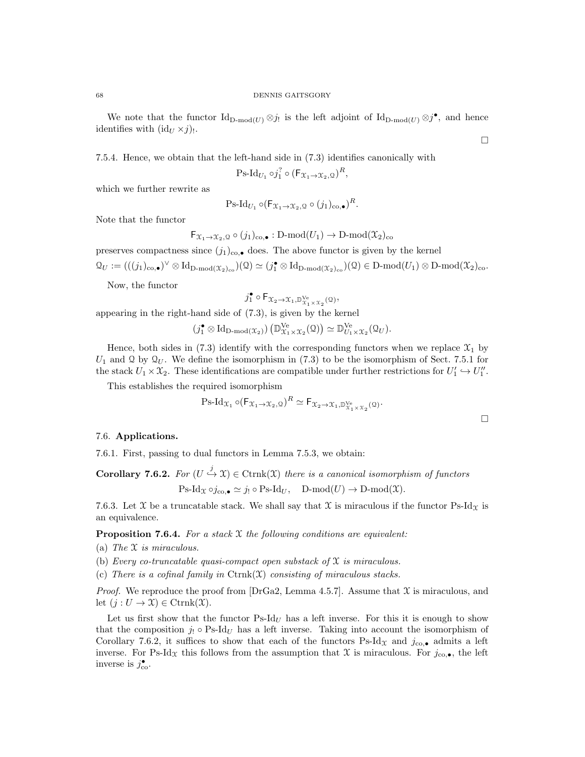We note that the functor  $\mathrm{Id}_{\mathrm{D-mod}(U)} \otimes j_!$  is the left adjoint of  $\mathrm{Id}_{\mathrm{D-mod}(U)} \otimes j^{\bullet}$ , and hence identifies with  $(\mathrm{id}_U \times j)$ .

7.5.4. Hence, we obtain that the left-hand side in (7.3) identifies canonically with

Ps-Id<sub>U<sub>1</sub></sub>  $\circ j_1^? \circ (\mathsf{F}_{\mathfrak{X}_1 \to \mathfrak{X}_2, \mathfrak{Q}})^R$ ,

which we further rewrite as

$$
\mathrm{Ps}\text{-}\mathrm{Id}_{U_1}\circ(\mathsf{F}_{\mathfrak{X}_1\to\mathfrak{X}_2,\mathfrak{Q}}\circ(j_1)_{\mathrm{co},\bullet})^R.
$$

Note that the functor

$$
\mathsf{F}_{\mathfrak{X}_1 \to \mathfrak{X}_2,\mathfrak{Q}} \circ (j_1)_{\mathrm{co},\bullet}: \mathrm{D-mod}(U_1) \to \mathrm{D-mod}(\mathfrak{X}_2)_{\mathrm{co}}
$$

preserves compactness since  $(j_1)_{\text{co},\bullet}$  does. The above functor is given by the kernel

 $\mathfrak{Q}_U := (((j_1)_{\text{co},\bullet})^{\vee} \otimes \text{Id}_{\text{D-mod}(\mathfrak{X}_2)_{\text{co}}})(\mathfrak{Q}) \simeq (j_1^{\bullet} \otimes \text{Id}_{\text{D-mod}(\mathfrak{X}_2)_{\text{co}}})(\mathfrak{Q}) \in \text{D-mod}(U_1) \otimes \text{D-mod}(\mathfrak{X}_2)_{\text{co}}.$ 

Now, the functor

$$
j_1^{\bullet} \circ \mathsf{F}_{\mathfrak{X}_2 \to \mathfrak{X}_1, \mathbb{D}_{\mathfrak{X}_1 \times \mathfrak{X}_2}^{\mathrm{Ve}}(\mathfrak{Q})},
$$

appearing in the right-hand side of (7.3), is given by the kernel

$$
(j_1^{\bullet} \otimes \mathrm{Id}_{\mathrm{D}\text{-}\mathrm{mod}(\mathfrak{X}_2)}) \left( \mathbb{D}_{\mathfrak{X}_1 \times \mathfrak{X}_2}^{\mathrm{Ve}}(\mathfrak{Q}) \right) \simeq \mathbb{D}_{U_1 \times \mathfrak{X}_2}^{\mathrm{Ve}}(\mathfrak{Q}_U).
$$

Hence, both sides in (7.3) identify with the corresponding functors when we replace  $\mathfrak{X}_1$  by  $U_1$  and Q by  $\mathcal{Q}_U$ . We define the isomorphism in (7.3) to be the isomorphism of Sect. 7.5.1 for the stack  $U_1 \times \mathfrak{X}_2$ . These identifications are compatible under further restrictions for  $U'_1 \hookrightarrow U''_1$ .

This establishes the required isomorphism

Ps-Id<sub>x<sub>1</sub></sub> o(F<sub>x<sub>1</sub>→x<sub>2</sub>,<sub>2</sub>)<sup>R</sup> 
$$
\simeq
$$
 F<sub>x<sub>2</sub>→x<sub>1</sub>, $\mathbb{D}_{x_1 \times x_2}^{V_e}(\Omega)$ .</sub></sub>

# 7.6. Applications.

7.6.1. First, passing to dual functors in Lemma 7.5.3, we obtain:

**Corollary 7.6.2.** For  $(U \stackrel{j}{\hookrightarrow} X) \in \text{Ctrnk}(\mathcal{X})$  there is a canonical isomorphism of functors

 $\text{Ps-Id}_{\mathcal{X}} \circ j_{\text{co}} \bullet \simeq j_{!} \circ \text{Ps-Id}_{U}, \quad \text{D-mod}(U) \to \text{D-mod}(\mathcal{X}).$ 

7.6.3. Let X be a truncatable stack. We shall say that X is miraculous if the functor  $\text{Ps-Id}_{\mathcal{X}}$  is an equivalence.

**Proposition 7.6.4.** For a stack  $X$  the following conditions are equivalent:

- (a) The  $\mathfrak X$  is miraculous.
- (b) Every co-truncatable quasi-compact open substack of  $X$  is miraculous.
- (c) There is a cofinal family in  $\text{Ctrnk}(\mathfrak{X})$  consisting of miraculous stacks.

*Proof.* We reproduce the proof from [DrGa2, Lemma 4.5.7]. Assume that  $\chi$  is miraculous, and let  $(j: U \to \mathfrak{X}) \in \text{Ctrnk}(\mathfrak{X}).$ 

Let us first show that the functor  $\text{Ps-Id}_U$  has a left inverse. For this it is enough to show that the composition  $j_! \circ Ps\text{-Id}_U$  has a left inverse. Taking into account the isomorphism of Corollary 7.6.2, it suffices to show that each of the functors Ps-Id<sub>X</sub> and  $j_{\text{co},\bullet}$  admits a left inverse. For Ps-Id<sub>X</sub> this follows from the assumption that X is miraculous. For  $j_{\text{co},\bullet}$ , the left inverse is  $j_{\rm co}^{\bullet}$ .

 $\Box$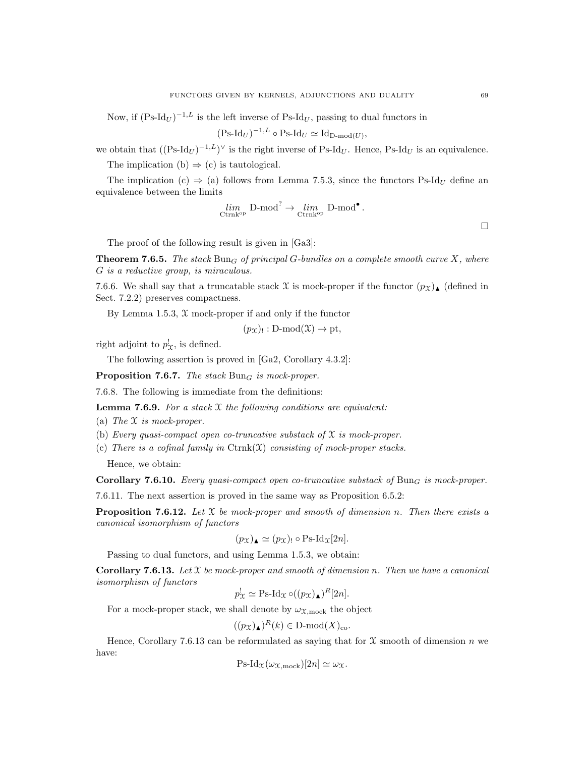Now, if  $(Ps\text{-}Id_U)^{-1,L}$  is the left inverse of  $Ps\text{-}Id_U$ , passing to dual functors in

$$
(\text{Ps-Id}_U)^{-1,L} \circ \text{Ps-Id}_U \simeq \text{Id}_{\text{D-mod}(U)},
$$

we obtain that  $((Ps-H_U)^{-1,L})^{\vee}$  is the right inverse of Ps-Id<sub>U</sub>. Hence, Ps-Id<sub>U</sub> is an equivalence. The implication (b)  $\Rightarrow$  (c) is tautological.

The implication (c)  $\Rightarrow$  (a) follows from Lemma 7.5.3, since the functors Ps-Id<sub>U</sub> define an equivalence between the limits

$$
\lim_{\text{Ctrn } k^{\text{op}}} \text{D-mod}^? \to \lim_{\text{Ctrn } k^{\text{op}}} \text{D-mod}^{\bullet}.
$$

The proof of the following result is given in [Ga3]:

**Theorem 7.6.5.** The stack Bun<sub>G</sub> of principal G-bundles on a complete smooth curve X, where G is a reductive group, is miraculous.

7.6.6. We shall say that a truncatable stack X is mock-proper if the functor  $(p_\mathfrak{X})_\blacktriangle$  (defined in Sect. 7.2.2) preserves compactness.

By Lemma 1.5.3,  $X$  mock-proper if and only if the functor

 $(p_{\mathfrak{X}})$ : D-mod $(\mathfrak{X}) \to \text{pt},$ 

right adjoint to  $p_{\mathcal{X}}^!$ , is defined.

The following assertion is proved in [Ga2, Corollary 4.3.2]:

**Proposition 7.6.7.** The stack  $Bun_G$  is mock-proper.

7.6.8. The following is immediate from the definitions:

**Lemma 7.6.9.** For a stack  $X$  the following conditions are equivalent:

(a) The  $\mathfrak X$  is mock-proper.

- (b) Every quasi-compact open co-truncative substack of  $\mathfrak X$  is mock-proper.
- (c) There is a cofinal family in  $\text{Ctrnk}(\mathfrak{X})$  consisting of mock-proper stacks.

Hence, we obtain:

Corollary 7.6.10. Every quasi-compact open co-truncative substack of  $Bun<sub>G</sub>$  is mock-proper.

7.6.11. The next assertion is proved in the same way as Proposition 6.5.2:

**Proposition 7.6.12.** Let  $X$  be mock-proper and smooth of dimension n. Then there exists a canonical isomorphism of functors

$$
(p_{\mathfrak{X}})_{\blacktriangle} \simeq (p_{\mathfrak{X}})_{!} \circ \operatorname{Ps-Id}_{\mathfrak{X}}[2n].
$$

Passing to dual functors, and using Lemma 1.5.3, we obtain:

**Corollary 7.6.13.** Let  $X$  be mock-proper and smooth of dimension n. Then we have a canonical isomorphism of functors

$$
p_{\mathcal{X}}^! \simeq \text{Ps-Id}_{\mathcal{X}} \circ ((p_{\mathcal{X}})_{\blacktriangle})^R [2n].
$$

For a mock-proper stack, we shall denote by  $\omega_{\mathfrak{X},\text{mock}}$  the object

$$
((p_{\mathfrak{X}})_{\blacktriangle})^R(k) \in \mathcal{D}\text{-mod}(X)_{\text{co}}.
$$

Hence, Corollary 7.6.13 can be reformulated as saying that for  $\mathfrak X$  smooth of dimension n we have:

$$
Ps\text{-}Id_{\mathfrak{X}}(\omega_{\mathfrak{X},\text{mock}})[2n] \simeq \omega_{\mathfrak{X}}.
$$

 $\Box$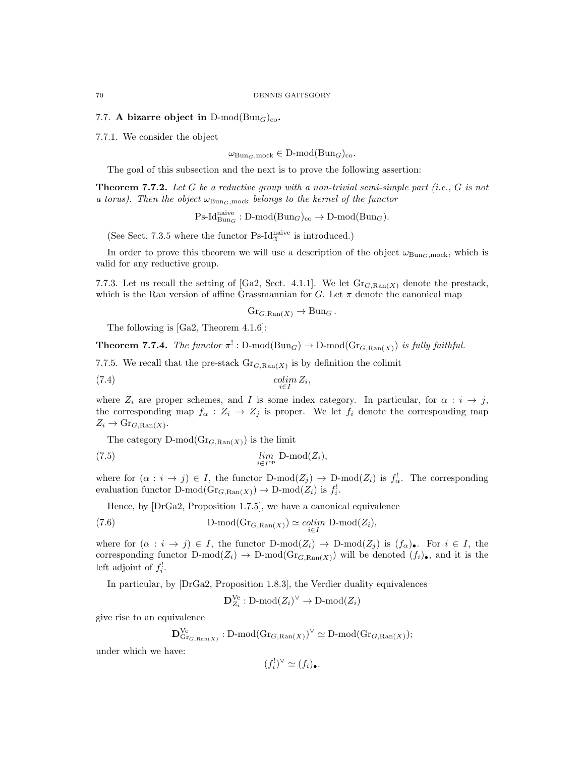7.7. A bizarre object in D-mod $(\text{Bun}_G)_{co}$ .

7.7.1. We consider the object

 $\omega_{\text{Bun}_G,\text{mock}} \in D\text{-mod}(\text{Bun}_G)_{\text{co}}.$ 

The goal of this subsection and the next is to prove the following assertion:

**Theorem 7.7.2.** Let G be a reductive group with a non-trivial semi-simple part (i.e., G is not a torus). Then the object  $\omega_{\text{Bun}_G,\text{mock}}$  belongs to the kernel of the functor

 $\text{Ps-Id}_{\text{Bun}_G}^{\text{naive}} : \text{D-mod}(\text{Bun}_G)_{\text{co}} \to \text{D-mod}(\text{Bun}_G).$ 

(See Sect. 7.3.5 where the functor Ps-Id $^{\rm naive}_{\mathcal X}$  is introduced.)

In order to prove this theorem we will use a description of the object  $\omega_{Bun_G, mock}$ , which is valid for any reductive group.

7.7.3. Let us recall the setting of [Ga2, Sect. 4.1.1]. We let  $\text{Gr}_{G,\text{Ran}(X)}$  denote the prestack, which is the Ran version of affine Grassmannian for G. Let  $\pi$  denote the canonical map

$$
\mathrm{Gr}_{G,\mathrm{Ran}(X)} \to \mathrm{Bun}_G.
$$

The following is [Ga2, Theorem 4.1.6]:

**Theorem 7.7.4.** The functor  $\pi^!: \text{D-mod}(\text{Bun}_G) \to \text{D-mod}(\text{Gr}_{G,\text{Ran}(X)})$  is fully faithful.

7.7.5. We recall that the pre-stack  $\mathrm{Gr}_{G,\mathrm{Ran}(X)}$  is by definition the colimit

$$
(7.4) \t\t\t\t\t\operatorname{colim}_{i\in I} Z_i,
$$

where  $Z_i$  are proper schemes, and I is some index category. In particular, for  $\alpha : i \to j$ , the corresponding map  $f_{\alpha}: Z_i \to Z_j$  is proper. We let  $f_i$  denote the corresponding map  $Z_i \to \mathrm{Gr}_{G,\mathrm{Ran}(X)}$ .

The category  $D\text{-mod}(Gr_{G, Ran(X)})$  is the limit

(7.5) 
$$
\lim_{i \in I^{\text{op}}} \text{D-mod}(Z_i),
$$

where for  $(\alpha : i \to j) \in I$ , the functor  $D\text{-mod}(Z_j) \to D\text{-mod}(Z_i)$  is  $f_\alpha^!$ . The corresponding evaluation functor  $D\text{-mod}(Gr_{G, Ran(X)}) \to D\text{-mod}(Z_i)$  is  $f_i^!$ .

Hence, by [DrGa2, Proposition 1.7.5], we have a canonical equivalence

(7.6) 
$$
D\text{-mod}(Gr_{G, Ran(X)}) \simeq \underset{i \in I}{\text{colim}} D\text{-mod}(Z_i),
$$

where for  $(\alpha : i \to j) \in I$ , the functor D-mod $(Z_i) \to D\text{-mod}(Z_j)$  is  $(f_\alpha)_\bullet$ . For  $i \in I$ , the corresponding functor  $D\text{-mod}(Z_i) \to D\text{-mod}(Gr_{G, Ran(X)})$  will be denoted  $(f_i)_{\bullet}$ , and it is the left adjoint of  $f_i^!$ .

In particular, by [DrGa2, Proposition 1.8.3], the Verdier duality equivalences

 $\mathbf{D}_{Z_i}^{\mathrm{Ve}} : \mathrm{D}\text{-}\mathrm{mod}(Z_i)^\vee \to \mathrm{D}\text{-}\mathrm{mod}(Z_i)$ 

give rise to an equivalence

$$
\mathbf{D}_{\mathrm{Gr}_{G,\mathrm{Ran}(X)}}^{\mathrm{Ve}}:\mathrm{D}\text{-}\mathrm{mod}(\mathrm{Gr}_{G,\mathrm{Ran}(X)})^{\vee}\simeq\mathrm{D}\text{-}\mathrm{mod}(\mathrm{Gr}_{G,\mathrm{Ran}(X)});
$$

under which we have:

$$
(f_i^!)^\vee \simeq (f_i)_\bullet.
$$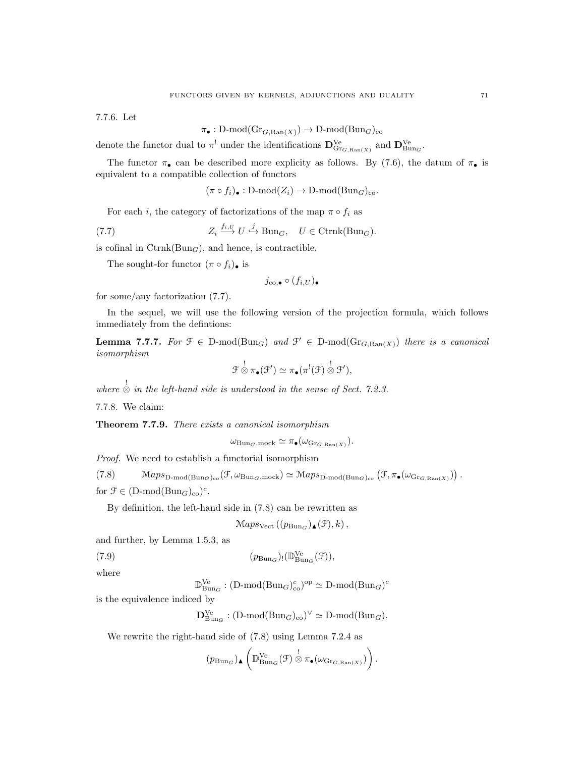7.7.6. Let

 $\pi_{\bullet}: \mathsf{D}\text{-}\mathrm{mod}(\mathrm{Gr}_{G,\mathrm{Ran}(X)}) \to \mathsf{D}\text{-}\mathrm{mod}(\mathrm{Bun}_G)_{\mathrm{co}}$ 

denote the functor dual to  $\pi^!$  under the identifications  $\mathbf{D}^{\text{Ve}}_{\text{Gr}_{G,\text{Ran}(X)}}$  and  $\mathbf{D}^{\text{Ve}}_{\text{Bun}_G}$ .

The functor  $\pi_{\bullet}$  can be described more explicity as follows. By (7.6), the datum of  $\pi_{\bullet}$  is equivalent to a compatible collection of functors

 $(\pi \circ f_i)_\bullet : D\text{-mod}(Z_i) \to D\text{-mod}(Bun_G)_{co}.$ 

For each i, the category of factorizations of the map  $\pi \circ f_i$  as

(7.7) 
$$
Z_i \stackrel{f_{i,U}}{\longrightarrow} U \stackrel{j}{\hookrightarrow} \text{Bun}_G, \quad U \in \text{Ctrnk}(\text{Bun}_G).
$$

is cofinal in  $\text{Ctrnk}(\text{Bun}_G)$ , and hence, is contractible.

The sought-for functor  $(\pi \circ f_i)_{\bullet}$  is

$$
j_{\text{co},\bullet}\circ (f_{i,U})_\bullet
$$

for some/any factorization (7.7).

In the sequel, we will use the following version of the projection formula, which follows immediately from the defintions:

**Lemma 7.7.7.** For  $\mathcal{F} \in \mathcal{D}$ -mod $(\text{Bun}_G)$  and  $\mathcal{F}' \in \mathcal{D}$ -mod $(\text{Gr}_{G,\text{Ran}(X)})$  there is a canonical isomorphism

$$
\mathcal{F} \overset{!}{\otimes} \pi_{\bullet}(\mathcal{F}') \simeq \pi_{\bullet}(\pi^{!}(\mathcal{F}) \overset{!}{\otimes} \mathcal{F}'),
$$

where  $\stackrel{!}{\otimes}$  in the left-hand side is understood in the sense of Sect. 7.2.3.

7.7.8. We claim:

Theorem 7.7.9. There exists a canonical isomorphism

$$
\omega_{\mathrm{Bun}_G, \mathrm{mock}} \simeq \pi_{\bullet}(\omega_{\mathrm{Gr}_{G, \mathrm{Ran}(X)}}).
$$

Proof. We need to establish a functorial isomorphism

(7.8)  $\mathcal{M}aps_{\text{D-mod}(\text{Bun}_G)_{co}}(\mathcal{F}, \omega_{\text{Bun}_G, \text{mock}}) \simeq \mathcal{M}aps_{\text{D-mod}(\text{Bun}_G)_{co}}(\mathcal{F}, \pi_{\bullet}(\omega_{\text{Gr}_{G, \text{Ran}}(X)}))$ .

for  $\mathfrak{F} \in (\text{D-mod}(\text{Bun}_G)_{co})^c$ .

By definition, the left-hand side in (7.8) can be rewritten as

 $Maps_{Vect}((p_{Bung})_{\blacktriangle}(\mathcal{F}), k),$ 

and further, by Lemma 1.5.3, as

(7.9) 
$$
(p_{\text{Bun}_G})_! (\mathbb{D}_{\text{Bun}_G}^{\text{Ve}}(\mathcal{F})),
$$

where

 $\mathbb{D}_{\text{Bun}_G}^{\text{Ve}} : (\text{D-mod}(\text{Bun}_G)_{\text{co}}^c)^{\text{op}} \simeq \text{D-mod}(\text{Bun}_G)^c$ 

is the equivalence indiced by

 $\mathbf{D}_{\text{Bun}_G}^{\text{Ve}} : (\text{D-mod}(\text{Bun}_G)_{\text{co}})^{\vee} \simeq \text{D-mod}(\text{Bun}_G).$ 

We rewrite the right-hand side of (7.8) using Lemma 7.2.4 as

$$
(p_{\text{Bun}_G})_{\blacktriangle} \left( \mathbb{D}_{\text{Bun}_G}^{\text{Ve}}(\mathcal{F}) \overset{!}{\otimes} \pi_{\bullet}(\omega_{\text{Gr}_{G,\text{Ran}(X)}}) \right).
$$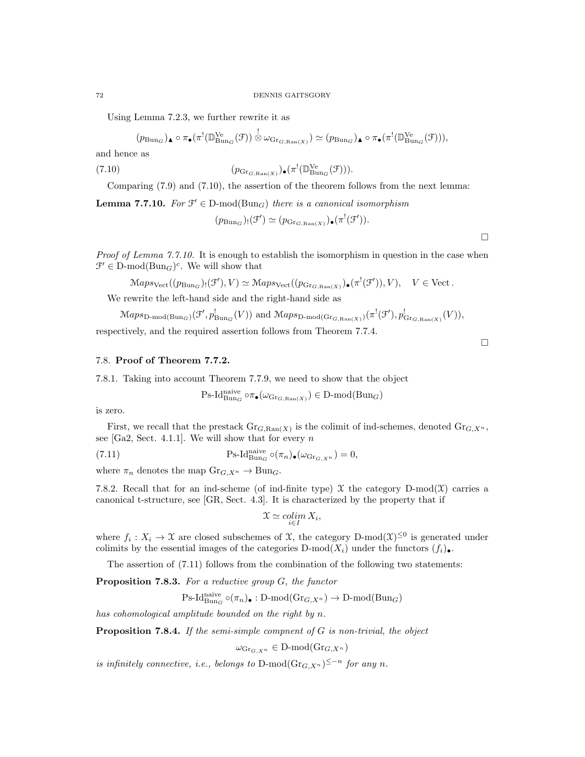Using Lemma 7.2.3, we further rewrite it as

 $(p_{\text{Bun}_G})_\blacktriangle \circ \pi_\bullet(\pi^!(\mathbb{D}^{\text{Ve}}_{\text{Bun}_G}(\mathcal{F})) \overset{!}{\otimes} \omega_{\text{Gr}_{G,\text{Ran}(X)}}) \simeq (p_{\text{Bun}_G})_\blacktriangle \circ \pi_\bullet(\pi^!(\mathbb{D}^{\text{Ve}}_{\text{Bun}_G}(\mathcal{F}))),$ 

and hence as

(7.10)  $(p_{\text{Gr}_{G,\text{Ran}(X)}}) \bullet (\pi^! (\mathbb{D}_{\text{Bun}_G}^{\text{Ve}}(\mathcal{F}))).$ 

Comparing (7.9) and (7.10), the assertion of the theorem follows from the next lemma:

**Lemma 7.7.10.** For  $\mathcal{F}' \in \mathcal{D}\text{-mod}(\text{Bun}_G)$  there is a canonical isomorphism

 $(p_{\text{Bun}_G})_! (\mathcal{F}') \simeq (p_{\text{Gr}_{G,\text{Ran}(X)}}) \cdot (\pi^! (\mathcal{F}')).$ 

 $\Box$ 

 $\Box$ 

Proof of Lemma 7.7.10. It is enough to establish the isomorphism in question in the case when  $\mathcal{F}' \in \mathcal{D}\text{-mod}(\mathcal{B}\text{un}_G)^c$ . We will show that

$$
\mathcal{M}aps_{\text{Vect}}((p_{\text{Bun}_G})_!(\mathcal{F}'), V) \simeq \mathcal{M}aps_{\text{Vect}}((p_{\text{Gr}_{G,\text{Ran}(X)}})_\bullet(\pi^!(\mathcal{F}')), V), \quad V \in \text{Vect}.
$$

We rewrite the left-hand side and the right-hand side as

$$
\mathcal{M}aps_{\text{D-mod}(\text{Bun}_G)}(\mathcal{F}', p^!_{\text{Bun}_G}(V))
$$
 and  $\mathcal{M}aps_{\text{D-mod}(\text{Gr}_{G,\text{Ran}(X)})}(\pi^!(\mathcal{F}'), p^!_{\text{Gr}_{G,\text{Ran}(X)}}(V)),$ 

respectively, and the required assertion follows from Theorem 7.7.4.

## 7.8. Proof of Theorem 7.7.2.

7.8.1. Taking into account Theorem 7.7.9, we need to show that the object

$$
\operatorname{Ps-Id}_{\operatorname{Bun}_G}^{\operatorname{naive}} \circ \pi_{\bullet}(\omega_{\operatorname{Gr}_{G,\operatorname{Ran}(X)}}) \in \operatorname{D-mod}(\operatorname{Bun}_G)
$$

is zero.

First, we recall that the prestack  $\text{Gr}_{G, \text{Ran}(X)}$  is the colimit of ind-schemes, denoted  $\text{Gr}_{G, X^n}$ , see [Ga2, Sect. 4.1.1]. We will show that for every  $n$ 

(7.11)  $\qquad \qquad \text{Ps-Id}_{\text{Bun}_G}^{\text{naive}} \circ (\pi_n)_\bullet (\omega_{\text{Gr}_{G, X^n}}) = 0,$ 

where  $\pi_n$  denotes the map  $\mathrm{Gr}_{G,X^n} \to \mathrm{Bun}_G$ .

7.8.2. Recall that for an ind-scheme (of ind-finite type)  $\mathfrak X$  the category D-mod $(\mathfrak X)$  carries a canonical t-structure, see [GR, Sect. 4.3]. It is characterized by the property that if

$$
\mathfrak{X}\simeq \operatornamewithlimits{colim}_{i\in I}X_i,
$$

where  $f_i: X_i \to \mathfrak{X}$  are closed subschemes of  $\mathfrak{X}$ , the category D-mod $(\mathfrak{X})^{\leq 0}$  is generated under colimits by the essential images of the categories D-mod $(X_i)$  under the functors  $(f_i)_{\bullet}$ .

The assertion of (7.11) follows from the combination of the following two statements:

Proposition 7.8.3. For a reductive group G, the functor

$$
\operatorname{Ps-Id}_{\operatorname{Bun}_G}^{\text{naive}} \circ (\pi_n)_{\bullet} : \operatorname{D-mod}(\operatorname{Gr}_{G,X^n}) \to \operatorname{D-mod}(\operatorname{Bun}_G)
$$

has cohomological amplitude bounded on the right by n.

**Proposition 7.8.4.** If the semi-simple compnent of  $G$  is non-trivial, the object

 $\omega_{\text{Gr}_{G,X^n}} \in \text{D-mod}(\text{Gr}_{G,X^n})$ 

is infinitely connective, i.e., belongs to D-mod $(\text{Gr}_{G,X^n})^{\leq -n}$  for any n.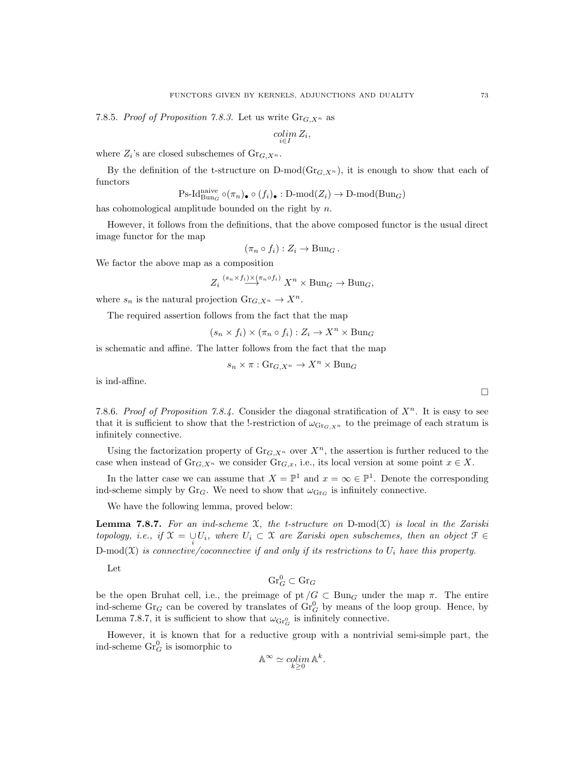7.8.5. Proof of Proposition 7.8.3. Let us write  $\text{Gr}_{G,X^n}$  as

$$
\operatornamewithlimits{colim}_{i\in I} Z_i,
$$

where  $Z_i$ 's are closed subschemes of  $\mathrm{Gr}_{G, X^n}$ .

By the definition of the t-structure on  $D\text{-mod}(Gr_{G,X^n})$ , it is enough to show that each of functors

$$
\operatorname{Ps-Id}_{\operatorname{Bun}_G}^{\operatorname{naive}} \circ (\pi_n)_\bullet \circ (f_i)_\bullet : \operatorname{D-mod}(Z_i) \to \operatorname{D-mod}(\operatorname{Bun}_G)
$$

has cohomological amplitude bounded on the right by  $n$ .

However, it follows from the definitions, that the above composed functor is the usual direct image functor for the map

$$
(\pi_n \circ f_i) : Z_i \to \text{Bun}_G.
$$

We factor the above map as a composition

$$
Z_i \stackrel{(s_n \times f_i) \times (\pi_n \circ f_i)}{\longrightarrow} X^n \times \text{Bun}_G \to \text{Bun}_G,
$$

where  $s_n$  is the natural projection  $\mathrm{Gr}_{G,X^n} \to X^n$ .

The required assertion follows from the fact that the map

$$
(s_n \times f_i) \times (\pi_n \circ f_i) : Z_i \to X^n \times \text{Bun}_G
$$

is schematic and affine. The latter follows from the fact that the map

$$
s_n \times \pi : \text{Gr}_{G,X^n} \to X^n \times \text{Bun}_G
$$

is ind-affine.

7.8.6. Proof of Proposition 7.8.4. Consider the diagonal stratification of  $X^n$ . It is easy to see that it is sufficient to show that the !-restriction of  $\omega_{\text{Gr}_{G,X^n}}$  to the preimage of each stratum is infinitely connective.

Using the factorization property of  $\mathrm{Gr}_{G,X^n}$  over  $X^n$ , the assertion is further reduced to the case when instead of Gr<sub>G,X<sup>n</sup></sub> we consider Gr<sub>G,x</sub>, i.e., its local version at some point  $x \in X$ .

In the latter case we can assume that  $X = \mathbb{P}^1$  and  $x = \infty \in \mathbb{P}^1$ . Denote the corresponding ind-scheme simply by Gr<sub>G</sub>. We need to show that  $\omega_{\text{Gr}_G}$  is infinitely connective.

We have the following lemma, proved below:

**Lemma 7.8.7.** For an ind-scheme  $X$ , the t-structure on  $D-mod(X)$  is local in the Zariski topology, i.e., if  $\mathfrak{X} = \bigcup_i U_i$ , where  $U_i \subset \mathfrak{X}$  are Zariski open subschemes, then an object  $\mathfrak{F} \in$ D-mod( $X$ ) is connective/coconnective if and only if its restrictions to  $U_i$  have this property.

Let

$$
\mathrm{Gr}_G^0 \subset \mathrm{Gr}_G
$$

be the open Bruhat cell, i.e., the preimage of pt  $/G \subset \text{Bun}_G$  under the map  $\pi$ . The entire ind-scheme  $\text{Gr}_G$  can be covered by translates of  $\text{Gr}_G^0$  by means of the loop group. Hence, by Lemma 7.8.7, it is sufficient to show that  $\omega_{\text{Gr}_G^0}$  is infinitely connective.

However, it is known that for a reductive group with a nontrivial semi-simple part, the ind-scheme  $\text{Gr}_G^0$  is isomorphic to

$$
\mathbb{A}^{\infty} \simeq \operatornamewithlimits{colim}_{k \geq 0} \mathbb{A}^{k}.
$$

 $\Box$